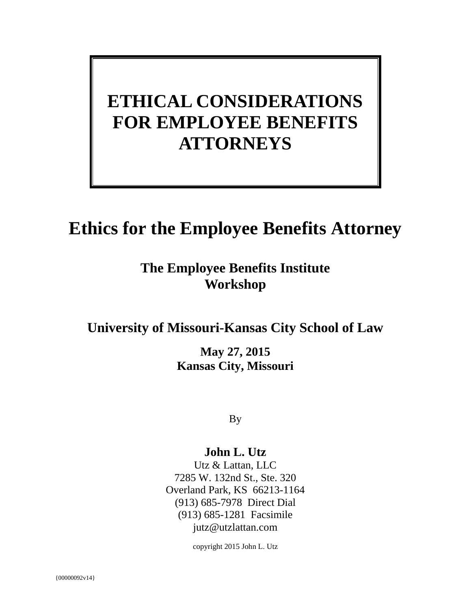# **ETHICAL CONSIDERATIONS FOR EMPLOYEE BENEFITS ATTORNEYS**

## **Ethics for the Employee Benefits Attorney**

**The Employee Benefits Institute Workshop** 

**University of Missouri-Kansas City School of Law**

**May 27, 2015 Kansas City, Missouri** 

By

## **John L. Utz**

Utz & Lattan, LLC 7285 W. 132nd St., Ste. 320 Overland Park, KS 66213-1164 (913) 685-7978 Direct Dial (913) 685-1281 Facsimile jutz@utzlattan.com

copyright 2015 John L. Utz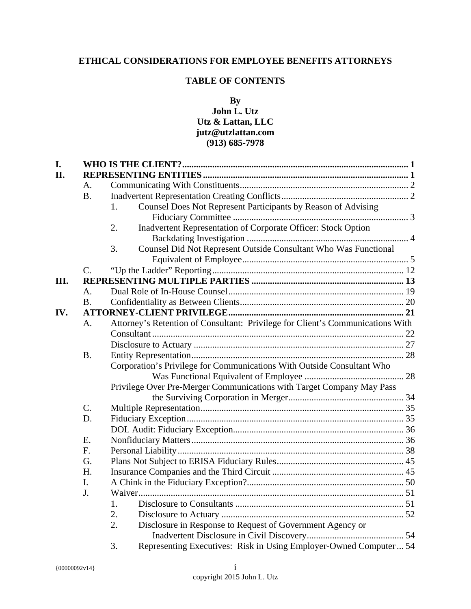## **ETHICAL CONSIDERATIONS FOR EMPLOYEE BENEFITS ATTORNEYS**

#### **TABLE OF CONTENTS**

**By** 

#### **John L. Utz Utz & Lattan, LLC jutz@utzlattan.com (913) 685-7978**

| I.  |                |                                                                                |  |  |
|-----|----------------|--------------------------------------------------------------------------------|--|--|
| II. |                |                                                                                |  |  |
|     | A.             |                                                                                |  |  |
|     | <b>B.</b>      |                                                                                |  |  |
|     |                | Counsel Does Not Represent Participants by Reason of Advising<br>1.            |  |  |
|     |                |                                                                                |  |  |
|     |                | Inadvertent Representation of Corporate Officer: Stock Option<br>2.            |  |  |
|     |                |                                                                                |  |  |
|     |                | 3.<br>Counsel Did Not Represent Outside Consultant Who Was Functional          |  |  |
|     |                |                                                                                |  |  |
|     | C.             |                                                                                |  |  |
| Ш.  |                |                                                                                |  |  |
|     | A.             |                                                                                |  |  |
|     | <b>B.</b>      |                                                                                |  |  |
| IV. |                |                                                                                |  |  |
|     | A <sub>1</sub> | Attorney's Retention of Consultant: Privilege for Client's Communications With |  |  |
|     |                |                                                                                |  |  |
|     |                |                                                                                |  |  |
|     | <b>B.</b>      |                                                                                |  |  |
|     |                | Corporation's Privilege for Communications With Outside Consultant Who         |  |  |
|     |                |                                                                                |  |  |
|     |                | Privilege Over Pre-Merger Communications with Target Company May Pass          |  |  |
|     |                |                                                                                |  |  |
|     | C.             |                                                                                |  |  |
|     | D.             |                                                                                |  |  |
|     |                |                                                                                |  |  |
|     | E.             |                                                                                |  |  |
|     | F.             |                                                                                |  |  |
|     | G.             |                                                                                |  |  |
|     | H.             |                                                                                |  |  |
|     | I.             |                                                                                |  |  |
|     | J.             |                                                                                |  |  |
|     |                | 1.                                                                             |  |  |
|     |                | 2.                                                                             |  |  |
|     |                | 2.<br>Disclosure in Response to Request of Government Agency or                |  |  |
|     |                |                                                                                |  |  |
|     |                | Representing Executives: Risk in Using Employer-Owned Computer  54<br>3.       |  |  |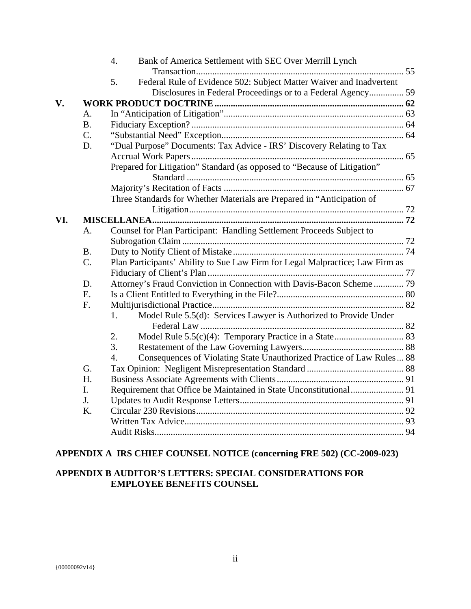|     |                | $\overline{4}$ .<br>Bank of America Settlement with SEC Over Merrill Lynch                |  |
|-----|----------------|-------------------------------------------------------------------------------------------|--|
|     |                |                                                                                           |  |
|     |                | Federal Rule of Evidence 502: Subject Matter Waiver and Inadvertent<br>5.                 |  |
|     |                |                                                                                           |  |
| V.  |                |                                                                                           |  |
|     | $\mathsf{A}$ . |                                                                                           |  |
|     | B <sub>1</sub> |                                                                                           |  |
|     | $C_{\cdot}$    |                                                                                           |  |
|     | D.             | "Dual Purpose" Documents: Tax Advice - IRS' Discovery Relating to Tax                     |  |
|     |                |                                                                                           |  |
|     |                | Prepared for Litigation" Standard (as opposed to "Because of Litigation"                  |  |
|     |                |                                                                                           |  |
|     |                |                                                                                           |  |
|     |                | Three Standards for Whether Materials are Prepared in "Anticipation of                    |  |
|     |                |                                                                                           |  |
| VI. |                |                                                                                           |  |
|     | A.             | Counsel for Plan Participant: Handling Settlement Proceeds Subject to                     |  |
|     |                |                                                                                           |  |
|     | <b>B.</b>      |                                                                                           |  |
|     | $C_{\cdot}$    | Plan Participants' Ability to Sue Law Firm for Legal Malpractice; Law Firm as             |  |
|     |                |                                                                                           |  |
|     | D.             | Attorney's Fraud Conviction in Connection with Davis-Bacon Scheme  79                     |  |
|     | E.             |                                                                                           |  |
|     | F.             |                                                                                           |  |
|     |                | Model Rule 5.5(d): Services Lawyer is Authorized to Provide Under<br>1 <sub>1</sub>       |  |
|     |                |                                                                                           |  |
|     |                | 2.                                                                                        |  |
|     |                | 3.                                                                                        |  |
|     |                | Consequences of Violating State Unauthorized Practice of Law Rules 88<br>$\overline{4}$ . |  |
|     | G.             |                                                                                           |  |
|     | H.             |                                                                                           |  |
|     | $\mathbf{I}$ . |                                                                                           |  |
|     | J.             |                                                                                           |  |
|     | K.             |                                                                                           |  |
|     |                |                                                                                           |  |
|     |                |                                                                                           |  |
|     |                |                                                                                           |  |

### **APPENDIX A IRS CHIEF COUNSEL NOTICE (concerning FRE 502) (CC-2009-023)**

#### **APPENDIX B AUDITOR'S LETTERS: SPECIAL CONSIDERATIONS FOR EMPLOYEE BENEFITS COUNSEL**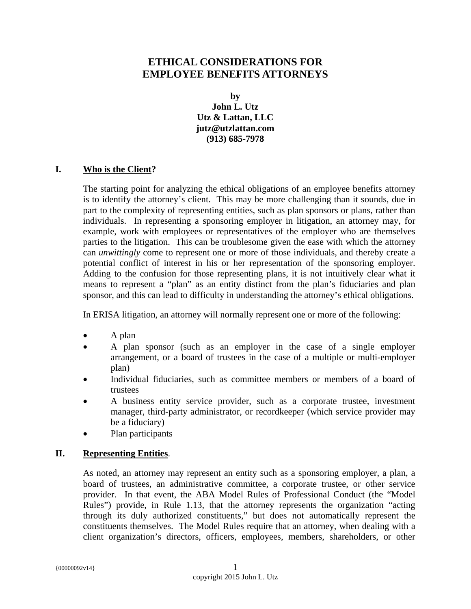## **ETHICAL CONSIDERATIONS FOR EMPLOYEE BENEFITS ATTORNEYS**

**by John L. Utz Utz & Lattan, LLC jutz@utzlattan.com (913) 685-7978** 

#### **I. Who is the Client?**

The starting point for analyzing the ethical obligations of an employee benefits attorney is to identify the attorney's client. This may be more challenging than it sounds, due in part to the complexity of representing entities, such as plan sponsors or plans, rather than individuals. In representing a sponsoring employer in litigation, an attorney may, for example, work with employees or representatives of the employer who are themselves parties to the litigation. This can be troublesome given the ease with which the attorney can *unwittingly* come to represent one or more of those individuals, and thereby create a potential conflict of interest in his or her representation of the sponsoring employer. Adding to the confusion for those representing plans, it is not intuitively clear what it means to represent a "plan" as an entity distinct from the plan's fiduciaries and plan sponsor, and this can lead to difficulty in understanding the attorney's ethical obligations.

In ERISA litigation, an attorney will normally represent one or more of the following:

- A plan
- A plan sponsor (such as an employer in the case of a single employer arrangement, or a board of trustees in the case of a multiple or multi-employer plan)
- Individual fiduciaries, such as committee members or members of a board of trustees
- A business entity service provider, such as a corporate trustee, investment manager, third-party administrator, or recordkeeper (which service provider may be a fiduciary)
- Plan participants

#### **II. Representing Entities**.

As noted, an attorney may represent an entity such as a sponsoring employer, a plan, a board of trustees, an administrative committee, a corporate trustee, or other service provider. In that event, the ABA Model Rules of Professional Conduct (the "Model Rules") provide, in Rule 1.13, that the attorney represents the organization "acting through its duly authorized constituents," but does not automatically represent the constituents themselves. The Model Rules require that an attorney, when dealing with a client organization's directors, officers, employees, members, shareholders, or other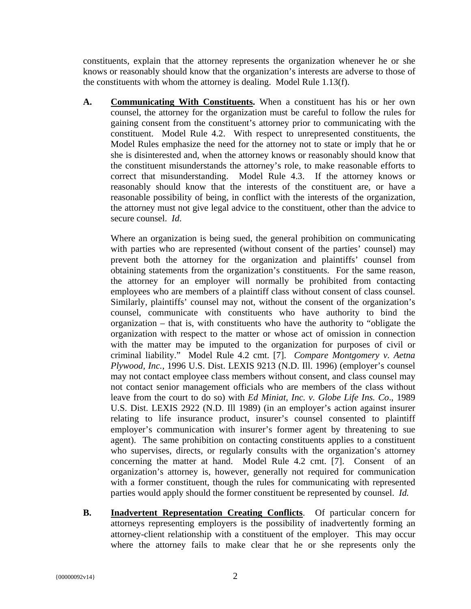constituents, explain that the attorney represents the organization whenever he or she knows or reasonably should know that the organization's interests are adverse to those of the constituents with whom the attorney is dealing. Model Rule 1.13(f).

**A. Communicating With Constituents.** When a constituent has his or her own counsel, the attorney for the organization must be careful to follow the rules for gaining consent from the constituent's attorney prior to communicating with the constituent. Model Rule 4.2. With respect to unrepresented constituents, the Model Rules emphasize the need for the attorney not to state or imply that he or she is disinterested and, when the attorney knows or reasonably should know that the constituent misunderstands the attorney's role, to make reasonable efforts to correct that misunderstanding. Model Rule 4.3. If the attorney knows or reasonably should know that the interests of the constituent are, or have a reasonable possibility of being, in conflict with the interests of the organization, the attorney must not give legal advice to the constituent, other than the advice to secure counsel. *Id*.

Where an organization is being sued, the general prohibition on communicating with parties who are represented (without consent of the parties' counsel) may prevent both the attorney for the organization and plaintiffs' counsel from obtaining statements from the organization's constituents. For the same reason, the attorney for an employer will normally be prohibited from contacting employees who are members of a plaintiff class without consent of class counsel. Similarly, plaintiffs' counsel may not, without the consent of the organization's counsel, communicate with constituents who have authority to bind the organization – that is, with constituents who have the authority to "obligate the organization with respect to the matter or whose act of omission in connection with the matter may be imputed to the organization for purposes of civil or criminal liability." Model Rule 4.2 cmt. [7]. *Compare Montgomery v. Aetna Plywood, Inc.,* 1996 U.S. Dist. LEXIS 9213 (N.D. Ill. 1996) (employer's counsel may not contact employee class members without consent, and class counsel may not contact senior management officials who are members of the class without leave from the court to do so) with *Ed Miniat, Inc. v. Globe Life Ins. Co*., 1989 U.S. Dist. LEXIS 2922 (N.D. Ill 1989) (in an employer's action against insurer relating to life insurance product, insurer's counsel consented to plaintiff employer's communication with insurer's former agent by threatening to sue agent). The same prohibition on contacting constituents applies to a constituent who supervises, directs, or regularly consults with the organization's attorney concerning the matter at hand. Model Rule 4.2 cmt. [7]. Consent of an organization's attorney is, however, generally not required for communication with a former constituent, though the rules for communicating with represented parties would apply should the former constituent be represented by counsel. *Id.*

**B. Inadvertent Representation Creating Conflicts**. Of particular concern for attorneys representing employers is the possibility of inadvertently forming an attorney-client relationship with a constituent of the employer. This may occur where the attorney fails to make clear that he or she represents only the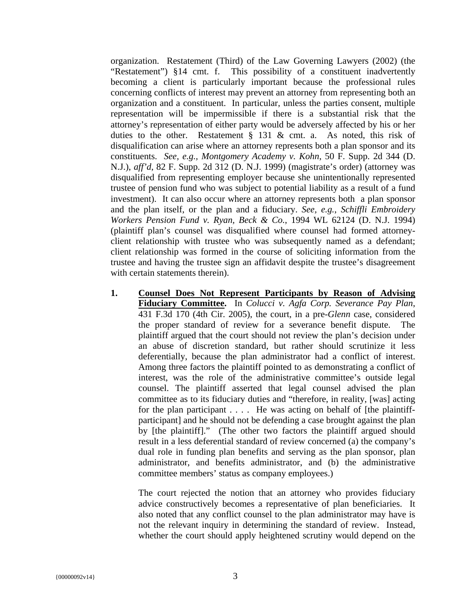organization. Restatement (Third) of the Law Governing Lawyers (2002) (the "Restatement") §14 cmt. f. This possibility of a constituent inadvertently becoming a client is particularly important because the professional rules concerning conflicts of interest may prevent an attorney from representing both an organization and a constituent. In particular, unless the parties consent, multiple representation will be impermissible if there is a substantial risk that the attorney's representation of either party would be adversely affected by his or her duties to the other. Restatement § 131 & cmt. a. As noted, this risk of disqualification can arise where an attorney represents both a plan sponsor and its constituents. *See, e.g., Montgomery Academy v. Kohn*, 50 F. Supp. 2d 344 (D. N.J.), *aff'd*, 82 F. Supp. 2d 312 (D. N.J. 1999) (magistrate's order) (attorney was disqualified from representing employer because she unintentionally represented trustee of pension fund who was subject to potential liability as a result of a fund investment). It can also occur where an attorney represents both a plan sponsor and the plan itself, or the plan and a fiduciary. *See, e.g.*, *Schiffli Embroidery Workers Pension Fund v. Ryan, Beck & Co.*, 1994 WL 62124 (D. N.J. 1994) (plaintiff plan's counsel was disqualified where counsel had formed attorneyclient relationship with trustee who was subsequently named as a defendant; client relationship was formed in the course of soliciting information from the trustee and having the trustee sign an affidavit despite the trustee's disagreement with certain statements therein).

**1. Counsel Does Not Represent Participants by Reason of Advising Fiduciary Committee.** In *Colucci v. Agfa Corp. Severance Pay Plan*, 431 F.3d 170 (4th Cir. 2005), the court, in a pre-*Glenn* case, considered the proper standard of review for a severance benefit dispute. The plaintiff argued that the court should not review the plan's decision under an abuse of discretion standard, but rather should scrutinize it less deferentially, because the plan administrator had a conflict of interest. Among three factors the plaintiff pointed to as demonstrating a conflict of interest, was the role of the administrative committee's outside legal counsel. The plaintiff asserted that legal counsel advised the plan committee as to its fiduciary duties and "therefore, in reality, [was] acting for the plan participant  $\dots$ . He was acting on behalf of [the plaintiffparticipant] and he should not be defending a case brought against the plan by [the plaintiff]." (The other two factors the plaintiff argued should result in a less deferential standard of review concerned (a) the company's dual role in funding plan benefits and serving as the plan sponsor, plan administrator, and benefits administrator, and (b) the administrative committee members' status as company employees.)

The court rejected the notion that an attorney who provides fiduciary advice constructively becomes a representative of plan beneficiaries. It also noted that any conflict counsel to the plan administrator may have is not the relevant inquiry in determining the standard of review. Instead, whether the court should apply heightened scrutiny would depend on the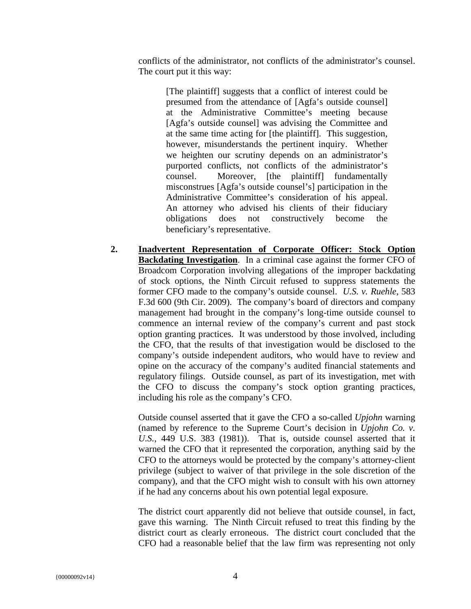conflicts of the administrator, not conflicts of the administrator's counsel. The court put it this way:

> [The plaintiff] suggests that a conflict of interest could be presumed from the attendance of [Agfa's outside counsel] at the Administrative Committee's meeting because [Agfa's outside counsel] was advising the Committee and at the same time acting for [the plaintiff]. This suggestion, however, misunderstands the pertinent inquiry. Whether we heighten our scrutiny depends on an administrator's purported conflicts, not conflicts of the administrator's counsel. Moreover, [the plaintiff] fundamentally misconstrues [Agfa's outside counsel's] participation in the Administrative Committee's consideration of his appeal. An attorney who advised his clients of their fiduciary obligations does not constructively become the beneficiary's representative.

**2. Inadvertent Representation of Corporate Officer: Stock Option Backdating Investigation**. In a criminal case against the former CFO of Broadcom Corporation involving allegations of the improper backdating of stock options, the Ninth Circuit refused to suppress statements the former CFO made to the company's outside counsel. *U.S. v. Ruehle*, 583 F.3d 600 (9th Cir. 2009). The company's board of directors and company management had brought in the company's long-time outside counsel to commence an internal review of the company's current and past stock option granting practices. It was understood by those involved, including the CFO, that the results of that investigation would be disclosed to the company's outside independent auditors, who would have to review and opine on the accuracy of the company's audited financial statements and regulatory filings. Outside counsel, as part of its investigation, met with the CFO to discuss the company's stock option granting practices, including his role as the company's CFO.

Outside counsel asserted that it gave the CFO a so-called *Upjohn* warning (named by reference to the Supreme Court's decision in *Upjohn Co. v. U.S.*, 449 U.S. 383 (1981)). That is, outside counsel asserted that it warned the CFO that it represented the corporation, anything said by the CFO to the attorneys would be protected by the company's attorney-client privilege (subject to waiver of that privilege in the sole discretion of the company), and that the CFO might wish to consult with his own attorney if he had any concerns about his own potential legal exposure.

The district court apparently did not believe that outside counsel, in fact, gave this warning. The Ninth Circuit refused to treat this finding by the district court as clearly erroneous. The district court concluded that the CFO had a reasonable belief that the law firm was representing not only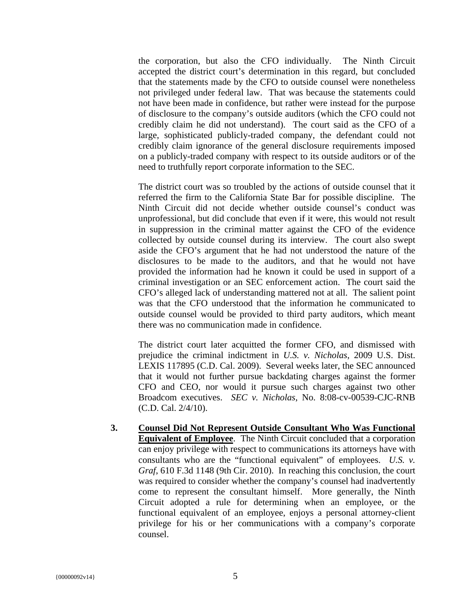the corporation, but also the CFO individually. The Ninth Circuit accepted the district court's determination in this regard, but concluded that the statements made by the CFO to outside counsel were nonetheless not privileged under federal law. That was because the statements could not have been made in confidence, but rather were instead for the purpose of disclosure to the company's outside auditors (which the CFO could not credibly claim he did not understand). The court said as the CFO of a large, sophisticated publicly-traded company, the defendant could not credibly claim ignorance of the general disclosure requirements imposed on a publicly-traded company with respect to its outside auditors or of the need to truthfully report corporate information to the SEC.

The district court was so troubled by the actions of outside counsel that it referred the firm to the California State Bar for possible discipline. The Ninth Circuit did not decide whether outside counsel's conduct was unprofessional, but did conclude that even if it were, this would not result in suppression in the criminal matter against the CFO of the evidence collected by outside counsel during its interview. The court also swept aside the CFO's argument that he had not understood the nature of the disclosures to be made to the auditors, and that he would not have provided the information had he known it could be used in support of a criminal investigation or an SEC enforcement action. The court said the CFO's alleged lack of understanding mattered not at all. The salient point was that the CFO understood that the information he communicated to outside counsel would be provided to third party auditors, which meant there was no communication made in confidence.

The district court later acquitted the former CFO, and dismissed with prejudice the criminal indictment in *U.S. v. Nicholas*, 2009 U.S. Dist. LEXIS 117895 (C.D. Cal. 2009). Several weeks later, the SEC announced that it would not further pursue backdating charges against the former CFO and CEO, nor would it pursue such charges against two other Broadcom executives. *SEC v. Nicholas*, No. 8:08-cv-00539-CJC-RNB (C.D. Cal. 2/4/10).

**3. Counsel Did Not Represent Outside Consultant Who Was Functional Equivalent of Employee**. The Ninth Circuit concluded that a corporation can enjoy privilege with respect to communications its attorneys have with consultants who are the "functional equivalent" of employees. *U.S. v. Graf*, 610 F.3d 1148 (9th Cir. 2010). In reaching this conclusion, the court was required to consider whether the company's counsel had inadvertently come to represent the consultant himself. More generally, the Ninth Circuit adopted a rule for determining when an employee, or the functional equivalent of an employee, enjoys a personal attorney-client privilege for his or her communications with a company's corporate counsel.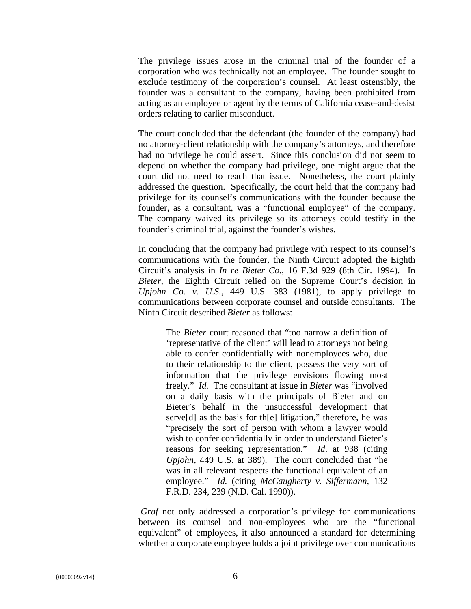The privilege issues arose in the criminal trial of the founder of a corporation who was technically not an employee. The founder sought to exclude testimony of the corporation's counsel. At least ostensibly, the founder was a consultant to the company, having been prohibited from acting as an employee or agent by the terms of California cease-and-desist orders relating to earlier misconduct.

The court concluded that the defendant (the founder of the company) had no attorney-client relationship with the company's attorneys, and therefore had no privilege he could assert. Since this conclusion did not seem to depend on whether the company had privilege, one might argue that the court did not need to reach that issue. Nonetheless, the court plainly addressed the question. Specifically, the court held that the company had privilege for its counsel's communications with the founder because the founder, as a consultant, was a "functional employee" of the company. The company waived its privilege so its attorneys could testify in the founder's criminal trial, against the founder's wishes.

In concluding that the company had privilege with respect to its counsel's communications with the founder, the Ninth Circuit adopted the Eighth Circuit's analysis in *In re Bieter Co.*, 16 F.3d 929 (8th Cir. 1994). In *Bieter*, the Eighth Circuit relied on the Supreme Court's decision in *Upjohn Co. v. U.S.*, 449 U.S. 383 (1981), to apply privilege to communications between corporate counsel and outside consultants. The Ninth Circuit described *Bieter* as follows:

The *Bieter* court reasoned that "too narrow a definition of 'representative of the client' will lead to attorneys not being able to confer confidentially with nonemployees who, due to their relationship to the client, possess the very sort of information that the privilege envisions flowing most freely." *Id.* The consultant at issue in *Bieter* was "involved on a daily basis with the principals of Bieter and on Bieter's behalf in the unsuccessful development that serve[d] as the basis for th[e] litigation," therefore, he was "precisely the sort of person with whom a lawyer would wish to confer confidentially in order to understand Bieter's reasons for seeking representation." *Id*. at 938 (citing *Upjohn*, 449 U.S. at 389). The court concluded that "he was in all relevant respects the functional equivalent of an employee." *Id.* (citing *McCaugherty v. Siffermann*, 132 F.R.D. 234, 239 (N.D. Cal. 1990)).

*Graf* not only addressed a corporation's privilege for communications between its counsel and non-employees who are the "functional equivalent" of employees, it also announced a standard for determining whether a corporate employee holds a joint privilege over communications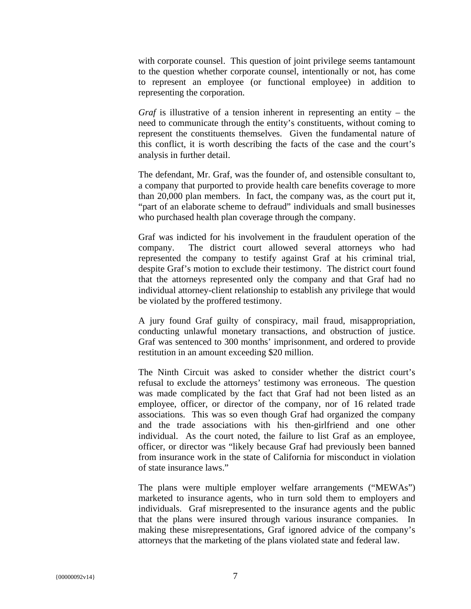with corporate counsel. This question of joint privilege seems tantamount to the question whether corporate counsel, intentionally or not, has come to represent an employee (or functional employee) in addition to representing the corporation.

*Graf* is illustrative of a tension inherent in representing an entity – the need to communicate through the entity's constituents, without coming to represent the constituents themselves. Given the fundamental nature of this conflict, it is worth describing the facts of the case and the court's analysis in further detail.

The defendant, Mr. Graf, was the founder of, and ostensible consultant to, a company that purported to provide health care benefits coverage to more than 20,000 plan members. In fact, the company was, as the court put it, "part of an elaborate scheme to defraud" individuals and small businesses who purchased health plan coverage through the company.

Graf was indicted for his involvement in the fraudulent operation of the company. The district court allowed several attorneys who had represented the company to testify against Graf at his criminal trial, despite Graf's motion to exclude their testimony. The district court found that the attorneys represented only the company and that Graf had no individual attorney-client relationship to establish any privilege that would be violated by the proffered testimony.

A jury found Graf guilty of conspiracy, mail fraud, misappropriation, conducting unlawful monetary transactions, and obstruction of justice. Graf was sentenced to 300 months' imprisonment, and ordered to provide restitution in an amount exceeding \$20 million.

The Ninth Circuit was asked to consider whether the district court's refusal to exclude the attorneys' testimony was erroneous. The question was made complicated by the fact that Graf had not been listed as an employee, officer, or director of the company, nor of 16 related trade associations. This was so even though Graf had organized the company and the trade associations with his then-girlfriend and one other individual. As the court noted, the failure to list Graf as an employee, officer, or director was "likely because Graf had previously been banned from insurance work in the state of California for misconduct in violation of state insurance laws."

The plans were multiple employer welfare arrangements ("MEWAs") marketed to insurance agents, who in turn sold them to employers and individuals. Graf misrepresented to the insurance agents and the public that the plans were insured through various insurance companies. In making these misrepresentations, Graf ignored advice of the company's attorneys that the marketing of the plans violated state and federal law.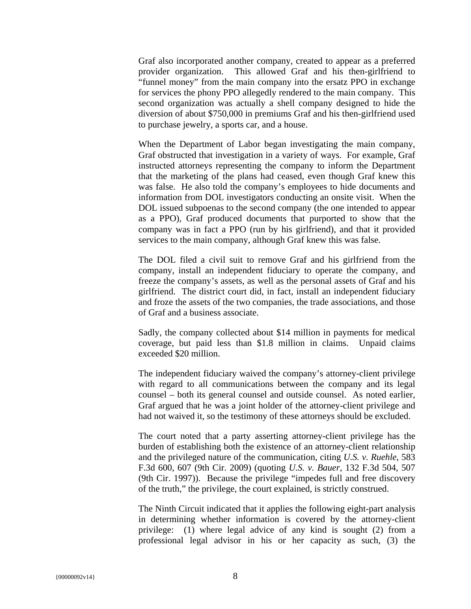Graf also incorporated another company, created to appear as a preferred provider organization. This allowed Graf and his then-girlfriend to "funnel money" from the main company into the ersatz PPO in exchange for services the phony PPO allegedly rendered to the main company. This second organization was actually a shell company designed to hide the diversion of about \$750,000 in premiums Graf and his then-girlfriend used to purchase jewelry, a sports car, and a house.

When the Department of Labor began investigating the main company, Graf obstructed that investigation in a variety of ways. For example, Graf instructed attorneys representing the company to inform the Department that the marketing of the plans had ceased, even though Graf knew this was false. He also told the company's employees to hide documents and information from DOL investigators conducting an onsite visit. When the DOL issued subpoenas to the second company (the one intended to appear as a PPO), Graf produced documents that purported to show that the company was in fact a PPO (run by his girlfriend), and that it provided services to the main company, although Graf knew this was false.

The DOL filed a civil suit to remove Graf and his girlfriend from the company, install an independent fiduciary to operate the company, and freeze the company's assets, as well as the personal assets of Graf and his girlfriend. The district court did, in fact, install an independent fiduciary and froze the assets of the two companies, the trade associations, and those of Graf and a business associate.

Sadly, the company collected about \$14 million in payments for medical coverage, but paid less than \$1.8 million in claims. Unpaid claims exceeded \$20 million.

The independent fiduciary waived the company's attorney-client privilege with regard to all communications between the company and its legal counsel – both its general counsel and outside counsel. As noted earlier, Graf argued that he was a joint holder of the attorney-client privilege and had not waived it, so the testimony of these attorneys should be excluded.

The court noted that a party asserting attorney-client privilege has the burden of establishing both the existence of an attorney-client relationship and the privileged nature of the communication, citing *U.S. v. Ruehle*, 583 F.3d 600, 607 (9th Cir. 2009) (quoting *U.S. v. Bauer*, 132 F.3d 504, 507 (9th Cir. 1997)). Because the privilege "impedes full and free discovery of the truth," the privilege, the court explained, is strictly construed.

The Ninth Circuit indicated that it applies the following eight-part analysis in determining whether information is covered by the attorney-client privilege: (1) where legal advice of any kind is sought (2) from a professional legal advisor in his or her capacity as such, (3) the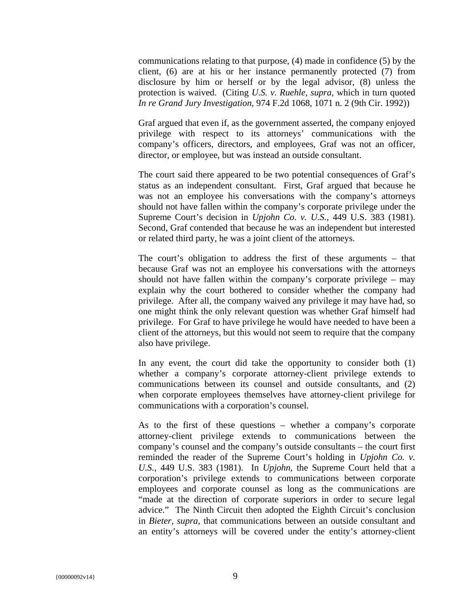communications relating to that purpose, (4) made in confidence (5) by the client, (6) are at his or her instance permanently protected (7) from disclosure by him or herself or by the legal advisor, (8) unless the protection is waived. (Citing *U.S. v. Ruehle, supra*, which in turn quoted *In re Grand Jury Investigation*, 974 F.2d 1068, 1071 n. 2 (9th Cir. 1992))

Graf argued that even if, as the government asserted, the company enjoyed privilege with respect to its attorneys' communications with the company's officers, directors, and employees, Graf was not an officer, director, or employee, but was instead an outside consultant.

The court said there appeared to be two potential consequences of Graf's status as an independent consultant. First, Graf argued that because he was not an employee his conversations with the company's attorneys should not have fallen within the company's corporate privilege under the Supreme Court's decision in *Upjohn Co. v. U.S.*, 449 U.S. 383 (1981). Second, Graf contended that because he was an independent but interested or related third party, he was a joint client of the attorneys.

The court's obligation to address the first of these arguments – that because Graf was not an employee his conversations with the attorneys should not have fallen within the company's corporate privilege – may explain why the court bothered to consider whether the company had privilege. After all, the company waived any privilege it may have had, so one might think the only relevant question was whether Graf himself had privilege. For Graf to have privilege he would have needed to have been a client of the attorneys, but this would not seem to require that the company also have privilege.

In any event, the court did take the opportunity to consider both (1) whether a company's corporate attorney-client privilege extends to communications between its counsel and outside consultants, and (2) when corporate employees themselves have attorney-client privilege for communications with a corporation's counsel.

As to the first of these questions – whether a company's corporate attorney-client privilege extends to communications between the company's counsel and the company's outside consultants – the court first reminded the reader of the Supreme Court's holding in *Upjohn Co. v. U.S.*, 449 U.S. 383 (1981). In *Upjohn*, the Supreme Court held that a corporation's privilege extends to communications between corporate employees and corporate counsel as long as the communications are "made at the direction of corporate superiors in order to secure legal advice." The Ninth Circuit then adopted the Eighth Circuit's conclusion in *Bieter*, *supra*, that communications between an outside consultant and an entity's attorneys will be covered under the entity's attorney-client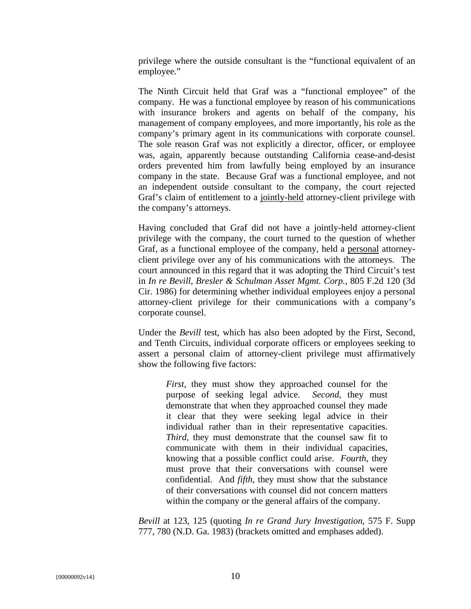privilege where the outside consultant is the "functional equivalent of an employee."

The Ninth Circuit held that Graf was a "functional employee" of the company. He was a functional employee by reason of his communications with insurance brokers and agents on behalf of the company, his management of company employees, and more importantly, his role as the company's primary agent in its communications with corporate counsel. The sole reason Graf was not explicitly a director, officer, or employee was, again, apparently because outstanding California cease-and-desist orders prevented him from lawfully being employed by an insurance company in the state. Because Graf was a functional employee, and not an independent outside consultant to the company, the court rejected Graf's claim of entitlement to a jointly-held attorney-client privilege with the company's attorneys.

Having concluded that Graf did not have a jointly-held attorney-client privilege with the company, the court turned to the question of whether Graf, as a functional employee of the company, held a personal attorneyclient privilege over any of his communications with the attorneys. The court announced in this regard that it was adopting the Third Circuit's test in *In re Bevill, Bresler & Schulman Asset Mgmt. Corp.*, 805 F.2d 120 (3d Cir. 1986) for determining whether individual employees enjoy a personal attorney-client privilege for their communications with a company's corporate counsel.

Under the *Bevill* test, which has also been adopted by the First, Second, and Tenth Circuits, individual corporate officers or employees seeking to assert a personal claim of attorney-client privilege must affirmatively show the following five factors:

*First*, they must show they approached counsel for the purpose of seeking legal advice. *Second*, they must demonstrate that when they approached counsel they made it clear that they were seeking legal advice in their individual rather than in their representative capacities. *Third*, they must demonstrate that the counsel saw fit to communicate with them in their individual capacities, knowing that a possible conflict could arise. *Fourth*, they must prove that their conversations with counsel were confidential. And *fifth*, they must show that the substance of their conversations with counsel did not concern matters within the company or the general affairs of the company.

*Bevill* at 123, 125 (quoting *In re Grand Jury Investigation*, 575 F. Supp 777, 780 (N.D. Ga. 1983) (brackets omitted and emphases added).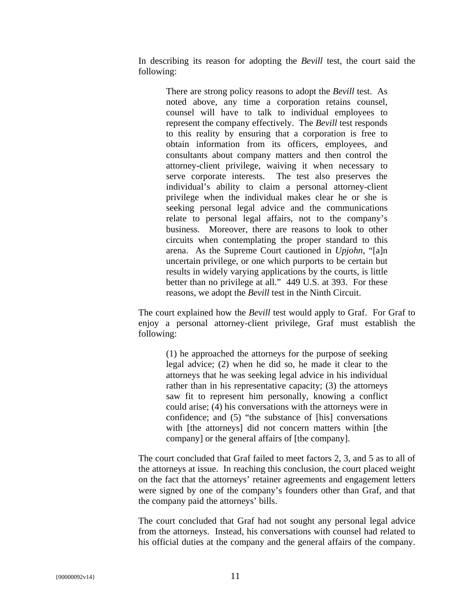In describing its reason for adopting the *Bevill* test, the court said the following:

> There are strong policy reasons to adopt the *Bevill* test. As noted above, any time a corporation retains counsel, counsel will have to talk to individual employees to represent the company effectively. The *Bevill* test responds to this reality by ensuring that a corporation is free to obtain information from its officers, employees, and consultants about company matters and then control the attorney-client privilege, waiving it when necessary to serve corporate interests. The test also preserves the individual's ability to claim a personal attorney-client privilege when the individual makes clear he or she is seeking personal legal advice and the communications relate to personal legal affairs, not to the company's business. Moreover, there are reasons to look to other circuits when contemplating the proper standard to this arena. As the Supreme Court cautioned in *Upjohn*, "[a]n uncertain privilege, or one which purports to be certain but results in widely varying applications by the courts, is little better than no privilege at all." 449 U.S. at 393. For these reasons, we adopt the *Bevill* test in the Ninth Circuit.

The court explained how the *Bevill* test would apply to Graf. For Graf to enjoy a personal attorney-client privilege, Graf must establish the following:

(1) he approached the attorneys for the purpose of seeking legal advice; (2) when he did so, he made it clear to the attorneys that he was seeking legal advice in his individual rather than in his representative capacity; (3) the attorneys saw fit to represent him personally, knowing a conflict could arise; (4) his conversations with the attorneys were in confidence; and (5) "the substance of [his] conversations with [the attorneys] did not concern matters within [the company] or the general affairs of [the company].

The court concluded that Graf failed to meet factors 2, 3, and 5 as to all of the attorneys at issue. In reaching this conclusion, the court placed weight on the fact that the attorneys' retainer agreements and engagement letters were signed by one of the company's founders other than Graf, and that the company paid the attorneys' bills.

The court concluded that Graf had not sought any personal legal advice from the attorneys. Instead, his conversations with counsel had related to his official duties at the company and the general affairs of the company.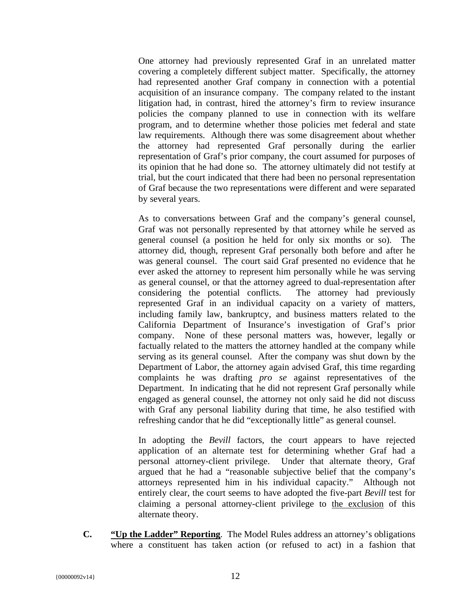One attorney had previously represented Graf in an unrelated matter covering a completely different subject matter. Specifically, the attorney had represented another Graf company in connection with a potential acquisition of an insurance company. The company related to the instant litigation had, in contrast, hired the attorney's firm to review insurance policies the company planned to use in connection with its welfare program, and to determine whether those policies met federal and state law requirements. Although there was some disagreement about whether the attorney had represented Graf personally during the earlier representation of Graf's prior company, the court assumed for purposes of its opinion that he had done so. The attorney ultimately did not testify at trial, but the court indicated that there had been no personal representation of Graf because the two representations were different and were separated by several years.

As to conversations between Graf and the company's general counsel, Graf was not personally represented by that attorney while he served as general counsel (a position he held for only six months or so). The attorney did, though, represent Graf personally both before and after he was general counsel. The court said Graf presented no evidence that he ever asked the attorney to represent him personally while he was serving as general counsel, or that the attorney agreed to dual-representation after considering the potential conflicts. The attorney had previously represented Graf in an individual capacity on a variety of matters, including family law, bankruptcy, and business matters related to the California Department of Insurance's investigation of Graf's prior company. None of these personal matters was, however, legally or factually related to the matters the attorney handled at the company while serving as its general counsel. After the company was shut down by the Department of Labor, the attorney again advised Graf, this time regarding complaints he was drafting *pro se* against representatives of the Department. In indicating that he did not represent Graf personally while engaged as general counsel, the attorney not only said he did not discuss with Graf any personal liability during that time, he also testified with refreshing candor that he did "exceptionally little" as general counsel.

In adopting the *Bevill* factors, the court appears to have rejected application of an alternate test for determining whether Graf had a personal attorney-client privilege. Under that alternate theory, Graf argued that he had a "reasonable subjective belief that the company's attorneys represented him in his individual capacity." Although not entirely clear, the court seems to have adopted the five-part *Bevill* test for claiming a personal attorney-client privilege to the exclusion of this alternate theory.

**C. "Up the Ladder" Reporting**. The Model Rules address an attorney's obligations where a constituent has taken action (or refused to act) in a fashion that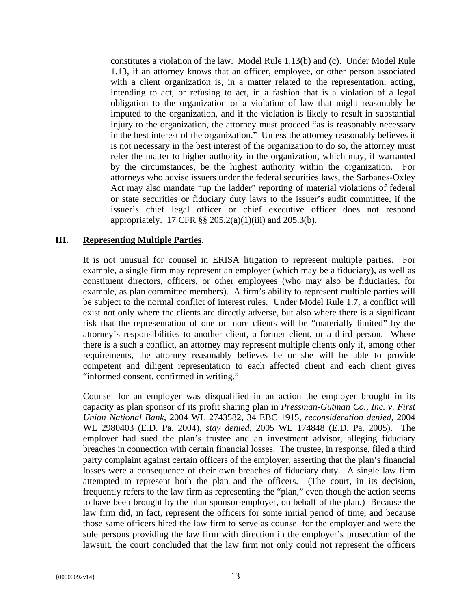constitutes a violation of the law. Model Rule 1.13(b) and (c). Under Model Rule 1.13, if an attorney knows that an officer, employee, or other person associated with a client organization is, in a matter related to the representation, acting, intending to act, or refusing to act, in a fashion that is a violation of a legal obligation to the organization or a violation of law that might reasonably be imputed to the organization, and if the violation is likely to result in substantial injury to the organization, the attorney must proceed "as is reasonably necessary in the best interest of the organization." Unless the attorney reasonably believes it is not necessary in the best interest of the organization to do so, the attorney must refer the matter to higher authority in the organization, which may, if warranted by the circumstances, be the highest authority within the organization. For attorneys who advise issuers under the federal securities laws, the Sarbanes-Oxley Act may also mandate "up the ladder" reporting of material violations of federal or state securities or fiduciary duty laws to the issuer's audit committee, if the issuer's chief legal officer or chief executive officer does not respond appropriately. 17 CFR §§ 205.2(a)(1)(iii) and 205.3(b).

#### **III. Representing Multiple Parties**.

It is not unusual for counsel in ERISA litigation to represent multiple parties. For example, a single firm may represent an employer (which may be a fiduciary), as well as constituent directors, officers, or other employees (who may also be fiduciaries, for example, as plan committee members). A firm's ability to represent multiple parties will be subject to the normal conflict of interest rules. Under Model Rule 1.7, a conflict will exist not only where the clients are directly adverse, but also where there is a significant risk that the representation of one or more clients will be "materially limited" by the attorney's responsibilities to another client, a former client, or a third person. Where there is a such a conflict, an attorney may represent multiple clients only if, among other requirements, the attorney reasonably believes he or she will be able to provide competent and diligent representation to each affected client and each client gives "informed consent, confirmed in writing."

Counsel for an employer was disqualified in an action the employer brought in its capacity as plan sponsor of its profit sharing plan in *Pressman-Gutman Co., Inc. v. First Union National Bank*, 2004 WL 2743582, 34 EBC 1915, *reconsideration denied*, 2004 WL 2980403 (E.D. Pa. 2004), *stay denied*, 2005 WL 174848 (E.D. Pa. 2005). The employer had sued the plan's trustee and an investment advisor, alleging fiduciary breaches in connection with certain financial losses. The trustee, in response, filed a third party complaint against certain officers of the employer, asserting that the plan's financial losses were a consequence of their own breaches of fiduciary duty. A single law firm attempted to represent both the plan and the officers. (The court, in its decision, frequently refers to the law firm as representing the "plan," even though the action seems to have been brought by the plan sponsor-employer, on behalf of the plan.) Because the law firm did, in fact, represent the officers for some initial period of time, and because those same officers hired the law firm to serve as counsel for the employer and were the sole persons providing the law firm with direction in the employer's prosecution of the lawsuit, the court concluded that the law firm not only could not represent the officers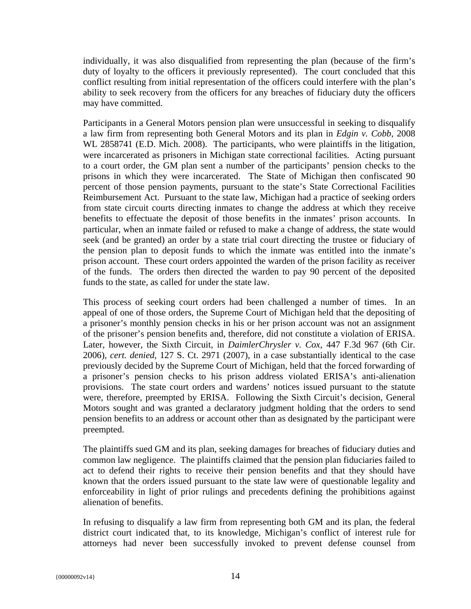individually, it was also disqualified from representing the plan (because of the firm's duty of loyalty to the officers it previously represented). The court concluded that this conflict resulting from initial representation of the officers could interfere with the plan's ability to seek recovery from the officers for any breaches of fiduciary duty the officers may have committed.

Participants in a General Motors pension plan were unsuccessful in seeking to disqualify a law firm from representing both General Motors and its plan in *Edgin v. Cobb*, 2008 WL 2858741 (E.D. Mich. 2008). The participants, who were plaintiffs in the litigation, were incarcerated as prisoners in Michigan state correctional facilities. Acting pursuant to a court order, the GM plan sent a number of the participants' pension checks to the prisons in which they were incarcerated. The State of Michigan then confiscated 90 percent of those pension payments, pursuant to the state's State Correctional Facilities Reimbursement Act. Pursuant to the state law, Michigan had a practice of seeking orders from state circuit courts directing inmates to change the address at which they receive benefits to effectuate the deposit of those benefits in the inmates' prison accounts. In particular, when an inmate failed or refused to make a change of address, the state would seek (and be granted) an order by a state trial court directing the trustee or fiduciary of the pension plan to deposit funds to which the inmate was entitled into the inmate's prison account. These court orders appointed the warden of the prison facility as receiver of the funds. The orders then directed the warden to pay 90 percent of the deposited funds to the state, as called for under the state law.

This process of seeking court orders had been challenged a number of times. In an appeal of one of those orders, the Supreme Court of Michigan held that the depositing of a prisoner's monthly pension checks in his or her prison account was not an assignment of the prisoner's pension benefits and, therefore, did not constitute a violation of ERISA. Later, however, the Sixth Circuit, in *DaimlerChrysler v. Cox*, 447 F.3d 967 (6th Cir. 2006), *cert. denied*, 127 S. Ct. 2971 (2007), in a case substantially identical to the case previously decided by the Supreme Court of Michigan, held that the forced forwarding of a prisoner's pension checks to his prison address violated ERISA's anti-alienation provisions. The state court orders and wardens' notices issued pursuant to the statute were, therefore, preempted by ERISA. Following the Sixth Circuit's decision, General Motors sought and was granted a declaratory judgment holding that the orders to send pension benefits to an address or account other than as designated by the participant were preempted.

The plaintiffs sued GM and its plan, seeking damages for breaches of fiduciary duties and common law negligence. The plaintiffs claimed that the pension plan fiduciaries failed to act to defend their rights to receive their pension benefits and that they should have known that the orders issued pursuant to the state law were of questionable legality and enforceability in light of prior rulings and precedents defining the prohibitions against alienation of benefits.

In refusing to disqualify a law firm from representing both GM and its plan, the federal district court indicated that, to its knowledge, Michigan's conflict of interest rule for attorneys had never been successfully invoked to prevent defense counsel from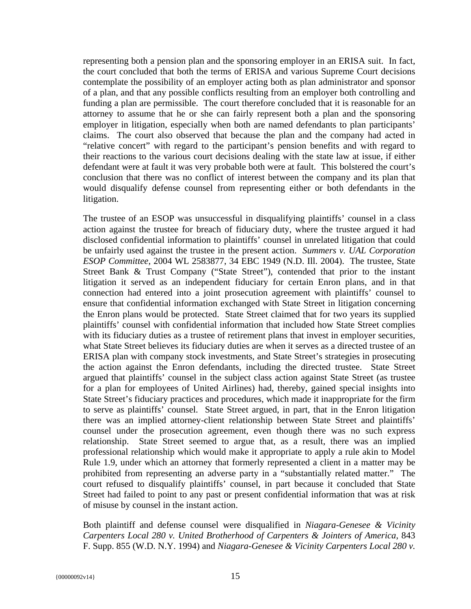representing both a pension plan and the sponsoring employer in an ERISA suit. In fact, the court concluded that both the terms of ERISA and various Supreme Court decisions contemplate the possibility of an employer acting both as plan administrator and sponsor of a plan, and that any possible conflicts resulting from an employer both controlling and funding a plan are permissible. The court therefore concluded that it is reasonable for an attorney to assume that he or she can fairly represent both a plan and the sponsoring employer in litigation, especially when both are named defendants to plan participants' claims. The court also observed that because the plan and the company had acted in "relative concert" with regard to the participant's pension benefits and with regard to their reactions to the various court decisions dealing with the state law at issue, if either defendant were at fault it was very probable both were at fault. This bolstered the court's conclusion that there was no conflict of interest between the company and its plan that would disqualify defense counsel from representing either or both defendants in the litigation.

The trustee of an ESOP was unsuccessful in disqualifying plaintiffs' counsel in a class action against the trustee for breach of fiduciary duty, where the trustee argued it had disclosed confidential information to plaintiffs' counsel in unrelated litigation that could be unfairly used against the trustee in the present action. *Summers v. UAL Corporation ESOP Committee*, 2004 WL 2583877, 34 EBC 1949 (N.D. Ill. 2004). The trustee, State Street Bank & Trust Company ("State Street"), contended that prior to the instant litigation it served as an independent fiduciary for certain Enron plans, and in that connection had entered into a joint prosecution agreement with plaintiffs' counsel to ensure that confidential information exchanged with State Street in litigation concerning the Enron plans would be protected. State Street claimed that for two years its supplied plaintiffs' counsel with confidential information that included how State Street complies with its fiduciary duties as a trustee of retirement plans that invest in employer securities, what State Street believes its fiduciary duties are when it serves as a directed trustee of an ERISA plan with company stock investments, and State Street's strategies in prosecuting the action against the Enron defendants, including the directed trustee. State Street argued that plaintiffs' counsel in the subject class action against State Street (as trustee for a plan for employees of United Airlines) had, thereby, gained special insights into State Street's fiduciary practices and procedures, which made it inappropriate for the firm to serve as plaintiffs' counsel. State Street argued, in part, that in the Enron litigation there was an implied attorney-client relationship between State Street and plaintiffs' counsel under the prosecution agreement, even though there was no such express relationship. State Street seemed to argue that, as a result, there was an implied professional relationship which would make it appropriate to apply a rule akin to Model Rule 1.9, under which an attorney that formerly represented a client in a matter may be prohibited from representing an adverse party in a "substantially related matter." The court refused to disqualify plaintiffs' counsel, in part because it concluded that State Street had failed to point to any past or present confidential information that was at risk of misuse by counsel in the instant action.

Both plaintiff and defense counsel were disqualified in *Niagara-Genesee & Vicinity Carpenters Local 280 v. United Brotherhood of Carpenters & Jointers of America*, 843 F. Supp. 855 (W.D. N.Y. 1994) and *Niagara-Genesee & Vicinity Carpenters Local 280 v.*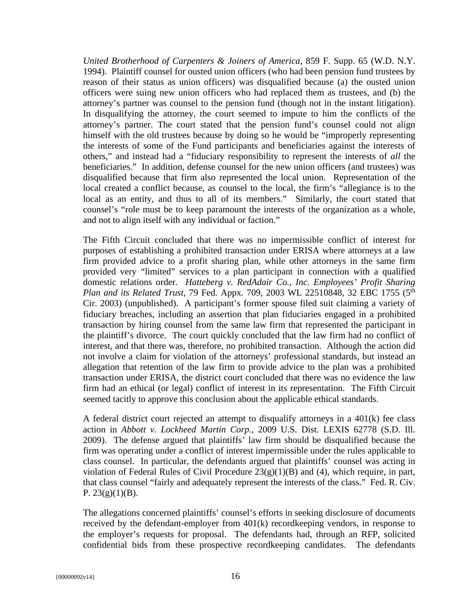*United Brotherhood of Carpenters & Joiners of America,* 859 F. Supp. 65 (W.D. N.Y. 1994). Plaintiff counsel for ousted union officers (who had been pension fund trustees by reason of their status as union officers) was disqualified because (a) the ousted union officers were suing new union officers who had replaced them as trustees, and (b) the attorney's partner was counsel to the pension fund (though not in the instant litigation). In disqualifying the attorney, the court seemed to impute to him the conflicts of the attorney's partner. The court stated that the pension fund's counsel could not align himself with the old trustees because by doing so he would be "improperly representing the interests of some of the Fund participants and beneficiaries against the interests of others," and instead had a "fiduciary responsibility to represent the interests of *all* the beneficiaries." In addition, defense counsel for the new union officers (and trustees) was disqualified because that firm also represented the local union. Representation of the local created a conflict because, as counsel to the local, the firm's "allegiance is to the local as an entity, and thus to all of its members." Similarly, the court stated that counsel's "role must be to keep paramount the interests of the organization as a whole, and not to align itself with any individual or faction."

The Fifth Circuit concluded that there was no impermissible conflict of interest for purposes of establishing a prohibited transaction under ERISA where attorneys at a law firm provided advice to a profit sharing plan, while other attorneys in the same firm provided very "limited" services to a plan participant in connection with a qualified domestic relations order. *Hatteberg v. RedAdair Co., Inc. Employees' Profit Sharing Plan and its Related Trust*, 79 Fed. Appx. 709, 2003 WL 22510848, 32 EBC 1755 (5th Cir. 2003) (unpublished). A participant's former spouse filed suit claiming a variety of fiduciary breaches, including an assertion that plan fiduciaries engaged in a prohibited transaction by hiring counsel from the same law firm that represented the participant in the plaintiff's divorce. The court quickly concluded that the law firm had no conflict of interest, and that there was, therefore, no prohibited transaction. Although the action did not involve a claim for violation of the attorneys' professional standards, but instead an allegation that retention of the law firm to provide advice to the plan was a prohibited transaction under ERISA, the district court concluded that there was no evidence the law firm had an ethical (or legal) conflict of interest in its representation. The Fifth Circuit seemed tacitly to approve this conclusion about the applicable ethical standards.

A federal district court rejected an attempt to disqualify attorneys in a 401(k) fee class action in *Abbott v. Lockheed Martin Corp.*, 2009 U.S. Dist. LEXIS 62778 (S.D. Ill. 2009). The defense argued that plaintiffs' law firm should be disqualified because the firm was operating under a conflict of interest impermissible under the rules applicable to class counsel. In particular, the defendants argued that plaintiffs' counsel was acting in violation of Federal Rules of Civil Procedure  $23(g)(1)(B)$  and (4), which require, in part, that class counsel "fairly and adequately represent the interests of the class." Fed. R. Civ. P.  $23(g)(1)(B)$ .

The allegations concerned plaintiffs' counsel's efforts in seeking disclosure of documents received by the defendant-employer from 401(k) recordkeeping vendors, in response to the employer's requests for proposal. The defendants had, through an RFP, solicited confidential bids from these prospective recordkeeping candidates. The defendants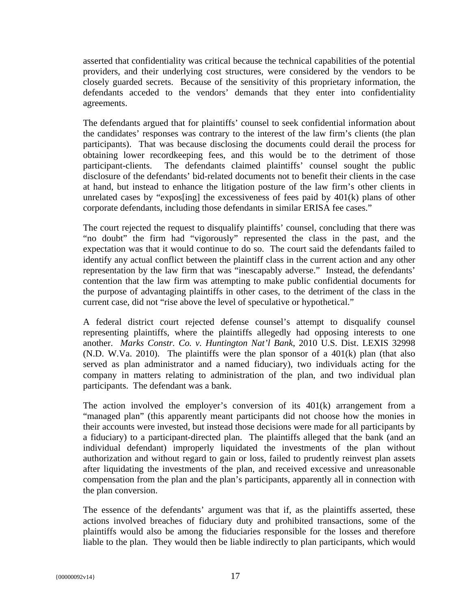asserted that confidentiality was critical because the technical capabilities of the potential providers, and their underlying cost structures, were considered by the vendors to be closely guarded secrets. Because of the sensitivity of this proprietary information, the defendants acceded to the vendors' demands that they enter into confidentiality agreements.

The defendants argued that for plaintiffs' counsel to seek confidential information about the candidates' responses was contrary to the interest of the law firm's clients (the plan participants). That was because disclosing the documents could derail the process for obtaining lower recordkeeping fees, and this would be to the detriment of those participant-clients. The defendants claimed plaintiffs' counsel sought the public disclosure of the defendants' bid-related documents not to benefit their clients in the case at hand, but instead to enhance the litigation posture of the law firm's other clients in unrelated cases by "expos[ing] the excessiveness of fees paid by 401(k) plans of other corporate defendants, including those defendants in similar ERISA fee cases."

The court rejected the request to disqualify plaintiffs' counsel, concluding that there was "no doubt" the firm had "vigorously" represented the class in the past, and the expectation was that it would continue to do so. The court said the defendants failed to identify any actual conflict between the plaintiff class in the current action and any other representation by the law firm that was "inescapably adverse." Instead, the defendants' contention that the law firm was attempting to make public confidential documents for the purpose of advantaging plaintiffs in other cases, to the detriment of the class in the current case, did not "rise above the level of speculative or hypothetical."

A federal district court rejected defense counsel's attempt to disqualify counsel representing plaintiffs, where the plaintiffs allegedly had opposing interests to one another. *Marks Constr. Co. v. Huntington Nat'l Bank*, 2010 U.S. Dist. LEXIS 32998 (N.D. W.Va. 2010). The plaintiffs were the plan sponsor of a  $401(k)$  plan (that also served as plan administrator and a named fiduciary), two individuals acting for the company in matters relating to administration of the plan, and two individual plan participants. The defendant was a bank.

The action involved the employer's conversion of its 401(k) arrangement from a "managed plan" (this apparently meant participants did not choose how the monies in their accounts were invested, but instead those decisions were made for all participants by a fiduciary) to a participant-directed plan. The plaintiffs alleged that the bank (and an individual defendant) improperly liquidated the investments of the plan without authorization and without regard to gain or loss, failed to prudently reinvest plan assets after liquidating the investments of the plan, and received excessive and unreasonable compensation from the plan and the plan's participants, apparently all in connection with the plan conversion.

The essence of the defendants' argument was that if, as the plaintiffs asserted, these actions involved breaches of fiduciary duty and prohibited transactions, some of the plaintiffs would also be among the fiduciaries responsible for the losses and therefore liable to the plan. They would then be liable indirectly to plan participants, which would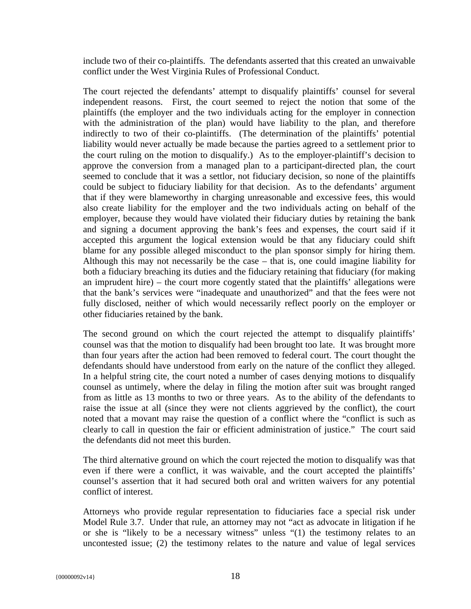include two of their co-plaintiffs. The defendants asserted that this created an unwaivable conflict under the West Virginia Rules of Professional Conduct.

The court rejected the defendants' attempt to disqualify plaintiffs' counsel for several independent reasons. First, the court seemed to reject the notion that some of the plaintiffs (the employer and the two individuals acting for the employer in connection with the administration of the plan) would have liability to the plan, and therefore indirectly to two of their co-plaintiffs. (The determination of the plaintiffs' potential liability would never actually be made because the parties agreed to a settlement prior to the court ruling on the motion to disqualify.) As to the employer-plaintiff's decision to approve the conversion from a managed plan to a participant-directed plan, the court seemed to conclude that it was a settlor, not fiduciary decision, so none of the plaintiffs could be subject to fiduciary liability for that decision. As to the defendants' argument that if they were blameworthy in charging unreasonable and excessive fees, this would also create liability for the employer and the two individuals acting on behalf of the employer, because they would have violated their fiduciary duties by retaining the bank and signing a document approving the bank's fees and expenses, the court said if it accepted this argument the logical extension would be that any fiduciary could shift blame for any possible alleged misconduct to the plan sponsor simply for hiring them. Although this may not necessarily be the case – that is, one could imagine liability for both a fiduciary breaching its duties and the fiduciary retaining that fiduciary (for making an imprudent hire) – the court more cogently stated that the plaintiffs' allegations were that the bank's services were "inadequate and unauthorized" and that the fees were not fully disclosed, neither of which would necessarily reflect poorly on the employer or other fiduciaries retained by the bank.

The second ground on which the court rejected the attempt to disqualify plaintiffs' counsel was that the motion to disqualify had been brought too late. It was brought more than four years after the action had been removed to federal court. The court thought the defendants should have understood from early on the nature of the conflict they alleged. In a helpful string cite, the court noted a number of cases denying motions to disqualify counsel as untimely, where the delay in filing the motion after suit was brought ranged from as little as 13 months to two or three years. As to the ability of the defendants to raise the issue at all (since they were not clients aggrieved by the conflict), the court noted that a movant may raise the question of a conflict where the "conflict is such as clearly to call in question the fair or efficient administration of justice." The court said the defendants did not meet this burden.

The third alternative ground on which the court rejected the motion to disqualify was that even if there were a conflict, it was waivable, and the court accepted the plaintiffs' counsel's assertion that it had secured both oral and written waivers for any potential conflict of interest.

Attorneys who provide regular representation to fiduciaries face a special risk under Model Rule 3.7. Under that rule, an attorney may not "act as advocate in litigation if he or she is "likely to be a necessary witness" unless "(1) the testimony relates to an uncontested issue; (2) the testimony relates to the nature and value of legal services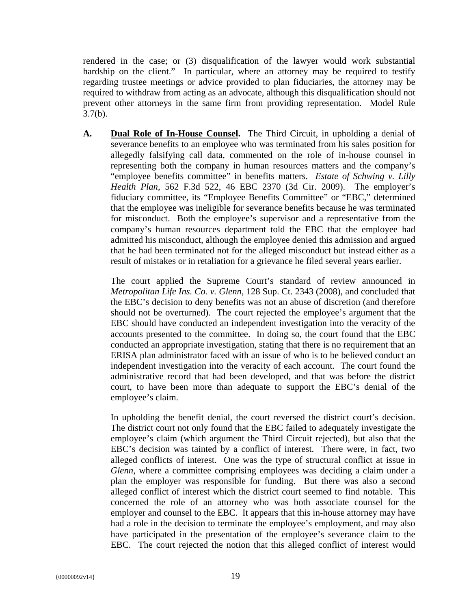rendered in the case; or (3) disqualification of the lawyer would work substantial hardship on the client." In particular, where an attorney may be required to testify regarding trustee meetings or advice provided to plan fiduciaries, the attorney may be required to withdraw from acting as an advocate, although this disqualification should not prevent other attorneys in the same firm from providing representation. Model Rule  $3.7(b)$ .

**A. Dual Role of In-House Counsel.** The Third Circuit, in upholding a denial of severance benefits to an employee who was terminated from his sales position for allegedly falsifying call data, commented on the role of in-house counsel in representing both the company in human resources matters and the company's "employee benefits committee" in benefits matters. *Estate of Schwing v. Lilly Health Plan*, 562 F.3d 522, 46 EBC 2370 (3d Cir. 2009). The employer's fiduciary committee, its "Employee Benefits Committee" or "EBC," determined that the employee was ineligible for severance benefits because he was terminated for misconduct. Both the employee's supervisor and a representative from the company's human resources department told the EBC that the employee had admitted his misconduct, although the employee denied this admission and argued that he had been terminated not for the alleged misconduct but instead either as a result of mistakes or in retaliation for a grievance he filed several years earlier.

The court applied the Supreme Court's standard of review announced in *Metropolitan Life Ins. Co. v. Glenn*, 128 Sup. Ct. 2343 (2008), and concluded that the EBC's decision to deny benefits was not an abuse of discretion (and therefore should not be overturned). The court rejected the employee's argument that the EBC should have conducted an independent investigation into the veracity of the accounts presented to the committee. In doing so, the court found that the EBC conducted an appropriate investigation, stating that there is no requirement that an ERISA plan administrator faced with an issue of who is to be believed conduct an independent investigation into the veracity of each account. The court found the administrative record that had been developed, and that was before the district court, to have been more than adequate to support the EBC's denial of the employee's claim.

In upholding the benefit denial, the court reversed the district court's decision. The district court not only found that the EBC failed to adequately investigate the employee's claim (which argument the Third Circuit rejected), but also that the EBC's decision was tainted by a conflict of interest. There were, in fact, two alleged conflicts of interest. One was the type of structural conflict at issue in *Glenn*, where a committee comprising employees was deciding a claim under a plan the employer was responsible for funding. But there was also a second alleged conflict of interest which the district court seemed to find notable. This concerned the role of an attorney who was both associate counsel for the employer and counsel to the EBC. It appears that this in-house attorney may have had a role in the decision to terminate the employee's employment, and may also have participated in the presentation of the employee's severance claim to the EBC. The court rejected the notion that this alleged conflict of interest would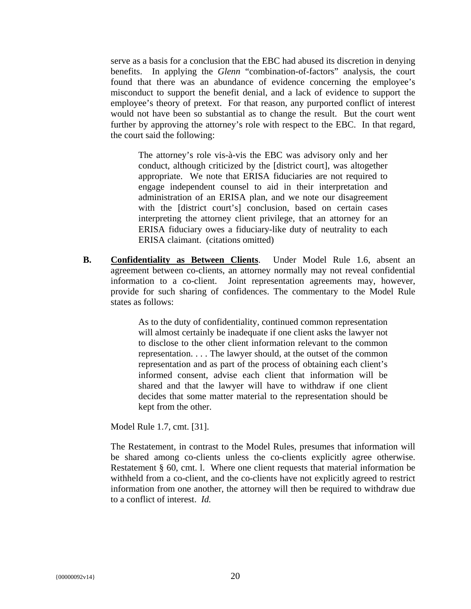serve as a basis for a conclusion that the EBC had abused its discretion in denying benefits. In applying the *Glenn* "combination-of-factors" analysis, the court found that there was an abundance of evidence concerning the employee's misconduct to support the benefit denial, and a lack of evidence to support the employee's theory of pretext. For that reason, any purported conflict of interest would not have been so substantial as to change the result. But the court went further by approving the attorney's role with respect to the EBC. In that regard, the court said the following:

The attorney's role vis-à-vis the EBC was advisory only and her conduct, although criticized by the [district court], was altogether appropriate. We note that ERISA fiduciaries are not required to engage independent counsel to aid in their interpretation and administration of an ERISA plan, and we note our disagreement with the [district court's] conclusion, based on certain cases interpreting the attorney client privilege, that an attorney for an ERISA fiduciary owes a fiduciary-like duty of neutrality to each ERISA claimant. (citations omitted)

**B.** Confidentiality as Between Clients. Under Model Rule 1.6, absent an agreement between co-clients, an attorney normally may not reveal confidential information to a co-client. Joint representation agreements may, however, provide for such sharing of confidences. The commentary to the Model Rule states as follows:

> As to the duty of confidentiality, continued common representation will almost certainly be inadequate if one client asks the lawyer not to disclose to the other client information relevant to the common representation. . . . The lawyer should, at the outset of the common representation and as part of the process of obtaining each client's informed consent, advise each client that information will be shared and that the lawyer will have to withdraw if one client decides that some matter material to the representation should be kept from the other.

Model Rule 1.7, cmt. [31].

The Restatement, in contrast to the Model Rules, presumes that information will be shared among co-clients unless the co-clients explicitly agree otherwise. Restatement § 60, cmt. l. Where one client requests that material information be withheld from a co-client, and the co-clients have not explicitly agreed to restrict information from one another, the attorney will then be required to withdraw due to a conflict of interest. *Id.*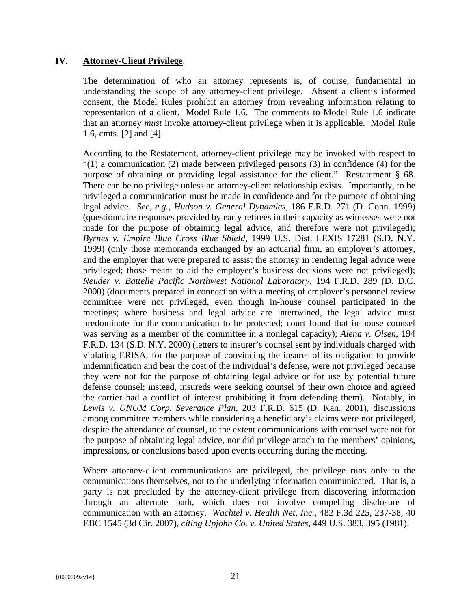#### **IV. Attorney-Client Privilege**.

The determination of who an attorney represents is, of course, fundamental in understanding the scope of any attorney-client privilege. Absent a client's informed consent, the Model Rules prohibit an attorney from revealing information relating to representation of a client. Model Rule 1.6. The comments to Model Rule 1.6 indicate that an attorney *must* invoke attorney-client privilege when it is applicable. Model Rule 1.6, cmts. [2] and [4].

According to the Restatement, attorney-client privilege may be invoked with respect to "(1) a communication (2) made between privileged persons (3) in confidence (4) for the purpose of obtaining or providing legal assistance for the client." Restatement § 68. There can be no privilege unless an attorney-client relationship exists. Importantly, to be privileged a communication must be made in confidence and for the purpose of obtaining legal advice. *See, e.g., Hudson v. General Dynamics*, 186 F.R.D. 271 (D. Conn. 1999) (questionnaire responses provided by early retirees in their capacity as witnesses were not made for the purpose of obtaining legal advice, and therefore were not privileged); *Byrnes v. Empire Blue Cross Blue Shield*, 1999 U.S. Dist. LEXIS 17281 (S.D. N.Y. 1999) (only those memoranda exchanged by an actuarial firm, an employer's attorney, and the employer that were prepared to assist the attorney in rendering legal advice were privileged; those meant to aid the employer's business decisions were not privileged); *Neuder v. Battelle Pacific Northwest National Laboratory*, 194 F.R.D. 289 (D. D.C. 2000) (documents prepared in connection with a meeting of employer's personnel review committee were not privileged, even though in-house counsel participated in the meetings; where business and legal advice are intertwined, the legal advice must predominate for the communication to be protected; court found that in-house counsel was serving as a member of the committee in a nonlegal capacity); *Aiena v. Olsen*, 194 F.R.D. 134 (S.D. N.Y. 2000) (letters to insurer's counsel sent by individuals charged with violating ERISA, for the purpose of convincing the insurer of its obligation to provide indemnification and bear the cost of the individual's defense, were not privileged because they were not for the purpose of obtaining legal advice or for use by potential future defense counsel; instead, insureds were seeking counsel of their own choice and agreed the carrier had a conflict of interest prohibiting it from defending them). Notably, in *Lewis v. UNUM Corp. Severance Plan*, 203 F.R.D. 615 (D. Kan. 2001), discussions among committee members while considering a beneficiary's claims were not privileged, despite the attendance of counsel, to the extent communications with counsel were not for the purpose of obtaining legal advice, nor did privilege attach to the members' opinions, impressions, or conclusions based upon events occurring during the meeting.

Where attorney-client communications are privileged, the privilege runs only to the communications themselves, not to the underlying information communicated. That is, a party is not precluded by the attorney-client privilege from discovering information through an alternate path, which does not involve compelling disclosure of communication with an attorney. *Wachtel v. Health Net, Inc.*, 482 F.3d 225, 237-38, 40 EBC 1545 (3d Cir. 2007), *citing Upjohn Co. v. United States*, 449 U.S. 383, 395 (1981).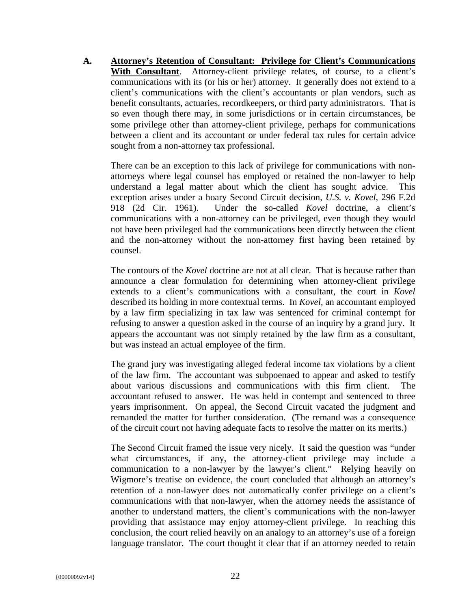**A. Attorney's Retention of Consultant: Privilege for Client's Communications With Consultant**. Attorney-client privilege relates, of course, to a client's communications with its (or his or her) attorney. It generally does not extend to a client's communications with the client's accountants or plan vendors, such as benefit consultants, actuaries, recordkeepers, or third party administrators. That is so even though there may, in some jurisdictions or in certain circumstances, be some privilege other than attorney-client privilege, perhaps for communications between a client and its accountant or under federal tax rules for certain advice sought from a non-attorney tax professional.

There can be an exception to this lack of privilege for communications with nonattorneys where legal counsel has employed or retained the non-lawyer to help understand a legal matter about which the client has sought advice. This exception arises under a hoary Second Circuit decision, *U.S. v. Kovel*, 296 F.2d 918 (2d Cir. 1961). Under the so-called *Kovel* doctrine, a client's communications with a non-attorney can be privileged, even though they would not have been privileged had the communications been directly between the client and the non-attorney without the non-attorney first having been retained by counsel.

The contours of the *Kovel* doctrine are not at all clear. That is because rather than announce a clear formulation for determining when attorney-client privilege extends to a client's communications with a consultant, the court in *Kovel* described its holding in more contextual terms. In *Kovel*, an accountant employed by a law firm specializing in tax law was sentenced for criminal contempt for refusing to answer a question asked in the course of an inquiry by a grand jury. It appears the accountant was not simply retained by the law firm as a consultant, but was instead an actual employee of the firm.

The grand jury was investigating alleged federal income tax violations by a client of the law firm. The accountant was subpoenaed to appear and asked to testify about various discussions and communications with this firm client. The accountant refused to answer. He was held in contempt and sentenced to three years imprisonment. On appeal, the Second Circuit vacated the judgment and remanded the matter for further consideration. (The remand was a consequence of the circuit court not having adequate facts to resolve the matter on its merits.)

The Second Circuit framed the issue very nicely. It said the question was "under what circumstances, if any, the attorney-client privilege may include a communication to a non-lawyer by the lawyer's client." Relying heavily on Wigmore's treatise on evidence, the court concluded that although an attorney's retention of a non-lawyer does not automatically confer privilege on a client's communications with that non-lawyer, when the attorney needs the assistance of another to understand matters, the client's communications with the non-lawyer providing that assistance may enjoy attorney-client privilege. In reaching this conclusion, the court relied heavily on an analogy to an attorney's use of a foreign language translator. The court thought it clear that if an attorney needed to retain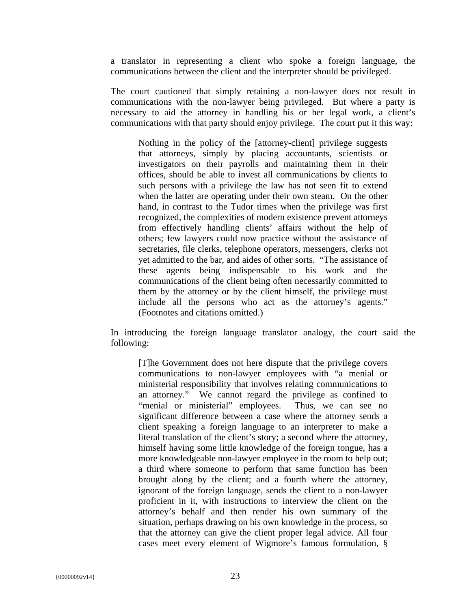a translator in representing a client who spoke a foreign language, the communications between the client and the interpreter should be privileged.

The court cautioned that simply retaining a non-lawyer does not result in communications with the non-lawyer being privileged. But where a party is necessary to aid the attorney in handling his or her legal work, a client's communications with that party should enjoy privilege. The court put it this way:

Nothing in the policy of the [attorney-client] privilege suggests that attorneys, simply by placing accountants, scientists or investigators on their payrolls and maintaining them in their offices, should be able to invest all communications by clients to such persons with a privilege the law has not seen fit to extend when the latter are operating under their own steam. On the other hand, in contrast to the Tudor times when the privilege was first recognized, the complexities of modern existence prevent attorneys from effectively handling clients' affairs without the help of others; few lawyers could now practice without the assistance of secretaries, file clerks, telephone operators, messengers, clerks not yet admitted to the bar, and aides of other sorts. "The assistance of these agents being indispensable to his work and the communications of the client being often necessarily committed to them by the attorney or by the client himself, the privilege must include all the persons who act as the attorney's agents." (Footnotes and citations omitted.)

In introducing the foreign language translator analogy, the court said the following:

[T]he Government does not here dispute that the privilege covers communications to non-lawyer employees with "a menial or ministerial responsibility that involves relating communications to an attorney." We cannot regard the privilege as confined to "menial or ministerial" employees. Thus, we can see no significant difference between a case where the attorney sends a client speaking a foreign language to an interpreter to make a literal translation of the client's story; a second where the attorney, himself having some little knowledge of the foreign tongue, has a more knowledgeable non-lawyer employee in the room to help out; a third where someone to perform that same function has been brought along by the client; and a fourth where the attorney, ignorant of the foreign language, sends the client to a non-lawyer proficient in it, with instructions to interview the client on the attorney's behalf and then render his own summary of the situation, perhaps drawing on his own knowledge in the process, so that the attorney can give the client proper legal advice. All four cases meet every element of Wigmore's famous formulation, §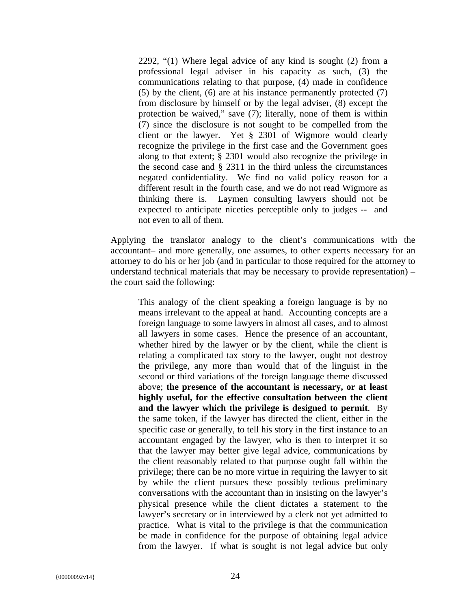2292, "(1) Where legal advice of any kind is sought (2) from a professional legal adviser in his capacity as such, (3) the communications relating to that purpose, (4) made in confidence (5) by the client, (6) are at his instance permanently protected (7) from disclosure by himself or by the legal adviser, (8) except the protection be waived," save (7); literally, none of them is within (7) since the disclosure is not sought to be compelled from the client or the lawyer. Yet § 2301 of Wigmore would clearly recognize the privilege in the first case and the Government goes along to that extent; § 2301 would also recognize the privilege in the second case and § 2311 in the third unless the circumstances negated confidentiality. We find no valid policy reason for a different result in the fourth case, and we do not read Wigmore as thinking there is. Laymen consulting lawyers should not be expected to anticipate niceties perceptible only to judges -- and not even to all of them.

Applying the translator analogy to the client's communications with the accountant– and more generally, one assumes, to other experts necessary for an attorney to do his or her job (and in particular to those required for the attorney to understand technical materials that may be necessary to provide representation) – the court said the following:

This analogy of the client speaking a foreign language is by no means irrelevant to the appeal at hand. Accounting concepts are a foreign language to some lawyers in almost all cases, and to almost all lawyers in some cases. Hence the presence of an accountant, whether hired by the lawyer or by the client, while the client is relating a complicated tax story to the lawyer, ought not destroy the privilege, any more than would that of the linguist in the second or third variations of the foreign language theme discussed above; **the presence of the accountant is necessary, or at least highly useful, for the effective consultation between the client and the lawyer which the privilege is designed to permit**. By the same token, if the lawyer has directed the client, either in the specific case or generally, to tell his story in the first instance to an accountant engaged by the lawyer, who is then to interpret it so that the lawyer may better give legal advice, communications by the client reasonably related to that purpose ought fall within the privilege; there can be no more virtue in requiring the lawyer to sit by while the client pursues these possibly tedious preliminary conversations with the accountant than in insisting on the lawyer's physical presence while the client dictates a statement to the lawyer's secretary or in interviewed by a clerk not yet admitted to practice. What is vital to the privilege is that the communication be made in confidence for the purpose of obtaining legal advice from the lawyer. If what is sought is not legal advice but only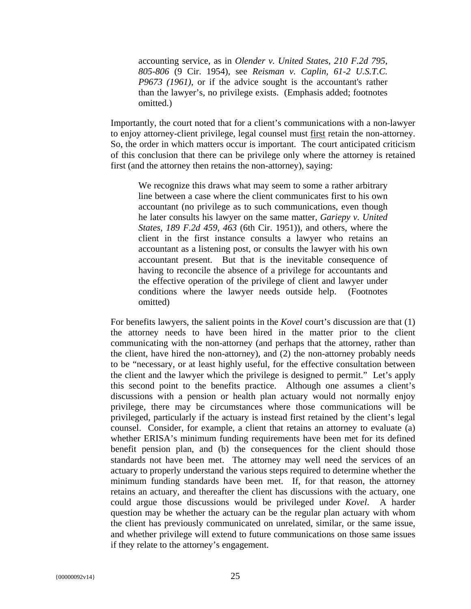accounting service, as in *Olender v. United States, 210 F.2d 795, 805-806* (9 Cir. 1954), see *Reisman v. Caplin, 61-2 U.S.T.C. P9673 (1961)*, or if the advice sought is the accountant's rather than the lawyer's, no privilege exists. (Emphasis added; footnotes omitted.)

Importantly, the court noted that for a client's communications with a non-lawyer to enjoy attorney-client privilege, legal counsel must first retain the non-attorney. So, the order in which matters occur is important. The court anticipated criticism of this conclusion that there can be privilege only where the attorney is retained first (and the attorney then retains the non-attorney), saying:

We recognize this draws what may seem to some a rather arbitrary line between a case where the client communicates first to his own accountant (no privilege as to such communications, even though he later consults his lawyer on the same matter, *Gariepy v. United States, 189 F.2d 459, 463* (6th Cir. 1951)), and others, where the client in the first instance consults a lawyer who retains an accountant as a listening post, or consults the lawyer with his own accountant present. But that is the inevitable consequence of having to reconcile the absence of a privilege for accountants and the effective operation of the privilege of client and lawyer under conditions where the lawyer needs outside help. (Footnotes omitted)

For benefits lawyers, the salient points in the *Kovel* court's discussion are that (1) the attorney needs to have been hired in the matter prior to the client communicating with the non-attorney (and perhaps that the attorney, rather than the client, have hired the non-attorney), and (2) the non-attorney probably needs to be "necessary, or at least highly useful, for the effective consultation between the client and the lawyer which the privilege is designed to permit." Let's apply this second point to the benefits practice. Although one assumes a client's discussions with a pension or health plan actuary would not normally enjoy privilege, there may be circumstances where those communications will be privileged, particularly if the actuary is instead first retained by the client's legal counsel. Consider, for example, a client that retains an attorney to evaluate (a) whether ERISA's minimum funding requirements have been met for its defined benefit pension plan, and (b) the consequences for the client should those standards not have been met. The attorney may well need the services of an actuary to properly understand the various steps required to determine whether the minimum funding standards have been met. If, for that reason, the attorney retains an actuary, and thereafter the client has discussions with the actuary, one could argue those discussions would be privileged under *Kovel*. A harder question may be whether the actuary can be the regular plan actuary with whom the client has previously communicated on unrelated, similar, or the same issue, and whether privilege will extend to future communications on those same issues if they relate to the attorney's engagement.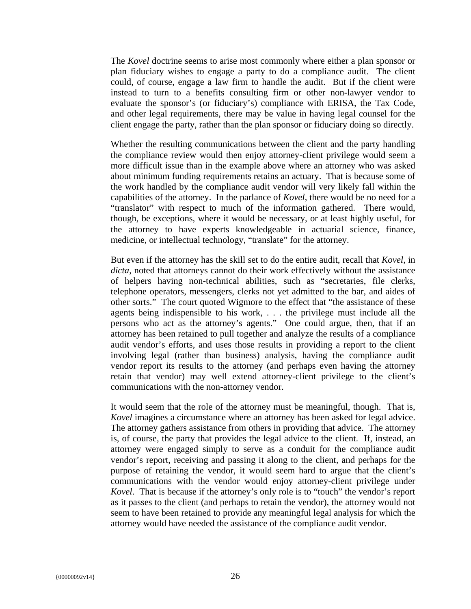The *Kovel* doctrine seems to arise most commonly where either a plan sponsor or plan fiduciary wishes to engage a party to do a compliance audit. The client could, of course, engage a law firm to handle the audit. But if the client were instead to turn to a benefits consulting firm or other non-lawyer vendor to evaluate the sponsor's (or fiduciary's) compliance with ERISA, the Tax Code, and other legal requirements, there may be value in having legal counsel for the client engage the party, rather than the plan sponsor or fiduciary doing so directly.

Whether the resulting communications between the client and the party handling the compliance review would then enjoy attorney-client privilege would seem a more difficult issue than in the example above where an attorney who was asked about minimum funding requirements retains an actuary. That is because some of the work handled by the compliance audit vendor will very likely fall within the capabilities of the attorney. In the parlance of *Kovel*, there would be no need for a "translator" with respect to much of the information gathered. There would, though, be exceptions, where it would be necessary, or at least highly useful, for the attorney to have experts knowledgeable in actuarial science, finance, medicine, or intellectual technology, "translate" for the attorney.

But even if the attorney has the skill set to do the entire audit, recall that *Kovel*, in *dicta*, noted that attorneys cannot do their work effectively without the assistance of helpers having non-technical abilities, such as "secretaries, file clerks, telephone operators, messengers, clerks not yet admitted to the bar, and aides of other sorts." The court quoted Wigmore to the effect that "the assistance of these agents being indispensible to his work, . . . the privilege must include all the persons who act as the attorney's agents." One could argue, then, that if an attorney has been retained to pull together and analyze the results of a compliance audit vendor's efforts, and uses those results in providing a report to the client involving legal (rather than business) analysis, having the compliance audit vendor report its results to the attorney (and perhaps even having the attorney retain that vendor) may well extend attorney-client privilege to the client's communications with the non-attorney vendor.

It would seem that the role of the attorney must be meaningful, though. That is, *Kovel* imagines a circumstance where an attorney has been asked for legal advice. The attorney gathers assistance from others in providing that advice. The attorney is, of course, the party that provides the legal advice to the client. If, instead, an attorney were engaged simply to serve as a conduit for the compliance audit vendor's report, receiving and passing it along to the client, and perhaps for the purpose of retaining the vendor, it would seem hard to argue that the client's communications with the vendor would enjoy attorney-client privilege under *Kovel*. That is because if the attorney's only role is to "touch" the vendor's report as it passes to the client (and perhaps to retain the vendor), the attorney would not seem to have been retained to provide any meaningful legal analysis for which the attorney would have needed the assistance of the compliance audit vendor.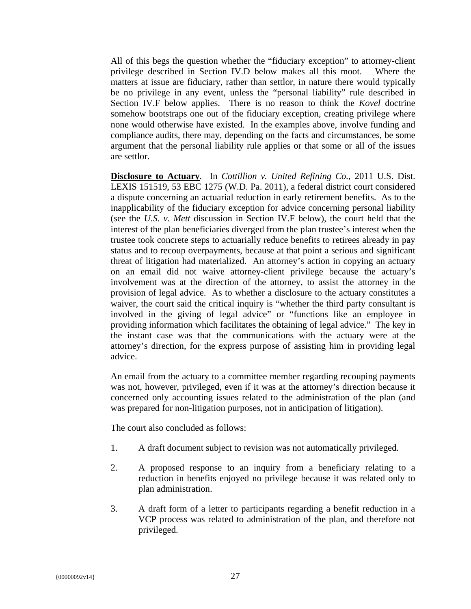All of this begs the question whether the "fiduciary exception" to attorney-client privilege described in Section IV.D below makes all this moot. Where the matters at issue are fiduciary, rather than settlor, in nature there would typically be no privilege in any event, unless the "personal liability" rule described in Section IV.F below applies. There is no reason to think the *Kovel* doctrine somehow bootstraps one out of the fiduciary exception, creating privilege where none would otherwise have existed. In the examples above, involve funding and compliance audits, there may, depending on the facts and circumstances, be some argument that the personal liability rule applies or that some or all of the issues are settlor.

**Disclosure to Actuary**. In *Cottillion v. United Refining Co.*, 2011 U.S. Dist. LEXIS 151519, 53 EBC 1275 (W.D. Pa. 2011), a federal district court considered a dispute concerning an actuarial reduction in early retirement benefits. As to the inapplicability of the fiduciary exception for advice concerning personal liability (see the *U.S. v. Mett* discussion in Section IV.F below), the court held that the interest of the plan beneficiaries diverged from the plan trustee's interest when the trustee took concrete steps to actuarially reduce benefits to retirees already in pay status and to recoup overpayments, because at that point a serious and significant threat of litigation had materialized. An attorney's action in copying an actuary on an email did not waive attorney-client privilege because the actuary's involvement was at the direction of the attorney, to assist the attorney in the provision of legal advice. As to whether a disclosure to the actuary constitutes a waiver, the court said the critical inquiry is "whether the third party consultant is involved in the giving of legal advice" or "functions like an employee in providing information which facilitates the obtaining of legal advice." The key in the instant case was that the communications with the actuary were at the attorney's direction, for the express purpose of assisting him in providing legal advice.

An email from the actuary to a committee member regarding recouping payments was not, however, privileged, even if it was at the attorney's direction because it concerned only accounting issues related to the administration of the plan (and was prepared for non-litigation purposes, not in anticipation of litigation).

The court also concluded as follows:

- 1. A draft document subject to revision was not automatically privileged.
- 2. A proposed response to an inquiry from a beneficiary relating to a reduction in benefits enjoyed no privilege because it was related only to plan administration.
- 3. A draft form of a letter to participants regarding a benefit reduction in a VCP process was related to administration of the plan, and therefore not privileged.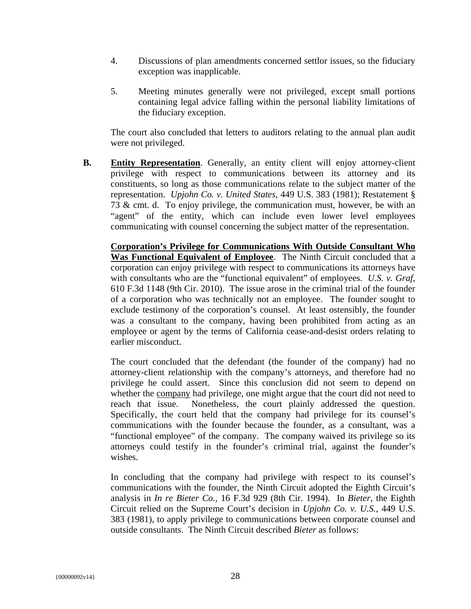- 4. Discussions of plan amendments concerned settlor issues, so the fiduciary exception was inapplicable.
- 5. Meeting minutes generally were not privileged, except small portions containing legal advice falling within the personal liability limitations of the fiduciary exception.

The court also concluded that letters to auditors relating to the annual plan audit were not privileged.

**B.** Entity Representation. Generally, an entity client will enjoy attorney-client privilege with respect to communications between its attorney and its constituents, so long as those communications relate to the subject matter of the representation. *Upjohn Co. v. United States*, 449 U.S. 383 (1981); Restatement § 73 & cmt. d. To enjoy privilege, the communication must, however, be with an "agent" of the entity, which can include even lower level employees communicating with counsel concerning the subject matter of the representation.

**Corporation's Privilege for Communications With Outside Consultant Who Was Functional Equivalent of Employee**. The Ninth Circuit concluded that a corporation can enjoy privilege with respect to communications its attorneys have with consultants who are the "functional equivalent" of employees. *U.S. v. Graf*, 610 F.3d 1148 (9th Cir. 2010). The issue arose in the criminal trial of the founder of a corporation who was technically not an employee. The founder sought to exclude testimony of the corporation's counsel. At least ostensibly, the founder was a consultant to the company, having been prohibited from acting as an employee or agent by the terms of California cease-and-desist orders relating to earlier misconduct.

The court concluded that the defendant (the founder of the company) had no attorney-client relationship with the company's attorneys, and therefore had no privilege he could assert. Since this conclusion did not seem to depend on whether the company had privilege, one might argue that the court did not need to reach that issue. Nonetheless, the court plainly addressed the question. Specifically, the court held that the company had privilege for its counsel's communications with the founder because the founder, as a consultant, was a "functional employee" of the company. The company waived its privilege so its attorneys could testify in the founder's criminal trial, against the founder's wishes.

In concluding that the company had privilege with respect to its counsel's communications with the founder, the Ninth Circuit adopted the Eighth Circuit's analysis in *In re Bieter Co.*, 16 F.3d 929 (8th Cir. 1994). In *Bieter*, the Eighth Circuit relied on the Supreme Court's decision in *Upjohn Co. v. U.S.*, 449 U.S. 383 (1981), to apply privilege to communications between corporate counsel and outside consultants. The Ninth Circuit described *Bieter* as follows: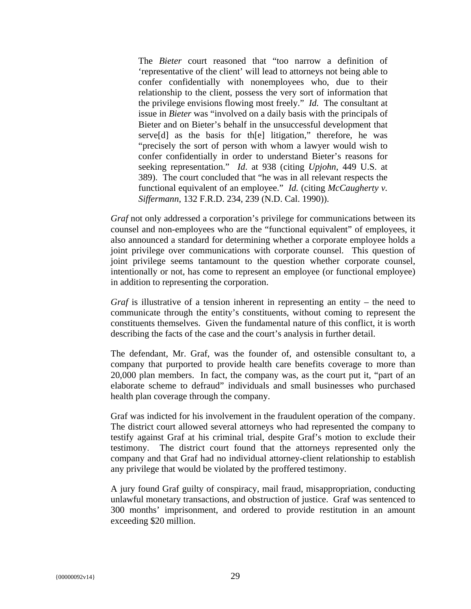The *Bieter* court reasoned that "too narrow a definition of 'representative of the client' will lead to attorneys not being able to confer confidentially with nonemployees who, due to their relationship to the client, possess the very sort of information that the privilege envisions flowing most freely." *Id.* The consultant at issue in *Bieter* was "involved on a daily basis with the principals of Bieter and on Bieter's behalf in the unsuccessful development that serve[d] as the basis for th[e] litigation," therefore, he was "precisely the sort of person with whom a lawyer would wish to confer confidentially in order to understand Bieter's reasons for seeking representation." *Id*. at 938 (citing *Upjohn*, 449 U.S. at 389). The court concluded that "he was in all relevant respects the functional equivalent of an employee." *Id.* (citing *McCaugherty v. Siffermann*, 132 F.R.D. 234, 239 (N.D. Cal. 1990)).

*Graf* not only addressed a corporation's privilege for communications between its counsel and non-employees who are the "functional equivalent" of employees, it also announced a standard for determining whether a corporate employee holds a joint privilege over communications with corporate counsel. This question of joint privilege seems tantamount to the question whether corporate counsel, intentionally or not, has come to represent an employee (or functional employee) in addition to representing the corporation.

*Graf* is illustrative of a tension inherent in representing an entity – the need to communicate through the entity's constituents, without coming to represent the constituents themselves. Given the fundamental nature of this conflict, it is worth describing the facts of the case and the court's analysis in further detail.

The defendant, Mr. Graf, was the founder of, and ostensible consultant to, a company that purported to provide health care benefits coverage to more than 20,000 plan members. In fact, the company was, as the court put it, "part of an elaborate scheme to defraud" individuals and small businesses who purchased health plan coverage through the company.

Graf was indicted for his involvement in the fraudulent operation of the company. The district court allowed several attorneys who had represented the company to testify against Graf at his criminal trial, despite Graf's motion to exclude their testimony. The district court found that the attorneys represented only the company and that Graf had no individual attorney-client relationship to establish any privilege that would be violated by the proffered testimony.

A jury found Graf guilty of conspiracy, mail fraud, misappropriation, conducting unlawful monetary transactions, and obstruction of justice. Graf was sentenced to 300 months' imprisonment, and ordered to provide restitution in an amount exceeding \$20 million.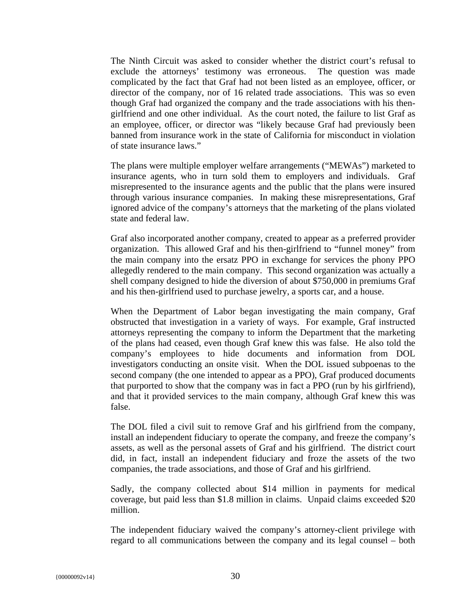The Ninth Circuit was asked to consider whether the district court's refusal to exclude the attorneys' testimony was erroneous. The question was made complicated by the fact that Graf had not been listed as an employee, officer, or director of the company, nor of 16 related trade associations. This was so even though Graf had organized the company and the trade associations with his thengirlfriend and one other individual. As the court noted, the failure to list Graf as an employee, officer, or director was "likely because Graf had previously been banned from insurance work in the state of California for misconduct in violation of state insurance laws."

The plans were multiple employer welfare arrangements ("MEWAs") marketed to insurance agents, who in turn sold them to employers and individuals. Graf misrepresented to the insurance agents and the public that the plans were insured through various insurance companies. In making these misrepresentations, Graf ignored advice of the company's attorneys that the marketing of the plans violated state and federal law.

Graf also incorporated another company, created to appear as a preferred provider organization. This allowed Graf and his then-girlfriend to "funnel money" from the main company into the ersatz PPO in exchange for services the phony PPO allegedly rendered to the main company. This second organization was actually a shell company designed to hide the diversion of about \$750,000 in premiums Graf and his then-girlfriend used to purchase jewelry, a sports car, and a house.

When the Department of Labor began investigating the main company, Graf obstructed that investigation in a variety of ways. For example, Graf instructed attorneys representing the company to inform the Department that the marketing of the plans had ceased, even though Graf knew this was false. He also told the company's employees to hide documents and information from DOL investigators conducting an onsite visit. When the DOL issued subpoenas to the second company (the one intended to appear as a PPO), Graf produced documents that purported to show that the company was in fact a PPO (run by his girlfriend), and that it provided services to the main company, although Graf knew this was false.

The DOL filed a civil suit to remove Graf and his girlfriend from the company, install an independent fiduciary to operate the company, and freeze the company's assets, as well as the personal assets of Graf and his girlfriend. The district court did, in fact, install an independent fiduciary and froze the assets of the two companies, the trade associations, and those of Graf and his girlfriend.

Sadly, the company collected about \$14 million in payments for medical coverage, but paid less than \$1.8 million in claims. Unpaid claims exceeded \$20 million.

The independent fiduciary waived the company's attorney-client privilege with regard to all communications between the company and its legal counsel – both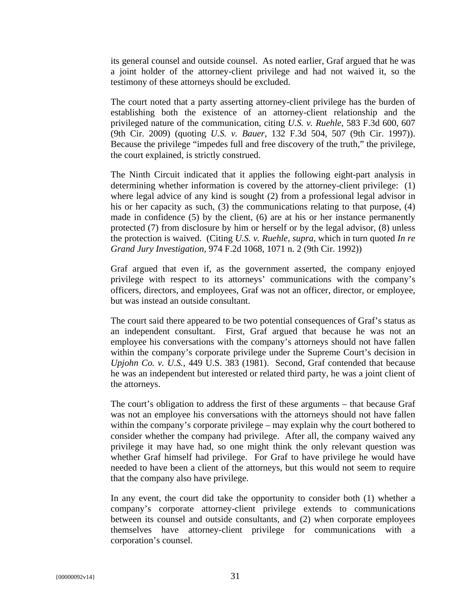its general counsel and outside counsel. As noted earlier, Graf argued that he was a joint holder of the attorney-client privilege and had not waived it, so the testimony of these attorneys should be excluded.

The court noted that a party asserting attorney-client privilege has the burden of establishing both the existence of an attorney-client relationship and the privileged nature of the communication, citing *U.S. v. Ruehle*, 583 F.3d 600, 607 (9th Cir. 2009) (quoting *U.S. v. Bauer*, 132 F.3d 504, 507 (9th Cir. 1997)). Because the privilege "impedes full and free discovery of the truth," the privilege, the court explained, is strictly construed.

The Ninth Circuit indicated that it applies the following eight-part analysis in determining whether information is covered by the attorney-client privilege: (1) where legal advice of any kind is sought (2) from a professional legal advisor in his or her capacity as such, (3) the communications relating to that purpose, (4) made in confidence (5) by the client, (6) are at his or her instance permanently protected (7) from disclosure by him or herself or by the legal advisor, (8) unless the protection is waived. (Citing *U.S. v. Ruehle, supra*, which in turn quoted *In re Grand Jury Investigation*, 974 F.2d 1068, 1071 n. 2 (9th Cir. 1992))

Graf argued that even if, as the government asserted, the company enjoyed privilege with respect to its attorneys' communications with the company's officers, directors, and employees, Graf was not an officer, director, or employee, but was instead an outside consultant.

The court said there appeared to be two potential consequences of Graf's status as an independent consultant. First, Graf argued that because he was not an employee his conversations with the company's attorneys should not have fallen within the company's corporate privilege under the Supreme Court's decision in *Upjohn Co. v. U.S.*, 449 U.S. 383 (1981). Second, Graf contended that because he was an independent but interested or related third party, he was a joint client of the attorneys.

The court's obligation to address the first of these arguments – that because Graf was not an employee his conversations with the attorneys should not have fallen within the company's corporate privilege – may explain why the court bothered to consider whether the company had privilege. After all, the company waived any privilege it may have had, so one might think the only relevant question was whether Graf himself had privilege. For Graf to have privilege he would have needed to have been a client of the attorneys, but this would not seem to require that the company also have privilege.

In any event, the court did take the opportunity to consider both (1) whether a company's corporate attorney-client privilege extends to communications between its counsel and outside consultants, and (2) when corporate employees themselves have attorney-client privilege for communications with a corporation's counsel.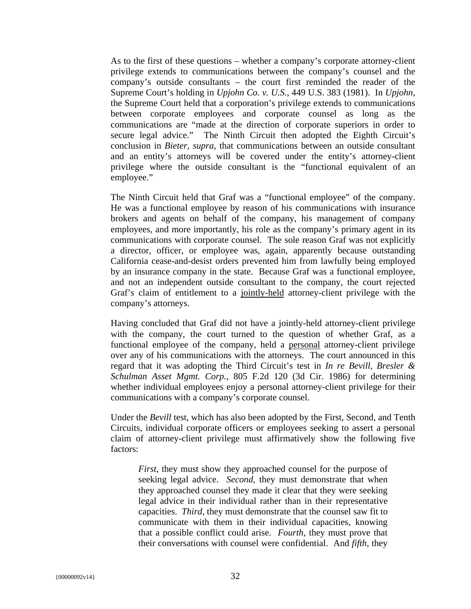As to the first of these questions – whether a company's corporate attorney-client privilege extends to communications between the company's counsel and the company's outside consultants – the court first reminded the reader of the Supreme Court's holding in *Upjohn Co. v. U.S.*, 449 U.S. 383 (1981). In *Upjohn*, the Supreme Court held that a corporation's privilege extends to communications between corporate employees and corporate counsel as long as the communications are "made at the direction of corporate superiors in order to secure legal advice." The Ninth Circuit then adopted the Eighth Circuit's conclusion in *Bieter*, *supra*, that communications between an outside consultant and an entity's attorneys will be covered under the entity's attorney-client privilege where the outside consultant is the "functional equivalent of an employee."

The Ninth Circuit held that Graf was a "functional employee" of the company. He was a functional employee by reason of his communications with insurance brokers and agents on behalf of the company, his management of company employees, and more importantly, his role as the company's primary agent in its communications with corporate counsel. The sole reason Graf was not explicitly a director, officer, or employee was, again, apparently because outstanding California cease-and-desist orders prevented him from lawfully being employed by an insurance company in the state. Because Graf was a functional employee, and not an independent outside consultant to the company, the court rejected Graf's claim of entitlement to a jointly-held attorney-client privilege with the company's attorneys.

Having concluded that Graf did not have a jointly-held attorney-client privilege with the company, the court turned to the question of whether Graf, as a functional employee of the company, held a personal attorney-client privilege over any of his communications with the attorneys. The court announced in this regard that it was adopting the Third Circuit's test in *In re Bevill, Bresler & Schulman Asset Mgmt. Corp.*, 805 F.2d 120 (3d Cir. 1986) for determining whether individual employees enjoy a personal attorney-client privilege for their communications with a company's corporate counsel.

Under the *Bevill* test, which has also been adopted by the First, Second, and Tenth Circuits, individual corporate officers or employees seeking to assert a personal claim of attorney-client privilege must affirmatively show the following five factors:

*First*, they must show they approached counsel for the purpose of seeking legal advice. *Second*, they must demonstrate that when they approached counsel they made it clear that they were seeking legal advice in their individual rather than in their representative capacities. *Third*, they must demonstrate that the counsel saw fit to communicate with them in their individual capacities, knowing that a possible conflict could arise. *Fourth*, they must prove that their conversations with counsel were confidential. And *fifth*, they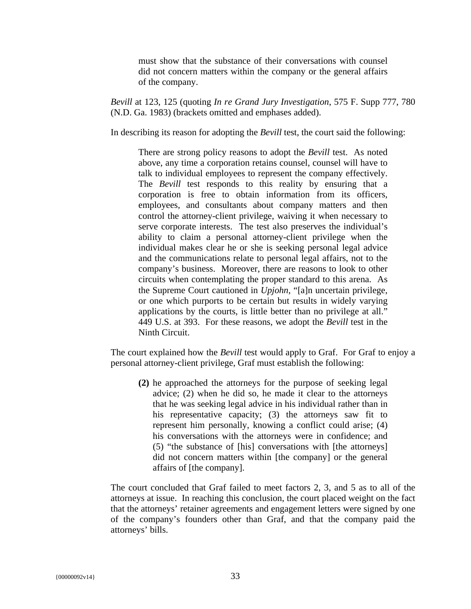must show that the substance of their conversations with counsel did not concern matters within the company or the general affairs of the company.

*Bevill* at 123, 125 (quoting *In re Grand Jury Investigation*, 575 F. Supp 777, 780 (N.D. Ga. 1983) (brackets omitted and emphases added).

In describing its reason for adopting the *Bevill* test, the court said the following:

There are strong policy reasons to adopt the *Bevill* test. As noted above, any time a corporation retains counsel, counsel will have to talk to individual employees to represent the company effectively. The *Bevill* test responds to this reality by ensuring that a corporation is free to obtain information from its officers, employees, and consultants about company matters and then control the attorney-client privilege, waiving it when necessary to serve corporate interests. The test also preserves the individual's ability to claim a personal attorney-client privilege when the individual makes clear he or she is seeking personal legal advice and the communications relate to personal legal affairs, not to the company's business. Moreover, there are reasons to look to other circuits when contemplating the proper standard to this arena. As the Supreme Court cautioned in *Upjohn*, "[a]n uncertain privilege, or one which purports to be certain but results in widely varying applications by the courts, is little better than no privilege at all." 449 U.S. at 393. For these reasons, we adopt the *Bevill* test in the Ninth Circuit.

The court explained how the *Bevill* test would apply to Graf. For Graf to enjoy a personal attorney-client privilege, Graf must establish the following:

**(2)** he approached the attorneys for the purpose of seeking legal advice; (2) when he did so, he made it clear to the attorneys that he was seeking legal advice in his individual rather than in his representative capacity; (3) the attorneys saw fit to represent him personally, knowing a conflict could arise; (4) his conversations with the attorneys were in confidence; and (5) "the substance of [his] conversations with [the attorneys] did not concern matters within [the company] or the general affairs of [the company].

The court concluded that Graf failed to meet factors 2, 3, and 5 as to all of the attorneys at issue. In reaching this conclusion, the court placed weight on the fact that the attorneys' retainer agreements and engagement letters were signed by one of the company's founders other than Graf, and that the company paid the attorneys' bills.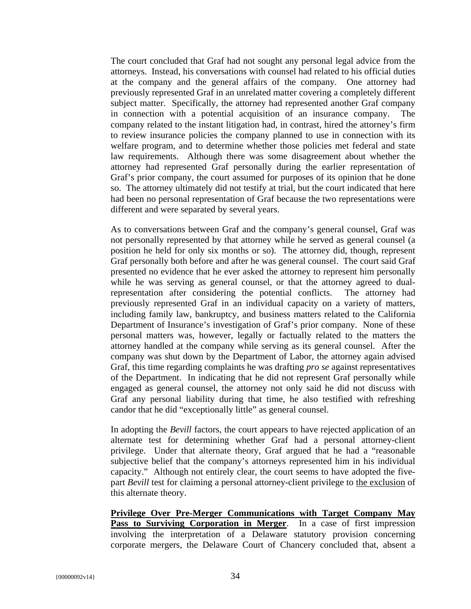The court concluded that Graf had not sought any personal legal advice from the attorneys. Instead, his conversations with counsel had related to his official duties at the company and the general affairs of the company. One attorney had previously represented Graf in an unrelated matter covering a completely different subject matter. Specifically, the attorney had represented another Graf company in connection with a potential acquisition of an insurance company. The company related to the instant litigation had, in contrast, hired the attorney's firm to review insurance policies the company planned to use in connection with its welfare program, and to determine whether those policies met federal and state law requirements. Although there was some disagreement about whether the attorney had represented Graf personally during the earlier representation of Graf's prior company, the court assumed for purposes of its opinion that he done so. The attorney ultimately did not testify at trial, but the court indicated that here had been no personal representation of Graf because the two representations were different and were separated by several years.

As to conversations between Graf and the company's general counsel, Graf was not personally represented by that attorney while he served as general counsel (a position he held for only six months or so). The attorney did, though, represent Graf personally both before and after he was general counsel. The court said Graf presented no evidence that he ever asked the attorney to represent him personally while he was serving as general counsel, or that the attorney agreed to dualrepresentation after considering the potential conflicts. The attorney had previously represented Graf in an individual capacity on a variety of matters, including family law, bankruptcy, and business matters related to the California Department of Insurance's investigation of Graf's prior company. None of these personal matters was, however, legally or factually related to the matters the attorney handled at the company while serving as its general counsel. After the company was shut down by the Department of Labor, the attorney again advised Graf, this time regarding complaints he was drafting *pro se* against representatives of the Department. In indicating that he did not represent Graf personally while engaged as general counsel, the attorney not only said he did not discuss with Graf any personal liability during that time, he also testified with refreshing candor that he did "exceptionally little" as general counsel.

In adopting the *Bevill* factors, the court appears to have rejected application of an alternate test for determining whether Graf had a personal attorney-client privilege. Under that alternate theory, Graf argued that he had a "reasonable subjective belief that the company's attorneys represented him in his individual capacity." Although not entirely clear, the court seems to have adopted the fivepart *Bevill* test for claiming a personal attorney-client privilege to the exclusion of this alternate theory.

**Privilege Over Pre-Merger Communications with Target Company May Pass to Surviving Corporation in Merger**. In a case of first impression involving the interpretation of a Delaware statutory provision concerning corporate mergers, the Delaware Court of Chancery concluded that, absent a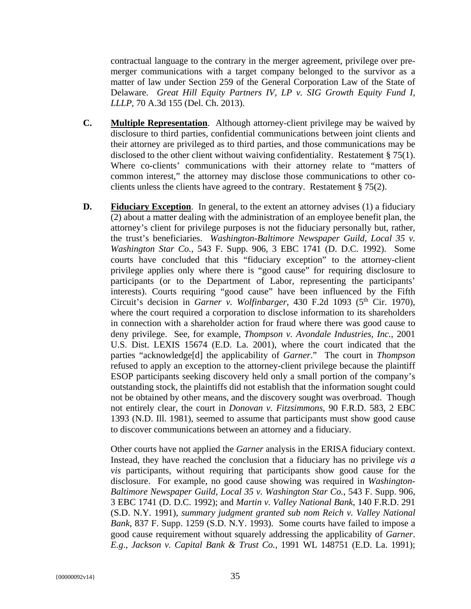contractual language to the contrary in the merger agreement, privilege over premerger communications with a target company belonged to the survivor as a matter of law under Section 259 of the General Corporation Law of the State of Delaware. *Great Hill Equity Partners IV, LP v. SIG Growth Equity Fund I, LLLP*, 70 A.3d 155 (Del. Ch. 2013).

- **C. Multiple Representation**. Although attorney-client privilege may be waived by disclosure to third parties, confidential communications between joint clients and their attorney are privileged as to third parties, and those communications may be disclosed to the other client without waiving confidentiality. Restatement § 75(1). Where co-clients' communications with their attorney relate to "matters of common interest," the attorney may disclose those communications to other coclients unless the clients have agreed to the contrary. Restatement § 75(2).
- **D.** Fiduciary Exception. In general, to the extent an attorney advises (1) a fiduciary (2) about a matter dealing with the administration of an employee benefit plan, the attorney's client for privilege purposes is not the fiduciary personally but, rather, the trust's beneficiaries. *Washington-Baltimore Newspaper Guild, Local 35 v. Washington Star Co.*, 543 F. Supp. 906, 3 EBC 1741 (D. D.C. 1992). Some courts have concluded that this "fiduciary exception" to the attorney-client privilege applies only where there is "good cause" for requiring disclosure to participants (or to the Department of Labor, representing the participants' interests). Courts requiring "good cause" have been influenced by the Fifth Circuit's decision in *Garner v. Wolfinbarger*, 430 F.2d 1093 (5<sup>th</sup> Cir. 1970), where the court required a corporation to disclose information to its shareholders in connection with a shareholder action for fraud where there was good cause to deny privilege. See, for example, *Thompson v. Avondale Industries, Inc.*, 2001 U.S. Dist. LEXIS 15674 (E.D. La. 2001), where the court indicated that the parties "acknowledge[d] the applicability of *Garner*." The court in *Thompson* refused to apply an exception to the attorney-client privilege because the plaintiff ESOP participants seeking discovery held only a small portion of the company's outstanding stock, the plaintiffs did not establish that the information sought could not be obtained by other means, and the discovery sought was overbroad. Though not entirely clear, the court in *Donovan v. Fitzsimmons*, 90 F.R.D. 583, 2 EBC 1393 (N.D. Ill. 1981), seemed to assume that participants must show good cause to discover communications between an attorney and a fiduciary.

Other courts have not applied the *Garner* analysis in the ERISA fiduciary context. Instead, they have reached the conclusion that a fiduciary has no privilege *vis a vis* participants, without requiring that participants show good cause for the disclosure. For example, no good cause showing was required in *Washington-Baltimore Newspaper Guild, Local 35 v. Washington Star Co.*, 543 F. Supp. 906, 3 EBC 1741 (D. D.C. 1992); and *Martin v. Valley National Bank*, 140 F.R.D. 291 (S.D. N.Y. 1991), *summary judgment granted sub nom Reich v. Valley National Bank*, 837 F. Supp. 1259 (S.D. N.Y. 1993). Some courts have failed to impose a good cause requirement without squarely addressing the applicability of *Garner*. *E.g*., *Jackson v. Capital Bank & Trust Co.,* 1991 WL 148751 (E.D. La. 1991);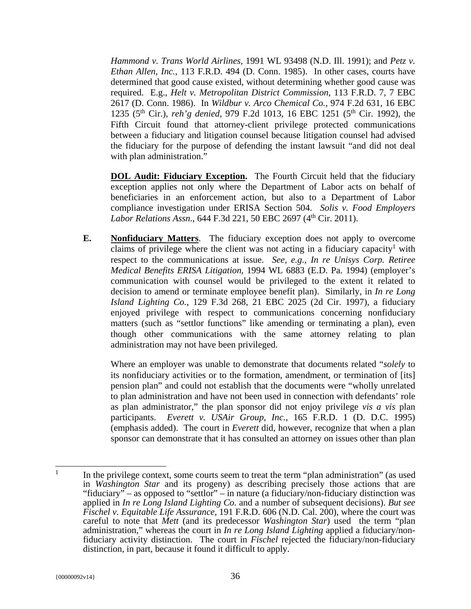*Hammond v. Trans World Airlines,* 1991 WL 93498 (N.D. Ill. 1991); and *Petz v. Ethan Allen, Inc.*, 113 F.R.D. 494 (D. Conn. 1985). In other cases, courts have determined that good cause existed, without determining whether good cause was required. E.g., *Helt v. Metropolitan District Commission*, 113 F.R.D. 7, 7 EBC 2617 (D. Conn. 1986). In *Wildbur v. Arco Chemical Co.,* 974 F.2d 631, 16 EBC 1235 (5<sup>th</sup> Cir.), *reh'g denied*, 979 F.2d 1013, 16 EBC 1251 (5<sup>th</sup> Cir. 1992), the Fifth Circuit found that attorney-client privilege protected communications between a fiduciary and litigation counsel because litigation counsel had advised the fiduciary for the purpose of defending the instant lawsuit "and did not deal with plan administration."

**DOL Audit: Fiduciary Exception.** The Fourth Circuit held that the fiduciary exception applies not only where the Department of Labor acts on behalf of beneficiaries in an enforcement action, but also to a Department of Labor compliance investigation under ERISA Section 504. *Solis v. Food Employers*  Labor Relations Assn., 644 F.3d 221, 50 EBC 2697 (4<sup>th</sup> Cir. 2011).

**E. Nonfiduciary Matters**. The fiduciary exception does not apply to overcome claims of privilege where the client was not acting in a fiduciary capacity<sup>1</sup> with respect to the communications at issue. *See, e.g., In re Unisys Corp. Retiree Medical Benefits ERISA Litigation*, 1994 WL 6883 (E.D. Pa. 1994) (employer's communication with counsel would be privileged to the extent it related to decision to amend or terminate employee benefit plan). Similarly, in *In re Long Island Lighting Co.*, 129 F.3d 268, 21 EBC 2025 (2d Cir. 1997), a fiduciary enjoyed privilege with respect to communications concerning nonfiduciary matters (such as "settlor functions" like amending or terminating a plan), even though other communications with the same attorney relating to plan administration may not have been privileged.

Where an employer was unable to demonstrate that documents related "*solely* to its nonfiduciary activities or to the formation, amendment, or termination of [its] pension plan" and could not establish that the documents were "wholly unrelated to plan administration and have not been used in connection with defendants' role as plan administrator," the plan sponsor did not enjoy privilege *vis a vis* plan participants. *Everett v. USAir Group, Inc.,* 165 F.R.D. 1 (D. D.C. 1995) (emphasis added). The court in *Everett* did, however, recognize that when a plan sponsor can demonstrate that it has consulted an attorney on issues other than plan

 $\frac{1}{1}$  In the privilege context, some courts seem to treat the term "plan administration" (as used in *Washington Star* and its progeny) as describing precisely those actions that are "fiduciary" – as opposed to "settlor" – in nature (a fiduciary/non-fiduciary distinction was applied in *In re Long Island Lighting Co.* and a number of subsequent decisions). *But see Fischel v. Equitable Life Assurance*, 191 F.R.D. 606 (N.D. Cal. 200), where the court was careful to note that *Mett* (and its predecessor *Washington Star*) used the term "plan administration," whereas the court in *In re Long Island Lighting* applied a fiduciary/nonfiduciary activity distinction. The court in *Fischel* rejected the fiduciary/non-fiduciary distinction, in part, because it found it difficult to apply.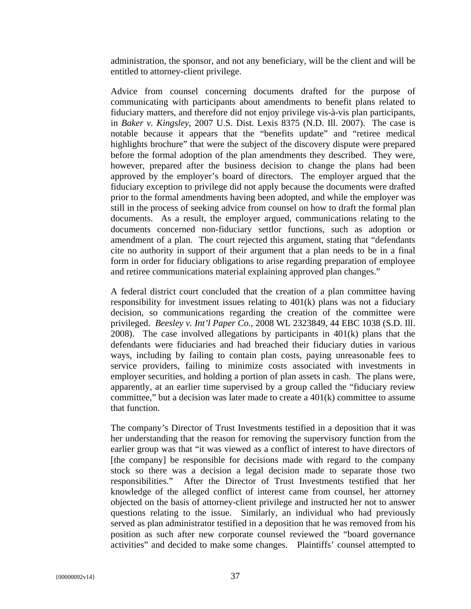administration, the sponsor, and not any beneficiary, will be the client and will be entitled to attorney-client privilege.

Advice from counsel concerning documents drafted for the purpose of communicating with participants about amendments to benefit plans related to fiduciary matters, and therefore did not enjoy privilege vis-à-vis plan participants, in *Baker v. Kingsley*, 2007 U.S. Dist. Lexis 8375 (N.D. Ill. 2007). The case is notable because it appears that the "benefits update" and "retiree medical highlights brochure" that were the subject of the discovery dispute were prepared before the formal adoption of the plan amendments they described. They were, however, prepared after the business decision to change the plans had been approved by the employer's board of directors. The employer argued that the fiduciary exception to privilege did not apply because the documents were drafted prior to the formal amendments having been adopted, and while the employer was still in the process of seeking advice from counsel on how to draft the formal plan documents. As a result, the employer argued, communications relating to the documents concerned non-fiduciary settlor functions, such as adoption or amendment of a plan. The court rejected this argument, stating that "defendants cite no authority in support of their argument that a plan needs to be in a final form in order for fiduciary obligations to arise regarding preparation of employee and retiree communications material explaining approved plan changes."

A federal district court concluded that the creation of a plan committee having responsibility for investment issues relating to 401(k) plans was not a fiduciary decision, so communications regarding the creation of the committee were privileged. *Beesley v. Int'l Paper Co.*, 2008 WL 2323849, 44 EBC 1038 (S.D. Ill. 2008). The case involved allegations by participants in 401(k) plans that the defendants were fiduciaries and had breached their fiduciary duties in various ways, including by failing to contain plan costs, paying unreasonable fees to service providers, failing to minimize costs associated with investments in employer securities, and holding a portion of plan assets in cash. The plans were, apparently, at an earlier time supervised by a group called the "fiduciary review committee," but a decision was later made to create a 401(k) committee to assume that function.

The company's Director of Trust Investments testified in a deposition that it was her understanding that the reason for removing the supervisory function from the earlier group was that "it was viewed as a conflict of interest to have directors of [the company] be responsible for decisions made with regard to the company stock so there was a decision a legal decision made to separate those two responsibilities." After the Director of Trust Investments testified that her knowledge of the alleged conflict of interest came from counsel, her attorney objected on the basis of attorney-client privilege and instructed her not to answer questions relating to the issue. Similarly, an individual who had previously served as plan administrator testified in a deposition that he was removed from his position as such after new corporate counsel reviewed the "board governance activities" and decided to make some changes. Plaintiffs' counsel attempted to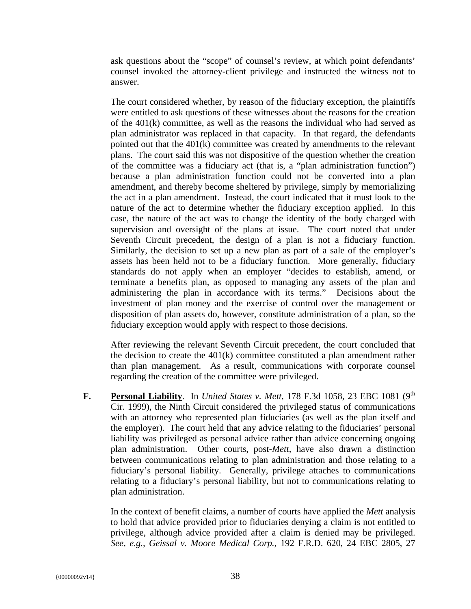ask questions about the "scope" of counsel's review, at which point defendants' counsel invoked the attorney-client privilege and instructed the witness not to answer.

The court considered whether, by reason of the fiduciary exception, the plaintiffs were entitled to ask questions of these witnesses about the reasons for the creation of the 401(k) committee, as well as the reasons the individual who had served as plan administrator was replaced in that capacity. In that regard, the defendants pointed out that the 401(k) committee was created by amendments to the relevant plans. The court said this was not dispositive of the question whether the creation of the committee was a fiduciary act (that is, a "plan administration function") because a plan administration function could not be converted into a plan amendment, and thereby become sheltered by privilege, simply by memorializing the act in a plan amendment. Instead, the court indicated that it must look to the nature of the act to determine whether the fiduciary exception applied. In this case, the nature of the act was to change the identity of the body charged with supervision and oversight of the plans at issue. The court noted that under Seventh Circuit precedent, the design of a plan is not a fiduciary function. Similarly, the decision to set up a new plan as part of a sale of the employer's assets has been held not to be a fiduciary function. More generally, fiduciary standards do not apply when an employer "decides to establish, amend, or terminate a benefits plan, as opposed to managing any assets of the plan and administering the plan in accordance with its terms." Decisions about the investment of plan money and the exercise of control over the management or disposition of plan assets do, however, constitute administration of a plan, so the fiduciary exception would apply with respect to those decisions.

After reviewing the relevant Seventh Circuit precedent, the court concluded that the decision to create the 401(k) committee constituted a plan amendment rather than plan management. As a result, communications with corporate counsel regarding the creation of the committee were privileged.

**F.** Personal Liability. In *United States v. Mett*, 178 F.3d 1058, 23 EBC 1081 (9<sup>th</sup>) Cir. 1999), the Ninth Circuit considered the privileged status of communications with an attorney who represented plan fiduciaries (as well as the plan itself and the employer). The court held that any advice relating to the fiduciaries' personal liability was privileged as personal advice rather than advice concerning ongoing plan administration. Other courts, post-*Mett*, have also drawn a distinction between communications relating to plan administration and those relating to a fiduciary's personal liability. Generally, privilege attaches to communications relating to a fiduciary's personal liability, but not to communications relating to plan administration.

In the context of benefit claims, a number of courts have applied the *Mett* analysis to hold that advice provided prior to fiduciaries denying a claim is not entitled to privilege, although advice provided after a claim is denied may be privileged. *See, e.g., Geissal v. Moore Medical Corp.*, 192 F.R.D. 620, 24 EBC 2805, 27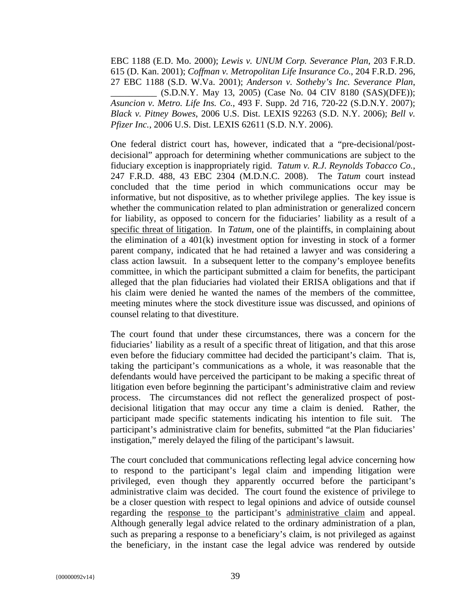EBC 1188 (E.D. Mo. 2000); *Lewis v. UNUM Corp. Severance Plan*, 203 F.R.D. 615 (D. Kan. 2001); *Coffman v. Metropolitan Life Insurance Co.*, 204 F.R.D. 296, 27 EBC 1188 (S.D. W.Va. 2001); *Anderson v. Sotheby's Inc. Severance Plan*, \_\_\_\_\_\_\_\_\_\_ (S.D.N.Y. May 13, 2005) (Case No. 04 CIV 8180 (SAS)(DFE)); *Asuncion v. Metro. Life Ins. Co.*, 493 F. Supp. 2d 716, 720-22 (S.D.N.Y. 2007); *Black v. Pitney Bowes*, 2006 U.S. Dist. LEXIS 92263 (S.D. N.Y. 2006); *Bell v. Pfizer Inc.*, 2006 U.S. Dist. LEXIS 62611 (S.D. N.Y. 2006).

One federal district court has, however, indicated that a "pre-decisional/postdecisional" approach for determining whether communications are subject to the fiduciary exception is inappropriately rigid. *Tatum v. R.J. Reynolds Tobacco Co.*, 247 F.R.D. 488, 43 EBC 2304 (M.D.N.C. 2008). The *Tatum* court instead concluded that the time period in which communications occur may be informative, but not dispositive, as to whether privilege applies. The key issue is whether the communication related to plan administration or generalized concern for liability, as opposed to concern for the fiduciaries' liability as a result of a specific threat of litigation. In *Tatum*, one of the plaintiffs, in complaining about the elimination of a 401(k) investment option for investing in stock of a former parent company, indicated that he had retained a lawyer and was considering a class action lawsuit. In a subsequent letter to the company's employee benefits committee, in which the participant submitted a claim for benefits, the participant alleged that the plan fiduciaries had violated their ERISA obligations and that if his claim were denied he wanted the names of the members of the committee, meeting minutes where the stock divestiture issue was discussed, and opinions of counsel relating to that divestiture.

The court found that under these circumstances, there was a concern for the fiduciaries' liability as a result of a specific threat of litigation, and that this arose even before the fiduciary committee had decided the participant's claim. That is, taking the participant's communications as a whole, it was reasonable that the defendants would have perceived the participant to be making a specific threat of litigation even before beginning the participant's administrative claim and review process. The circumstances did not reflect the generalized prospect of postdecisional litigation that may occur any time a claim is denied. Rather, the participant made specific statements indicating his intention to file suit. The participant's administrative claim for benefits, submitted "at the Plan fiduciaries' instigation," merely delayed the filing of the participant's lawsuit.

The court concluded that communications reflecting legal advice concerning how to respond to the participant's legal claim and impending litigation were privileged, even though they apparently occurred before the participant's administrative claim was decided. The court found the existence of privilege to be a closer question with respect to legal opinions and advice of outside counsel regarding the response to the participant's administrative claim and appeal. Although generally legal advice related to the ordinary administration of a plan, such as preparing a response to a beneficiary's claim, is not privileged as against the beneficiary, in the instant case the legal advice was rendered by outside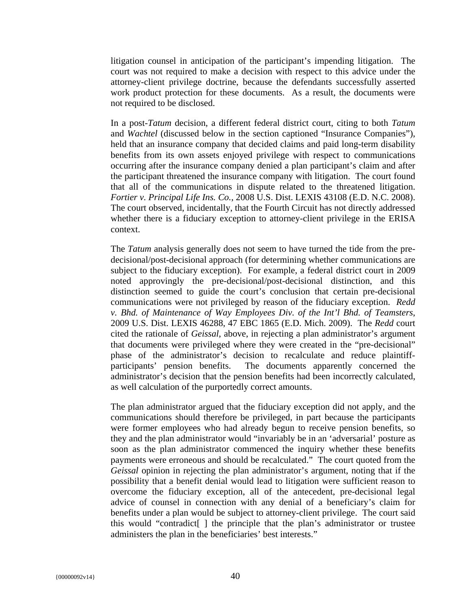litigation counsel in anticipation of the participant's impending litigation. The court was not required to make a decision with respect to this advice under the attorney-client privilege doctrine, because the defendants successfully asserted work product protection for these documents. As a result, the documents were not required to be disclosed.

In a post-*Tatum* decision, a different federal district court, citing to both *Tatum* and *Wachtel* (discussed below in the section captioned "Insurance Companies"), held that an insurance company that decided claims and paid long-term disability benefits from its own assets enjoyed privilege with respect to communications occurring after the insurance company denied a plan participant's claim and after the participant threatened the insurance company with litigation. The court found that all of the communications in dispute related to the threatened litigation. *Fortier v. Principal Life Ins. Co.*, 2008 U.S. Dist. LEXIS 43108 (E.D. N.C. 2008). The court observed, incidentally, that the Fourth Circuit has not directly addressed whether there is a fiduciary exception to attorney-client privilege in the ERISA context.

The *Tatum* analysis generally does not seem to have turned the tide from the predecisional/post-decisional approach (for determining whether communications are subject to the fiduciary exception). For example, a federal district court in 2009 noted approvingly the pre-decisional/post-decisional distinction, and this distinction seemed to guide the court's conclusion that certain pre-decisional communications were not privileged by reason of the fiduciary exception. *Redd v. Bhd. of Maintenance of Way Employees Div. of the Int'l Bhd. of Teamsters*, 2009 U.S. Dist. LEXIS 46288, 47 EBC 1865 (E.D. Mich. 2009). The *Redd* court cited the rationale of *Geissal*, above, in rejecting a plan administrator's argument that documents were privileged where they were created in the "pre-decisional" phase of the administrator's decision to recalculate and reduce plaintiffparticipants' pension benefits. The documents apparently concerned the administrator's decision that the pension benefits had been incorrectly calculated, as well calculation of the purportedly correct amounts.

The plan administrator argued that the fiduciary exception did not apply, and the communications should therefore be privileged, in part because the participants were former employees who had already begun to receive pension benefits, so they and the plan administrator would "invariably be in an 'adversarial' posture as soon as the plan administrator commenced the inquiry whether these benefits payments were erroneous and should be recalculated." The court quoted from the *Geissal* opinion in rejecting the plan administrator's argument, noting that if the possibility that a benefit denial would lead to litigation were sufficient reason to overcome the fiduciary exception, all of the antecedent, pre-decisional legal advice of counsel in connection with any denial of a beneficiary's claim for benefits under a plan would be subject to attorney-client privilege. The court said this would "contradict[ ] the principle that the plan's administrator or trustee administers the plan in the beneficiaries' best interests."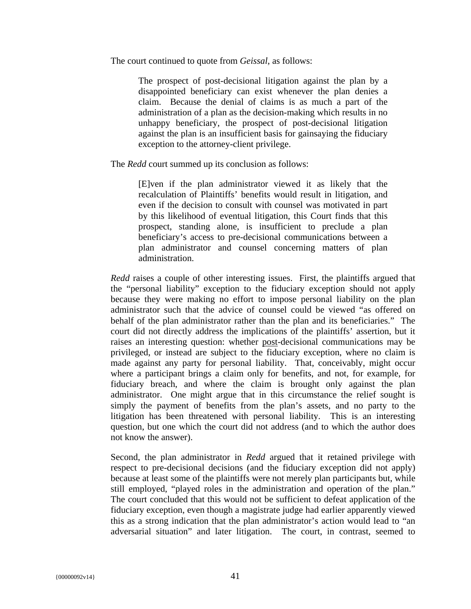The court continued to quote from *Geissal*, as follows:

The prospect of post-decisional litigation against the plan by a disappointed beneficiary can exist whenever the plan denies a claim. Because the denial of claims is as much a part of the administration of a plan as the decision-making which results in no unhappy beneficiary, the prospect of post-decisional litigation against the plan is an insufficient basis for gainsaying the fiduciary exception to the attorney-client privilege.

The *Redd* court summed up its conclusion as follows:

[E]ven if the plan administrator viewed it as likely that the recalculation of Plaintiffs' benefits would result in litigation, and even if the decision to consult with counsel was motivated in part by this likelihood of eventual litigation, this Court finds that this prospect, standing alone, is insufficient to preclude a plan beneficiary's access to pre-decisional communications between a plan administrator and counsel concerning matters of plan administration.

*Redd* raises a couple of other interesting issues. First, the plaintiffs argued that the "personal liability" exception to the fiduciary exception should not apply because they were making no effort to impose personal liability on the plan administrator such that the advice of counsel could be viewed "as offered on behalf of the plan administrator rather than the plan and its beneficiaries." The court did not directly address the implications of the plaintiffs' assertion, but it raises an interesting question: whether post-decisional communications may be privileged, or instead are subject to the fiduciary exception, where no claim is made against any party for personal liability. That, conceivably, might occur where a participant brings a claim only for benefits, and not, for example, for fiduciary breach, and where the claim is brought only against the plan administrator. One might argue that in this circumstance the relief sought is simply the payment of benefits from the plan's assets, and no party to the litigation has been threatened with personal liability. This is an interesting question, but one which the court did not address (and to which the author does not know the answer).

Second, the plan administrator in *Redd* argued that it retained privilege with respect to pre-decisional decisions (and the fiduciary exception did not apply) because at least some of the plaintiffs were not merely plan participants but, while still employed, "played roles in the administration and operation of the plan." The court concluded that this would not be sufficient to defeat application of the fiduciary exception, even though a magistrate judge had earlier apparently viewed this as a strong indication that the plan administrator's action would lead to "an adversarial situation" and later litigation. The court, in contrast, seemed to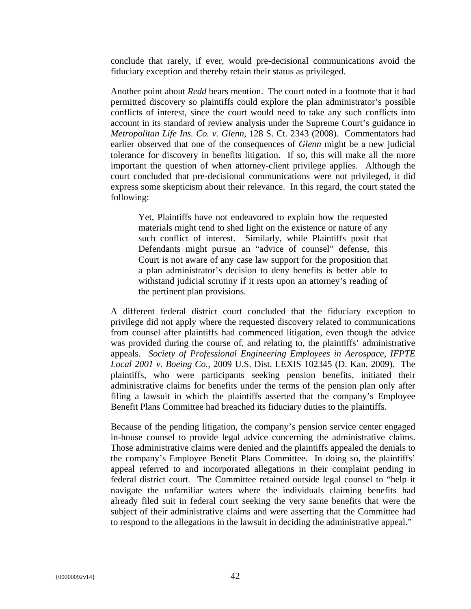conclude that rarely, if ever, would pre-decisional communications avoid the fiduciary exception and thereby retain their status as privileged.

Another point about *Redd* bears mention. The court noted in a footnote that it had permitted discovery so plaintiffs could explore the plan administrator's possible conflicts of interest, since the court would need to take any such conflicts into account in its standard of review analysis under the Supreme Court's guidance in *Metropolitan Life Ins. Co. v. Glenn*, 128 S. Ct. 2343 (2008). Commentators had earlier observed that one of the consequences of *Glenn* might be a new judicial tolerance for discovery in benefits litigation. If so, this will make all the more important the question of when attorney-client privilege applies. Although the court concluded that pre-decisional communications were not privileged, it did express some skepticism about their relevance. In this regard, the court stated the following:

Yet, Plaintiffs have not endeavored to explain how the requested materials might tend to shed light on the existence or nature of any such conflict of interest. Similarly, while Plaintiffs posit that Defendants might pursue an "advice of counsel" defense, this Court is not aware of any case law support for the proposition that a plan administrator's decision to deny benefits is better able to withstand judicial scrutiny if it rests upon an attorney's reading of the pertinent plan provisions.

A different federal district court concluded that the fiduciary exception to privilege did not apply where the requested discovery related to communications from counsel after plaintiffs had commenced litigation, even though the advice was provided during the course of, and relating to, the plaintiffs' administrative appeals. *Society of Professional Engineering Employees in Aerospace, IFPTE Local 2001 v. Boeing Co.,* 2009 U.S. Dist. LEXIS 102345 (D. Kan. 2009). The plaintiffs, who were participants seeking pension benefits, initiated their administrative claims for benefits under the terms of the pension plan only after filing a lawsuit in which the plaintiffs asserted that the company's Employee Benefit Plans Committee had breached its fiduciary duties to the plaintiffs.

Because of the pending litigation, the company's pension service center engaged in-house counsel to provide legal advice concerning the administrative claims. Those administrative claims were denied and the plaintiffs appealed the denials to the company's Employee Benefit Plans Committee. In doing so, the plaintiffs' appeal referred to and incorporated allegations in their complaint pending in federal district court. The Committee retained outside legal counsel to "help it navigate the unfamiliar waters where the individuals claiming benefits had already filed suit in federal court seeking the very same benefits that were the subject of their administrative claims and were asserting that the Committee had to respond to the allegations in the lawsuit in deciding the administrative appeal."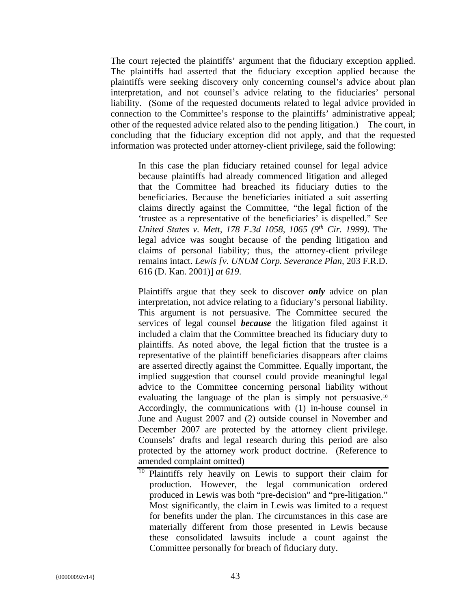The court rejected the plaintiffs' argument that the fiduciary exception applied. The plaintiffs had asserted that the fiduciary exception applied because the plaintiffs were seeking discovery only concerning counsel's advice about plan interpretation, and not counsel's advice relating to the fiduciaries' personal liability. (Some of the requested documents related to legal advice provided in connection to the Committee's response to the plaintiffs' administrative appeal; other of the requested advice related also to the pending litigation.) The court, in concluding that the fiduciary exception did not apply, and that the requested information was protected under attorney-client privilege, said the following:

In this case the plan fiduciary retained counsel for legal advice because plaintiffs had already commenced litigation and alleged that the Committee had breached its fiduciary duties to the beneficiaries. Because the beneficiaries initiated a suit asserting claims directly against the Committee, "the legal fiction of the 'trustee as a representative of the beneficiaries' is dispelled." See *United States v. Mett, 178 F.3d 1058, 1065 (9th Cir. 1999)*. The legal advice was sought because of the pending litigation and claims of personal liability; thus, the attorney-client privilege remains intact. *Lewis [v. UNUM Corp. Severance Plan,* 203 F.R.D. 616 (D. Kan. 2001)] *at 619*.

Plaintiffs argue that they seek to discover *only* advice on plan interpretation, not advice relating to a fiduciary's personal liability. This argument is not persuasive. The Committee secured the services of legal counsel *because* the litigation filed against it included a claim that the Committee breached its fiduciary duty to plaintiffs. As noted above, the legal fiction that the trustee is a representative of the plaintiff beneficiaries disappears after claims are asserted directly against the Committee. Equally important, the implied suggestion that counsel could provide meaningful legal advice to the Committee concerning personal liability without evaluating the language of the plan is simply not persuasive.10 Accordingly, the communications with (1) in-house counsel in June and August 2007 and (2) outside counsel in November and December 2007 are protected by the attorney client privilege. Counsels' drafts and legal research during this period are also protected by the attorney work product doctrine. (Reference to amended complaint omitted)

 $10$  Plaintiffs rely heavily on Lewis to support their claim for production. However, the legal communication ordered produced in Lewis was both "pre-decision" and "pre-litigation." Most significantly, the claim in Lewis was limited to a request for benefits under the plan. The circumstances in this case are materially different from those presented in Lewis because these consolidated lawsuits include a count against the Committee personally for breach of fiduciary duty.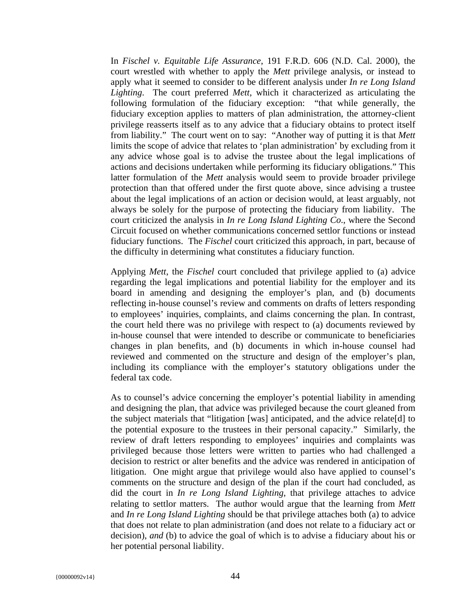In *Fischel v. Equitable Life Assurance*, 191 F.R.D. 606 (N.D. Cal. 2000), the court wrestled with whether to apply the *Mett* privilege analysis, or instead to apply what it seemed to consider to be different analysis under *In re Long Island Lighting*. The court preferred *Mett*, which it characterized as articulating the following formulation of the fiduciary exception: "that while generally, the fiduciary exception applies to matters of plan administration, the attorney-client privilege reasserts itself as to any advice that a fiduciary obtains to protect itself from liability." The court went on to say: "Another way of putting it is that *Mett* limits the scope of advice that relates to 'plan administration' by excluding from it any advice whose goal is to advise the trustee about the legal implications of actions and decisions undertaken while performing its fiduciary obligations." This latter formulation of the *Mett* analysis would seem to provide broader privilege protection than that offered under the first quote above, since advising a trustee about the legal implications of an action or decision would, at least arguably, not always be solely for the purpose of protecting the fiduciary from liability. The court criticized the analysis in *In re Long Island Lighting Co*., where the Second Circuit focused on whether communications concerned settlor functions or instead fiduciary functions. The *Fischel* court criticized this approach, in part, because of the difficulty in determining what constitutes a fiduciary function.

Applying *Mett*, the *Fischel* court concluded that privilege applied to (a) advice regarding the legal implications and potential liability for the employer and its board in amending and designing the employer's plan, and (b) documents reflecting in-house counsel's review and comments on drafts of letters responding to employees' inquiries, complaints, and claims concerning the plan. In contrast, the court held there was no privilege with respect to (a) documents reviewed by in-house counsel that were intended to describe or communicate to beneficiaries changes in plan benefits, and (b) documents in which in-house counsel had reviewed and commented on the structure and design of the employer's plan, including its compliance with the employer's statutory obligations under the federal tax code.

As to counsel's advice concerning the employer's potential liability in amending and designing the plan, that advice was privileged because the court gleaned from the subject materials that "litigation [was] anticipated, and the advice relate[d] to the potential exposure to the trustees in their personal capacity." Similarly, the review of draft letters responding to employees' inquiries and complaints was privileged because those letters were written to parties who had challenged a decision to restrict or alter benefits and the advice was rendered in anticipation of litigation. One might argue that privilege would also have applied to counsel's comments on the structure and design of the plan if the court had concluded, as did the court in *In re Long Island Lighting*, that privilege attaches to advice relating to settlor matters. The author would argue that the learning from *Mett* and *In re Long Island Lighting* should be that privilege attaches both (a) to advice that does not relate to plan administration (and does not relate to a fiduciary act or decision), *and* (b) to advice the goal of which is to advise a fiduciary about his or her potential personal liability.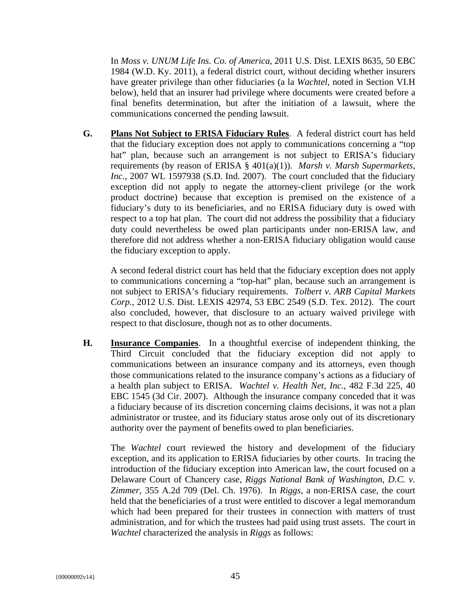In *Moss v. UNUM Life Ins. Co. of America*, 2011 U.S. Dist. LEXIS 8635, 50 EBC 1984 (W.D. Ky. 2011), a federal district court, without deciding whether insurers have greater privilege than other fiduciaries (a la *Wachtel*, noted in Section VI.H below), held that an insurer had privilege where documents were created before a final benefits determination, but after the initiation of a lawsuit, where the communications concerned the pending lawsuit.

**G. Plans Not Subject to ERISA Fiduciary Rules**. A federal district court has held that the fiduciary exception does not apply to communications concerning a "top hat" plan, because such an arrangement is not subject to ERISA's fiduciary requirements (by reason of ERISA § 401(a)(1)). *Marsh v. Marsh Supermarkets, Inc.*, 2007 WL 1597938 (S.D. Ind. 2007). The court concluded that the fiduciary exception did not apply to negate the attorney-client privilege (or the work product doctrine) because that exception is premised on the existence of a fiduciary's duty to its beneficiaries, and no ERISA fiduciary duty is owed with respect to a top hat plan. The court did not address the possibility that a fiduciary duty could nevertheless be owed plan participants under non-ERISA law, and therefore did not address whether a non-ERISA fiduciary obligation would cause the fiduciary exception to apply.

A second federal district court has held that the fiduciary exception does not apply to communications concerning a "top-hat" plan, because such an arrangement is not subject to ERISA's fiduciary requirements. *Tolbert v. ARB Capital Markets Corp.*, 2012 U.S. Dist. LEXIS 42974, 53 EBC 2549 (S.D. Tex. 2012). The court also concluded, however, that disclosure to an actuary waived privilege with respect to that disclosure, though not as to other documents.

**H. Insurance Companies**. In a thoughtful exercise of independent thinking, the Third Circuit concluded that the fiduciary exception did not apply to communications between an insurance company and its attorneys, even though those communications related to the insurance company's actions as a fiduciary of a health plan subject to ERISA. *Wachtel v. Health Net, Inc.*, 482 F.3d 225, 40 EBC 1545 (3d Cir. 2007). Although the insurance company conceded that it was a fiduciary because of its discretion concerning claims decisions, it was not a plan administrator or trustee, and its fiduciary status arose only out of its discretionary authority over the payment of benefits owed to plan beneficiaries.

The *Wachtel* court reviewed the history and development of the fiduciary exception, and its application to ERISA fiduciaries by other courts. In tracing the introduction of the fiduciary exception into American law, the court focused on a Delaware Court of Chancery case, *Riggs National Bank of Washington, D.C. v. Zimmer*, 355 A.2d 709 (Del. Ch. 1976). In *Riggs*, a non-ERISA case, the court held that the beneficiaries of a trust were entitled to discover a legal memorandum which had been prepared for their trustees in connection with matters of trust administration, and for which the trustees had paid using trust assets. The court in *Wachtel* characterized the analysis in *Riggs* as follows: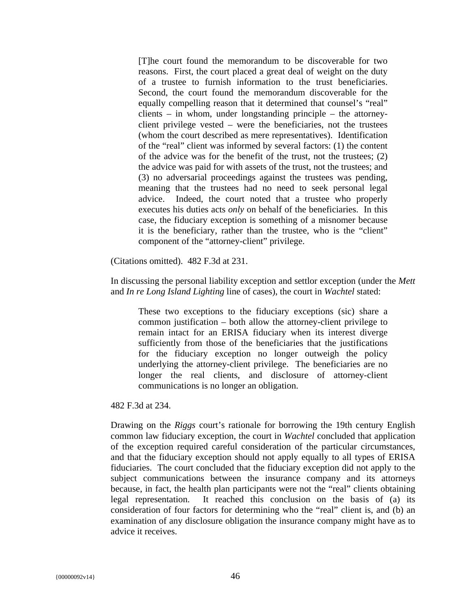[T]he court found the memorandum to be discoverable for two reasons. First, the court placed a great deal of weight on the duty of a trustee to furnish information to the trust beneficiaries. Second, the court found the memorandum discoverable for the equally compelling reason that it determined that counsel's "real" clients – in whom, under longstanding principle – the attorneyclient privilege vested – were the beneficiaries, not the trustees (whom the court described as mere representatives). Identification of the "real" client was informed by several factors: (1) the content of the advice was for the benefit of the trust, not the trustees; (2) the advice was paid for with assets of the trust, not the trustees; and (3) no adversarial proceedings against the trustees was pending, meaning that the trustees had no need to seek personal legal advice. Indeed, the court noted that a trustee who properly executes his duties acts *only* on behalf of the beneficiaries. In this case, the fiduciary exception is something of a misnomer because it is the beneficiary, rather than the trustee, who is the "client" component of the "attorney-client" privilege.

(Citations omitted). 482 F.3d at 231.

In discussing the personal liability exception and settlor exception (under the *Mett* and *In re Long Island Lighting* line of cases), the court in *Wachtel* stated:

These two exceptions to the fiduciary exceptions (sic) share a common justification – both allow the attorney-client privilege to remain intact for an ERISA fiduciary when its interest diverge sufficiently from those of the beneficiaries that the justifications for the fiduciary exception no longer outweigh the policy underlying the attorney-client privilege. The beneficiaries are no longer the real clients, and disclosure of attorney-client communications is no longer an obligation.

482 F.3d at 234.

Drawing on the *Riggs* court's rationale for borrowing the 19th century English common law fiduciary exception, the court in *Wachtel* concluded that application of the exception required careful consideration of the particular circumstances, and that the fiduciary exception should not apply equally to all types of ERISA fiduciaries. The court concluded that the fiduciary exception did not apply to the subject communications between the insurance company and its attorneys because, in fact, the health plan participants were not the "real" clients obtaining legal representation. It reached this conclusion on the basis of (a) its consideration of four factors for determining who the "real" client is, and (b) an examination of any disclosure obligation the insurance company might have as to advice it receives.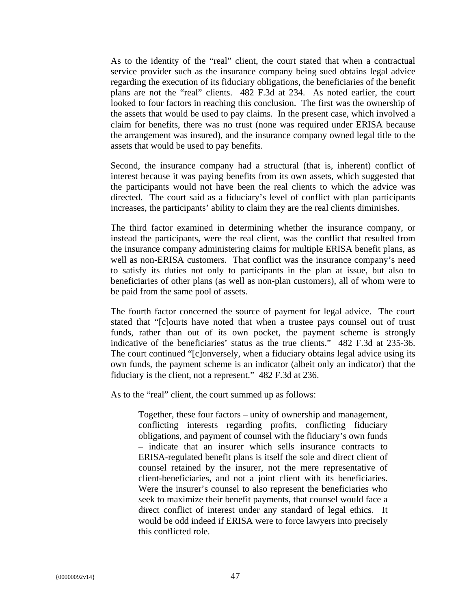As to the identity of the "real" client, the court stated that when a contractual service provider such as the insurance company being sued obtains legal advice regarding the execution of its fiduciary obligations, the beneficiaries of the benefit plans are not the "real" clients. 482 F.3d at 234. As noted earlier, the court looked to four factors in reaching this conclusion. The first was the ownership of the assets that would be used to pay claims. In the present case, which involved a claim for benefits, there was no trust (none was required under ERISA because the arrangement was insured), and the insurance company owned legal title to the assets that would be used to pay benefits.

Second, the insurance company had a structural (that is, inherent) conflict of interest because it was paying benefits from its own assets, which suggested that the participants would not have been the real clients to which the advice was directed. The court said as a fiduciary's level of conflict with plan participants increases, the participants' ability to claim they are the real clients diminishes.

The third factor examined in determining whether the insurance company, or instead the participants, were the real client, was the conflict that resulted from the insurance company administering claims for multiple ERISA benefit plans, as well as non-ERISA customers. That conflict was the insurance company's need to satisfy its duties not only to participants in the plan at issue, but also to beneficiaries of other plans (as well as non-plan customers), all of whom were to be paid from the same pool of assets.

The fourth factor concerned the source of payment for legal advice. The court stated that "[c]ourts have noted that when a trustee pays counsel out of trust funds, rather than out of its own pocket, the payment scheme is strongly indicative of the beneficiaries' status as the true clients." 482 F.3d at 235-36. The court continued "[c]onversely, when a fiduciary obtains legal advice using its own funds, the payment scheme is an indicator (albeit only an indicator) that the fiduciary is the client, not a represent." 482 F.3d at 236.

As to the "real" client, the court summed up as follows:

Together, these four factors – unity of ownership and management, conflicting interests regarding profits, conflicting fiduciary obligations, and payment of counsel with the fiduciary's own funds – indicate that an insurer which sells insurance contracts to ERISA-regulated benefit plans is itself the sole and direct client of counsel retained by the insurer, not the mere representative of client-beneficiaries, and not a joint client with its beneficiaries. Were the insurer's counsel to also represent the beneficiaries who seek to maximize their benefit payments, that counsel would face a direct conflict of interest under any standard of legal ethics. It would be odd indeed if ERISA were to force lawyers into precisely this conflicted role.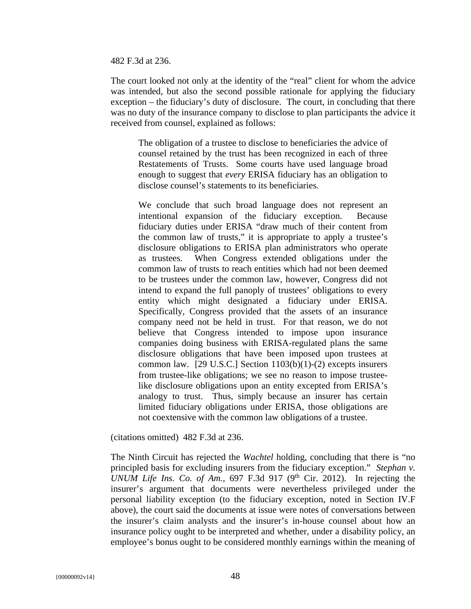482 F.3d at 236.

The court looked not only at the identity of the "real" client for whom the advice was intended, but also the second possible rationale for applying the fiduciary exception – the fiduciary's duty of disclosure. The court, in concluding that there was no duty of the insurance company to disclose to plan participants the advice it received from counsel, explained as follows:

The obligation of a trustee to disclose to beneficiaries the advice of counsel retained by the trust has been recognized in each of three Restatements of Trusts. Some courts have used language broad enough to suggest that *every* ERISA fiduciary has an obligation to disclose counsel's statements to its beneficiaries.

We conclude that such broad language does not represent an intentional expansion of the fiduciary exception. Because fiduciary duties under ERISA "draw much of their content from the common law of trusts," it is appropriate to apply a trustee's disclosure obligations to ERISA plan administrators who operate as trustees. When Congress extended obligations under the common law of trusts to reach entities which had not been deemed to be trustees under the common law, however, Congress did not intend to expand the full panoply of trustees' obligations to every entity which might designated a fiduciary under ERISA. Specifically, Congress provided that the assets of an insurance company need not be held in trust. For that reason, we do not believe that Congress intended to impose upon insurance companies doing business with ERISA-regulated plans the same disclosure obligations that have been imposed upon trustees at common law. [29 U.S.C.] Section 1103(b)(1)-(2) excepts insurers from trustee-like obligations; we see no reason to impose trusteelike disclosure obligations upon an entity excepted from ERISA's analogy to trust. Thus, simply because an insurer has certain limited fiduciary obligations under ERISA, those obligations are not coextensive with the common law obligations of a trustee.

(citations omitted) 482 F.3d at 236.

The Ninth Circuit has rejected the *Wachtel* holding, concluding that there is "no principled basis for excluding insurers from the fiduciary exception." *Stephan v. UNUM Life Ins. Co. of Am.*, 697 F.3d 917 (9<sup>th</sup> Cir. 2012). In rejecting the insurer's argument that documents were nevertheless privileged under the personal liability exception (to the fiduciary exception, noted in Section IV.F above), the court said the documents at issue were notes of conversations between the insurer's claim analysts and the insurer's in-house counsel about how an insurance policy ought to be interpreted and whether, under a disability policy, an employee's bonus ought to be considered monthly earnings within the meaning of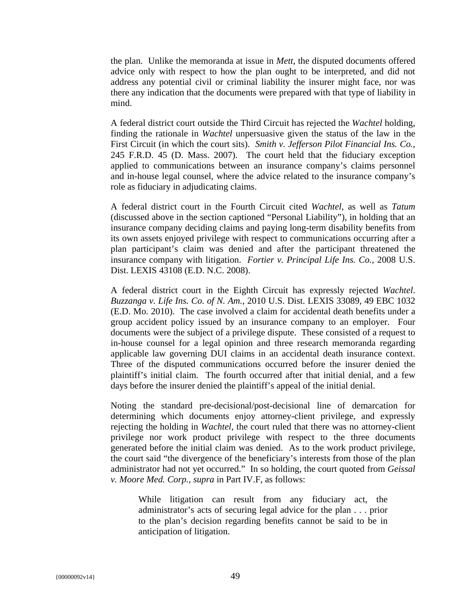the plan. Unlike the memoranda at issue in *Mett*, the disputed documents offered advice only with respect to how the plan ought to be interpreted, and did not address any potential civil or criminal liability the insurer might face, nor was there any indication that the documents were prepared with that type of liability in mind.

A federal district court outside the Third Circuit has rejected the *Wachtel* holding, finding the rationale in *Wachtel* unpersuasive given the status of the law in the First Circuit (in which the court sits). *Smith v. Jefferson Pilot Financial Ins. Co.*, 245 F.R.D. 45 (D. Mass. 2007). The court held that the fiduciary exception applied to communications between an insurance company's claims personnel and in-house legal counsel, where the advice related to the insurance company's role as fiduciary in adjudicating claims.

A federal district court in the Fourth Circuit cited *Wachtel*, as well as *Tatum* (discussed above in the section captioned "Personal Liability"), in holding that an insurance company deciding claims and paying long-term disability benefits from its own assets enjoyed privilege with respect to communications occurring after a plan participant's claim was denied and after the participant threatened the insurance company with litigation. *Fortier v. Principal Life Ins. Co.,* 2008 U.S. Dist. LEXIS 43108 (E.D. N.C. 2008).

A federal district court in the Eighth Circuit has expressly rejected *Wachtel*. *Buzzanga v. Life Ins. Co. of N. Am.*, 2010 U.S. Dist. LEXIS 33089, 49 EBC 1032 (E.D. Mo. 2010). The case involved a claim for accidental death benefits under a group accident policy issued by an insurance company to an employer. Four documents were the subject of a privilege dispute. These consisted of a request to in-house counsel for a legal opinion and three research memoranda regarding applicable law governing DUI claims in an accidental death insurance context. Three of the disputed communications occurred before the insurer denied the plaintiff's initial claim. The fourth occurred after that initial denial, and a few days before the insurer denied the plaintiff's appeal of the initial denial.

Noting the standard pre-decisional/post-decisional line of demarcation for determining which documents enjoy attorney-client privilege, and expressly rejecting the holding in *Wachtel*, the court ruled that there was no attorney-client privilege nor work product privilege with respect to the three documents generated before the initial claim was denied. As to the work product privilege, the court said "the divergence of the beneficiary's interests from those of the plan administrator had not yet occurred." In so holding, the court quoted from *Geissal v. Moore Med. Corp.*, *supra* in Part IV.F, as follows:

While litigation can result from any fiduciary act, the administrator's acts of securing legal advice for the plan . . . prior to the plan's decision regarding benefits cannot be said to be in anticipation of litigation.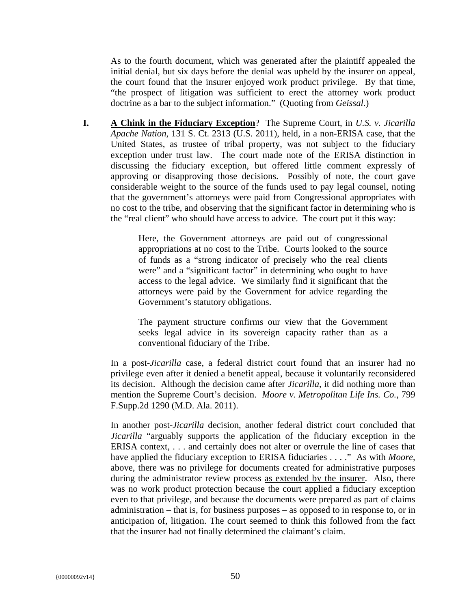As to the fourth document, which was generated after the plaintiff appealed the initial denial, but six days before the denial was upheld by the insurer on appeal, the court found that the insurer enjoyed work product privilege. By that time, "the prospect of litigation was sufficient to erect the attorney work product doctrine as a bar to the subject information." (Quoting from *Geissal*.)

**I. A Chink in the Fiduciary Exception**? The Supreme Court, in *U.S. v. Jicarilla Apache Nation*, 131 S. Ct. 2313 (U.S. 2011), held, in a non-ERISA case, that the United States, as trustee of tribal property, was not subject to the fiduciary exception under trust law. The court made note of the ERISA distinction in discussing the fiduciary exception, but offered little comment expressly of approving or disapproving those decisions. Possibly of note, the court gave considerable weight to the source of the funds used to pay legal counsel, noting that the government's attorneys were paid from Congressional appropriates with no cost to the tribe, and observing that the significant factor in determining who is the "real client" who should have access to advice. The court put it this way:

> Here, the Government attorneys are paid out of congressional appropriations at no cost to the Tribe. Courts looked to the source of funds as a "strong indicator of precisely who the real clients were" and a "significant factor" in determining who ought to have access to the legal advice. We similarly find it significant that the attorneys were paid by the Government for advice regarding the Government's statutory obligations.

> The payment structure confirms our view that the Government seeks legal advice in its sovereign capacity rather than as a conventional fiduciary of the Tribe.

In a post-*Jicarilla* case, a federal district court found that an insurer had no privilege even after it denied a benefit appeal, because it voluntarily reconsidered its decision. Although the decision came after *Jicarilla*, it did nothing more than mention the Supreme Court's decision. *Moore v. Metropolitan Life Ins. Co.*, 799 F.Supp.2d 1290 (M.D. Ala. 2011).

In another post-*Jicarilla* decision, another federal district court concluded that *Jicarilla* "arguably supports the application of the fiduciary exception in the ERISA context, . . . and certainly does not alter or overrule the line of cases that have applied the fiduciary exception to ERISA fiduciaries . . . ." As with *Moore*, above, there was no privilege for documents created for administrative purposes during the administrator review process as extended by the insurer. Also, there was no work product protection because the court applied a fiduciary exception even to that privilege, and because the documents were prepared as part of claims administration – that is, for business purposes – as opposed to in response to, or in anticipation of, litigation. The court seemed to think this followed from the fact that the insurer had not finally determined the claimant's claim.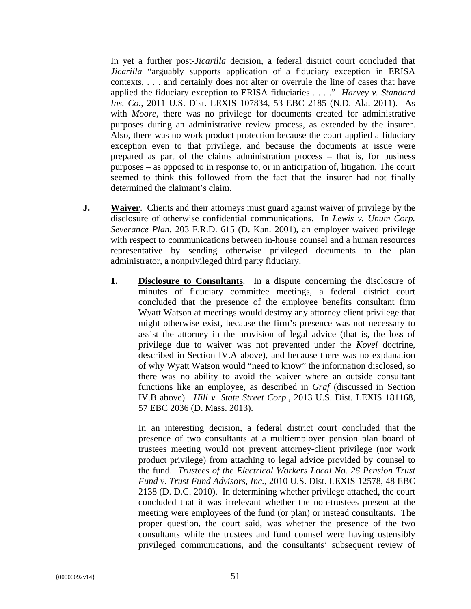In yet a further post-*Jicarilla* decision, a federal district court concluded that *Jicarilla* "arguably supports application of a fiduciary exception in ERISA contexts, . . . and certainly does not alter or overrule the line of cases that have applied the fiduciary exception to ERISA fiduciaries . . . ." *Harvey v. Standard Ins. Co.*, 2011 U.S. Dist. LEXIS 107834, 53 EBC 2185 (N.D. Ala. 2011). As with *Moore*, there was no privilege for documents created for administrative purposes during an administrative review process, as extended by the insurer. Also, there was no work product protection because the court applied a fiduciary exception even to that privilege, and because the documents at issue were prepared as part of the claims administration process – that is, for business purposes – as opposed to in response to, or in anticipation of, litigation. The court seemed to think this followed from the fact that the insurer had not finally determined the claimant's claim.

- **J. Waiver**. Clients and their attorneys must guard against waiver of privilege by the disclosure of otherwise confidential communications. In *Lewis v. Unum Corp. Severance Plan*, 203 F.R.D. 615 (D. Kan. 2001), an employer waived privilege with respect to communications between in-house counsel and a human resources representative by sending otherwise privileged documents to the plan administrator, a nonprivileged third party fiduciary.
	- **1. Disclosure to Consultants**. In a dispute concerning the disclosure of minutes of fiduciary committee meetings, a federal district court concluded that the presence of the employee benefits consultant firm Wyatt Watson at meetings would destroy any attorney client privilege that might otherwise exist, because the firm's presence was not necessary to assist the attorney in the provision of legal advice (that is, the loss of privilege due to waiver was not prevented under the *Kovel* doctrine, described in Section IV.A above), and because there was no explanation of why Wyatt Watson would "need to know" the information disclosed, so there was no ability to avoid the waiver where an outside consultant functions like an employee, as described in *Graf* (discussed in Section IV.B above). *Hill v. State Street Corp.*, 2013 U.S. Dist. LEXIS 181168, 57 EBC 2036 (D. Mass. 2013).

In an interesting decision, a federal district court concluded that the presence of two consultants at a multiemployer pension plan board of trustees meeting would not prevent attorney-client privilege (nor work product privilege) from attaching to legal advice provided by counsel to the fund. *Trustees of the Electrical Workers Local No. 26 Pension Trust Fund v. Trust Fund Advisors, Inc.*, 2010 U.S. Dist. LEXIS 12578, 48 EBC 2138 (D. D.C. 2010). In determining whether privilege attached, the court concluded that it was irrelevant whether the non-trustees present at the meeting were employees of the fund (or plan) or instead consultants. The proper question, the court said, was whether the presence of the two consultants while the trustees and fund counsel were having ostensibly privileged communications, and the consultants' subsequent review of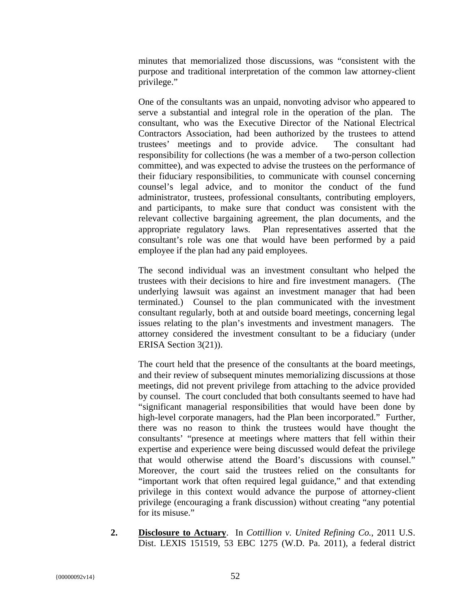minutes that memorialized those discussions, was "consistent with the purpose and traditional interpretation of the common law attorney-client privilege."

One of the consultants was an unpaid, nonvoting advisor who appeared to serve a substantial and integral role in the operation of the plan. The consultant, who was the Executive Director of the National Electrical Contractors Association, had been authorized by the trustees to attend trustees' meetings and to provide advice. The consultant had responsibility for collections (he was a member of a two-person collection committee), and was expected to advise the trustees on the performance of their fiduciary responsibilities, to communicate with counsel concerning counsel's legal advice, and to monitor the conduct of the fund administrator, trustees, professional consultants, contributing employers, and participants, to make sure that conduct was consistent with the relevant collective bargaining agreement, the plan documents, and the appropriate regulatory laws. Plan representatives asserted that the consultant's role was one that would have been performed by a paid employee if the plan had any paid employees.

The second individual was an investment consultant who helped the trustees with their decisions to hire and fire investment managers. (The underlying lawsuit was against an investment manager that had been terminated.) Counsel to the plan communicated with the investment consultant regularly, both at and outside board meetings, concerning legal issues relating to the plan's investments and investment managers. The attorney considered the investment consultant to be a fiduciary (under ERISA Section 3(21)).

The court held that the presence of the consultants at the board meetings, and their review of subsequent minutes memorializing discussions at those meetings, did not prevent privilege from attaching to the advice provided by counsel. The court concluded that both consultants seemed to have had "significant managerial responsibilities that would have been done by high-level corporate managers, had the Plan been incorporated." Further, there was no reason to think the trustees would have thought the consultants' "presence at meetings where matters that fell within their expertise and experience were being discussed would defeat the privilege that would otherwise attend the Board's discussions with counsel." Moreover, the court said the trustees relied on the consultants for "important work that often required legal guidance," and that extending privilege in this context would advance the purpose of attorney-client privilege (encouraging a frank discussion) without creating "any potential for its misuse."

**2. Disclosure to Actuary**. In *Cottillion v. United Refining Co.*, 2011 U.S. Dist. LEXIS 151519, 53 EBC 1275 (W.D. Pa. 2011), a federal district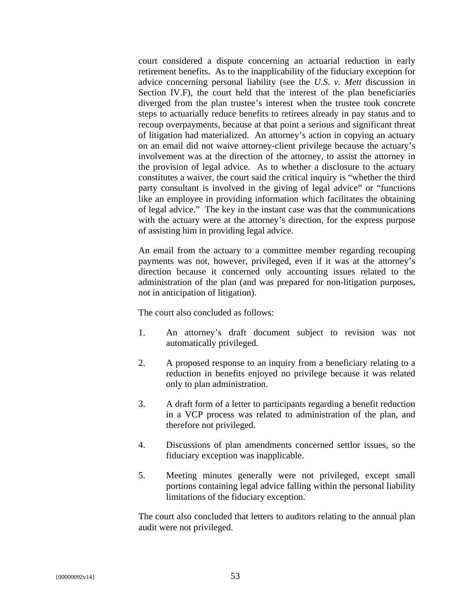court considered a dispute concerning an actuarial reduction in early retirement benefits. As to the inapplicability of the fiduciary exception for advice concerning personal liability (see the *U.S. v. Mett* discussion in Section IV.F), the court held that the interest of the plan beneficiaries diverged from the plan trustee's interest when the trustee took concrete steps to actuarially reduce benefits to retirees already in pay status and to recoup overpayments, because at that point a serious and significant threat of litigation had materialized. An attorney's action in copying an actuary on an email did not waive attorney-client privilege because the actuary's involvement was at the direction of the attorney, to assist the attorney in the provision of legal advice. As to whether a disclosure to the actuary constitutes a waiver, the court said the critical inquiry is "whether the third party consultant is involved in the giving of legal advice" or "functions like an employee in providing information which facilitates the obtaining of legal advice." The key in the instant case was that the communications with the actuary were at the attorney's direction, for the express purpose of assisting him in providing legal advice.

An email from the actuary to a committee member regarding recouping payments was not, however, privileged, even if it was at the attorney's direction because it concerned only accounting issues related to the administration of the plan (and was prepared for non-litigation purposes, not in anticipation of litigation).

The court also concluded as follows:

- 1. An attorney's draft document subject to revision was not automatically privileged.
- 2. A proposed response to an inquiry from a beneficiary relating to a reduction in benefits enjoyed no privilege because it was related only to plan administration.
- 3. A draft form of a letter to participants regarding a benefit reduction in a VCP process was related to administration of the plan, and therefore not privileged.
- 4. Discussions of plan amendments concerned settlor issues, so the fiduciary exception was inapplicable.
- 5. Meeting minutes generally were not privileged, except small portions containing legal advice falling within the personal liability limitations of the fiduciary exception.

The court also concluded that letters to auditors relating to the annual plan audit were not privileged.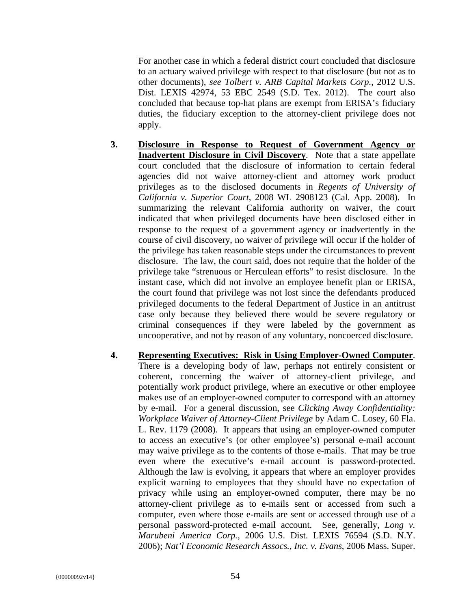For another case in which a federal district court concluded that disclosure to an actuary waived privilege with respect to that disclosure (but not as to other documents), *see Tolbert v. ARB Capital Markets Corp.*, 2012 U.S. Dist. LEXIS 42974, 53 EBC 2549 (S.D. Tex. 2012). The court also concluded that because top-hat plans are exempt from ERISA's fiduciary duties, the fiduciary exception to the attorney-client privilege does not apply.

- **3. Disclosure in Response to Request of Government Agency or Inadvertent Disclosure in Civil Discovery**. Note that a state appellate court concluded that the disclosure of information to certain federal agencies did not waive attorney-client and attorney work product privileges as to the disclosed documents in *Regents of University of California v. Superior Court*, 2008 WL 2908123 (Cal. App. 2008). In summarizing the relevant California authority on waiver, the court indicated that when privileged documents have been disclosed either in response to the request of a government agency or inadvertently in the course of civil discovery, no waiver of privilege will occur if the holder of the privilege has taken reasonable steps under the circumstances to prevent disclosure. The law, the court said, does not require that the holder of the privilege take "strenuous or Herculean efforts" to resist disclosure. In the instant case, which did not involve an employee benefit plan or ERISA, the court found that privilege was not lost since the defendants produced privileged documents to the federal Department of Justice in an antitrust case only because they believed there would be severe regulatory or criminal consequences if they were labeled by the government as uncooperative, and not by reason of any voluntary, noncoerced disclosure.
- **4. Representing Executives: Risk in Using Employer-Owned Computer**. There is a developing body of law, perhaps not entirely consistent or coherent, concerning the waiver of attorney-client privilege, and potentially work product privilege, where an executive or other employee makes use of an employer-owned computer to correspond with an attorney by e-mail. For a general discussion, see *Clicking Away Confidentiality: Workplace Waiver of Attorney-Client Privilege* by Adam C. Losey, 60 Fla. L. Rev. 1179 (2008). It appears that using an employer-owned computer to access an executive's (or other employee's) personal e-mail account may waive privilege as to the contents of those e-mails. That may be true even where the executive's e-mail account is password-protected. Although the law is evolving, it appears that where an employer provides explicit warning to employees that they should have no expectation of privacy while using an employer-owned computer, there may be no attorney-client privilege as to e-mails sent or accessed from such a computer, even where those e-mails are sent or accessed through use of a personal password-protected e-mail account. See, generally, *Long v. Marubeni America Corp.*, 2006 U.S. Dist. LEXIS 76594 (S.D. N.Y. 2006); *Nat'l Economic Research Assocs., Inc. v. Evans*, 2006 Mass. Super.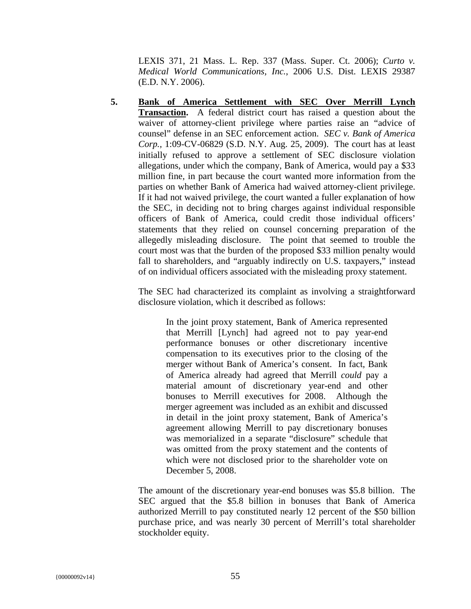LEXIS 371, 21 Mass. L. Rep. 337 (Mass. Super. Ct. 2006); *Curto v. Medical World Communications, Inc.*, 2006 U.S. Dist. LEXIS 29387 (E.D. N.Y. 2006).

**5. Bank of America Settlement with SEC Over Merrill Lynch Transaction.** A federal district court has raised a question about the waiver of attorney-client privilege where parties raise an "advice of counsel" defense in an SEC enforcement action. *SEC v. Bank of America Corp.,* 1:09-CV-06829 (S.D. N.Y. Aug. 25, 2009). The court has at least initially refused to approve a settlement of SEC disclosure violation allegations, under which the company, Bank of America, would pay a \$33 million fine, in part because the court wanted more information from the parties on whether Bank of America had waived attorney-client privilege. If it had not waived privilege, the court wanted a fuller explanation of how the SEC, in deciding not to bring charges against individual responsible officers of Bank of America, could credit those individual officers' statements that they relied on counsel concerning preparation of the allegedly misleading disclosure. The point that seemed to trouble the court most was that the burden of the proposed \$33 million penalty would fall to shareholders, and "arguably indirectly on U.S. taxpayers," instead of on individual officers associated with the misleading proxy statement.

The SEC had characterized its complaint as involving a straightforward disclosure violation, which it described as follows:

In the joint proxy statement, Bank of America represented that Merrill [Lynch] had agreed not to pay year-end performance bonuses or other discretionary incentive compensation to its executives prior to the closing of the merger without Bank of America's consent. In fact, Bank of America already had agreed that Merrill *could* pay a material amount of discretionary year-end and other bonuses to Merrill executives for 2008. Although the merger agreement was included as an exhibit and discussed in detail in the joint proxy statement, Bank of America's agreement allowing Merrill to pay discretionary bonuses was memorialized in a separate "disclosure" schedule that was omitted from the proxy statement and the contents of which were not disclosed prior to the shareholder vote on December 5, 2008.

The amount of the discretionary year-end bonuses was \$5.8 billion. The SEC argued that the \$5.8 billion in bonuses that Bank of America authorized Merrill to pay constituted nearly 12 percent of the \$50 billion purchase price, and was nearly 30 percent of Merrill's total shareholder stockholder equity.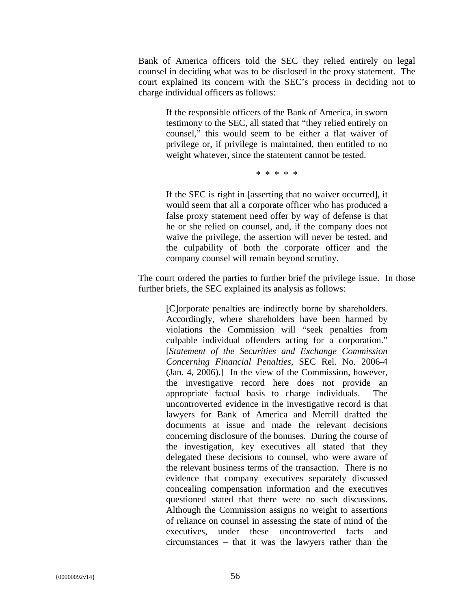Bank of America officers told the SEC they relied entirely on legal counsel in deciding what was to be disclosed in the proxy statement. The court explained its concern with the SEC's process in deciding not to charge individual officers as follows:

If the responsible officers of the Bank of America, in sworn testimony to the SEC, all stated that "they relied entirely on counsel," this would seem to be either a flat waiver of privilege or, if privilege is maintained, then entitled to no weight whatever, since the statement cannot be tested.

\* \* \* \* \*

If the SEC is right in [asserting that no waiver occurred], it would seem that all a corporate officer who has produced a false proxy statement need offer by way of defense is that he or she relied on counsel, and, if the company does not waive the privilege, the assertion will never be tested, and the culpability of both the corporate officer and the company counsel will remain beyond scrutiny.

The court ordered the parties to further brief the privilege issue. In those further briefs, the SEC explained its analysis as follows:

[C]orporate penalties are indirectly borne by shareholders. Accordingly, where shareholders have been harmed by violations the Commission will "seek penalties from culpable individual offenders acting for a corporation." [*Statement of the Securities and Exchange Commission Concerning Financial Penalties*, SEC Rel. No. 2006-4 (Jan. 4, 2006).] In the view of the Commission, however, the investigative record here does not provide an appropriate factual basis to charge individuals. The uncontroverted evidence in the investigative record is that lawyers for Bank of America and Merrill drafted the documents at issue and made the relevant decisions concerning disclosure of the bonuses. During the course of the investigation, key executives all stated that they delegated these decisions to counsel, who were aware of the relevant business terms of the transaction. There is no evidence that company executives separately discussed concealing compensation information and the executives questioned stated that there were no such discussions. Although the Commission assigns no weight to assertions of reliance on counsel in assessing the state of mind of the executives, under these uncontroverted facts and circumstances – that it was the lawyers rather than the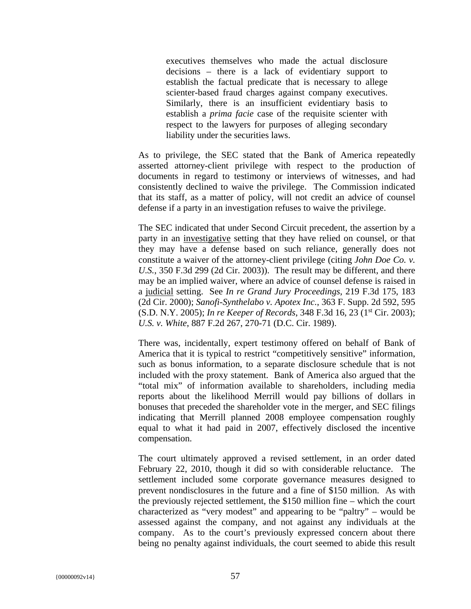executives themselves who made the actual disclosure decisions – there is a lack of evidentiary support to establish the factual predicate that is necessary to allege scienter-based fraud charges against company executives. Similarly, there is an insufficient evidentiary basis to establish a *prima facie* case of the requisite scienter with respect to the lawyers for purposes of alleging secondary liability under the securities laws.

As to privilege, the SEC stated that the Bank of America repeatedly asserted attorney-client privilege with respect to the production of documents in regard to testimony or interviews of witnesses, and had consistently declined to waive the privilege. The Commission indicated that its staff, as a matter of policy, will not credit an advice of counsel defense if a party in an investigation refuses to waive the privilege.

The SEC indicated that under Second Circuit precedent, the assertion by a party in an investigative setting that they have relied on counsel, or that they may have a defense based on such reliance, generally does not constitute a waiver of the attorney-client privilege (citing *John Doe Co. v. U.S.*, 350 F.3d 299 (2d Cir. 2003)). The result may be different, and there may be an implied waiver, where an advice of counsel defense is raised in a judicial setting. See *In re Grand Jury Proceedings*, 219 F.3d 175, 183 (2d Cir. 2000); *Sanofi-Synthelabo v. Apotex Inc.*, 363 F. Supp. 2d 592, 595 (S.D. N.Y. 2005); *In re Keeper of Records*, 348 F.3d 16, 23 (1st Cir. 2003); *U.S. v. White*, 887 F.2d 267, 270-71 (D.C. Cir. 1989).

There was, incidentally, expert testimony offered on behalf of Bank of America that it is typical to restrict "competitively sensitive" information, such as bonus information, to a separate disclosure schedule that is not included with the proxy statement. Bank of America also argued that the "total mix" of information available to shareholders, including media reports about the likelihood Merrill would pay billions of dollars in bonuses that preceded the shareholder vote in the merger, and SEC filings indicating that Merrill planned 2008 employee compensation roughly equal to what it had paid in 2007, effectively disclosed the incentive compensation.

The court ultimately approved a revised settlement, in an order dated February 22, 2010, though it did so with considerable reluctance. The settlement included some corporate governance measures designed to prevent nondisclosures in the future and a fine of \$150 million. As with the previously rejected settlement, the \$150 million fine – which the court characterized as "very modest" and appearing to be "paltry" – would be assessed against the company, and not against any individuals at the company. As to the court's previously expressed concern about there being no penalty against individuals, the court seemed to abide this result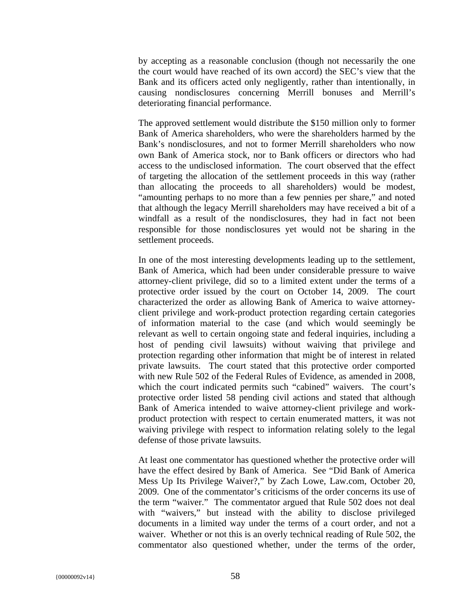by accepting as a reasonable conclusion (though not necessarily the one the court would have reached of its own accord) the SEC's view that the Bank and its officers acted only negligently, rather than intentionally, in causing nondisclosures concerning Merrill bonuses and Merrill's deteriorating financial performance.

The approved settlement would distribute the \$150 million only to former Bank of America shareholders, who were the shareholders harmed by the Bank's nondisclosures, and not to former Merrill shareholders who now own Bank of America stock, nor to Bank officers or directors who had access to the undisclosed information. The court observed that the effect of targeting the allocation of the settlement proceeds in this way (rather than allocating the proceeds to all shareholders) would be modest, "amounting perhaps to no more than a few pennies per share," and noted that although the legacy Merrill shareholders may have received a bit of a windfall as a result of the nondisclosures, they had in fact not been responsible for those nondisclosures yet would not be sharing in the settlement proceeds.

In one of the most interesting developments leading up to the settlement, Bank of America, which had been under considerable pressure to waive attorney-client privilege, did so to a limited extent under the terms of a protective order issued by the court on October 14, 2009. The court characterized the order as allowing Bank of America to waive attorneyclient privilege and work-product protection regarding certain categories of information material to the case (and which would seemingly be relevant as well to certain ongoing state and federal inquiries, including a host of pending civil lawsuits) without waiving that privilege and protection regarding other information that might be of interest in related private lawsuits. The court stated that this protective order comported with new Rule 502 of the Federal Rules of Evidence, as amended in 2008, which the court indicated permits such "cabined" waivers. The court's protective order listed 58 pending civil actions and stated that although Bank of America intended to waive attorney-client privilege and workproduct protection with respect to certain enumerated matters, it was not waiving privilege with respect to information relating solely to the legal defense of those private lawsuits.

At least one commentator has questioned whether the protective order will have the effect desired by Bank of America. See "Did Bank of America Mess Up Its Privilege Waiver?," by Zach Lowe, Law.com, October 20, 2009. One of the commentator's criticisms of the order concerns its use of the term "waiver." The commentator argued that Rule 502 does not deal with "waivers," but instead with the ability to disclose privileged documents in a limited way under the terms of a court order, and not a waiver. Whether or not this is an overly technical reading of Rule 502, the commentator also questioned whether, under the terms of the order,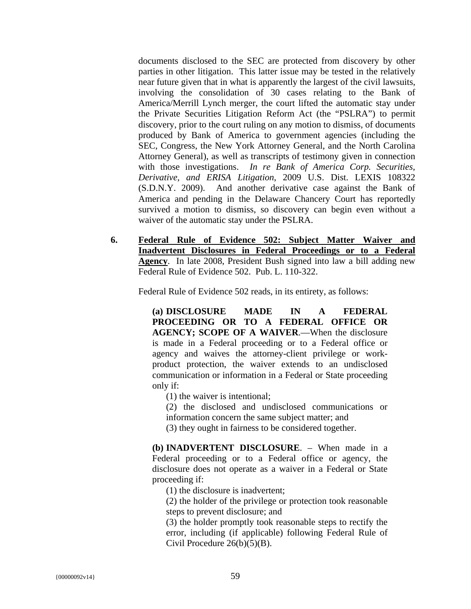documents disclosed to the SEC are protected from discovery by other parties in other litigation. This latter issue may be tested in the relatively near future given that in what is apparently the largest of the civil lawsuits, involving the consolidation of 30 cases relating to the Bank of America/Merrill Lynch merger, the court lifted the automatic stay under the Private Securities Litigation Reform Act (the "PSLRA") to permit discovery, prior to the court ruling on any motion to dismiss, of documents produced by Bank of America to government agencies (including the SEC, Congress, the New York Attorney General, and the North Carolina Attorney General), as well as transcripts of testimony given in connection with those investigations. *In re Bank of America Corp. Securities, Derivative, and ERISA Litigation*, 2009 U.S. Dist. LEXIS 108322 (S.D.N.Y. 2009). And another derivative case against the Bank of America and pending in the Delaware Chancery Court has reportedly survived a motion to dismiss, so discovery can begin even without a waiver of the automatic stay under the PSLRA.

**6. Federal Rule of Evidence 502: Subject Matter Waiver and Inadvertent Disclosures in Federal Proceedings or to a Federal Agency**. In late 2008, President Bush signed into law a bill adding new Federal Rule of Evidence 502. Pub. L. 110-322.

Federal Rule of Evidence 502 reads, in its entirety, as follows:

**(a) DISCLOSURE MADE IN A FEDERAL PROCEEDING OR TO A FEDERAL OFFICE OR AGENCY; SCOPE OF A WAIVER**.—When the disclosure is made in a Federal proceeding or to a Federal office or agency and waives the attorney-client privilege or workproduct protection, the waiver extends to an undisclosed communication or information in a Federal or State proceeding only if:

(1) the waiver is intentional;

(2) the disclosed and undisclosed communications or information concern the same subject matter; and

(3) they ought in fairness to be considered together.

**(b) INADVERTENT DISCLOSURE**. – When made in a Federal proceeding or to a Federal office or agency, the disclosure does not operate as a waiver in a Federal or State proceeding if:

(1) the disclosure is inadvertent;

(2) the holder of the privilege or protection took reasonable steps to prevent disclosure; and

(3) the holder promptly took reasonable steps to rectify the error, including (if applicable) following Federal Rule of Civil Procedure 26(b)(5)(B).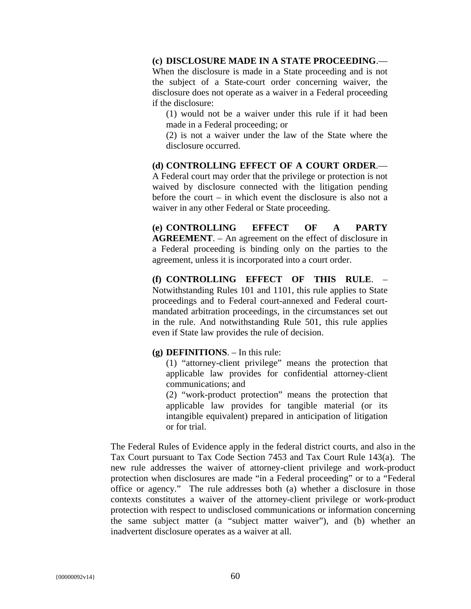## **(c) DISCLOSURE MADE IN A STATE PROCEEDING**.—

When the disclosure is made in a State proceeding and is not the subject of a State-court order concerning waiver, the disclosure does not operate as a waiver in a Federal proceeding if the disclosure:

(1) would not be a waiver under this rule if it had been made in a Federal proceeding; or

(2) is not a waiver under the law of the State where the disclosure occurred.

**(d) CONTROLLING EFFECT OF A COURT ORDER**.— A Federal court may order that the privilege or protection is not waived by disclosure connected with the litigation pending before the court – in which event the disclosure is also not a waiver in any other Federal or State proceeding.

**(e) CONTROLLING EFFECT OF A PARTY AGREEMENT**. – An agreement on the effect of disclosure in a Federal proceeding is binding only on the parties to the agreement, unless it is incorporated into a court order.

**(f) CONTROLLING EFFECT OF THIS RULE**. – Notwithstanding Rules 101 and 1101, this rule applies to State proceedings and to Federal court-annexed and Federal courtmandated arbitration proceedings, in the circumstances set out in the rule. And notwithstanding Rule 501, this rule applies even if State law provides the rule of decision.

## **(g) DEFINITIONS**. – In this rule:

(1) "attorney-client privilege" means the protection that applicable law provides for confidential attorney-client communications; and

(2) "work-product protection" means the protection that applicable law provides for tangible material (or its intangible equivalent) prepared in anticipation of litigation or for trial.

The Federal Rules of Evidence apply in the federal district courts, and also in the Tax Court pursuant to Tax Code Section 7453 and Tax Court Rule 143(a). The new rule addresses the waiver of attorney-client privilege and work-product protection when disclosures are made "in a Federal proceeding" or to a "Federal office or agency." The rule addresses both (a) whether a disclosure in those contexts constitutes a waiver of the attorney-client privilege or work-product protection with respect to undisclosed communications or information concerning the same subject matter (a "subject matter waiver"), and (b) whether an inadvertent disclosure operates as a waiver at all.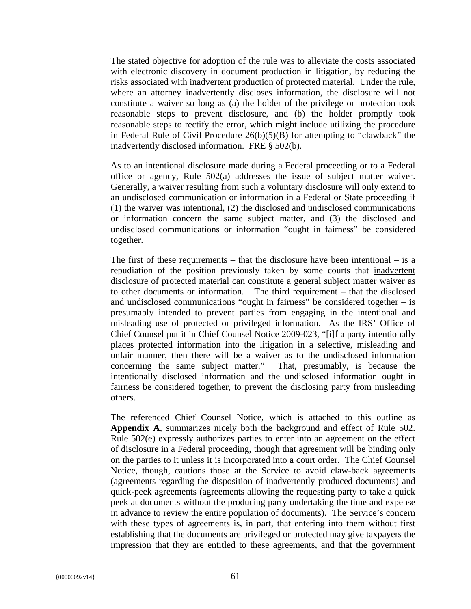The stated objective for adoption of the rule was to alleviate the costs associated with electronic discovery in document production in litigation, by reducing the risks associated with inadvertent production of protected material. Under the rule, where an attorney inadvertently discloses information, the disclosure will not constitute a waiver so long as (a) the holder of the privilege or protection took reasonable steps to prevent disclosure, and (b) the holder promptly took reasonable steps to rectify the error, which might include utilizing the procedure in Federal Rule of Civil Procedure  $26(b)(5)(B)$  for attempting to "clawback" the inadvertently disclosed information. FRE § 502(b).

As to an intentional disclosure made during a Federal proceeding or to a Federal office or agency, Rule  $502(a)$  addresses the issue of subject matter waiver. Generally, a waiver resulting from such a voluntary disclosure will only extend to an undisclosed communication or information in a Federal or State proceeding if (1) the waiver was intentional, (2) the disclosed and undisclosed communications or information concern the same subject matter, and (3) the disclosed and undisclosed communications or information "ought in fairness" be considered together.

The first of these requirements – that the disclosure have been intentional – is a repudiation of the position previously taken by some courts that inadvertent disclosure of protected material can constitute a general subject matter waiver as to other documents or information. The third requirement – that the disclosed and undisclosed communications "ought in fairness" be considered together – is presumably intended to prevent parties from engaging in the intentional and misleading use of protected or privileged information. As the IRS' Office of Chief Counsel put it in Chief Counsel Notice 2009-023, "[i]f a party intentionally places protected information into the litigation in a selective, misleading and unfair manner, then there will be a waiver as to the undisclosed information concerning the same subject matter." That, presumably, is because the intentionally disclosed information and the undisclosed information ought in fairness be considered together, to prevent the disclosing party from misleading others.

The referenced Chief Counsel Notice, which is attached to this outline as **Appendix A**, summarizes nicely both the background and effect of Rule 502. Rule 502(e) expressly authorizes parties to enter into an agreement on the effect of disclosure in a Federal proceeding, though that agreement will be binding only on the parties to it unless it is incorporated into a court order. The Chief Counsel Notice, though, cautions those at the Service to avoid claw-back agreements (agreements regarding the disposition of inadvertently produced documents) and quick-peek agreements (agreements allowing the requesting party to take a quick peek at documents without the producing party undertaking the time and expense in advance to review the entire population of documents). The Service's concern with these types of agreements is, in part, that entering into them without first establishing that the documents are privileged or protected may give taxpayers the impression that they are entitled to these agreements, and that the government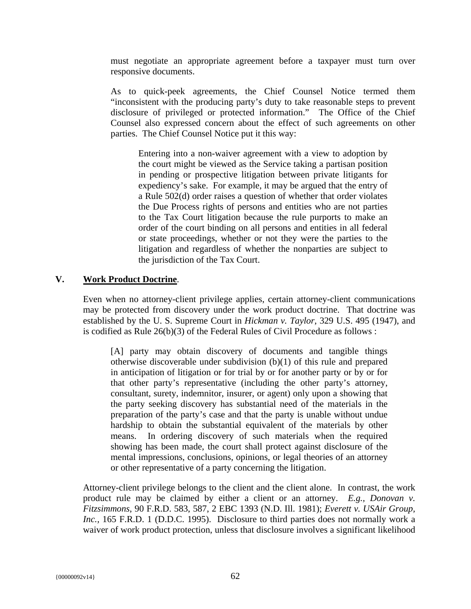must negotiate an appropriate agreement before a taxpayer must turn over responsive documents.

As to quick-peek agreements, the Chief Counsel Notice termed them "inconsistent with the producing party's duty to take reasonable steps to prevent disclosure of privileged or protected information." The Office of the Chief Counsel also expressed concern about the effect of such agreements on other parties. The Chief Counsel Notice put it this way:

Entering into a non-waiver agreement with a view to adoption by the court might be viewed as the Service taking a partisan position in pending or prospective litigation between private litigants for expediency's sake. For example, it may be argued that the entry of a Rule 502(d) order raises a question of whether that order violates the Due Process rights of persons and entities who are not parties to the Tax Court litigation because the rule purports to make an order of the court binding on all persons and entities in all federal or state proceedings, whether or not they were the parties to the litigation and regardless of whether the nonparties are subject to the jurisdiction of the Tax Court.

## **V. Work Product Doctrine**.

Even when no attorney-client privilege applies, certain attorney-client communications may be protected from discovery under the work product doctrine. That doctrine was established by the U. S. Supreme Court in *Hickman v. Taylor*, 329 U.S. 495 (1947), and is codified as Rule 26(b)(3) of the Federal Rules of Civil Procedure as follows :

[A] party may obtain discovery of documents and tangible things otherwise discoverable under subdivision (b)(1) of this rule and prepared in anticipation of litigation or for trial by or for another party or by or for that other party's representative (including the other party's attorney, consultant, surety, indemnitor, insurer, or agent) only upon a showing that the party seeking discovery has substantial need of the materials in the preparation of the party's case and that the party is unable without undue hardship to obtain the substantial equivalent of the materials by other means. In ordering discovery of such materials when the required showing has been made, the court shall protect against disclosure of the mental impressions, conclusions, opinions, or legal theories of an attorney or other representative of a party concerning the litigation.

Attorney-client privilege belongs to the client and the client alone. In contrast, the work product rule may be claimed by either a client or an attorney. *E.g., Donovan v. Fitzsimmons*, 90 F.R.D. 583, 587, 2 EBC 1393 (N.D. Ill. 1981); *Everett v. USAir Group, Inc.,* 165 F.R.D. 1 (D.D.C. 1995). Disclosure to third parties does not normally work a waiver of work product protection, unless that disclosure involves a significant likelihood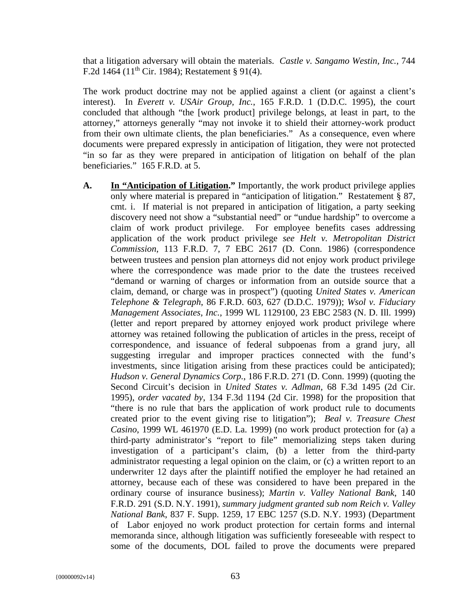that a litigation adversary will obtain the materials. *Castle v. Sangamo Westin, Inc.*, 744 F.2d 1464 (11<sup>th</sup> Cir. 1984); Restatement § 91(4).

The work product doctrine may not be applied against a client (or against a client's interest). In *Everett v. USAir Group, Inc.*, 165 F.R.D. 1 (D.D.C. 1995), the court concluded that although "the [work product] privilege belongs, at least in part, to the attorney," attorneys generally "may not invoke it to shield their attorney-work product from their own ultimate clients, the plan beneficiaries." As a consequence, even where documents were prepared expressly in anticipation of litigation, they were not protected "in so far as they were prepared in anticipation of litigation on behalf of the plan beneficiaries." 165 F.R.D. at 5.

A. **In "Anticipation of Litigation."** Importantly, the work product privilege applies only where material is prepared in "anticipation of litigation." Restatement § 87, cmt. i. If material is not prepared in anticipation of litigation, a party seeking discovery need not show a "substantial need" or "undue hardship" to overcome a claim of work product privilege. For employee benefits cases addressing application of the work product privilege *see Helt v. Metropolitan District Commission*, 113 F.R.D. 7, 7 EBC 2617 (D. Conn. 1986) (correspondence between trustees and pension plan attorneys did not enjoy work product privilege where the correspondence was made prior to the date the trustees received "demand or warning of charges or information from an outside source that a claim, demand, or charge was in prospect") (quoting *United States v. American Telephone & Telegraph*, 86 F.R.D. 603, 627 (D.D.C. 1979)); *Wsol v. Fiduciary Management Associates, Inc.*, 1999 WL 1129100, 23 EBC 2583 (N. D. Ill. 1999) (letter and report prepared by attorney enjoyed work product privilege where attorney was retained following the publication of articles in the press, receipt of correspondence, and issuance of federal subpoenas from a grand jury, all suggesting irregular and improper practices connected with the fund's investments, since litigation arising from these practices could be anticipated); *Hudson v. General Dynamics Corp.*, 186 F.R.D. 271 (D. Conn. 1999) (quoting the Second Circuit's decision in *United States v. Adlman*, 68 F.3d 1495 (2d Cir. 1995), *order vacated by*, 134 F.3d 1194 (2d Cir. 1998) for the proposition that "there is no rule that bars the application of work product rule to documents created prior to the event giving rise to litigation"); *Beal v. Treasure Chest Casino*, 1999 WL 461970 (E.D. La. 1999) (no work product protection for (a) a third-party administrator's "report to file" memorializing steps taken during investigation of a participant's claim, (b) a letter from the third-party administrator requesting a legal opinion on the claim, or (c) a written report to an underwriter 12 days after the plaintiff notified the employer he had retained an attorney, because each of these was considered to have been prepared in the ordinary course of insurance business); *Martin v. Valley National Bank*, 140 F.R.D. 291 (S.D. N.Y. 1991), *summary judgment granted sub nom Reich v. Valley National Bank*, 837 F. Supp. 1259, 17 EBC 1257 (S.D. N.Y. 1993) (Department of Labor enjoyed no work product protection for certain forms and internal memoranda since, although litigation was sufficiently foreseeable with respect to some of the documents, DOL failed to prove the documents were prepared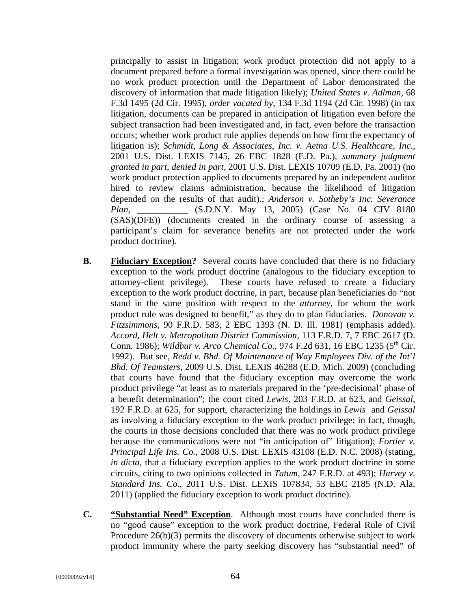principally to assist in litigation; work product protection did not apply to a document prepared before a formal investigation was opened, since there could be no work product protection until the Department of Labor demonstrated the discovery of information that made litigation likely); *United States v. Adlman*, 68 F.3d 1495 (2d Cir. 1995), *order vacated by*, 134 F.3d 1194 (2d Cir. 1998) (in tax litigation, documents can be prepared in anticipation of litigation even before the subject transaction had been investigated and, in fact, even before the transaction occurs; whether work product rule applies depends on how firm the expectancy of litigation is); *Schmidt, Long & Associates, Inc. v. Aetna U.S. Healthcare, Inc.*, 2001 U.S. Dist. LEXIS 7145, 26 EBC 1828 (E.D. Pa.), *summary judgment granted in part, denied in part,* 2001 U.S. Dist. LEXIS 10709 (E.D. Pa. 2001) (no work product protection applied to documents prepared by an independent auditor hired to review claims administration, because the likelihood of litigation depended on the results of that audit).; *Anderson v. Sotheby's Inc. Severance Plan,* \_\_\_\_\_\_\_\_\_\_\_ (S.D.N.Y. May 13, 2005) (Case No. 04 CIV 8180 (SAS)(DFE)) (documents created in the ordinary course of assessing a participant's claim for severance benefits are not protected under the work product doctrine).

- **B.** Fiduciary Exception? Several courts have concluded that there is no fiduciary exception to the work product doctrine (analogous to the fiduciary exception to attorney-client privilege). These courts have refused to create a fiduciary exception to the work product doctrine, in part, because plan beneficiaries do "not stand in the same position with respect to the *attorney*, for whom the work product rule was designed to benefit," as they do to plan fiduciaries. *Donovan v. Fitzsimmons*, 90 F.R.D. 583, 2 EBC 1393 (N. D. Ill. 1981) (emphasis added). *Accord, Helt v. Metropolitan District Commission*, 113 F.R.D. 7, 7 EBC 2617 (D. Conn. 1986); *Wildbur v. Arco Chemical Co.*, 974 F.2d 631, 16 EBC 1235 (5<sup>th</sup> Cir. 1992). But see, *Redd v. Bhd. Of Maintenance of Way Employees Div. of the Int'l Bhd. Of Teamsters*, 2009 U.S. Dist. LEXIS 46288 (E.D. Mich. 2009) (concluding that courts have found that the fiduciary exception may overcome the work product privilege "at least as to materials prepared in the 'pre-decisional' phase of a benefit determination"; the court cited *Lewis,* 203 F.R.D. at 623, and *Geissal*, 192 F.R.D. at 625, for support, characterizing the holdings in *Lewis* and *Geissal* as involving a fiduciary exception to the work product privilege; in fact, though, the courts in those decisions concluded that there was no work product privilege because the communications were not "in anticipation of" litigation); *Fortier v. Principal Life Ins. Co.*, 2008 U.S. Dist. LEXIS 43108 (E.D. N.C. 2008) (stating, *in dicta,* that a fiduciary exception applies to the work product doctrine in some circuits, citing to two opinions collected in *Tatum*, 247 F.R.D. at 493); *Harvey v. Standard Ins. Co*., 2011 U.S. Dist. LEXIS 107834, 53 EBC 2185 (N.D. Ala. 2011) (applied the fiduciary exception to work product doctrine).
- **C. "Substantial Need" Exception**. Although most courts have concluded there is no "good cause" exception to the work product doctrine, Federal Rule of Civil Procedure 26(b)(3) permits the discovery of documents otherwise subject to work product immunity where the party seeking discovery has "substantial need" of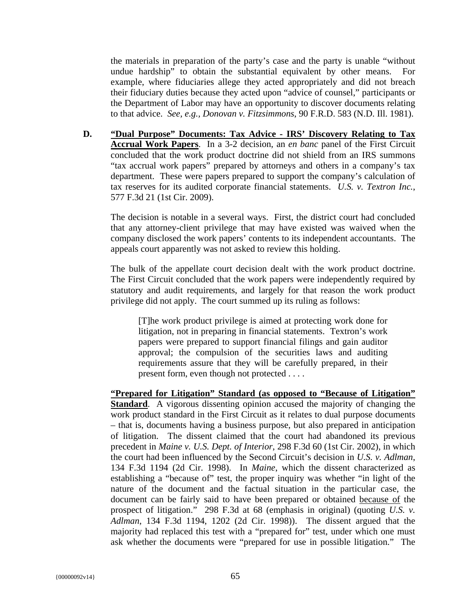the materials in preparation of the party's case and the party is unable "without undue hardship" to obtain the substantial equivalent by other means. For example, where fiduciaries allege they acted appropriately and did not breach their fiduciary duties because they acted upon "advice of counsel," participants or the Department of Labor may have an opportunity to discover documents relating to that advice. *See, e.g., Donovan v. Fitzsimmons*, 90 F.R.D. 583 (N.D. Ill. 1981).

**D. "Dual Purpose" Documents: Tax Advice - IRS' Discovery Relating to Tax Accrual Work Papers**. In a 3-2 decision, an *en banc* panel of the First Circuit concluded that the work product doctrine did not shield from an IRS summons "tax accrual work papers" prepared by attorneys and others in a company's tax department. These were papers prepared to support the company's calculation of tax reserves for its audited corporate financial statements. *U.S. v. Textron Inc.*, 577 F.3d 21 (1st Cir. 2009).

The decision is notable in a several ways. First, the district court had concluded that any attorney-client privilege that may have existed was waived when the company disclosed the work papers' contents to its independent accountants. The appeals court apparently was not asked to review this holding.

The bulk of the appellate court decision dealt with the work product doctrine. The First Circuit concluded that the work papers were independently required by statutory and audit requirements, and largely for that reason the work product privilege did not apply. The court summed up its ruling as follows:

[T]he work product privilege is aimed at protecting work done for litigation, not in preparing in financial statements. Textron's work papers were prepared to support financial filings and gain auditor approval; the compulsion of the securities laws and auditing requirements assure that they will be carefully prepared, in their present form, even though not protected . . . .

**"Prepared for Litigation" Standard (as opposed to "Because of Litigation" Standard.** A vigorous dissenting opinion accused the majority of changing the work product standard in the First Circuit as it relates to dual purpose documents – that is, documents having a business purpose, but also prepared in anticipation of litigation. The dissent claimed that the court had abandoned its previous precedent in *Maine v. U.S. Dept. of Interior*, 298 F.3d 60 (1st Cir. 2002), in which the court had been influenced by the Second Circuit's decision in *U.S. v. Adlman*, 134 F.3d 1194 (2d Cir. 1998). In *Maine*, which the dissent characterized as establishing a "because of" test, the proper inquiry was whether "in light of the nature of the document and the factual situation in the particular case, the document can be fairly said to have been prepared or obtained because of the prospect of litigation." 298 F.3d at 68 (emphasis in original) (quoting *U.S. v. Adlman*, 134 F.3d 1194, 1202 (2d Cir. 1998)). The dissent argued that the majority had replaced this test with a "prepared for" test, under which one must ask whether the documents were "prepared for use in possible litigation." The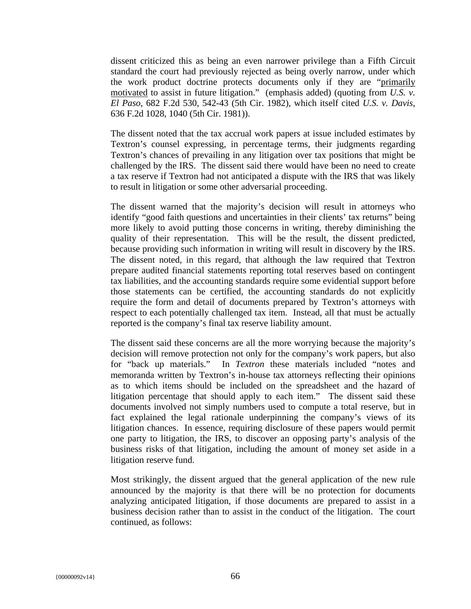dissent criticized this as being an even narrower privilege than a Fifth Circuit standard the court had previously rejected as being overly narrow, under which the work product doctrine protects documents only if they are "primarily motivated to assist in future litigation." (emphasis added) (quoting from *U.S. v. El Paso*, 682 F.2d 530, 542-43 (5th Cir. 1982), which itself cited *U.S. v. Davis*, 636 F.2d 1028, 1040 (5th Cir. 1981)).

The dissent noted that the tax accrual work papers at issue included estimates by Textron's counsel expressing, in percentage terms, their judgments regarding Textron's chances of prevailing in any litigation over tax positions that might be challenged by the IRS. The dissent said there would have been no need to create a tax reserve if Textron had not anticipated a dispute with the IRS that was likely to result in litigation or some other adversarial proceeding.

The dissent warned that the majority's decision will result in attorneys who identify "good faith questions and uncertainties in their clients' tax returns" being more likely to avoid putting those concerns in writing, thereby diminishing the quality of their representation. This will be the result, the dissent predicted, because providing such information in writing will result in discovery by the IRS. The dissent noted, in this regard, that although the law required that Textron prepare audited financial statements reporting total reserves based on contingent tax liabilities, and the accounting standards require some evidential support before those statements can be certified, the accounting standards do not explicitly require the form and detail of documents prepared by Textron's attorneys with respect to each potentially challenged tax item. Instead, all that must be actually reported is the company's final tax reserve liability amount.

The dissent said these concerns are all the more worrying because the majority's decision will remove protection not only for the company's work papers, but also for "back up materials." In *Textron* these materials included "notes and memoranda written by Textron's in-house tax attorneys reflecting their opinions as to which items should be included on the spreadsheet and the hazard of litigation percentage that should apply to each item." The dissent said these documents involved not simply numbers used to compute a total reserve, but in fact explained the legal rationale underpinning the company's views of its litigation chances. In essence, requiring disclosure of these papers would permit one party to litigation, the IRS, to discover an opposing party's analysis of the business risks of that litigation, including the amount of money set aside in a litigation reserve fund.

Most strikingly, the dissent argued that the general application of the new rule announced by the majority is that there will be no protection for documents analyzing anticipated litigation, if those documents are prepared to assist in a business decision rather than to assist in the conduct of the litigation. The court continued, as follows: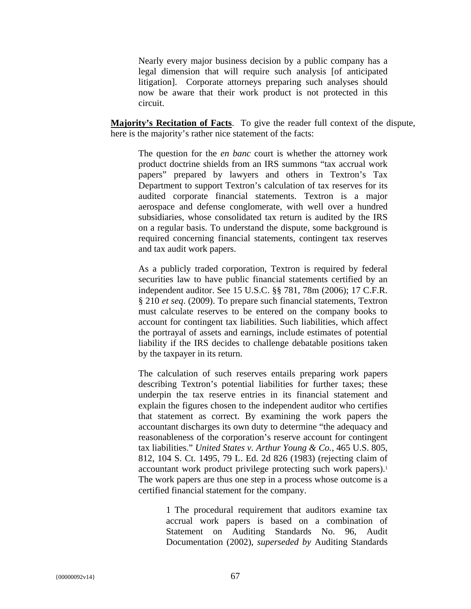Nearly every major business decision by a public company has a legal dimension that will require such analysis [of anticipated litigation]. Corporate attorneys preparing such analyses should now be aware that their work product is not protected in this circuit.

**Majority's Recitation of Facts**. To give the reader full context of the dispute, here is the majority's rather nice statement of the facts:

The question for the *en banc* court is whether the attorney work product doctrine shields from an IRS summons "tax accrual work papers" prepared by lawyers and others in Textron's Tax Department to support Textron's calculation of tax reserves for its audited corporate financial statements. Textron is a major aerospace and defense conglomerate, with well over a hundred subsidiaries, whose consolidated tax return is audited by the IRS on a regular basis. To understand the dispute, some background is required concerning financial statements, contingent tax reserves and tax audit work papers.

As a publicly traded corporation, Textron is required by federal securities law to have public financial statements certified by an independent auditor. See 15 U.S.C. §§ 781, 78m (2006); 17 C.F.R. § 210 *et seq*. (2009). To prepare such financial statements, Textron must calculate reserves to be entered on the company books to account for contingent tax liabilities. Such liabilities, which affect the portrayal of assets and earnings, include estimates of potential liability if the IRS decides to challenge debatable positions taken by the taxpayer in its return.

The calculation of such reserves entails preparing work papers describing Textron's potential liabilities for further taxes; these underpin the tax reserve entries in its financial statement and explain the figures chosen to the independent auditor who certifies that statement as correct. By examining the work papers the accountant discharges its own duty to determine "the adequacy and reasonableness of the corporation's reserve account for contingent tax liabilities." *United States v. Arthur Young & Co.,* 465 U.S. 805, 812, 104 S. Ct. 1495, 79 L. Ed. 2d 826 (1983) (rejecting claim of accountant work product privilege protecting such work papers).<sup>1</sup> The work papers are thus one step in a process whose outcome is a certified financial statement for the company.

> 1 The procedural requirement that auditors examine tax accrual work papers is based on a combination of Statement on Auditing Standards No. 96, Audit Documentation (2002), *superseded by* Auditing Standards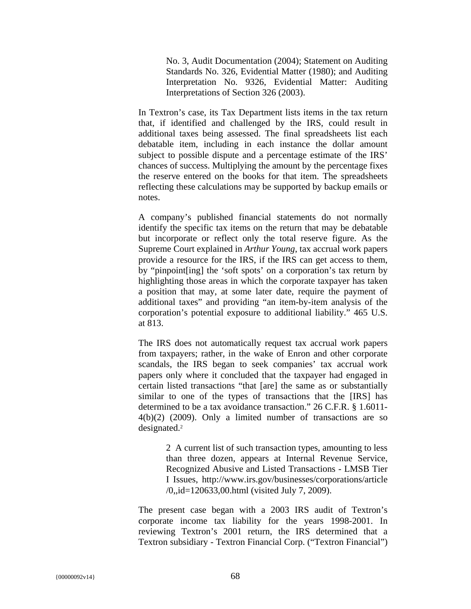No. 3, Audit Documentation (2004); Statement on Auditing Standards No. 326, Evidential Matter (1980); and Auditing Interpretation No. 9326, Evidential Matter: Auditing Interpretations of Section 326 (2003).

In Textron's case, its Tax Department lists items in the tax return that, if identified and challenged by the IRS, could result in additional taxes being assessed. The final spreadsheets list each debatable item, including in each instance the dollar amount subject to possible dispute and a percentage estimate of the IRS' chances of success. Multiplying the amount by the percentage fixes the reserve entered on the books for that item. The spreadsheets reflecting these calculations may be supported by backup emails or notes.

A company's published financial statements do not normally identify the specific tax items on the return that may be debatable but incorporate or reflect only the total reserve figure. As the Supreme Court explained in *Arthur Young*, tax accrual work papers provide a resource for the IRS, if the IRS can get access to them, by "pinpoint[ing] the 'soft spots' on a corporation's tax return by highlighting those areas in which the corporate taxpayer has taken a position that may, at some later date, require the payment of additional taxes" and providing "an item-by-item analysis of the corporation's potential exposure to additional liability." 465 U.S. at 813.

The IRS does not automatically request tax accrual work papers from taxpayers; rather, in the wake of Enron and other corporate scandals, the IRS began to seek companies' tax accrual work papers only where it concluded that the taxpayer had engaged in certain listed transactions "that [are] the same as or substantially similar to one of the types of transactions that the [IRS] has determined to be a tax avoidance transaction." 26 C.F.R. § 1.6011- 4(b)(2) (2009). Only a limited number of transactions are so designated.2

> 2 A current list of such transaction types, amounting to less than three dozen, appears at Internal Revenue Service, Recognized Abusive and Listed Transactions - LMSB Tier I Issues, http://www.irs.gov/businesses/corporations/article /0,,id=120633,00.html (visited July 7, 2009).

The present case began with a 2003 IRS audit of Textron's corporate income tax liability for the years 1998-2001. In reviewing Textron's 2001 return, the IRS determined that a Textron subsidiary - Textron Financial Corp. ("Textron Financial")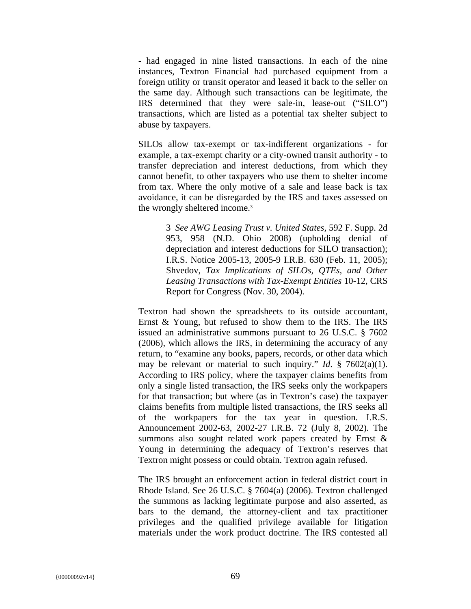- had engaged in nine listed transactions. In each of the nine instances, Textron Financial had purchased equipment from a foreign utility or transit operator and leased it back to the seller on the same day. Although such transactions can be legitimate, the IRS determined that they were sale-in, lease-out ("SILO") transactions, which are listed as a potential tax shelter subject to abuse by taxpayers.

SILOs allow tax-exempt or tax-indifferent organizations - for example, a tax-exempt charity or a city-owned transit authority - to transfer depreciation and interest deductions, from which they cannot benefit, to other taxpayers who use them to shelter income from tax. Where the only motive of a sale and lease back is tax avoidance, it can be disregarded by the IRS and taxes assessed on the wrongly sheltered income.3

> 3 *See AWG Leasing Trust v. United States,* 592 F. Supp. 2d 953, 958 (N.D. Ohio 2008) (upholding denial of depreciation and interest deductions for SILO transaction); I.R.S. Notice 2005-13, 2005-9 I.R.B. 630 (Feb. 11, 2005); Shvedov, *Tax Implications of SILOs, QTEs, and Other Leasing Transactions with Tax-Exempt Entities* 10-12, CRS Report for Congress (Nov. 30, 2004).

Textron had shown the spreadsheets to its outside accountant, Ernst & Young, but refused to show them to the IRS. The IRS issued an administrative summons pursuant to 26 U.S.C. § 7602 (2006), which allows the IRS, in determining the accuracy of any return, to "examine any books, papers, records, or other data which may be relevant or material to such inquiry." *Id*. § 7602(a)(1). According to IRS policy, where the taxpayer claims benefits from only a single listed transaction, the IRS seeks only the workpapers for that transaction; but where (as in Textron's case) the taxpayer claims benefits from multiple listed transactions, the IRS seeks all of the workpapers for the tax year in question. I.R.S. Announcement 2002-63, 2002-27 I.R.B. 72 (July 8, 2002). The summons also sought related work papers created by Ernst & Young in determining the adequacy of Textron's reserves that Textron might possess or could obtain. Textron again refused.

The IRS brought an enforcement action in federal district court in Rhode Island. See 26 U.S.C. § 7604(a) (2006). Textron challenged the summons as lacking legitimate purpose and also asserted, as bars to the demand, the attorney-client and tax practitioner privileges and the qualified privilege available for litigation materials under the work product doctrine. The IRS contested all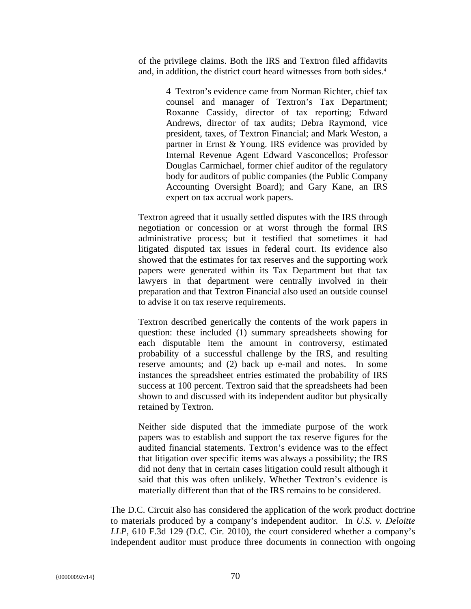of the privilege claims. Both the IRS and Textron filed affidavits and, in addition, the district court heard witnesses from both sides.<sup>4</sup>

> 4 Textron's evidence came from Norman Richter, chief tax counsel and manager of Textron's Tax Department; Roxanne Cassidy, director of tax reporting; Edward Andrews, director of tax audits; Debra Raymond, vice president, taxes, of Textron Financial; and Mark Weston, a partner in Ernst & Young. IRS evidence was provided by Internal Revenue Agent Edward Vasconcellos; Professor Douglas Carmichael, former chief auditor of the regulatory body for auditors of public companies (the Public Company Accounting Oversight Board); and Gary Kane, an IRS expert on tax accrual work papers.

Textron agreed that it usually settled disputes with the IRS through negotiation or concession or at worst through the formal IRS administrative process; but it testified that sometimes it had litigated disputed tax issues in federal court. Its evidence also showed that the estimates for tax reserves and the supporting work papers were generated within its Tax Department but that tax lawyers in that department were centrally involved in their preparation and that Textron Financial also used an outside counsel to advise it on tax reserve requirements.

Textron described generically the contents of the work papers in question: these included (1) summary spreadsheets showing for each disputable item the amount in controversy, estimated probability of a successful challenge by the IRS, and resulting reserve amounts; and (2) back up e-mail and notes. In some instances the spreadsheet entries estimated the probability of IRS success at 100 percent. Textron said that the spreadsheets had been shown to and discussed with its independent auditor but physically retained by Textron.

Neither side disputed that the immediate purpose of the work papers was to establish and support the tax reserve figures for the audited financial statements. Textron's evidence was to the effect that litigation over specific items was always a possibility; the IRS did not deny that in certain cases litigation could result although it said that this was often unlikely. Whether Textron's evidence is materially different than that of the IRS remains to be considered.

The D.C. Circuit also has considered the application of the work product doctrine to materials produced by a company's independent auditor. In *U.S. v. Deloitte LLP*, 610 F.3d 129 (D.C. Cir. 2010), the court considered whether a company's independent auditor must produce three documents in connection with ongoing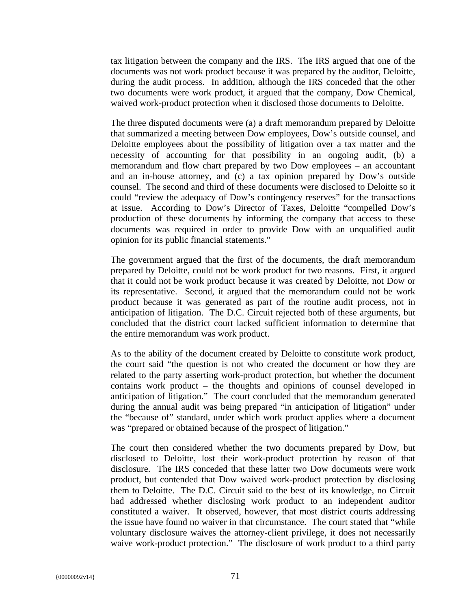tax litigation between the company and the IRS. The IRS argued that one of the documents was not work product because it was prepared by the auditor, Deloitte, during the audit process. In addition, although the IRS conceded that the other two documents were work product, it argued that the company, Dow Chemical, waived work-product protection when it disclosed those documents to Deloitte.

The three disputed documents were (a) a draft memorandum prepared by Deloitte that summarized a meeting between Dow employees, Dow's outside counsel, and Deloitte employees about the possibility of litigation over a tax matter and the necessity of accounting for that possibility in an ongoing audit, (b) a memorandum and flow chart prepared by two Dow employees – an accountant and an in-house attorney, and (c) a tax opinion prepared by Dow's outside counsel. The second and third of these documents were disclosed to Deloitte so it could "review the adequacy of Dow's contingency reserves" for the transactions at issue. According to Dow's Director of Taxes, Deloitte "compelled Dow's production of these documents by informing the company that access to these documents was required in order to provide Dow with an unqualified audit opinion for its public financial statements."

The government argued that the first of the documents, the draft memorandum prepared by Deloitte, could not be work product for two reasons. First, it argued that it could not be work product because it was created by Deloitte, not Dow or its representative. Second, it argued that the memorandum could not be work product because it was generated as part of the routine audit process, not in anticipation of litigation. The D.C. Circuit rejected both of these arguments, but concluded that the district court lacked sufficient information to determine that the entire memorandum was work product.

As to the ability of the document created by Deloitte to constitute work product, the court said "the question is not who created the document or how they are related to the party asserting work-product protection, but whether the document contains work product – the thoughts and opinions of counsel developed in anticipation of litigation." The court concluded that the memorandum generated during the annual audit was being prepared "in anticipation of litigation" under the "because of" standard, under which work product applies where a document was "prepared or obtained because of the prospect of litigation."

The court then considered whether the two documents prepared by Dow, but disclosed to Deloitte, lost their work-product protection by reason of that disclosure. The IRS conceded that these latter two Dow documents were work product, but contended that Dow waived work-product protection by disclosing them to Deloitte. The D.C. Circuit said to the best of its knowledge, no Circuit had addressed whether disclosing work product to an independent auditor constituted a waiver. It observed, however, that most district courts addressing the issue have found no waiver in that circumstance. The court stated that "while voluntary disclosure waives the attorney-client privilege, it does not necessarily waive work-product protection." The disclosure of work product to a third party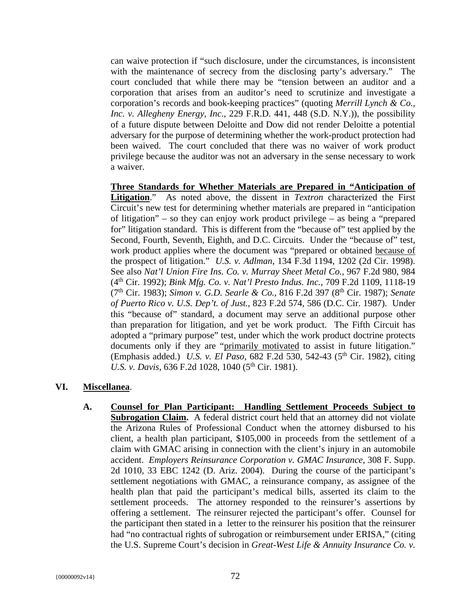can waive protection if "such disclosure, under the circumstances, is inconsistent with the maintenance of secrecy from the disclosing party's adversary." The court concluded that while there may be "tension between an auditor and a corporation that arises from an auditor's need to scrutinize and investigate a corporation's records and book-keeping practices" (quoting *Merrill Lynch & Co., Inc. v. Allegheny Energy, Inc*., 229 F.R.D. 441, 448 (S.D. N.Y.)), the possibility of a future dispute between Deloitte and Dow did not render Deloitte a potential adversary for the purpose of determining whether the work-product protection had been waived. The court concluded that there was no waiver of work product privilege because the auditor was not an adversary in the sense necessary to work a waiver.

**Three Standards for Whether Materials are Prepared in "Anticipation of Litigation**." As noted above, the dissent in *Textron* characterized the First Circuit's new test for determining whether materials are prepared in "anticipation of litigation" – so they can enjoy work product privilege – as being a "prepared for" litigation standard. This is different from the "because of" test applied by the Second, Fourth, Seventh, Eighth, and D.C. Circuits. Under the "because of" test, work product applies where the document was "prepared or obtained because of the prospect of litigation." *U.S. v. Adlman*, 134 F.3d 1194, 1202 (2d Cir. 1998). See also *Nat'l Union Fire Ins. Co. v. Murray Sheet Metal Co.*, 967 F.2d 980, 984 (4th Cir. 1992); *Bink Mfg. Co. v. Nat'l Presto Indus. Inc.*, 709 F.2d 1109, 1118-19 (7th Cir. 1983); *Simon v. G.D. Searle & Co.*, 816 F.2d 397 (8th Cir. 1987); *Senate of Puerto Rico v. U.S. Dep't. of Just.*, 823 F.2d 574, 586 (D.C. Cir. 1987). Under this "because of" standard, a document may serve an additional purpose other than preparation for litigation, and yet be work product. The Fifth Circuit has adopted a "primary purpose" test, under which the work product doctrine protects documents only if they are "primarily motivated to assist in future litigation." (Emphasis added.) *U.S. v. El Paso*, 682 F.2d 530, 542-43 (5th Cir. 1982), citing *U.S. v. Davis*, 636 F.2d 1028, 1040 (5<sup>th</sup> Cir. 1981).

#### **VI. Miscellanea**.

**A. Counsel for Plan Participant: Handling Settlement Proceeds Subject to Subrogation Claim.** A federal district court held that an attorney did not violate the Arizona Rules of Professional Conduct when the attorney disbursed to his client, a health plan participant, \$105,000 in proceeds from the settlement of a claim with GMAC arising in connection with the client's injury in an automobile accident. *Employers Reinsurance Corporation v. GMAC Insurance*, 308 F. Supp. 2d 1010, 33 EBC 1242 (D. Ariz. 2004). During the course of the participant's settlement negotiations with GMAC, a reinsurance company, as assignee of the health plan that paid the participant's medical bills, asserted its claim to the settlement proceeds. The attorney responded to the reinsurer's assertions by offering a settlement. The reinsurer rejected the participant's offer. Counsel for the participant then stated in a letter to the reinsurer his position that the reinsurer had "no contractual rights of subrogation or reimbursement under ERISA," (citing the U.S. Supreme Court's decision in *Great-West Life & Annuity Insurance Co. v.*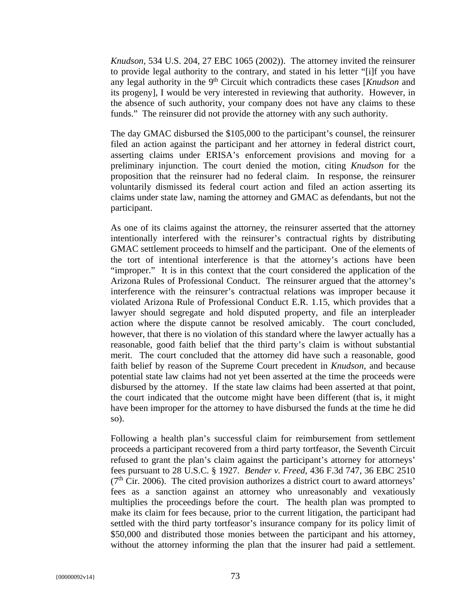*Knudson*, 534 U.S. 204, 27 EBC 1065 (2002)). The attorney invited the reinsurer to provide legal authority to the contrary, and stated in his letter "[i]f you have any legal authority in the 9<sup>th</sup> Circuit which contradicts these cases [*Knudson* and its progeny], I would be very interested in reviewing that authority. However, in the absence of such authority, your company does not have any claims to these funds." The reinsurer did not provide the attorney with any such authority.

The day GMAC disbursed the \$105,000 to the participant's counsel, the reinsurer filed an action against the participant and her attorney in federal district court, asserting claims under ERISA's enforcement provisions and moving for a preliminary injunction. The court denied the motion, citing *Knudson* for the proposition that the reinsurer had no federal claim. In response, the reinsurer voluntarily dismissed its federal court action and filed an action asserting its claims under state law, naming the attorney and GMAC as defendants, but not the participant.

As one of its claims against the attorney, the reinsurer asserted that the attorney intentionally interfered with the reinsurer's contractual rights by distributing GMAC settlement proceeds to himself and the participant. One of the elements of the tort of intentional interference is that the attorney's actions have been "improper." It is in this context that the court considered the application of the Arizona Rules of Professional Conduct. The reinsurer argued that the attorney's interference with the reinsurer's contractual relations was improper because it violated Arizona Rule of Professional Conduct E.R. 1.15, which provides that a lawyer should segregate and hold disputed property, and file an interpleader action where the dispute cannot be resolved amicably. The court concluded, however, that there is no violation of this standard where the lawyer actually has a reasonable, good faith belief that the third party's claim is without substantial merit. The court concluded that the attorney did have such a reasonable, good faith belief by reason of the Supreme Court precedent in *Knudson*, and because potential state law claims had not yet been asserted at the time the proceeds were disbursed by the attorney. If the state law claims had been asserted at that point, the court indicated that the outcome might have been different (that is, it might have been improper for the attorney to have disbursed the funds at the time he did so).

Following a health plan's successful claim for reimbursement from settlement proceeds a participant recovered from a third party tortfeasor, the Seventh Circuit refused to grant the plan's claim against the participant's attorney for attorneys' fees pursuant to 28 U.S.C. § 1927. *Bender v. Freed*, 436 F.3d 747, 36 EBC 2510  $(7<sup>th</sup> Cir. 2006)$ . The cited provision authorizes a district court to award attorneys' fees as a sanction against an attorney who unreasonably and vexatiously multiplies the proceedings before the court. The health plan was prompted to make its claim for fees because, prior to the current litigation, the participant had settled with the third party tortfeasor's insurance company for its policy limit of \$50,000 and distributed those monies between the participant and his attorney, without the attorney informing the plan that the insurer had paid a settlement.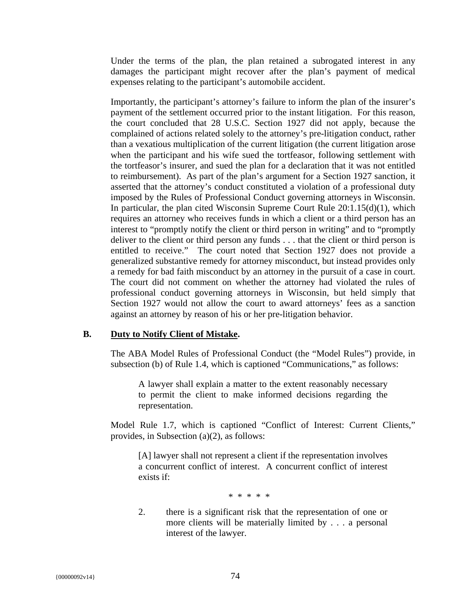Under the terms of the plan, the plan retained a subrogated interest in any damages the participant might recover after the plan's payment of medical expenses relating to the participant's automobile accident.

Importantly, the participant's attorney's failure to inform the plan of the insurer's payment of the settlement occurred prior to the instant litigation. For this reason, the court concluded that 28 U.S.C. Section 1927 did not apply, because the complained of actions related solely to the attorney's pre-litigation conduct, rather than a vexatious multiplication of the current litigation (the current litigation arose when the participant and his wife sued the tortfeasor, following settlement with the tortfeasor's insurer, and sued the plan for a declaration that it was not entitled to reimbursement). As part of the plan's argument for a Section 1927 sanction, it asserted that the attorney's conduct constituted a violation of a professional duty imposed by the Rules of Professional Conduct governing attorneys in Wisconsin. In particular, the plan cited Wisconsin Supreme Court Rule 20:1.15(d)(1), which requires an attorney who receives funds in which a client or a third person has an interest to "promptly notify the client or third person in writing" and to "promptly deliver to the client or third person any funds . . . that the client or third person is entitled to receive." The court noted that Section 1927 does not provide a generalized substantive remedy for attorney misconduct, but instead provides only a remedy for bad faith misconduct by an attorney in the pursuit of a case in court. The court did not comment on whether the attorney had violated the rules of professional conduct governing attorneys in Wisconsin, but held simply that Section 1927 would not allow the court to award attorneys' fees as a sanction against an attorney by reason of his or her pre-litigation behavior.

#### **B. Duty to Notify Client of Mistake.**

The ABA Model Rules of Professional Conduct (the "Model Rules") provide, in subsection (b) of Rule 1.4, which is captioned "Communications," as follows:

A lawyer shall explain a matter to the extent reasonably necessary to permit the client to make informed decisions regarding the representation.

Model Rule 1.7, which is captioned "Conflict of Interest: Current Clients," provides, in Subsection (a)(2), as follows:

[A] lawyer shall not represent a client if the representation involves a concurrent conflict of interest. A concurrent conflict of interest exists if:

\* \* \* \* \*

2. there is a significant risk that the representation of one or more clients will be materially limited by . . . a personal interest of the lawyer.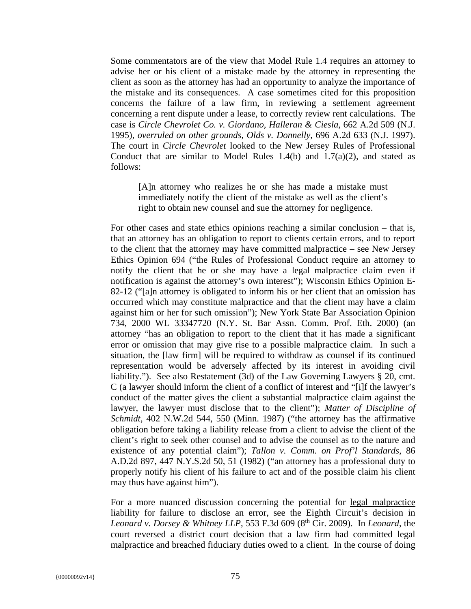Some commentators are of the view that Model Rule 1.4 requires an attorney to advise her or his client of a mistake made by the attorney in representing the client as soon as the attorney has had an opportunity to analyze the importance of the mistake and its consequences. A case sometimes cited for this proposition concerns the failure of a law firm, in reviewing a settlement agreement concerning a rent dispute under a lease, to correctly review rent calculations. The case is *Circle Chevrolet Co. v. Giordano, Halleran & Ciesla*, 662 A.2d 509 (N.J. 1995), *overruled on other grounds*, *Olds v. Donnelly*, 696 A.2d 633 (N.J. 1997). The court in *Circle Chevrolet* looked to the New Jersey Rules of Professional Conduct that are similar to Model Rules  $1.4(b)$  and  $1.7(a)(2)$ , and stated as follows:

[A]n attorney who realizes he or she has made a mistake must immediately notify the client of the mistake as well as the client's right to obtain new counsel and sue the attorney for negligence.

For other cases and state ethics opinions reaching a similar conclusion – that is, that an attorney has an obligation to report to clients certain errors, and to report to the client that the attorney may have committed malpractice – see New Jersey Ethics Opinion 694 ("the Rules of Professional Conduct require an attorney to notify the client that he or she may have a legal malpractice claim even if notification is against the attorney's own interest"); Wisconsin Ethics Opinion E-82-12 ("[a]n attorney is obligated to inform his or her client that an omission has occurred which may constitute malpractice and that the client may have a claim against him or her for such omission"); New York State Bar Association Opinion 734, 2000 WL 33347720 (N.Y. St. Bar Assn. Comm. Prof. Eth. 2000) (an attorney "has an obligation to report to the client that it has made a significant error or omission that may give rise to a possible malpractice claim. In such a situation, the [law firm] will be required to withdraw as counsel if its continued representation would be adversely affected by its interest in avoiding civil liability."). See also Restatement (3d) of the Law Governing Lawyers § 20, cmt. C (a lawyer should inform the client of a conflict of interest and "[i]f the lawyer's conduct of the matter gives the client a substantial malpractice claim against the lawyer, the lawyer must disclose that to the client"); *Matter of Discipline of Schmidt*, 402 N.W.2d 544, 550 (Minn. 1987) ("the attorney has the affirmative obligation before taking a liability release from a client to advise the client of the client's right to seek other counsel and to advise the counsel as to the nature and existence of any potential claim"); *Tallon v. Comm. on Prof'l Standards*, 86 A.D.2d 897, 447 N.Y.S.2d 50, 51 (1982) ("an attorney has a professional duty to properly notify his client of his failure to act and of the possible claim his client may thus have against him").

For a more nuanced discussion concerning the potential for legal malpractice liability for failure to disclose an error, see the Eighth Circuit's decision in *Leonard v. Dorsey & Whitney LLP*, 553 F.3d 609 (8<sup>th</sup> Cir. 2009). In *Leonard*, the court reversed a district court decision that a law firm had committed legal malpractice and breached fiduciary duties owed to a client. In the course of doing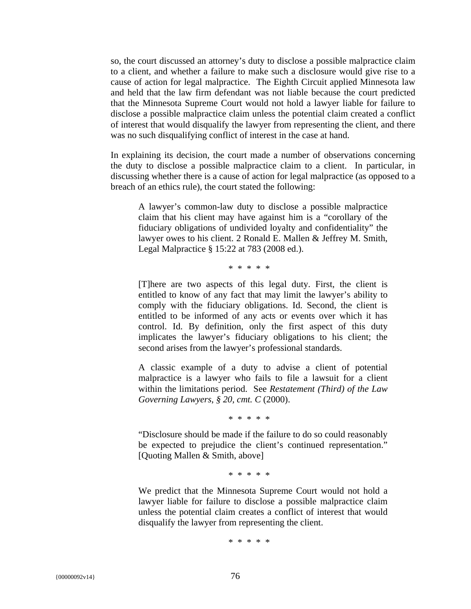so, the court discussed an attorney's duty to disclose a possible malpractice claim to a client, and whether a failure to make such a disclosure would give rise to a cause of action for legal malpractice. The Eighth Circuit applied Minnesota law and held that the law firm defendant was not liable because the court predicted that the Minnesota Supreme Court would not hold a lawyer liable for failure to disclose a possible malpractice claim unless the potential claim created a conflict of interest that would disqualify the lawyer from representing the client, and there was no such disqualifying conflict of interest in the case at hand.

In explaining its decision, the court made a number of observations concerning the duty to disclose a possible malpractice claim to a client. In particular, in discussing whether there is a cause of action for legal malpractice (as opposed to a breach of an ethics rule), the court stated the following:

A lawyer's common-law duty to disclose a possible malpractice claim that his client may have against him is a "corollary of the fiduciary obligations of undivided loyalty and confidentiality" the lawyer owes to his client. 2 Ronald E. Mallen & Jeffrey M. Smith, Legal Malpractice § 15:22 at 783 (2008 ed.).

\* \* \* \* \*

[T]here are two aspects of this legal duty. First, the client is entitled to know of any fact that may limit the lawyer's ability to comply with the fiduciary obligations. Id. Second, the client is entitled to be informed of any acts or events over which it has control. Id. By definition, only the first aspect of this duty implicates the lawyer's fiduciary obligations to his client; the second arises from the lawyer's professional standards.

A classic example of a duty to advise a client of potential malpractice is a lawyer who fails to file a lawsuit for a client within the limitations period. See *Restatement (Third) of the Law Governing Lawyers*, *§ 20, cmt. C* (2000).

\* \* \* \* \*

"Disclosure should be made if the failure to do so could reasonably be expected to prejudice the client's continued representation." [Quoting Mallen & Smith, above]

\* \* \* \* \*

We predict that the Minnesota Supreme Court would not hold a lawyer liable for failure to disclose a possible malpractice claim unless the potential claim creates a conflict of interest that would disqualify the lawyer from representing the client.

\* \* \* \* \*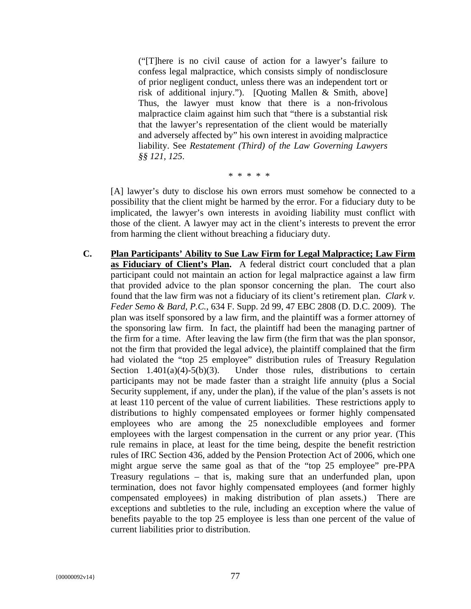("[T]here is no civil cause of action for a lawyer's failure to confess legal malpractice, which consists simply of nondisclosure of prior negligent conduct, unless there was an independent tort or risk of additional injury."). [Quoting Mallen & Smith, above] Thus, the lawyer must know that there is a non-frivolous malpractice claim against him such that "there is a substantial risk that the lawyer's representation of the client would be materially and adversely affected by" his own interest in avoiding malpractice liability. See *Restatement (Third) of the Law Governing Lawyers §§ 121*, *125*.

\* \* \* \* \*

[A] lawyer's duty to disclose his own errors must somehow be connected to a possibility that the client might be harmed by the error. For a fiduciary duty to be implicated, the lawyer's own interests in avoiding liability must conflict with those of the client. A lawyer may act in the client's interests to prevent the error from harming the client without breaching a fiduciary duty.

**C. Plan Participants' Ability to Sue Law Firm for Legal Malpractice; Law Firm as Fiduciary of Client's Plan.** A federal district court concluded that a plan participant could not maintain an action for legal malpractice against a law firm that provided advice to the plan sponsor concerning the plan. The court also found that the law firm was not a fiduciary of its client's retirement plan. *Clark v. Feder Semo & Bard*, *P.C.*, 634 F. Supp. 2d 99, 47 EBC 2808 (D. D.C. 2009). The plan was itself sponsored by a law firm, and the plaintiff was a former attorney of the sponsoring law firm. In fact, the plaintiff had been the managing partner of the firm for a time. After leaving the law firm (the firm that was the plan sponsor, not the firm that provided the legal advice), the plaintiff complained that the firm had violated the "top 25 employee" distribution rules of Treasury Regulation Section  $1.401(a)(4)-5(b)(3)$ . Under those rules, distributions to certain participants may not be made faster than a straight life annuity (plus a Social Security supplement, if any, under the plan), if the value of the plan's assets is not at least 110 percent of the value of current liabilities. These restrictions apply to distributions to highly compensated employees or former highly compensated employees who are among the 25 nonexcludible employees and former employees with the largest compensation in the current or any prior year. (This rule remains in place, at least for the time being, despite the benefit restriction rules of IRC Section 436, added by the Pension Protection Act of 2006, which one might argue serve the same goal as that of the "top 25 employee" pre-PPA Treasury regulations – that is, making sure that an underfunded plan, upon termination, does not favor highly compensated employees (and former highly compensated employees) in making distribution of plan assets.) There are exceptions and subtleties to the rule, including an exception where the value of benefits payable to the top 25 employee is less than one percent of the value of current liabilities prior to distribution.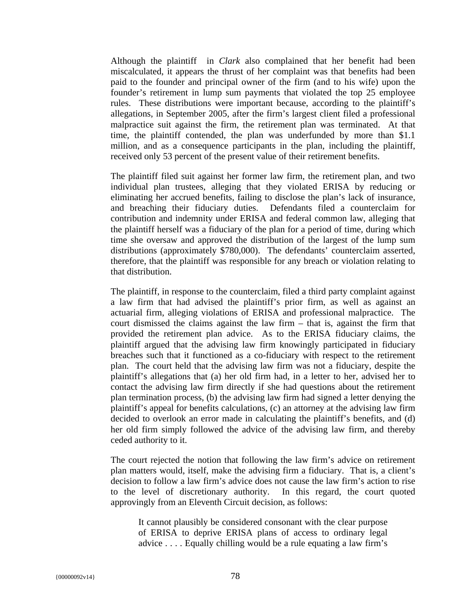Although the plaintiff in *Clark* also complained that her benefit had been miscalculated, it appears the thrust of her complaint was that benefits had been paid to the founder and principal owner of the firm (and to his wife) upon the founder's retirement in lump sum payments that violated the top 25 employee rules. These distributions were important because, according to the plaintiff's allegations, in September 2005, after the firm's largest client filed a professional malpractice suit against the firm, the retirement plan was terminated. At that time, the plaintiff contended, the plan was underfunded by more than \$1.1 million, and as a consequence participants in the plan, including the plaintiff, received only 53 percent of the present value of their retirement benefits.

The plaintiff filed suit against her former law firm, the retirement plan, and two individual plan trustees, alleging that they violated ERISA by reducing or eliminating her accrued benefits, failing to disclose the plan's lack of insurance, and breaching their fiduciary duties. Defendants filed a counterclaim for contribution and indemnity under ERISA and federal common law, alleging that the plaintiff herself was a fiduciary of the plan for a period of time, during which time she oversaw and approved the distribution of the largest of the lump sum distributions (approximately \$780,000). The defendants' counterclaim asserted, therefore, that the plaintiff was responsible for any breach or violation relating to that distribution.

The plaintiff, in response to the counterclaim, filed a third party complaint against a law firm that had advised the plaintiff's prior firm, as well as against an actuarial firm, alleging violations of ERISA and professional malpractice. The court dismissed the claims against the law firm – that is, against the firm that provided the retirement plan advice. As to the ERISA fiduciary claims, the plaintiff argued that the advising law firm knowingly participated in fiduciary breaches such that it functioned as a co-fiduciary with respect to the retirement plan. The court held that the advising law firm was not a fiduciary, despite the plaintiff's allegations that (a) her old firm had, in a letter to her, advised her to contact the advising law firm directly if she had questions about the retirement plan termination process, (b) the advising law firm had signed a letter denying the plaintiff's appeal for benefits calculations, (c) an attorney at the advising law firm decided to overlook an error made in calculating the plaintiff's benefits, and (d) her old firm simply followed the advice of the advising law firm, and thereby ceded authority to it.

The court rejected the notion that following the law firm's advice on retirement plan matters would, itself, make the advising firm a fiduciary. That is, a client's decision to follow a law firm's advice does not cause the law firm's action to rise to the level of discretionary authority. In this regard, the court quoted approvingly from an Eleventh Circuit decision, as follows:

It cannot plausibly be considered consonant with the clear purpose of ERISA to deprive ERISA plans of access to ordinary legal advice . . . . Equally chilling would be a rule equating a law firm's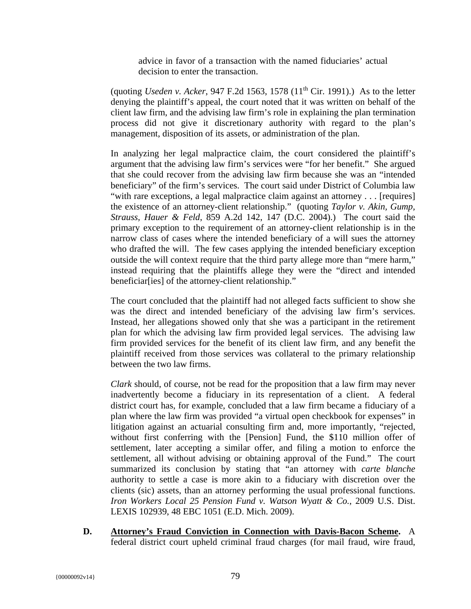advice in favor of a transaction with the named fiduciaries' actual decision to enter the transaction.

(quoting *Useden v. Acker*, 947 F.2d 1563, 1578 (11th Cir. 1991).) As to the letter denying the plaintiff's appeal, the court noted that it was written on behalf of the client law firm, and the advising law firm's role in explaining the plan termination process did not give it discretionary authority with regard to the plan's management, disposition of its assets, or administration of the plan.

In analyzing her legal malpractice claim, the court considered the plaintiff's argument that the advising law firm's services were "for her benefit." She argued that she could recover from the advising law firm because she was an "intended beneficiary" of the firm's services. The court said under District of Columbia law "with rare exceptions, a legal malpractice claim against an attorney . . . [requires] the existence of an attorney-client relationship." (quoting *Taylor v. Akin, Gump, Strauss, Hauer & Feld*, 859 A.2d 142, 147 (D.C. 2004).) The court said the primary exception to the requirement of an attorney-client relationship is in the narrow class of cases where the intended beneficiary of a will sues the attorney who drafted the will. The few cases applying the intended beneficiary exception outside the will context require that the third party allege more than "mere harm," instead requiring that the plaintiffs allege they were the "direct and intended beneficiar[ies] of the attorney-client relationship."

The court concluded that the plaintiff had not alleged facts sufficient to show she was the direct and intended beneficiary of the advising law firm's services. Instead, her allegations showed only that she was a participant in the retirement plan for which the advising law firm provided legal services. The advising law firm provided services for the benefit of its client law firm, and any benefit the plaintiff received from those services was collateral to the primary relationship between the two law firms.

*Clark* should, of course, not be read for the proposition that a law firm may never inadvertently become a fiduciary in its representation of a client. A federal district court has, for example, concluded that a law firm became a fiduciary of a plan where the law firm was provided "a virtual open checkbook for expenses" in litigation against an actuarial consulting firm and, more importantly, "rejected, without first conferring with the [Pension] Fund, the \$110 million offer of settlement, later accepting a similar offer, and filing a motion to enforce the settlement, all without advising or obtaining approval of the Fund." The court summarized its conclusion by stating that "an attorney with *carte blanche* authority to settle a case is more akin to a fiduciary with discretion over the clients (sic) assets, than an attorney performing the usual professional functions. *Iron Workers Local 25 Pension Fund v. Watson Wyatt & Co.*, 2009 U.S. Dist. LEXIS 102939, 48 EBC 1051 (E.D. Mich. 2009).

**D. Attorney's Fraud Conviction in Connection with Davis-Bacon Scheme.** A federal district court upheld criminal fraud charges (for mail fraud, wire fraud,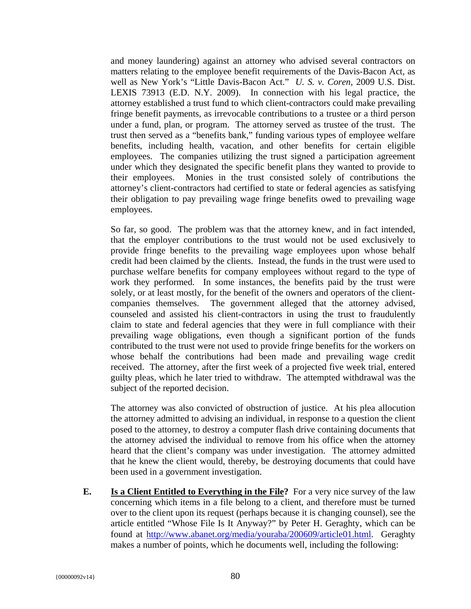and money laundering) against an attorney who advised several contractors on matters relating to the employee benefit requirements of the Davis-Bacon Act, as well as New York's "Little Davis-Bacon Act." *U. S. v. Coren*, 2009 U.S. Dist. LEXIS 73913 (E.D. N.Y. 2009). In connection with his legal practice, the attorney established a trust fund to which client-contractors could make prevailing fringe benefit payments, as irrevocable contributions to a trustee or a third person under a fund, plan, or program. The attorney served as trustee of the trust. The trust then served as a "benefits bank," funding various types of employee welfare benefits, including health, vacation, and other benefits for certain eligible employees. The companies utilizing the trust signed a participation agreement under which they designated the specific benefit plans they wanted to provide to their employees. Monies in the trust consisted solely of contributions the attorney's client-contractors had certified to state or federal agencies as satisfying their obligation to pay prevailing wage fringe benefits owed to prevailing wage employees.

So far, so good. The problem was that the attorney knew, and in fact intended, that the employer contributions to the trust would not be used exclusively to provide fringe benefits to the prevailing wage employees upon whose behalf credit had been claimed by the clients. Instead, the funds in the trust were used to purchase welfare benefits for company employees without regard to the type of work they performed. In some instances, the benefits paid by the trust were solely, or at least mostly, for the benefit of the owners and operators of the clientcompanies themselves. The government alleged that the attorney advised, counseled and assisted his client-contractors in using the trust to fraudulently claim to state and federal agencies that they were in full compliance with their prevailing wage obligations, even though a significant portion of the funds contributed to the trust were not used to provide fringe benefits for the workers on whose behalf the contributions had been made and prevailing wage credit received. The attorney, after the first week of a projected five week trial, entered guilty pleas, which he later tried to withdraw. The attempted withdrawal was the subject of the reported decision.

The attorney was also convicted of obstruction of justice. At his plea allocution the attorney admitted to advising an individual, in response to a question the client posed to the attorney, to destroy a computer flash drive containing documents that the attorney advised the individual to remove from his office when the attorney heard that the client's company was under investigation. The attorney admitted that he knew the client would, thereby, be destroying documents that could have been used in a government investigation.

**E. Is a Client Entitled to Everything in the File?** For a very nice survey of the law concerning which items in a file belong to a client, and therefore must be turned over to the client upon its request (perhaps because it is changing counsel), see the article entitled "Whose File Is It Anyway?" by Peter H. Geraghty, which can be found at http://www.abanet.org/media/youraba/200609/article01.html. Geraghty makes a number of points, which he documents well, including the following: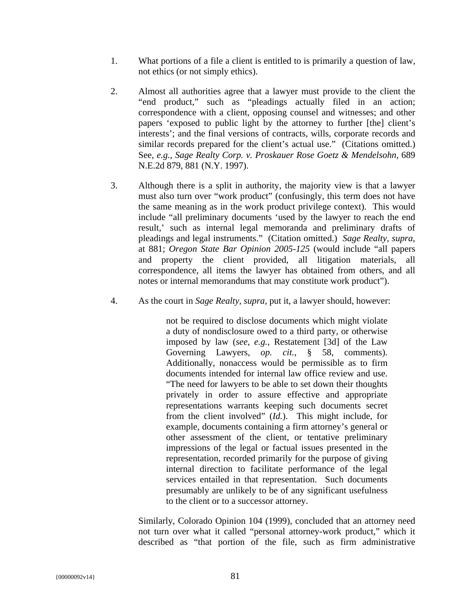- 1. What portions of a file a client is entitled to is primarily a question of law, not ethics (or not simply ethics).
- 2. Almost all authorities agree that a lawyer must provide to the client the "end product," such as "pleadings actually filed in an action; correspondence with a client, opposing counsel and witnesses; and other papers 'exposed to public light by the attorney to further [the] client's interests'; and the final versions of contracts, wills, corporate records and similar records prepared for the client's actual use." (Citations omitted.) See, *e.g.*, *Sage Realty Corp. v. Proskauer Rose Goetz & Mendelsohn*, 689 N.E.2d 879, 881 (N.Y. 1997).
- 3. Although there is a split in authority, the majority view is that a lawyer must also turn over "work product" (confusingly, this term does not have the same meaning as in the work product privilege context). This would include "all preliminary documents 'used by the lawyer to reach the end result,' such as internal legal memoranda and preliminary drafts of pleadings and legal instruments." (Citation omitted.) *Sage Realty, supra*, at 881; *Oregon State Bar Opinion 2005-125* (would include "all papers and property the client provided, all litigation materials, all correspondence, all items the lawyer has obtained from others, and all notes or internal memorandums that may constitute work product").
- 4. As the court in *Sage Realty, supra,* put it, a lawyer should, however:

not be required to disclose documents which might violate a duty of nondisclosure owed to a third party, or otherwise imposed by law (*see*, *e.g.*, Restatement [3d] of the Law Governing Lawyers, *op. cit.*, § 58, comments). Additionally, nonaccess would be permissible as to firm documents intended for internal law office review and use. "The need for lawyers to be able to set down their thoughts privately in order to assure effective and appropriate representations warrants keeping such documents secret from the client involved" (*Id.*). This might include, for example, documents containing a firm attorney's general or other assessment of the client, or tentative preliminary impressions of the legal or factual issues presented in the representation, recorded primarily for the purpose of giving internal direction to facilitate performance of the legal services entailed in that representation. Such documents presumably are unlikely to be of any significant usefulness to the client or to a successor attorney.

Similarly, Colorado Opinion 104 (1999), concluded that an attorney need not turn over what it called "personal attorney-work product," which it described as "that portion of the file, such as firm administrative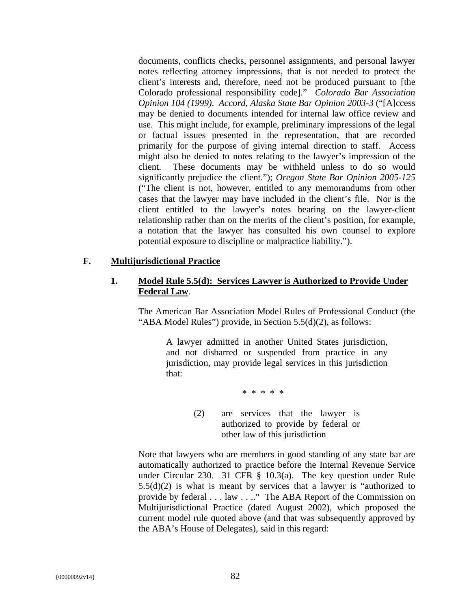documents, conflicts checks, personnel assignments, and personal lawyer notes reflecting attorney impressions, that is not needed to protect the client's interests and, therefore, need not be produced pursuant to [the Colorado professional responsibility code]." *Colorado Bar Association Opinion 104 (1999)*. *Accord*, *Alaska State Bar Opinion 2003-3* ("[A]ccess may be denied to documents intended for internal law office review and use. This might include, for example, preliminary impressions of the legal or factual issues presented in the representation, that are recorded primarily for the purpose of giving internal direction to staff. Access might also be denied to notes relating to the lawyer's impression of the client. These documents may be withheld unless to do so would significantly prejudice the client."); *Oregon State Bar Opinion 2005-125* ("The client is not, however, entitled to any memorandums from other cases that the lawyer may have included in the client's file. Nor is the client entitled to the lawyer's notes bearing on the lawyer-client relationship rather than on the merits of the client's position, for example, a notation that the lawyer has consulted his own counsel to explore potential exposure to discipline or malpractice liability.").

#### **F. Multijurisdictional Practice**

#### **1. Model Rule 5.5(d): Services Lawyer is Authorized to Provide Under Federal Law**.

The American Bar Association Model Rules of Professional Conduct (the "ABA Model Rules") provide, in Section 5.5(d)(2), as follows:

A lawyer admitted in another United States jurisdiction, and not disbarred or suspended from practice in any jurisdiction, may provide legal services in this jurisdiction that:

\* \* \* \* \*

(2) are services that the lawyer is authorized to provide by federal or other law of this jurisdiction

Note that lawyers who are members in good standing of any state bar are automatically authorized to practice before the Internal Revenue Service under Circular 230. 31 CFR § 10.3(a). The key question under Rule  $5.5(d)(2)$  is what is meant by services that a lawyer is "authorized to provide by federal . . . law . . .." The ABA Report of the Commission on Multijurisdictional Practice (dated August 2002), which proposed the current model rule quoted above (and that was subsequently approved by the ABA's House of Delegates), said in this regard: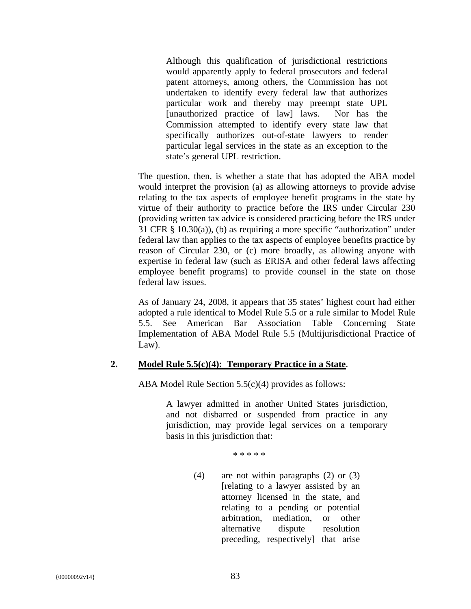Although this qualification of jurisdictional restrictions would apparently apply to federal prosecutors and federal patent attorneys, among others, the Commission has not undertaken to identify every federal law that authorizes particular work and thereby may preempt state UPL [unauthorized practice of law] laws. Nor has the Commission attempted to identify every state law that specifically authorizes out-of-state lawyers to render particular legal services in the state as an exception to the state's general UPL restriction.

The question, then, is whether a state that has adopted the ABA model would interpret the provision (a) as allowing attorneys to provide advise relating to the tax aspects of employee benefit programs in the state by virtue of their authority to practice before the IRS under Circular 230 (providing written tax advice is considered practicing before the IRS under 31 CFR § 10.30(a)), (b) as requiring a more specific "authorization" under federal law than applies to the tax aspects of employee benefits practice by reason of Circular 230, or (c) more broadly, as allowing anyone with expertise in federal law (such as ERISA and other federal laws affecting employee benefit programs) to provide counsel in the state on those federal law issues.

As of January 24, 2008, it appears that 35 states' highest court had either adopted a rule identical to Model Rule 5.5 or a rule similar to Model Rule 5.5. See American Bar Association Table Concerning State Implementation of ABA Model Rule 5.5 (Multijurisdictional Practice of Law).

#### **2. Model Rule 5.5(c)(4): Temporary Practice in a State**.

ABA Model Rule Section 5.5(c)(4) provides as follows:

A lawyer admitted in another United States jurisdiction, and not disbarred or suspended from practice in any jurisdiction, may provide legal services on a temporary basis in this jurisdiction that:

\* \* \* \* \*

(4) are not within paragraphs (2) or (3) [relating to a lawyer assisted by an attorney licensed in the state, and relating to a pending or potential arbitration, mediation, or other alternative dispute resolution preceding, respectively] that arise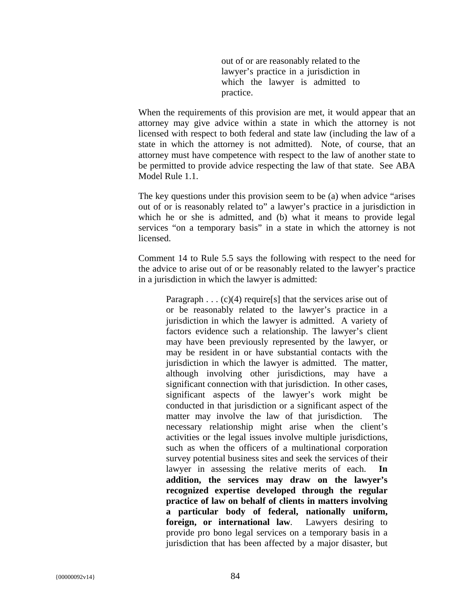out of or are reasonably related to the lawyer's practice in a jurisdiction in which the lawyer is admitted to practice.

When the requirements of this provision are met, it would appear that an attorney may give advice within a state in which the attorney is not licensed with respect to both federal and state law (including the law of a state in which the attorney is not admitted). Note, of course, that an attorney must have competence with respect to the law of another state to be permitted to provide advice respecting the law of that state. See ABA Model Rule 1.1.

The key questions under this provision seem to be (a) when advice "arises out of or is reasonably related to" a lawyer's practice in a jurisdiction in which he or she is admitted, and (b) what it means to provide legal services "on a temporary basis" in a state in which the attorney is not licensed.

Comment 14 to Rule 5.5 says the following with respect to the need for the advice to arise out of or be reasonably related to the lawyer's practice in a jurisdiction in which the lawyer is admitted:

Paragraph  $\dots$  (c)(4) require[s] that the services arise out of or be reasonably related to the lawyer's practice in a jurisdiction in which the lawyer is admitted. A variety of factors evidence such a relationship. The lawyer's client may have been previously represented by the lawyer, or may be resident in or have substantial contacts with the jurisdiction in which the lawyer is admitted. The matter, although involving other jurisdictions, may have a significant connection with that jurisdiction. In other cases, significant aspects of the lawyer's work might be conducted in that jurisdiction or a significant aspect of the matter may involve the law of that jurisdiction. The necessary relationship might arise when the client's activities or the legal issues involve multiple jurisdictions, such as when the officers of a multinational corporation survey potential business sites and seek the services of their lawyer in assessing the relative merits of each. **In addition, the services may draw on the lawyer's recognized expertise developed through the regular practice of law on behalf of clients in matters involving a particular body of federal, nationally uniform, foreign, or international law**. Lawyers desiring to provide pro bono legal services on a temporary basis in a jurisdiction that has been affected by a major disaster, but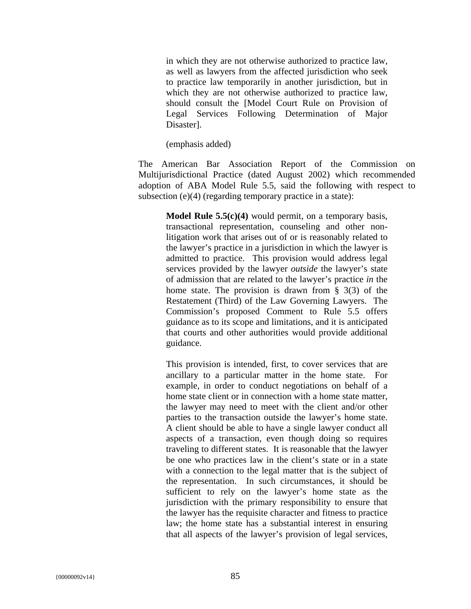in which they are not otherwise authorized to practice law, as well as lawyers from the affected jurisdiction who seek to practice law temporarily in another jurisdiction, but in which they are not otherwise authorized to practice law, should consult the [Model Court Rule on Provision of Legal Services Following Determination of Major Disaster].

(emphasis added)

The American Bar Association Report of the Commission on Multijurisdictional Practice (dated August 2002) which recommended adoption of ABA Model Rule 5.5, said the following with respect to subsection (e)(4) (regarding temporary practice in a state):

**Model Rule 5.5(c)(4)** would permit, on a temporary basis, transactional representation, counseling and other nonlitigation work that arises out of or is reasonably related to the lawyer's practice in a jurisdiction in which the lawyer is admitted to practice. This provision would address legal services provided by the lawyer *outside* the lawyer's state of admission that are related to the lawyer's practice *in* the home state. The provision is drawn from  $\S$  3(3) of the Restatement (Third) of the Law Governing Lawyers. The Commission's proposed Comment to Rule 5.5 offers guidance as to its scope and limitations, and it is anticipated that courts and other authorities would provide additional guidance.

This provision is intended, first, to cover services that are ancillary to a particular matter in the home state. For example, in order to conduct negotiations on behalf of a home state client or in connection with a home state matter, the lawyer may need to meet with the client and/or other parties to the transaction outside the lawyer's home state. A client should be able to have a single lawyer conduct all aspects of a transaction, even though doing so requires traveling to different states. It is reasonable that the lawyer be one who practices law in the client's state or in a state with a connection to the legal matter that is the subject of the representation. In such circumstances, it should be sufficient to rely on the lawyer's home state as the jurisdiction with the primary responsibility to ensure that the lawyer has the requisite character and fitness to practice law; the home state has a substantial interest in ensuring that all aspects of the lawyer's provision of legal services,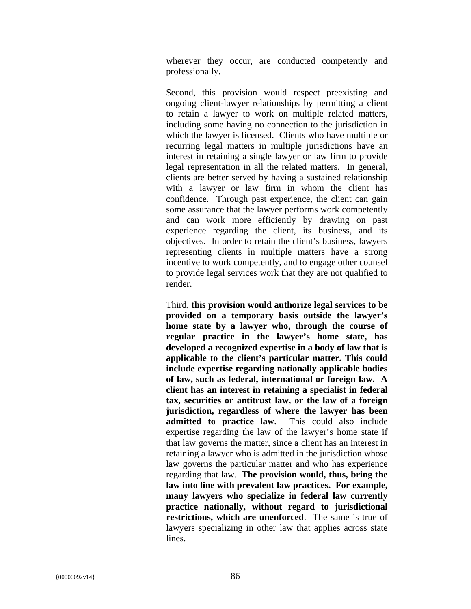wherever they occur, are conducted competently and professionally.

Second, this provision would respect preexisting and ongoing client-lawyer relationships by permitting a client to retain a lawyer to work on multiple related matters, including some having no connection to the jurisdiction in which the lawyer is licensed. Clients who have multiple or recurring legal matters in multiple jurisdictions have an interest in retaining a single lawyer or law firm to provide legal representation in all the related matters. In general, clients are better served by having a sustained relationship with a lawyer or law firm in whom the client has confidence. Through past experience, the client can gain some assurance that the lawyer performs work competently and can work more efficiently by drawing on past experience regarding the client, its business, and its objectives. In order to retain the client's business, lawyers representing clients in multiple matters have a strong incentive to work competently, and to engage other counsel to provide legal services work that they are not qualified to render.

Third, **this provision would authorize legal services to be provided on a temporary basis outside the lawyer's home state by a lawyer who, through the course of regular practice in the lawyer's home state, has developed a recognized expertise in a body of law that is applicable to the client's particular matter. This could include expertise regarding nationally applicable bodies of law, such as federal, international or foreign law. A client has an interest in retaining a specialist in federal tax, securities or antitrust law, or the law of a foreign jurisdiction, regardless of where the lawyer has been admitted to practice law**. This could also include expertise regarding the law of the lawyer's home state if that law governs the matter, since a client has an interest in retaining a lawyer who is admitted in the jurisdiction whose law governs the particular matter and who has experience regarding that law. **The provision would, thus, bring the law into line with prevalent law practices. For example, many lawyers who specialize in federal law currently practice nationally, without regard to jurisdictional restrictions, which are unenforced**. The same is true of lawyers specializing in other law that applies across state lines.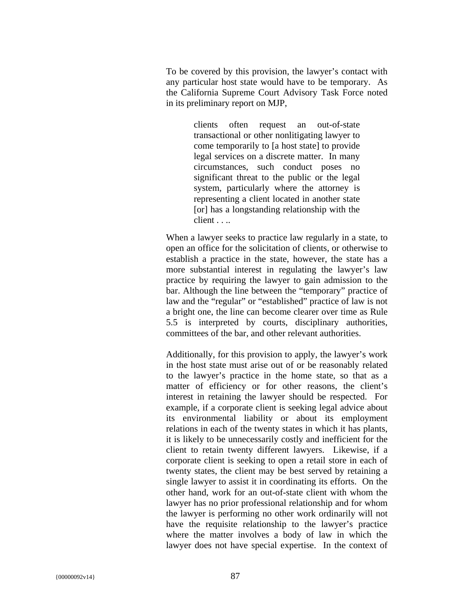To be covered by this provision, the lawyer's contact with any particular host state would have to be temporary. As the California Supreme Court Advisory Task Force noted in its preliminary report on MJP,

> clients often request an out-of-state transactional or other nonlitigating lawyer to come temporarily to [a host state] to provide legal services on a discrete matter. In many circumstances, such conduct poses no significant threat to the public or the legal system, particularly where the attorney is representing a client located in another state [or] has a longstanding relationship with the client . . ..

When a lawyer seeks to practice law regularly in a state, to open an office for the solicitation of clients, or otherwise to establish a practice in the state, however, the state has a more substantial interest in regulating the lawyer's law practice by requiring the lawyer to gain admission to the bar. Although the line between the "temporary" practice of law and the "regular" or "established" practice of law is not a bright one, the line can become clearer over time as Rule 5.5 is interpreted by courts, disciplinary authorities, committees of the bar, and other relevant authorities.

Additionally, for this provision to apply, the lawyer's work in the host state must arise out of or be reasonably related to the lawyer's practice in the home state, so that as a matter of efficiency or for other reasons, the client's interest in retaining the lawyer should be respected. For example, if a corporate client is seeking legal advice about its environmental liability or about its employment relations in each of the twenty states in which it has plants, it is likely to be unnecessarily costly and inefficient for the client to retain twenty different lawyers. Likewise, if a corporate client is seeking to open a retail store in each of twenty states, the client may be best served by retaining a single lawyer to assist it in coordinating its efforts. On the other hand, work for an out-of-state client with whom the lawyer has no prior professional relationship and for whom the lawyer is performing no other work ordinarily will not have the requisite relationship to the lawyer's practice where the matter involves a body of law in which the lawyer does not have special expertise. In the context of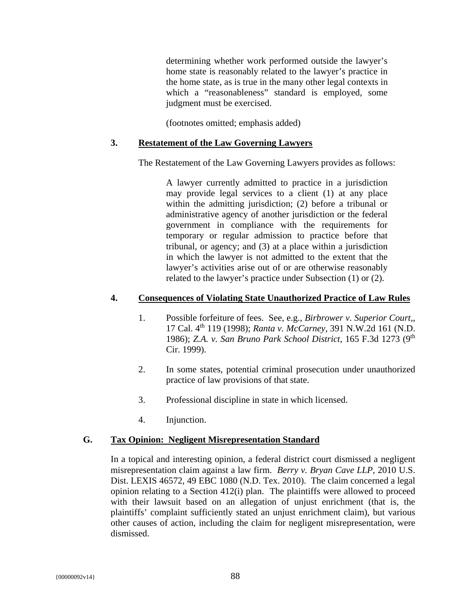determining whether work performed outside the lawyer's home state is reasonably related to the lawyer's practice in the home state, as is true in the many other legal contexts in which a "reasonableness" standard is employed, some judgment must be exercised.

(footnotes omitted; emphasis added)

#### **3. Restatement of the Law Governing Lawyers**

The Restatement of the Law Governing Lawyers provides as follows:

A lawyer currently admitted to practice in a jurisdiction may provide legal services to a client (1) at any place within the admitting jurisdiction; (2) before a tribunal or administrative agency of another jurisdiction or the federal government in compliance with the requirements for temporary or regular admission to practice before that tribunal, or agency; and (3) at a place within a jurisdiction in which the lawyer is not admitted to the extent that the lawyer's activities arise out of or are otherwise reasonably related to the lawyer's practice under Subsection (1) or (2).

#### **4. Consequences of Violating State Unauthorized Practice of Law Rules**

- 1. Possible forfeiture of fees. See, e.g., *Birbrower v. Superior Court,*, 17 Cal. 4th 119 (1998); *Ranta v. McCarney*, 391 N.W.2d 161 (N.D. 1986); *Z.A. v. San Bruno Park School District*, 165 F.3d 1273 (9th Cir. 1999).
- 2. In some states, potential criminal prosecution under unauthorized practice of law provisions of that state.
- 3. Professional discipline in state in which licensed.
- 4. Injunction.

#### **G. Tax Opinion: Negligent Misrepresentation Standard**

In a topical and interesting opinion, a federal district court dismissed a negligent misrepresentation claim against a law firm. *Berry v. Bryan Cave LLP*, 2010 U.S. Dist. LEXIS 46572, 49 EBC 1080 (N.D. Tex. 2010). The claim concerned a legal opinion relating to a Section 412(i) plan. The plaintiffs were allowed to proceed with their lawsuit based on an allegation of unjust enrichment (that is, the plaintiffs' complaint sufficiently stated an unjust enrichment claim), but various other causes of action, including the claim for negligent misrepresentation, were dismissed.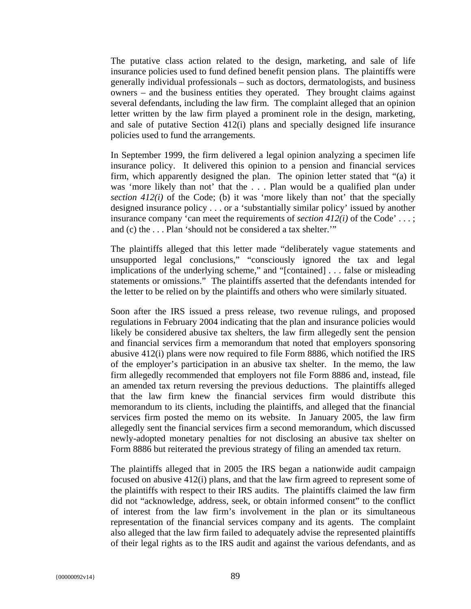The putative class action related to the design, marketing, and sale of life insurance policies used to fund defined benefit pension plans. The plaintiffs were generally individual professionals – such as doctors, dermatologists, and business owners – and the business entities they operated. They brought claims against several defendants, including the law firm. The complaint alleged that an opinion letter written by the law firm played a prominent role in the design, marketing, and sale of putative Section 412(i) plans and specially designed life insurance policies used to fund the arrangements.

In September 1999, the firm delivered a legal opinion analyzing a specimen life insurance policy. It delivered this opinion to a pension and financial services firm, which apparently designed the plan. The opinion letter stated that "(a) it was 'more likely than not' that the . . . Plan would be a qualified plan under *section 412(i)* of the Code; (b) it was 'more likely than not' that the specially designed insurance policy . . . or a 'substantially similar policy' issued by another insurance company 'can meet the requirements of *section 412(i)* of the Code' . . . ; and (c) the . . . Plan 'should not be considered a tax shelter.'"

The plaintiffs alleged that this letter made "deliberately vague statements and unsupported legal conclusions," "consciously ignored the tax and legal implications of the underlying scheme," and "[contained] . . . false or misleading statements or omissions." The plaintiffs asserted that the defendants intended for the letter to be relied on by the plaintiffs and others who were similarly situated.

Soon after the IRS issued a press release, two revenue rulings, and proposed regulations in February 2004 indicating that the plan and insurance policies would likely be considered abusive tax shelters, the law firm allegedly sent the pension and financial services firm a memorandum that noted that employers sponsoring abusive 412(i) plans were now required to file Form 8886, which notified the IRS of the employer's participation in an abusive tax shelter. In the memo, the law firm allegedly recommended that employers not file Form 8886 and, instead, file an amended tax return reversing the previous deductions. The plaintiffs alleged that the law firm knew the financial services firm would distribute this memorandum to its clients, including the plaintiffs, and alleged that the financial services firm posted the memo on its website. In January 2005, the law firm allegedly sent the financial services firm a second memorandum, which discussed newly-adopted monetary penalties for not disclosing an abusive tax shelter on Form 8886 but reiterated the previous strategy of filing an amended tax return.

The plaintiffs alleged that in 2005 the IRS began a nationwide audit campaign focused on abusive 412(i) plans, and that the law firm agreed to represent some of the plaintiffs with respect to their IRS audits. The plaintiffs claimed the law firm did not "acknowledge, address, seek, or obtain informed consent" to the conflict of interest from the law firm's involvement in the plan or its simultaneous representation of the financial services company and its agents. The complaint also alleged that the law firm failed to adequately advise the represented plaintiffs of their legal rights as to the IRS audit and against the various defendants, and as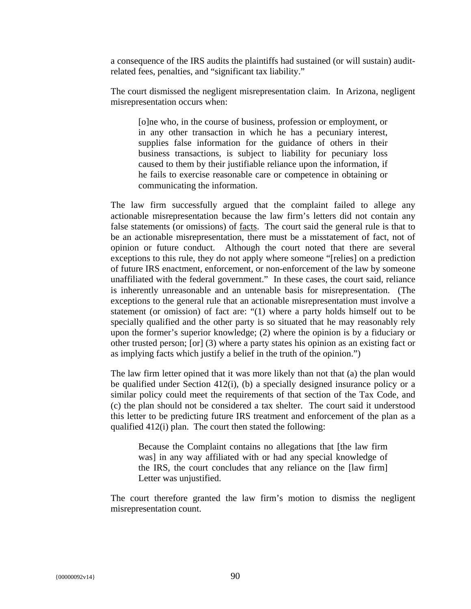a consequence of the IRS audits the plaintiffs had sustained (or will sustain) auditrelated fees, penalties, and "significant tax liability."

The court dismissed the negligent misrepresentation claim. In Arizona, negligent misrepresentation occurs when:

[o]ne who, in the course of business, profession or employment, or in any other transaction in which he has a pecuniary interest, supplies false information for the guidance of others in their business transactions, is subject to liability for pecuniary loss caused to them by their justifiable reliance upon the information, if he fails to exercise reasonable care or competence in obtaining or communicating the information.

The law firm successfully argued that the complaint failed to allege any actionable misrepresentation because the law firm's letters did not contain any false statements (or omissions) of facts. The court said the general rule is that to be an actionable misrepresentation, there must be a misstatement of fact, not of opinion or future conduct. Although the court noted that there are several exceptions to this rule, they do not apply where someone "[relies] on a prediction of future IRS enactment, enforcement, or non-enforcement of the law by someone unaffiliated with the federal government." In these cases, the court said, reliance is inherently unreasonable and an untenable basis for misrepresentation. (The exceptions to the general rule that an actionable misrepresentation must involve a statement (or omission) of fact are: "(1) where a party holds himself out to be specially qualified and the other party is so situated that he may reasonably rely upon the former's superior knowledge; (2) where the opinion is by a fiduciary or other trusted person; [or] (3) where a party states his opinion as an existing fact or as implying facts which justify a belief in the truth of the opinion.")

The law firm letter opined that it was more likely than not that (a) the plan would be qualified under Section 412(i), (b) a specially designed insurance policy or a similar policy could meet the requirements of that section of the Tax Code, and (c) the plan should not be considered a tax shelter. The court said it understood this letter to be predicting future IRS treatment and enforcement of the plan as a qualified 412(i) plan. The court then stated the following:

Because the Complaint contains no allegations that [the law firm was] in any way affiliated with or had any special knowledge of the IRS, the court concludes that any reliance on the [law firm] Letter was unjustified.

The court therefore granted the law firm's motion to dismiss the negligent misrepresentation count.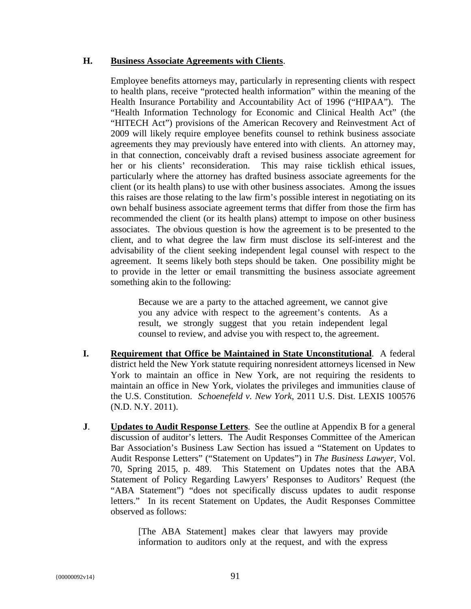#### **H. Business Associate Agreements with Clients**.

Employee benefits attorneys may, particularly in representing clients with respect to health plans, receive "protected health information" within the meaning of the Health Insurance Portability and Accountability Act of 1996 ("HIPAA"). The "Health Information Technology for Economic and Clinical Health Act" (the "HITECH Act") provisions of the American Recovery and Reinvestment Act of 2009 will likely require employee benefits counsel to rethink business associate agreements they may previously have entered into with clients. An attorney may, in that connection, conceivably draft a revised business associate agreement for her or his clients' reconsideration. This may raise ticklish ethical issues, particularly where the attorney has drafted business associate agreements for the client (or its health plans) to use with other business associates. Among the issues this raises are those relating to the law firm's possible interest in negotiating on its own behalf business associate agreement terms that differ from those the firm has recommended the client (or its health plans) attempt to impose on other business associates. The obvious question is how the agreement is to be presented to the client, and to what degree the law firm must disclose its self-interest and the advisability of the client seeking independent legal counsel with respect to the agreement. It seems likely both steps should be taken. One possibility might be to provide in the letter or email transmitting the business associate agreement something akin to the following:

Because we are a party to the attached agreement, we cannot give you any advice with respect to the agreement's contents. As a result, we strongly suggest that you retain independent legal counsel to review, and advise you with respect to, the agreement.

- **I. Requirement that Office be Maintained in State Unconstitutional**. A federal district held the New York statute requiring nonresident attorneys licensed in New York to maintain an office in New York, are not requiring the residents to maintain an office in New York, violates the privileges and immunities clause of the U.S. Constitution. *Schoenefeld v. New York*, 2011 U.S. Dist. LEXIS 100576 (N.D. N.Y. 2011).
- **J**. **Updates to Audit Response Letters**. See the outline at Appendix B for a general discussion of auditor's letters. The Audit Responses Committee of the American Bar Association's Business Law Section has issued a "Statement on Updates to Audit Response Letters" ("Statement on Updates") in *The Business Lawyer*, Vol. 70, Spring 2015, p. 489. This Statement on Updates notes that the ABA Statement of Policy Regarding Lawyers' Responses to Auditors' Request (the "ABA Statement") "does not specifically discuss updates to audit response letters." In its recent Statement on Updates, the Audit Responses Committee observed as follows:

[The ABA Statement] makes clear that lawyers may provide information to auditors only at the request, and with the express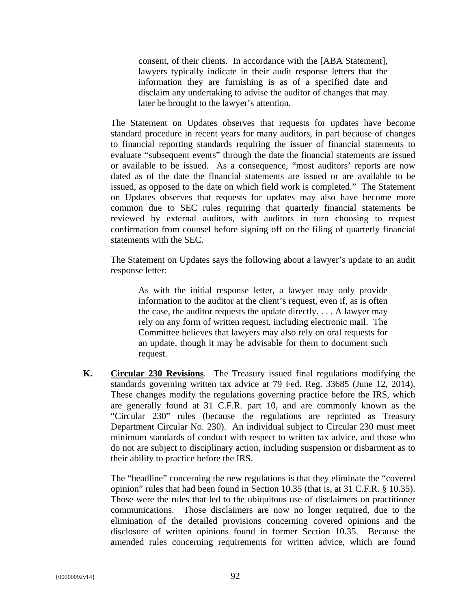consent, of their clients. In accordance with the [ABA Statement], lawyers typically indicate in their audit response letters that the information they are furnishing is as of a specified date and disclaim any undertaking to advise the auditor of changes that may later be brought to the lawyer's attention.

The Statement on Updates observes that requests for updates have become standard procedure in recent years for many auditors, in part because of changes to financial reporting standards requiring the issuer of financial statements to evaluate "subsequent events" through the date the financial statements are issued or available to be issued. As a consequence, "most auditors' reports are now dated as of the date the financial statements are issued or are available to be issued, as opposed to the date on which field work is completed." The Statement on Updates observes that requests for updates may also have become more common due to SEC rules requiring that quarterly financial statements be reviewed by external auditors, with auditors in turn choosing to request confirmation from counsel before signing off on the filing of quarterly financial statements with the SEC.

The Statement on Updates says the following about a lawyer's update to an audit response letter:

As with the initial response letter, a lawyer may only provide information to the auditor at the client's request, even if, as is often the case, the auditor requests the update directly. . . . A lawyer may rely on any form of written request, including electronic mail. The Committee believes that lawyers may also rely on oral requests for an update, though it may be advisable for them to document such request.

**K. Circular 230 Revisions**. The Treasury issued final regulations modifying the standards governing written tax advice at 79 Fed. Reg. 33685 (June 12, 2014). These changes modify the regulations governing practice before the IRS, which are generally found at 31 C.F.R. part 10, and are commonly known as the "Circular 230" rules (because the regulations are reprinted as Treasury Department Circular No. 230). An individual subject to Circular 230 must meet minimum standards of conduct with respect to written tax advice, and those who do not are subject to disciplinary action, including suspension or disbarment as to their ability to practice before the IRS.

The "headline" concerning the new regulations is that they eliminate the "covered opinion" rules that had been found in Section 10.35 (that is, at 31 C.F.R. § 10.35). Those were the rules that led to the ubiquitous use of disclaimers on practitioner communications. Those disclaimers are now no longer required, due to the elimination of the detailed provisions concerning covered opinions and the disclosure of written opinions found in former Section 10.35. Because the amended rules concerning requirements for written advice, which are found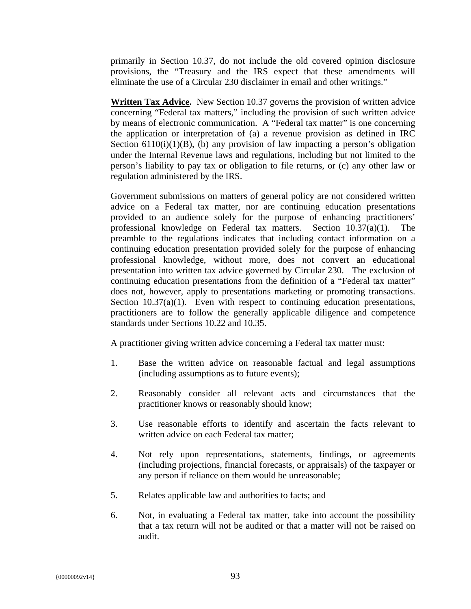primarily in Section 10.37, do not include the old covered opinion disclosure provisions, the "Treasury and the IRS expect that these amendments will eliminate the use of a Circular 230 disclaimer in email and other writings."

**Written Tax Advice.** New Section 10.37 governs the provision of written advice concerning "Federal tax matters," including the provision of such written advice by means of electronic communication. A "Federal tax matter" is one concerning the application or interpretation of (a) a revenue provision as defined in IRC Section  $6110(i)(1)(B)$ , (b) any provision of law impacting a person's obligation under the Internal Revenue laws and regulations, including but not limited to the person's liability to pay tax or obligation to file returns, or (c) any other law or regulation administered by the IRS.

Government submissions on matters of general policy are not considered written advice on a Federal tax matter, nor are continuing education presentations provided to an audience solely for the purpose of enhancing practitioners' professional knowledge on Federal tax matters. Section 10.37(a)(1). The preamble to the regulations indicates that including contact information on a continuing education presentation provided solely for the purpose of enhancing professional knowledge, without more, does not convert an educational presentation into written tax advice governed by Circular 230. The exclusion of continuing education presentations from the definition of a "Federal tax matter" does not, however, apply to presentations marketing or promoting transactions. Section  $10.37(a)(1)$ . Even with respect to continuing education presentations, practitioners are to follow the generally applicable diligence and competence standards under Sections 10.22 and 10.35.

A practitioner giving written advice concerning a Federal tax matter must:

- 1. Base the written advice on reasonable factual and legal assumptions (including assumptions as to future events);
- 2. Reasonably consider all relevant acts and circumstances that the practitioner knows or reasonably should know;
- 3. Use reasonable efforts to identify and ascertain the facts relevant to written advice on each Federal tax matter;
- 4. Not rely upon representations, statements, findings, or agreements (including projections, financial forecasts, or appraisals) of the taxpayer or any person if reliance on them would be unreasonable;
- 5. Relates applicable law and authorities to facts; and
- 6. Not, in evaluating a Federal tax matter, take into account the possibility that a tax return will not be audited or that a matter will not be raised on audit.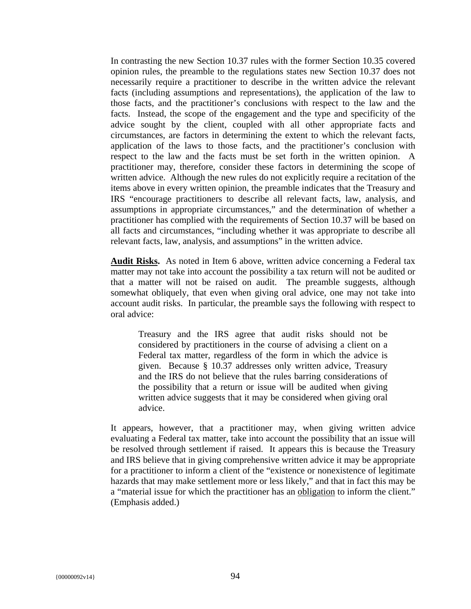In contrasting the new Section 10.37 rules with the former Section 10.35 covered opinion rules, the preamble to the regulations states new Section 10.37 does not necessarily require a practitioner to describe in the written advice the relevant facts (including assumptions and representations), the application of the law to those facts, and the practitioner's conclusions with respect to the law and the facts. Instead, the scope of the engagement and the type and specificity of the advice sought by the client, coupled with all other appropriate facts and circumstances, are factors in determining the extent to which the relevant facts, application of the laws to those facts, and the practitioner's conclusion with respect to the law and the facts must be set forth in the written opinion. A practitioner may, therefore, consider these factors in determining the scope of written advice. Although the new rules do not explicitly require a recitation of the items above in every written opinion, the preamble indicates that the Treasury and IRS "encourage practitioners to describe all relevant facts, law, analysis, and assumptions in appropriate circumstances," and the determination of whether a practitioner has complied with the requirements of Section 10.37 will be based on all facts and circumstances, "including whether it was appropriate to describe all relevant facts, law, analysis, and assumptions" in the written advice.

**Audit Risks.** As noted in Item 6 above, written advice concerning a Federal tax matter may not take into account the possibility a tax return will not be audited or that a matter will not be raised on audit. The preamble suggests, although somewhat obliquely, that even when giving oral advice, one may not take into account audit risks. In particular, the preamble says the following with respect to oral advice:

Treasury and the IRS agree that audit risks should not be considered by practitioners in the course of advising a client on a Federal tax matter, regardless of the form in which the advice is given. Because § 10.37 addresses only written advice, Treasury and the IRS do not believe that the rules barring considerations of the possibility that a return or issue will be audited when giving written advice suggests that it may be considered when giving oral advice.

It appears, however, that a practitioner may, when giving written advice evaluating a Federal tax matter, take into account the possibility that an issue will be resolved through settlement if raised. It appears this is because the Treasury and IRS believe that in giving comprehensive written advice it may be appropriate for a practitioner to inform a client of the "existence or nonexistence of legitimate hazards that may make settlement more or less likely," and that in fact this may be a "material issue for which the practitioner has an obligation to inform the client." (Emphasis added.)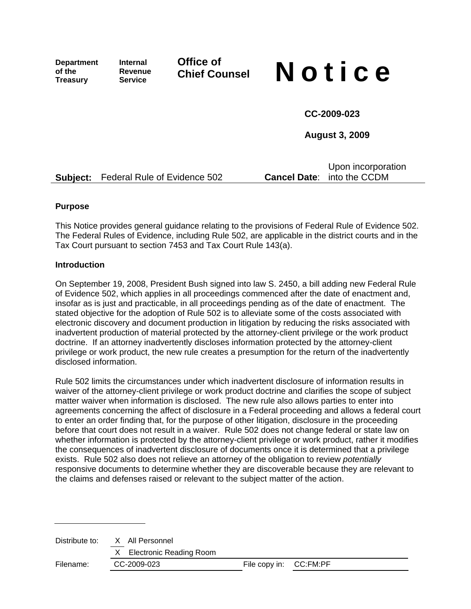**Department of the Treasury** 

**Internal Revenue Service** 

**Office of** 

# Chief Counsel **Notice**

#### **CC-2009-023**

#### **August 3, 2009**

#### **Subject:** Federal Rule of Evidence 502

Upon incorporation **Cancel Date:** into the CCDM

#### **Purpose**

This Notice provides general guidance relating to the provisions of Federal Rule of Evidence 502. The Federal Rules of Evidence, including Rule 502, are applicable in the district courts and in the Tax Court pursuant to section 7453 and Tax Court Rule 143(a).

#### **Introduction**

On September 19, 2008, President Bush signed into law S. 2450, a bill adding new Federal Rule of Evidence 502, which applies in all proceedings commenced after the date of enactment and, insofar as is just and practicable, in all proceedings pending as of the date of enactment. The stated objective for the adoption of Rule 502 is to alleviate some of the costs associated with electronic discovery and document production in litigation by reducing the risks associated with inadvertent production of material protected by the attorney-client privilege or the work product doctrine. If an attorney inadvertently discloses information protected by the attorney-client privilege or work product, the new rule creates a presumption for the return of the inadvertently disclosed information.

Rule 502 limits the circumstances under which inadvertent disclosure of information results in waiver of the attorney-client privilege or work product doctrine and clarifies the scope of subject matter waiver when information is disclosed. The new rule also allows parties to enter into agreements concerning the affect of disclosure in a Federal proceeding and allows a federal court to enter an order finding that, for the purpose of other litigation, disclosure in the proceeding before that court does not result in a waiver. Rule 502 does not change federal or state law on whether information is protected by the attorney-client privilege or work product, rather it modifies the consequences of inadvertent disclosure of documents once it is determined that a privilege exists. Rule 502 also does not relieve an attorney of the obligation to review *potentially* responsive documents to determine whether they are discoverable because they are relevant to the claims and defenses raised or relevant to the subject matter of the action.

Distribute to: X All Personnel X Electronic Reading Room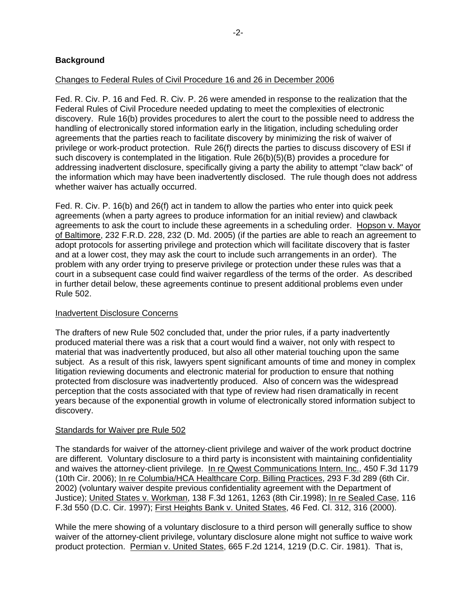#### **Background**

#### Changes to Federal Rules of Civil Procedure 16 and 26 in December 2006

Fed. R. Civ. P. 16 and Fed. R. Civ. P. 26 were amended in response to the realization that the Federal Rules of Civil Procedure needed updating to meet the complexities of electronic discovery. Rule 16(b) provides procedures to alert the court to the possible need to address the handling of electronically stored information early in the litigation, including scheduling order agreements that the parties reach to facilitate discovery by minimizing the risk of waiver of privilege or work-product protection. Rule 26(f) directs the parties to discuss discovery of ESI if such discovery is contemplated in the litigation. Rule 26(b)(5)(B) provides a procedure for addressing inadvertent disclosure, specifically giving a party the ability to attempt "claw back" of the information which may have been inadvertently disclosed. The rule though does not address whether waiver has actually occurred.

Fed. R. Civ. P. 16(b) and 26(f) act in tandem to allow the parties who enter into quick peek agreements (when a party agrees to produce information for an initial review) and clawback agreements to ask the court to include these agreements in a scheduling order. Hopson v. Mayor of Baltimore, 232 F.R.D. 228, 232 (D. Md. 2005) (if the parties are able to reach an agreement to adopt protocols for asserting privilege and protection which will facilitate discovery that is faster and at a lower cost, they may ask the court to include such arrangements in an order). The problem with any order trying to preserve privilege or protection under these rules was that a court in a subsequent case could find waiver regardless of the terms of the order. As described in further detail below, these agreements continue to present additional problems even under Rule 502.

#### Inadvertent Disclosure Concerns

The drafters of new Rule 502 concluded that, under the prior rules, if a party inadvertently produced material there was a risk that a court would find a waiver, not only with respect to material that was inadvertently produced, but also all other material touching upon the same subject. As a result of this risk, lawyers spent significant amounts of time and money in complex litigation reviewing documents and electronic material for production to ensure that nothing protected from disclosure was inadvertently produced. Also of concern was the widespread perception that the costs associated with that type of review had risen dramatically in recent years because of the exponential growth in volume of electronically stored information subject to discovery.

#### Standards for Waiver pre Rule 502

The standards for waiver of the attorney-client privilege and waiver of the work product doctrine are different. Voluntary disclosure to a third party is inconsistent with maintaining confidentiality and waives the attorney-client privilege. In re Qwest Communications Intern. Inc., 450 F.3d 1179 (10th Cir. 2006); In re Columbia/HCA Healthcare Corp. Billing Practices, 293 F.3d 289 (6th Cir. 2002) (voluntary waiver despite previous confidentiality agreement with the Department of Justice); United States v. Workman, 138 F.3d 1261, 1263 (8th Cir.1998); In re Sealed Case, 116 F.3d 550 (D.C. Cir. 1997); First Heights Bank v. United States, 46 Fed. Cl. 312, 316 (2000).

While the mere showing of a voluntary disclosure to a third person will generally suffice to show waiver of the attorney-client privilege, voluntary disclosure alone might not suffice to waive work product protection. Permian v. United States, 665 F.2d 1214, 1219 (D.C. Cir. 1981). That is,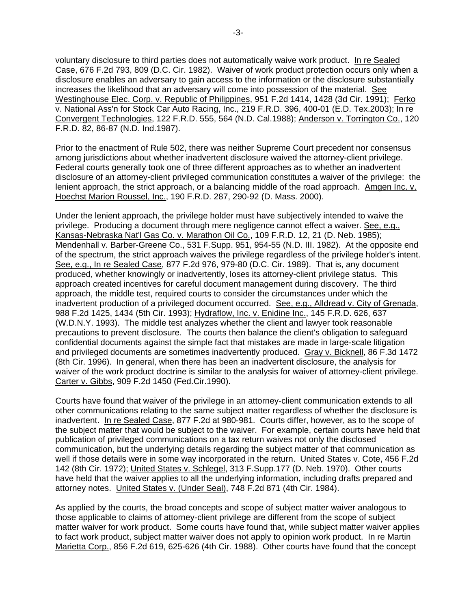voluntary disclosure to third parties does not automatically waive work product. In re Sealed Case, 676 F.2d 793, 809 (D.C. Cir. 1982). Waiver of work product protection occurs only when a disclosure enables an adversary to gain access to the information or the disclosure substantially increases the likelihood that an adversary will come into possession of the material. See Westinghouse Elec. Corp. v. Republic of Philippines, 951 F.2d 1414, 1428 (3d Cir. 1991); Ferko v. National Ass'n for Stock Car Auto Racing, Inc., 219 F.R.D. 396, 400-01 (E.D. Tex.2003); In re Convergent Technologies, 122 F.R.D. 555, 564 (N.D. Cal.1988); Anderson v. Torrington Co., 120 F.R.D. 82, 86-87 (N.D. Ind.1987).

Prior to the enactment of Rule 502, there was neither Supreme Court precedent nor consensus among jurisdictions about whether inadvertent disclosure waived the attorney-client privilege. Federal courts generally took one of three different approaches as to whether an inadvertent disclosure of an attorney-client privileged communication constitutes a waiver of the privilege: the lenient approach, the strict approach, or a balancing middle of the road approach. Amgen Inc. v. Hoechst Marion Roussel, Inc., 190 F.R.D. 287, 290-92 (D. Mass. 2000).

Under the lenient approach, the privilege holder must have subjectively intended to waive the privilege. Producing a document through mere negligence cannot effect a waiver. See, e.g., Kansas-Nebraska Nat'l Gas Co. v. Marathon Oil Co., 109 F.R.D. 12, 21 (D. Neb. 1985); Mendenhall v. Barber-Greene Co., 531 F.Supp. 951, 954-55 (N.D. III. 1982). At the opposite end of the spectrum, the strict approach waives the privilege regardless of the privilege holder's intent. See, e.g., In re Sealed Case, 877 F.2d 976, 979-80 (D.C. Cir. 1989). That is, any document produced, whether knowingly or inadvertently, loses its attorney-client privilege status. This approach created incentives for careful document management during discovery. The third approach, the middle test, required courts to consider the circumstances under which the inadvertent production of a privileged document occurred. See, e.g., Alldread v. City of Grenada, 988 F.2d 1425, 1434 (5th Cir. 1993); Hydraflow, Inc. v. Enidine Inc., 145 F.R.D. 626, 637 (W.D.N.Y. 1993). The middle test analyzes whether the client and lawyer took reasonable precautions to prevent disclosure. The courts then balance the client's obligation to safeguard confidential documents against the simple fact that mistakes are made in large-scale litigation and privileged documents are sometimes inadvertently produced. Gray v. Bicknell, 86 F.3d 1472 (8th Cir. 1996). In general, when there has been an inadvertent disclosure, the analysis for waiver of the work product doctrine is similar to the analysis for waiver of attorney-client privilege. Carter v. Gibbs, 909 F.2d 1450 (Fed.Cir.1990).

Courts have found that waiver of the privilege in an attorney-client communication extends to all other communications relating to the same subject matter regardless of whether the disclosure is inadvertent. In re Sealed Case, 877 F.2d at 980-981. Courts differ, however, as to the scope of the subject matter that would be subject to the waiver. For example, certain courts have held that publication of privileged communications on a tax return waives not only the disclosed communication, but the underlying details regarding the subject matter of that communication as well if those details were in some way incorporated in the return. United States v. Cote, 456 F.2d 142 (8th Cir. 1972); United States v. Schlegel, 313 F.Supp.177 (D. Neb. 1970). Other courts have held that the waiver applies to all the underlying information, including drafts prepared and attorney notes. United States v. (Under Seal), 748 F.2d 871 (4th Cir. 1984).

As applied by the courts, the broad concepts and scope of subject matter waiver analogous to those applicable to claims of attorney-client privilege are different from the scope of subject matter waiver for work product. Some courts have found that, while subject matter waiver applies to fact work product, subject matter waiver does not apply to opinion work product. In re Martin Marietta Corp., 856 F.2d 619, 625-626 (4th Cir. 1988). Other courts have found that the concept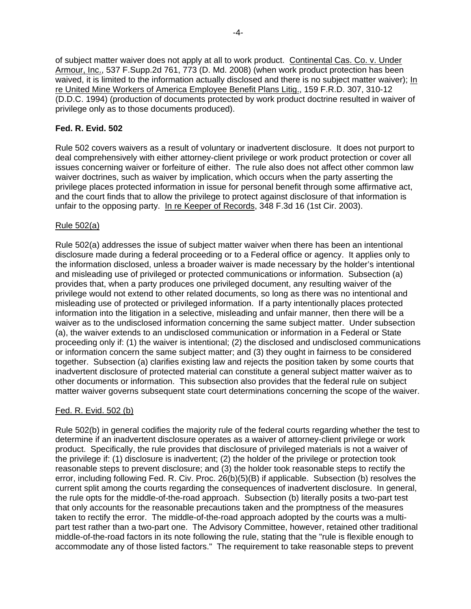of subject matter waiver does not apply at all to work product. Continental Cas. Co. v. Under Armour, Inc., 537 F.Supp.2d 761, 773 (D. Md. 2008) (when work product protection has been waived, it is limited to the information actually disclosed and there is no subject matter waiver); In re United Mine Workers of America Employee Benefit Plans Litig., 159 F.R.D. 307, 310-12 (D.D.C. 1994) (production of documents protected by work product doctrine resulted in waiver of privilege only as to those documents produced).

#### **Fed. R. Evid. 502**

Rule 502 covers waivers as a result of voluntary or inadvertent disclosure. It does not purport to deal comprehensively with either attorney-client privilege or work product protection or cover all issues concerning waiver or forfeiture of either. The rule also does not affect other common law waiver doctrines, such as waiver by implication, which occurs when the party asserting the privilege places protected information in issue for personal benefit through some affirmative act, and the court finds that to allow the privilege to protect against disclosure of that information is unfair to the opposing party. In re Keeper of Records, 348 F.3d 16 (1st Cir. 2003).

#### Rule 502(a)

Rule 502(a) addresses the issue of subject matter waiver when there has been an intentional disclosure made during a federal proceeding or to a Federal office or agency. It applies only to the information disclosed, unless a broader waiver is made necessary by the holder's intentional and misleading use of privileged or protected communications or information. Subsection (a) provides that, when a party produces one privileged document, any resulting waiver of the privilege would not extend to other related documents, so long as there was no intentional and misleading use of protected or privileged information. If a party intentionally places protected information into the litigation in a selective, misleading and unfair manner, then there will be a waiver as to the undisclosed information concerning the same subject matter. Under subsection (a), the waiver extends to an undisclosed communication or information in a Federal or State proceeding only if: (1) the waiver is intentional; (2) the disclosed and undisclosed communications or information concern the same subject matter; and (3) they ought in fairness to be considered together. Subsection (a) clarifies existing law and rejects the position taken by some courts that inadvertent disclosure of protected material can constitute a general subject matter waiver as to other documents or information. This subsection also provides that the federal rule on subject matter waiver governs subsequent state court determinations concerning the scope of the waiver.

#### Fed. R. Evid. 502 (b)

Rule 502(b) in general codifies the majority rule of the federal courts regarding whether the test to determine if an inadvertent disclosure operates as a waiver of attorney-client privilege or work product. Specifically, the rule provides that disclosure of privileged materials is not a waiver of the privilege if: (1) disclosure is inadvertent; (2) the holder of the privilege or protection took reasonable steps to prevent disclosure; and (3) the holder took reasonable steps to rectify the error, including following Fed. R. Civ. Proc. 26(b)(5)(B) if applicable. Subsection (b) resolves the current split among the courts regarding the consequences of inadvertent disclosure. In general, the rule opts for the middle-of-the-road approach. Subsection (b) literally posits a two-part test that only accounts for the reasonable precautions taken and the promptness of the measures taken to rectify the error. The middle-of-the-road approach adopted by the courts was a multipart test rather than a two-part one. The Advisory Committee, however, retained other traditional middle-of-the-road factors in its note following the rule, stating that the "rule is flexible enough to accommodate any of those listed factors." The requirement to take reasonable steps to prevent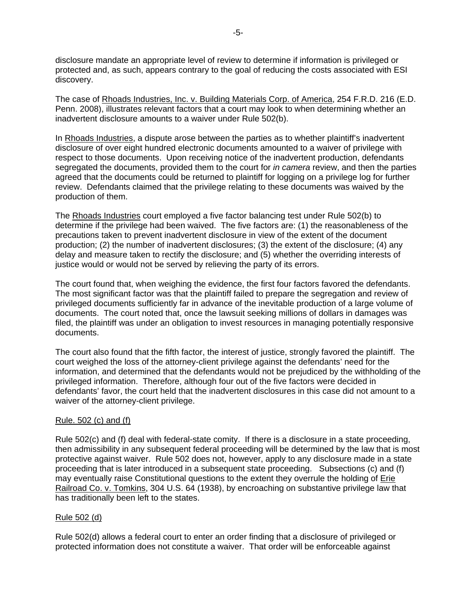disclosure mandate an appropriate level of review to determine if information is privileged or protected and, as such, appears contrary to the goal of reducing the costs associated with ESI discovery.

The case of Rhoads Industries, Inc. v. Building Materials Corp. of America, 254 F.R.D. 216 (E.D. Penn. 2008), illustrates relevant factors that a court may look to when determining whether an inadvertent disclosure amounts to a waiver under Rule 502(b).

In Rhoads Industries, a dispute arose between the parties as to whether plaintiff's inadvertent disclosure of over eight hundred electronic documents amounted to a waiver of privilege with respect to those documents. Upon receiving notice of the inadvertent production, defendants segregated the documents, provided them to the court for *in camera* review, and then the parties agreed that the documents could be returned to plaintiff for logging on a privilege log for further review. Defendants claimed that the privilege relating to these documents was waived by the production of them.

The Rhoads Industries court employed a five factor balancing test under Rule 502(b) to determine if the privilege had been waived. The five factors are: (1) the reasonableness of the precautions taken to prevent inadvertent disclosure in view of the extent of the document production; (2) the number of inadvertent disclosures; (3) the extent of the disclosure; (4) any delay and measure taken to rectify the disclosure; and (5) whether the overriding interests of justice would or would not be served by relieving the party of its errors.

The court found that, when weighing the evidence, the first four factors favored the defendants. The most significant factor was that the plaintiff failed to prepare the segregation and review of privileged documents sufficiently far in advance of the inevitable production of a large volume of documents. The court noted that, once the lawsuit seeking millions of dollars in damages was filed, the plaintiff was under an obligation to invest resources in managing potentially responsive documents.

The court also found that the fifth factor, the interest of justice, strongly favored the plaintiff. The court weighed the loss of the attorney-client privilege against the defendants' need for the information, and determined that the defendants would not be prejudiced by the withholding of the privileged information. Therefore, although four out of the five factors were decided in defendants' favor, the court held that the inadvertent disclosures in this case did not amount to a waiver of the attorney-client privilege.

#### Rule. 502 (c) and (f)

Rule 502(c) and (f) deal with federal-state comity. If there is a disclosure in a state proceeding, then admissibility in any subsequent federal proceeding will be determined by the law that is most protective against waiver. Rule 502 does not, however, apply to any disclosure made in a state proceeding that is later introduced in a subsequent state proceeding. Subsections (c) and (f) may eventually raise Constitutional questions to the extent they overrule the holding of Erie Railroad Co. v. Tomkins, 304 U.S. 64 (1938), by encroaching on substantive privilege law that has traditionally been left to the states.

#### Rule 502 (d)

Rule 502(d) allows a federal court to enter an order finding that a disclosure of privileged or protected information does not constitute a waiver. That order will be enforceable against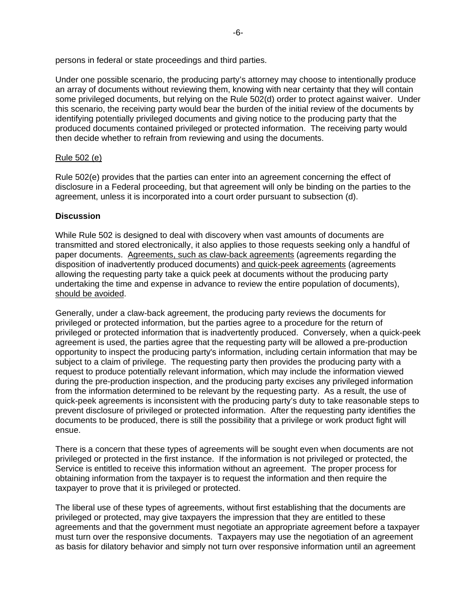persons in federal or state proceedings and third parties.

Under one possible scenario, the producing party's attorney may choose to intentionally produce an array of documents without reviewing them, knowing with near certainty that they will contain some privileged documents, but relying on the Rule 502(d) order to protect against waiver. Under this scenario, the receiving party would bear the burden of the initial review of the documents by identifying potentially privileged documents and giving notice to the producing party that the produced documents contained privileged or protected information. The receiving party would then decide whether to refrain from reviewing and using the documents.

#### Rule 502 (e)

Rule 502(e) provides that the parties can enter into an agreement concerning the effect of disclosure in a Federal proceeding, but that agreement will only be binding on the parties to the agreement, unless it is incorporated into a court order pursuant to subsection (d).

#### **Discussion**

While Rule 502 is designed to deal with discovery when vast amounts of documents are transmitted and stored electronically, it also applies to those requests seeking only a handful of paper documents. Agreements, such as claw-back agreements (agreements regarding the disposition of inadvertently produced documents) and quick-peek agreements (agreements allowing the requesting party take a quick peek at documents without the producing party undertaking the time and expense in advance to review the entire population of documents), should be avoided.

Generally, under a claw-back agreement, the producing party reviews the documents for privileged or protected information, but the parties agree to a procedure for the return of privileged or protected information that is inadvertently produced. Conversely, when a quick-peek agreement is used, the parties agree that the requesting party will be allowed a pre-production opportunity to inspect the producing party's information, including certain information that may be subject to a claim of privilege. The requesting party then provides the producing party with a request to produce potentially relevant information, which may include the information viewed during the pre-production inspection, and the producing party excises any privileged information from the information determined to be relevant by the requesting party. As a result, the use of quick-peek agreements is inconsistent with the producing party's duty to take reasonable steps to prevent disclosure of privileged or protected information. After the requesting party identifies the documents to be produced, there is still the possibility that a privilege or work product fight will ensue.

There is a concern that these types of agreements will be sought even when documents are not privileged or protected in the first instance. If the information is not privileged or protected, the Service is entitled to receive this information without an agreement. The proper process for obtaining information from the taxpayer is to request the information and then require the taxpayer to prove that it is privileged or protected.

The liberal use of these types of agreements, without first establishing that the documents are privileged or protected, may give taxpayers the impression that they are entitled to these agreements and that the government must negotiate an appropriate agreement before a taxpayer must turn over the responsive documents. Taxpayers may use the negotiation of an agreement as basis for dilatory behavior and simply not turn over responsive information until an agreement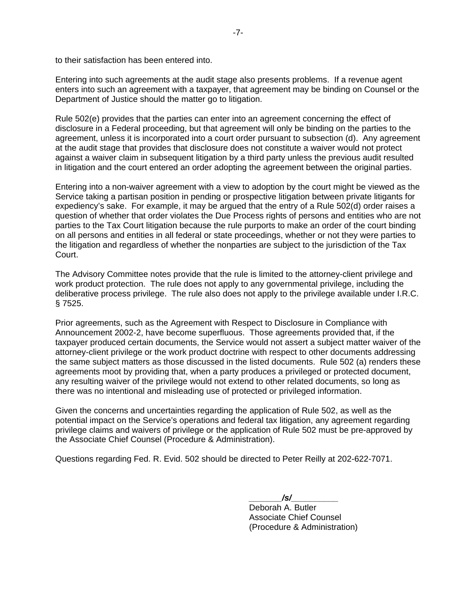to their satisfaction has been entered into.

Entering into such agreements at the audit stage also presents problems. If a revenue agent enters into such an agreement with a taxpayer, that agreement may be binding on Counsel or the Department of Justice should the matter go to litigation.

Rule 502(e) provides that the parties can enter into an agreement concerning the effect of disclosure in a Federal proceeding, but that agreement will only be binding on the parties to the agreement, unless it is incorporated into a court order pursuant to subsection (d). Any agreement at the audit stage that provides that disclosure does not constitute a waiver would not protect against a waiver claim in subsequent litigation by a third party unless the previous audit resulted in litigation and the court entered an order adopting the agreement between the original parties.

Entering into a non-waiver agreement with a view to adoption by the court might be viewed as the Service taking a partisan position in pending or prospective litigation between private litigants for expediency's sake. For example, it may be argued that the entry of a Rule 502(d) order raises a question of whether that order violates the Due Process rights of persons and entities who are not parties to the Tax Court litigation because the rule purports to make an order of the court binding on all persons and entities in all federal or state proceedings, whether or not they were parties to the litigation and regardless of whether the nonparties are subject to the jurisdiction of the Tax Court.

The Advisory Committee notes provide that the rule is limited to the attorney-client privilege and work product protection. The rule does not apply to any governmental privilege, including the deliberative process privilege. The rule also does not apply to the privilege available under I.R.C. § 7525.

Prior agreements, such as the Agreement with Respect to Disclosure in Compliance with Announcement 2002-2, have become superfluous. Those agreements provided that, if the taxpayer produced certain documents, the Service would not assert a subject matter waiver of the attorney-client privilege or the work product doctrine with respect to other documents addressing the same subject matters as those discussed in the listed documents. Rule 502 (a) renders these agreements moot by providing that, when a party produces a privileged or protected document, any resulting waiver of the privilege would not extend to other related documents, so long as there was no intentional and misleading use of protected or privileged information.

Given the concerns and uncertainties regarding the application of Rule 502, as well as the potential impact on the Service's operations and federal tax litigation, any agreement regarding privilege claims and waivers of privilege or the application of Rule 502 must be pre-approved by the Associate Chief Counsel (Procedure & Administration).

Questions regarding Fed. R. Evid. 502 should be directed to Peter Reilly at 202-622-7071.

*\_\_\_\_\_\_\_/s/\_\_\_\_\_\_\_\_\_\_*  Deborah A. Butler Associate Chief Counsel (Procedure & Administration)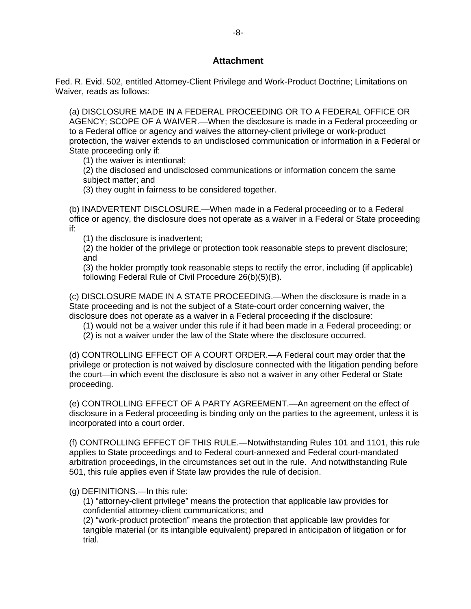#### **Attachment**

Fed. R. Evid. 502, entitled Attorney-Client Privilege and Work-Product Doctrine; Limitations on Waiver, reads as follows:

(a) DISCLOSURE MADE IN A FEDERAL PROCEEDING OR TO A FEDERAL OFFICE OR AGENCY; SCOPE OF A WAIVER.—When the disclosure is made in a Federal proceeding or to a Federal office or agency and waives the attorney-client privilege or work-product protection, the waiver extends to an undisclosed communication or information in a Federal or State proceeding only if:

(1) the waiver is intentional;

(2) the disclosed and undisclosed communications or information concern the same subject matter; and

(3) they ought in fairness to be considered together.

(b) INADVERTENT DISCLOSURE.—When made in a Federal proceeding or to a Federal office or agency, the disclosure does not operate as a waiver in a Federal or State proceeding if:

(1) the disclosure is inadvertent;

(2) the holder of the privilege or protection took reasonable steps to prevent disclosure; and

(3) the holder promptly took reasonable steps to rectify the error, including (if applicable) following Federal Rule of Civil Procedure 26(b)(5)(B).

(c) DISCLOSURE MADE IN A STATE PROCEEDING.—When the disclosure is made in a State proceeding and is not the subject of a State-court order concerning waiver, the disclosure does not operate as a waiver in a Federal proceeding if the disclosure:

- (1) would not be a waiver under this rule if it had been made in a Federal proceeding; or
- (2) is not a waiver under the law of the State where the disclosure occurred.

(d) CONTROLLING EFFECT OF A COURT ORDER.—A Federal court may order that the privilege or protection is not waived by disclosure connected with the litigation pending before the court—in which event the disclosure is also not a waiver in any other Federal or State proceeding.

(e) CONTROLLING EFFECT OF A PARTY AGREEMENT.—An agreement on the effect of disclosure in a Federal proceeding is binding only on the parties to the agreement, unless it is incorporated into a court order.

(f) CONTROLLING EFFECT OF THIS RULE.—Notwithstanding Rules 101 and 1101, this rule applies to State proceedings and to Federal court-annexed and Federal court-mandated arbitration proceedings, in the circumstances set out in the rule. And notwithstanding Rule 501, this rule applies even if State law provides the rule of decision.

(g) DEFINITIONS.—In this rule:

(1) "attorney-client privilege" means the protection that applicable law provides for confidential attorney-client communications; and

(2) "work-product protection" means the protection that applicable law provides for tangible material (or its intangible equivalent) prepared in anticipation of litigation or for trial.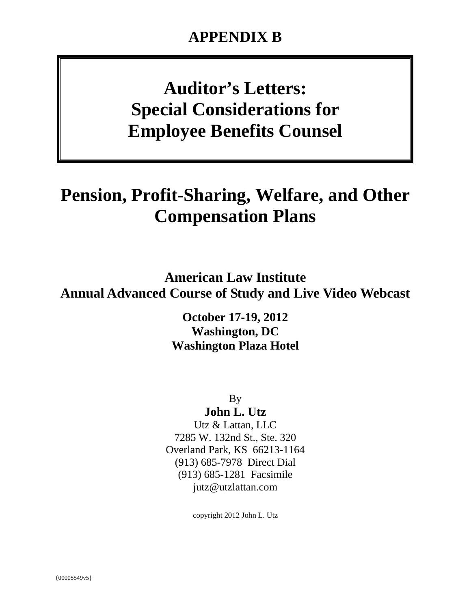# **Auditor's Letters: Special Considerations for Employee Benefits Counsel**

# **Pension, Profit-Sharing, Welfare, and Other Compensation Plans**

**American Law Institute Annual Advanced Course of Study and Live Video Webcast**

> **October 17-19, 2012 Washington, DC Washington Plaza Hotel**

> > By

### **John L. Utz**

Utz & Lattan, LLC 7285 W. 132nd St., Ste. 320 Overland Park, KS 66213-1164 (913) 685-7978 Direct Dial (913) 685-1281 Facsimile jutz@utzlattan.com

copyright 2012 John L. Utz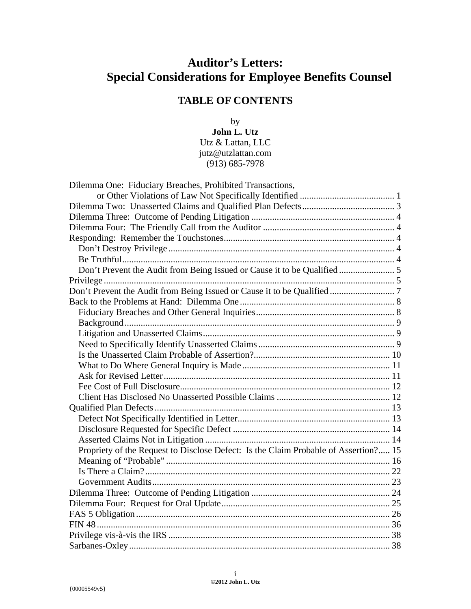# **Auditor's Letters: Special Considerations for Employee Benefits Counsel**

### **TABLE OF CONTENTS**

by

**John L. Utz**  Utz & Lattan, LLC jutz@utzlattan.com (913) 685-7978

| Dilemma One: Fiduciary Breaches, Prohibited Transactions,                           |  |
|-------------------------------------------------------------------------------------|--|
|                                                                                     |  |
|                                                                                     |  |
|                                                                                     |  |
|                                                                                     |  |
|                                                                                     |  |
|                                                                                     |  |
|                                                                                     |  |
|                                                                                     |  |
|                                                                                     |  |
|                                                                                     |  |
|                                                                                     |  |
|                                                                                     |  |
|                                                                                     |  |
|                                                                                     |  |
|                                                                                     |  |
|                                                                                     |  |
|                                                                                     |  |
|                                                                                     |  |
|                                                                                     |  |
|                                                                                     |  |
|                                                                                     |  |
|                                                                                     |  |
|                                                                                     |  |
|                                                                                     |  |
| Propriety of the Request to Disclose Defect: Is the Claim Probable of Assertion? 15 |  |
|                                                                                     |  |
|                                                                                     |  |
|                                                                                     |  |
|                                                                                     |  |
|                                                                                     |  |
|                                                                                     |  |
|                                                                                     |  |
|                                                                                     |  |
|                                                                                     |  |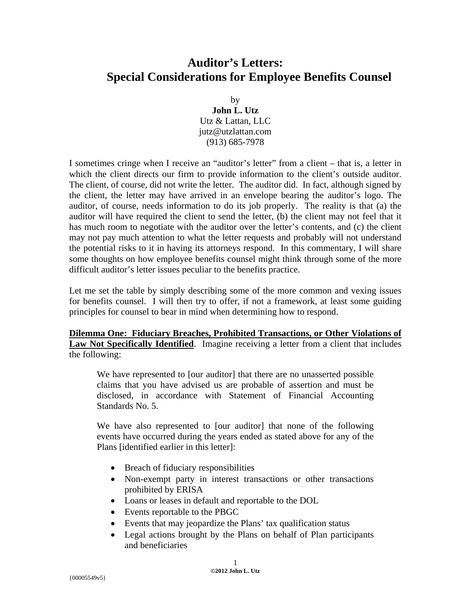## **Auditor's Letters: Special Considerations for Employee Benefits Counsel**

by **John L. Utz**  Utz & Lattan, LLC jutz@utzlattan.com (913) 685-7978

I sometimes cringe when I receive an "auditor's letter" from a client – that is, a letter in which the client directs our firm to provide information to the client's outside auditor. The client, of course, did not write the letter. The auditor did. In fact, although signed by the client, the letter may have arrived in an envelope bearing the auditor's logo. The auditor, of course, needs information to do its job properly. The reality is that (a) the auditor will have required the client to send the letter, (b) the client may not feel that it has much room to negotiate with the auditor over the letter's contents, and (c) the client may not pay much attention to what the letter requests and probably will not understand the potential risks to it in having its attorneys respond. In this commentary, I will share some thoughts on how employee benefits counsel might think through some of the more difficult auditor's letter issues peculiar to the benefits practice.

Let me set the table by simply describing some of the more common and vexing issues for benefits counsel. I will then try to offer, if not a framework, at least some guiding principles for counsel to bear in mind when determining how to respond.

**Dilemma One: Fiduciary Breaches, Prohibited Transactions, or Other Violations of Law Not Specifically Identified**. Imagine receiving a letter from a client that includes the following:

We have represented to [our auditor] that there are no unasserted possible claims that you have advised us are probable of assertion and must be disclosed, in accordance with Statement of Financial Accounting Standards No. 5.

We have also represented to [our auditor] that none of the following events have occurred during the years ended as stated above for any of the Plans [identified earlier in this letter]:

- Breach of fiduciary responsibilities
- Non-exempt party in interest transactions or other transactions prohibited by ERISA
- Loans or leases in default and reportable to the DOL
- Events reportable to the PBGC
- Events that may jeopardize the Plans' tax qualification status
- Legal actions brought by the Plans on behalf of Plan participants and beneficiaries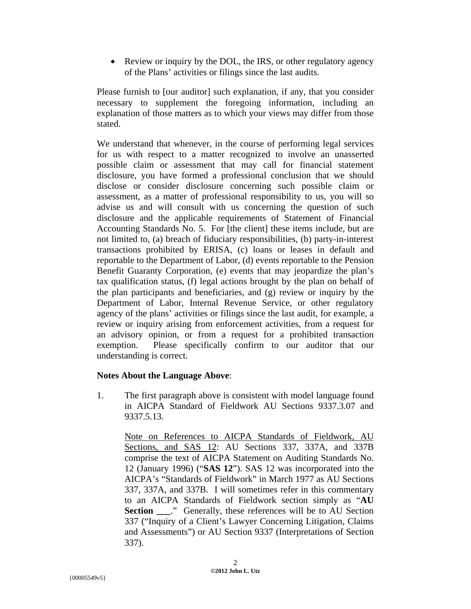• Review or inquiry by the DOL, the IRS, or other regulatory agency of the Plans' activities or filings since the last audits.

Please furnish to [our auditor] such explanation, if any, that you consider necessary to supplement the foregoing information, including an explanation of those matters as to which your views may differ from those stated.

We understand that whenever, in the course of performing legal services for us with respect to a matter recognized to involve an unasserted possible claim or assessment that may call for financial statement disclosure, you have formed a professional conclusion that we should disclose or consider disclosure concerning such possible claim or assessment, as a matter of professional responsibility to us, you will so advise us and will consult with us concerning the question of such disclosure and the applicable requirements of Statement of Financial Accounting Standards No. 5. For [the client] these items include, but are not limited to, (a) breach of fiduciary responsibilities, (b) party-in-interest transactions prohibited by ERISA, (c) loans or leases in default and reportable to the Department of Labor, (d) events reportable to the Pension Benefit Guaranty Corporation, (e) events that may jeopardize the plan's tax qualification status, (f) legal actions brought by the plan on behalf of the plan participants and beneficiaries, and (g) review or inquiry by the Department of Labor, Internal Revenue Service, or other regulatory agency of the plans' activities or filings since the last audit, for example, a review or inquiry arising from enforcement activities, from a request for an advisory opinion, or from a request for a prohibited transaction exemption. Please specifically confirm to our auditor that our understanding is correct.

# **Notes About the Language Above**:

1. The first paragraph above is consistent with model language found in AICPA Standard of Fieldwork AU Sections 9337.3.07 and 9337.5.13.

Note on References to AICPA Standards of Fieldwork, AU Sections, and SAS 12: AU Sections 337, 337A, and 337B comprise the text of AICPA Statement on Auditing Standards No. 12 (January 1996) ("**SAS 12**"). SAS 12 was incorporated into the AICPA's "Standards of Fieldwork" in March 1977 as AU Sections 337, 337A, and 337B. I will sometimes refer in this commentary to an AICPA Standards of Fieldwork section simply as "**AU Section \_\_\_.**" Generally, these references will be to AU Section 337 ("Inquiry of a Client's Lawyer Concerning Litigation, Claims and Assessments") or AU Section 9337 (Interpretations of Section 337).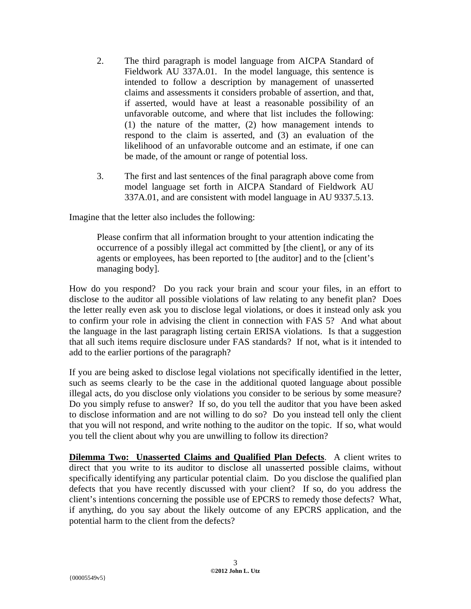- 2. The third paragraph is model language from AICPA Standard of Fieldwork AU 337A.01. In the model language, this sentence is intended to follow a description by management of unasserted claims and assessments it considers probable of assertion, and that, if asserted, would have at least a reasonable possibility of an unfavorable outcome, and where that list includes the following: (1) the nature of the matter, (2) how management intends to respond to the claim is asserted, and (3) an evaluation of the likelihood of an unfavorable outcome and an estimate, if one can be made, of the amount or range of potential loss.
- 3. The first and last sentences of the final paragraph above come from model language set forth in AICPA Standard of Fieldwork AU 337A.01, and are consistent with model language in AU 9337.5.13.

Imagine that the letter also includes the following:

Please confirm that all information brought to your attention indicating the occurrence of a possibly illegal act committed by [the client], or any of its agents or employees, has been reported to [the auditor] and to the [client's managing body].

How do you respond? Do you rack your brain and scour your files, in an effort to disclose to the auditor all possible violations of law relating to any benefit plan? Does the letter really even ask you to disclose legal violations, or does it instead only ask you to confirm your role in advising the client in connection with FAS 5? And what about the language in the last paragraph listing certain ERISA violations. Is that a suggestion that all such items require disclosure under FAS standards? If not, what is it intended to add to the earlier portions of the paragraph?

If you are being asked to disclose legal violations not specifically identified in the letter, such as seems clearly to be the case in the additional quoted language about possible illegal acts, do you disclose only violations you consider to be serious by some measure? Do you simply refuse to answer? If so, do you tell the auditor that you have been asked to disclose information and are not willing to do so? Do you instead tell only the client that you will not respond, and write nothing to the auditor on the topic. If so, what would you tell the client about why you are unwilling to follow its direction?

**Dilemma Two: Unasserted Claims and Qualified Plan Defects**. A client writes to direct that you write to its auditor to disclose all unasserted possible claims, without specifically identifying any particular potential claim. Do you disclose the qualified plan defects that you have recently discussed with your client? If so, do you address the client's intentions concerning the possible use of EPCRS to remedy those defects? What, if anything, do you say about the likely outcome of any EPCRS application, and the potential harm to the client from the defects?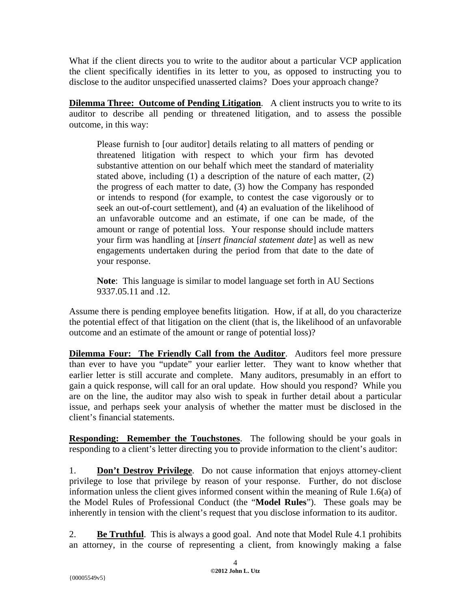What if the client directs you to write to the auditor about a particular VCP application the client specifically identifies in its letter to you, as opposed to instructing you to disclose to the auditor unspecified unasserted claims? Does your approach change?

**Dilemma Three: Outcome of Pending Litigation**. A client instructs you to write to its auditor to describe all pending or threatened litigation, and to assess the possible outcome, in this way:

Please furnish to [our auditor] details relating to all matters of pending or threatened litigation with respect to which your firm has devoted substantive attention on our behalf which meet the standard of materiality stated above, including (1) a description of the nature of each matter, (2) the progress of each matter to date, (3) how the Company has responded or intends to respond (for example, to contest the case vigorously or to seek an out-of-court settlement), and (4) an evaluation of the likelihood of an unfavorable outcome and an estimate, if one can be made, of the amount or range of potential loss. Your response should include matters your firm was handling at [*insert financial statement date*] as well as new engagements undertaken during the period from that date to the date of your response.

**Note**: This language is similar to model language set forth in AU Sections 9337.05.11 and .12.

Assume there is pending employee benefits litigation. How, if at all, do you characterize the potential effect of that litigation on the client (that is, the likelihood of an unfavorable outcome and an estimate of the amount or range of potential loss)?

**Dilemma Four: The Friendly Call from the Auditor.** Auditors feel more pressure than ever to have you "update" your earlier letter. They want to know whether that earlier letter is still accurate and complete. Many auditors, presumably in an effort to gain a quick response, will call for an oral update. How should you respond? While you are on the line, the auditor may also wish to speak in further detail about a particular issue, and perhaps seek your analysis of whether the matter must be disclosed in the client's financial statements.

**Responding: Remember the Touchstones**. The following should be your goals in responding to a client's letter directing you to provide information to the client's auditor:

1. **Don't Destroy Privilege**. Do not cause information that enjoys attorney-client privilege to lose that privilege by reason of your response. Further, do not disclose information unless the client gives informed consent within the meaning of Rule 1.6(a) of the Model Rules of Professional Conduct (the "**Model Rules**"). These goals may be inherently in tension with the client's request that you disclose information to its auditor.

2. **Be Truthful**. This is always a good goal. And note that Model Rule 4.1 prohibits an attorney, in the course of representing a client, from knowingly making a false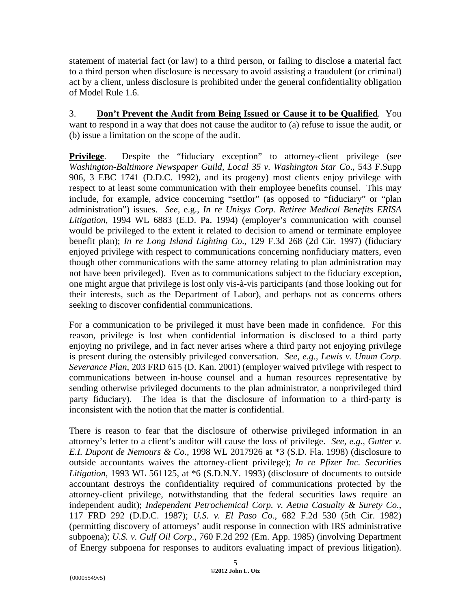statement of material fact (or law) to a third person, or failing to disclose a material fact to a third person when disclosure is necessary to avoid assisting a fraudulent (or criminal) act by a client, unless disclosure is prohibited under the general confidentiality obligation of Model Rule 1.6.

3. **Don't Prevent the Audit from Being Issued or Cause it to be Qualified**. You want to respond in a way that does not cause the auditor to (a) refuse to issue the audit, or (b) issue a limitation on the scope of the audit.

**Privilege.** Despite the "fiduciary exception" to attorney-client privilege (see *Washington-Baltimore Newspaper Guild, Local 35 v. Washington Star Co*., 543 F.Supp 906, 3 EBC 1741 (D.D.C. 1992), and its progeny) most clients enjoy privilege with respect to at least some communication with their employee benefits counsel. This may include, for example, advice concerning "settlor" (as opposed to "fiduciary" or "plan administration") issues. *See,* e.g., *In re Unisys Corp. Retiree Medical Benefits ERISA Litigation*, 1994 WL 6883 (E.D. Pa. 1994) (employer's communication with counsel would be privileged to the extent it related to decision to amend or terminate employee benefit plan); *In re Long Island Lighting Co*., 129 F.3d 268 (2d Cir. 1997) (fiduciary enjoyed privilege with respect to communications concerning nonfiduciary matters, even though other communications with the same attorney relating to plan administration may not have been privileged). Even as to communications subject to the fiduciary exception, one might argue that privilege is lost only vis-à-vis participants (and those looking out for their interests, such as the Department of Labor), and perhaps not as concerns others seeking to discover confidential communications.

For a communication to be privileged it must have been made in confidence. For this reason, privilege is lost when confidential information is disclosed to a third party enjoying no privilege, and in fact never arises where a third party not enjoying privilege is present during the ostensibly privileged conversation. *See, e.g., Lewis v. Unum Corp. Severance Plan*, 203 FRD 615 (D. Kan. 2001) (employer waived privilege with respect to communications between in-house counsel and a human resources representative by sending otherwise privileged documents to the plan administrator, a nonprivileged third party fiduciary). The idea is that the disclosure of information to a third-party is inconsistent with the notion that the matter is confidential.

There is reason to fear that the disclosure of otherwise privileged information in an attorney's letter to a client's auditor will cause the loss of privilege. *See, e.g., Gutter v. E.I. Dupont de Nemours & Co.*, 1998 WL 2017926 at \*3 (S.D. Fla. 1998) (disclosure to outside accountants waives the attorney-client privilege); *In re Pfizer Inc. Securities Litigation*, 1993 WL 561125, at \*6 (S.D.N.Y. 1993) (disclosure of documents to outside accountant destroys the confidentiality required of communications protected by the attorney-client privilege, notwithstanding that the federal securities laws require an independent audit); *Independent Petrochemical Corp. v. Aetna Casualty & Surety Co.*, 117 FRD 292 (D.D.C. 1987); *U.S. v. El Paso Co.*, 682 F.2d 530 (5th Cir. 1982) (permitting discovery of attorneys' audit response in connection with IRS administrative subpoena); *U.S. v. Gulf Oil Corp*., 760 F.2d 292 (Em. App. 1985) (involving Department of Energy subpoena for responses to auditors evaluating impact of previous litigation).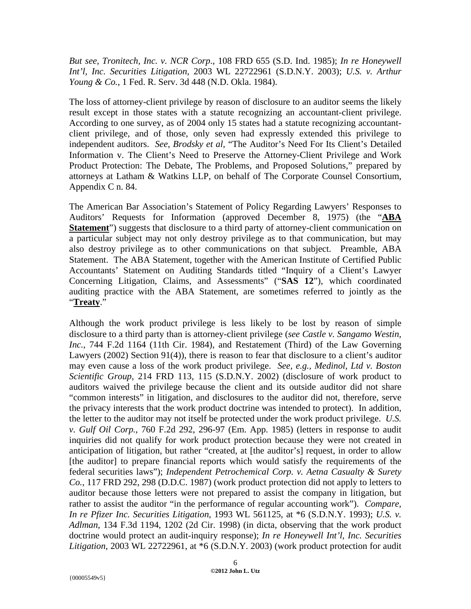*But see, Tronitech, Inc. v. NCR Corp*., 108 FRD 655 (S.D. Ind. 1985); *In re Honeywell Int'l, Inc. Securities Litigation*, 2003 WL 22722961 (S.D.N.Y. 2003); *U.S. v. Arthur Young & Co.*, 1 Fed. R. Serv. 3d 448 (N.D. Okla. 1984).

The loss of attorney-client privilege by reason of disclosure to an auditor seems the likely result except in those states with a statute recognizing an accountant-client privilege. According to one survey, as of 2004 only 15 states had a statute recognizing accountantclient privilege, and of those, only seven had expressly extended this privilege to independent auditors. *See, Brodsky et al,* "The Auditor's Need For Its Client's Detailed Information v. The Client's Need to Preserve the Attorney-Client Privilege and Work Product Protection: The Debate, The Problems, and Proposed Solutions," prepared by attorneys at Latham & Watkins LLP, on behalf of The Corporate Counsel Consortium, Appendix C n. 84.

The American Bar Association's Statement of Policy Regarding Lawyers' Responses to Auditors' Requests for Information (approved December 8, 1975) (the "**ABA Statement**") suggests that disclosure to a third party of attorney-client communication on a particular subject may not only destroy privilege as to that communication, but may also destroy privilege as to other communications on that subject. Preamble, ABA Statement. The ABA Statement, together with the American Institute of Certified Public Accountants' Statement on Auditing Standards titled "Inquiry of a Client's Lawyer Concerning Litigation, Claims, and Assessments" ("**SAS 12**"), which coordinated auditing practice with the ABA Statement, are sometimes referred to jointly as the "**Treaty**."

Although the work product privilege is less likely to be lost by reason of simple disclosure to a third party than is attorney-client privilege (*see Castle v. Sangamo Westin, Inc.*, 744 F.2d 1164 (11th Cir. 1984), and Restatement (Third) of the Law Governing Lawyers (2002) Section 91(4)), there is reason to fear that disclosure to a client's auditor may even cause a loss of the work product privilege. *See, e.g., Medinol, Ltd v. Boston Scientific Group*, 214 FRD 113, 115 (S.D.N.Y. 2002) (disclosure of work product to auditors waived the privilege because the client and its outside auditor did not share "common interests" in litigation, and disclosures to the auditor did not, therefore, serve the privacy interests that the work product doctrine was intended to protect). In addition, the letter to the auditor may not itself be protected under the work product privilege. *U.S. v. Gulf Oil Corp.*, 760 F.2d 292, 296-97 (Em. App. 1985) (letters in response to audit inquiries did not qualify for work product protection because they were not created in anticipation of litigation, but rather "created, at [the auditor's] request, in order to allow [the auditor] to prepare financial reports which would satisfy the requirements of the federal securities laws"); *Independent Petrochemical Corp. v. Aetna Casualty & Surety Co.*, 117 FRD 292, 298 (D.D.C. 1987) (work product protection did not apply to letters to auditor because those letters were not prepared to assist the company in litigation, but rather to assist the auditor "in the performance of regular accounting work"). *Compare, In re Pfizer Inc. Securities Litigation*, 1993 WL 561125, at \*6 (S.D.N.Y. 1993); *U.S. v. Adlman*, 134 F.3d 1194, 1202 (2d Cir. 1998) (in dicta, observing that the work product doctrine would protect an audit-inquiry response); *In re Honeywell Int'l, Inc. Securities Litigation*, 2003 WL 22722961, at \*6 (S.D.N.Y. 2003) (work product protection for audit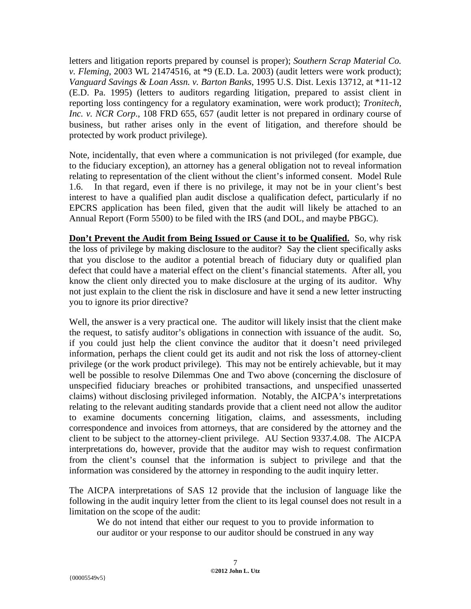letters and litigation reports prepared by counsel is proper); *Southern Scrap Material Co. v. Fleming*, 2003 WL 21474516, at \*9 (E.D. La. 2003) (audit letters were work product); *Vanguard Savings & Loan Assn. v. Barton Banks*, 1995 U.S. Dist. Lexis 13712, at \*11-12 (E.D. Pa. 1995) (letters to auditors regarding litigation, prepared to assist client in reporting loss contingency for a regulatory examination, were work product); *Tronitech, Inc. v. NCR Corp*., 108 FRD 655, 657 (audit letter is not prepared in ordinary course of business, but rather arises only in the event of litigation, and therefore should be protected by work product privilege).

Note, incidentally, that even where a communication is not privileged (for example, due to the fiduciary exception), an attorney has a general obligation not to reveal information relating to representation of the client without the client's informed consent. Model Rule 1.6. In that regard, even if there is no privilege, it may not be in your client's best interest to have a qualified plan audit disclose a qualification defect, particularly if no EPCRS application has been filed, given that the audit will likely be attached to an Annual Report (Form 5500) to be filed with the IRS (and DOL, and maybe PBGC).

**Don't Prevent the Audit from Being Issued or Cause it to be Qualified.** So, why risk the loss of privilege by making disclosure to the auditor? Say the client specifically asks that you disclose to the auditor a potential breach of fiduciary duty or qualified plan defect that could have a material effect on the client's financial statements. After all, you know the client only directed you to make disclosure at the urging of its auditor. Why not just explain to the client the risk in disclosure and have it send a new letter instructing you to ignore its prior directive?

Well, the answer is a very practical one. The auditor will likely insist that the client make the request, to satisfy auditor's obligations in connection with issuance of the audit. So, if you could just help the client convince the auditor that it doesn't need privileged information, perhaps the client could get its audit and not risk the loss of attorney-client privilege (or the work product privilege). This may not be entirely achievable, but it may well be possible to resolve Dilemmas One and Two above (concerning the disclosure of unspecified fiduciary breaches or prohibited transactions, and unspecified unasserted claims) without disclosing privileged information. Notably, the AICPA's interpretations relating to the relevant auditing standards provide that a client need not allow the auditor to examine documents concerning litigation, claims, and assessments, including correspondence and invoices from attorneys, that are considered by the attorney and the client to be subject to the attorney-client privilege. AU Section 9337.4.08. The AICPA interpretations do, however, provide that the auditor may wish to request confirmation from the client's counsel that the information is subject to privilege and that the information was considered by the attorney in responding to the audit inquiry letter.

The AICPA interpretations of SAS 12 provide that the inclusion of language like the following in the audit inquiry letter from the client to its legal counsel does not result in a limitation on the scope of the audit:

We do not intend that either our request to you to provide information to our auditor or your response to our auditor should be construed in any way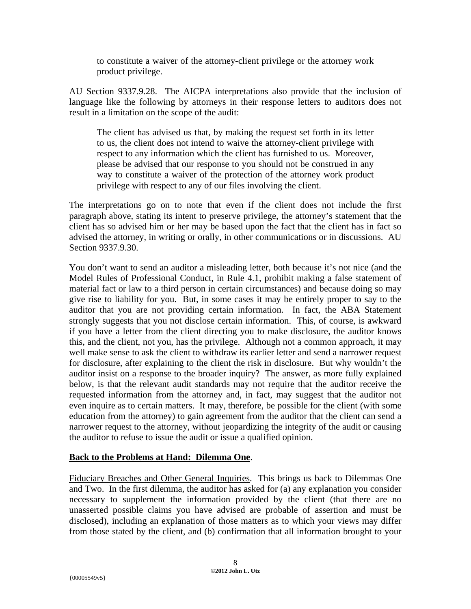to constitute a waiver of the attorney-client privilege or the attorney work product privilege.

AU Section 9337.9.28. The AICPA interpretations also provide that the inclusion of language like the following by attorneys in their response letters to auditors does not result in a limitation on the scope of the audit:

The client has advised us that, by making the request set forth in its letter to us, the client does not intend to waive the attorney-client privilege with respect to any information which the client has furnished to us. Moreover, please be advised that our response to you should not be construed in any way to constitute a waiver of the protection of the attorney work product privilege with respect to any of our files involving the client.

The interpretations go on to note that even if the client does not include the first paragraph above, stating its intent to preserve privilege, the attorney's statement that the client has so advised him or her may be based upon the fact that the client has in fact so advised the attorney, in writing or orally, in other communications or in discussions. AU Section 9337.9.30.

You don't want to send an auditor a misleading letter, both because it's not nice (and the Model Rules of Professional Conduct, in Rule 4.1, prohibit making a false statement of material fact or law to a third person in certain circumstances) and because doing so may give rise to liability for you. But, in some cases it may be entirely proper to say to the auditor that you are not providing certain information. In fact, the ABA Statement strongly suggests that you not disclose certain information. This, of course, is awkward if you have a letter from the client directing you to make disclosure, the auditor knows this, and the client, not you, has the privilege. Although not a common approach, it may well make sense to ask the client to withdraw its earlier letter and send a narrower request for disclosure, after explaining to the client the risk in disclosure. But why wouldn't the auditor insist on a response to the broader inquiry? The answer, as more fully explained below, is that the relevant audit standards may not require that the auditor receive the requested information from the attorney and, in fact, may suggest that the auditor not even inquire as to certain matters. It may, therefore, be possible for the client (with some education from the attorney) to gain agreement from the auditor that the client can send a narrower request to the attorney, without jeopardizing the integrity of the audit or causing the auditor to refuse to issue the audit or issue a qualified opinion.

## **Back to the Problems at Hand: Dilemma One**.

Fiduciary Breaches and Other General Inquiries. This brings us back to Dilemmas One and Two. In the first dilemma, the auditor has asked for (a) any explanation you consider necessary to supplement the information provided by the client (that there are no unasserted possible claims you have advised are probable of assertion and must be disclosed), including an explanation of those matters as to which your views may differ from those stated by the client, and (b) confirmation that all information brought to your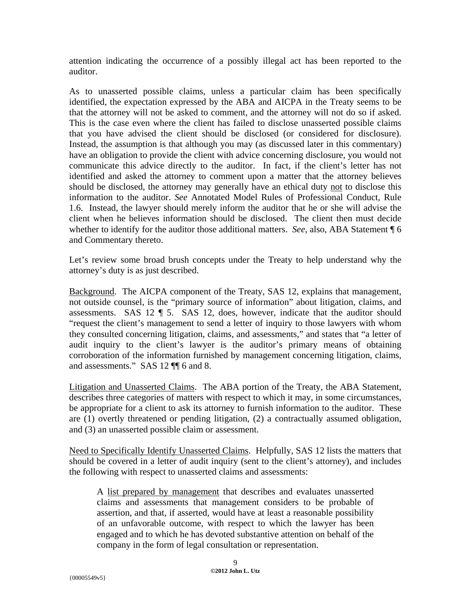attention indicating the occurrence of a possibly illegal act has been reported to the auditor.

As to unasserted possible claims, unless a particular claim has been specifically identified, the expectation expressed by the ABA and AICPA in the Treaty seems to be that the attorney will not be asked to comment, and the attorney will not do so if asked. This is the case even where the client has failed to disclose unasserted possible claims that you have advised the client should be disclosed (or considered for disclosure). Instead, the assumption is that although you may (as discussed later in this commentary) have an obligation to provide the client with advice concerning disclosure, you would not communicate this advice directly to the auditor. In fact, if the client's letter has not identified and asked the attorney to comment upon a matter that the attorney believes should be disclosed, the attorney may generally have an ethical duty not to disclose this information to the auditor. *See* Annotated Model Rules of Professional Conduct*,* Rule 1.6. Instead, the lawyer should merely inform the auditor that he or she will advise the client when he believes information should be disclosed. The client then must decide whether to identify for the auditor those additional matters. *See*, also, ABA Statement ¶ 6 and Commentary thereto.

Let's review some broad brush concepts under the Treaty to help understand why the attorney's duty is as just described.

Background. The AICPA component of the Treaty, SAS 12, explains that management, not outside counsel, is the "primary source of information" about litigation, claims, and assessments. SAS 12 ¶ 5. SAS 12, does, however, indicate that the auditor should "request the client's management to send a letter of inquiry to those lawyers with whom they consulted concerning litigation, claims, and assessments," and states that "a letter of audit inquiry to the client's lawyer is the auditor's primary means of obtaining corroboration of the information furnished by management concerning litigation, claims, and assessments." SAS 12 ¶¶ 6 and 8.

Litigation and Unasserted Claims. The ABA portion of the Treaty, the ABA Statement, describes three categories of matters with respect to which it may, in some circumstances, be appropriate for a client to ask its attorney to furnish information to the auditor. These are (1) overtly threatened or pending litigation, (2) a contractually assumed obligation, and (3) an unasserted possible claim or assessment.

Need to Specifically Identify Unasserted Claims. Helpfully, SAS 12 lists the matters that should be covered in a letter of audit inquiry (sent to the client's attorney), and includes the following with respect to unasserted claims and assessments:

A list prepared by management that describes and evaluates unasserted claims and assessments that management considers to be probable of assertion, and that, if asserted, would have at least a reasonable possibility of an unfavorable outcome, with respect to which the lawyer has been engaged and to which he has devoted substantive attention on behalf of the company in the form of legal consultation or representation.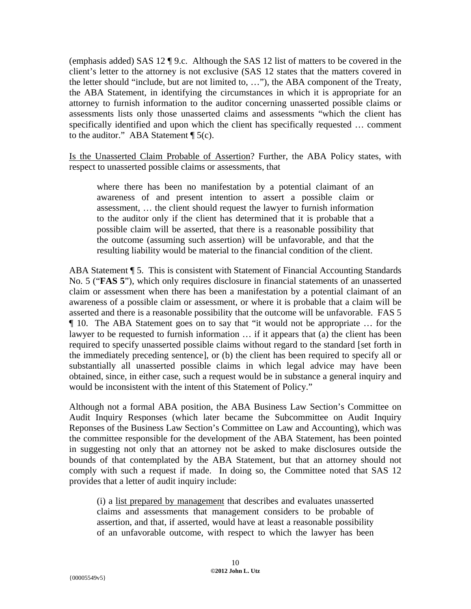(emphasis added) SAS 12 ¶ 9.c. Although the SAS 12 list of matters to be covered in the client's letter to the attorney is not exclusive (SAS 12 states that the matters covered in the letter should "include, but are not limited to, …"), the ABA component of the Treaty, the ABA Statement, in identifying the circumstances in which it is appropriate for an attorney to furnish information to the auditor concerning unasserted possible claims or assessments lists only those unasserted claims and assessments "which the client has specifically identified and upon which the client has specifically requested … comment to the auditor." ABA Statement  $\P$  5(c).

Is the Unasserted Claim Probable of Assertion? Further, the ABA Policy states, with respect to unasserted possible claims or assessments, that

where there has been no manifestation by a potential claimant of an awareness of and present intention to assert a possible claim or assessment, … the client should request the lawyer to furnish information to the auditor only if the client has determined that it is probable that a possible claim will be asserted, that there is a reasonable possibility that the outcome (assuming such assertion) will be unfavorable, and that the resulting liability would be material to the financial condition of the client.

ABA Statement ¶ 5. This is consistent with Statement of Financial Accounting Standards No. 5 ("**FAS 5**"), which only requires disclosure in financial statements of an unasserted claim or assessment when there has been a manifestation by a potential claimant of an awareness of a possible claim or assessment, or where it is probable that a claim will be asserted and there is a reasonable possibility that the outcome will be unfavorable. FAS 5 ¶ 10. The ABA Statement goes on to say that "it would not be appropriate … for the lawyer to be requested to furnish information … if it appears that (a) the client has been required to specify unasserted possible claims without regard to the standard [set forth in the immediately preceding sentence], or (b) the client has been required to specify all or substantially all unasserted possible claims in which legal advice may have been obtained, since, in either case, such a request would be in substance a general inquiry and would be inconsistent with the intent of this Statement of Policy."

Although not a formal ABA position, the ABA Business Law Section's Committee on Audit Inquiry Responses (which later became the Subcommittee on Audit Inquiry Reponses of the Business Law Section's Committee on Law and Accounting), which was the committee responsible for the development of the ABA Statement, has been pointed in suggesting not only that an attorney not be asked to make disclosures outside the bounds of that contemplated by the ABA Statement, but that an attorney should not comply with such a request if made. In doing so, the Committee noted that SAS 12 provides that a letter of audit inquiry include:

(i) a list prepared by management that describes and evaluates unasserted claims and assessments that management considers to be probable of assertion, and that, if asserted, would have at least a reasonable possibility of an unfavorable outcome, with respect to which the lawyer has been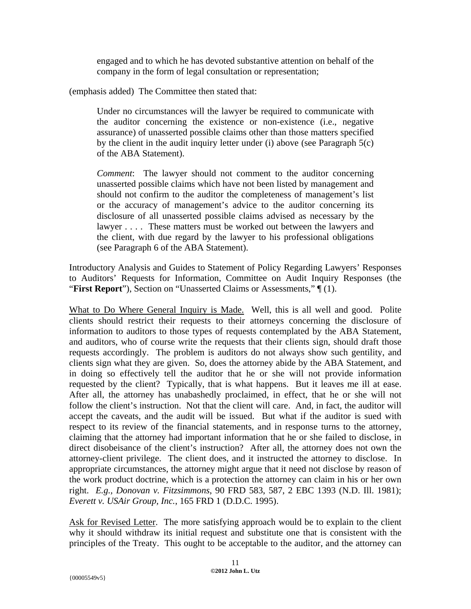engaged and to which he has devoted substantive attention on behalf of the company in the form of legal consultation or representation;

(emphasis added) The Committee then stated that:

Under no circumstances will the lawyer be required to communicate with the auditor concerning the existence or non-existence (i.e., negative assurance) of unasserted possible claims other than those matters specified by the client in the audit inquiry letter under (i) above (see Paragraph 5(c) of the ABA Statement).

*Comment*: The lawyer should not comment to the auditor concerning unasserted possible claims which have not been listed by management and should not confirm to the auditor the completeness of management's list or the accuracy of management's advice to the auditor concerning its disclosure of all unasserted possible claims advised as necessary by the lawyer . . . . These matters must be worked out between the lawyers and the client, with due regard by the lawyer to his professional obligations (see Paragraph 6 of the ABA Statement).

Introductory Analysis and Guides to Statement of Policy Regarding Lawyers' Responses to Auditors' Requests for Information, Committee on Audit Inquiry Responses (the "**First Report**"), Section on "Unasserted Claims or Assessments," ¶ (1).

What to Do Where General Inquiry is Made. Well, this is all well and good. Polite clients should restrict their requests to their attorneys concerning the disclosure of information to auditors to those types of requests contemplated by the ABA Statement, and auditors, who of course write the requests that their clients sign, should draft those requests accordingly. The problem is auditors do not always show such gentility, and clients sign what they are given. So, does the attorney abide by the ABA Statement, and in doing so effectively tell the auditor that he or she will not provide information requested by the client? Typically, that is what happens. But it leaves me ill at ease. After all, the attorney has unabashedly proclaimed, in effect, that he or she will not follow the client's instruction. Not that the client will care. And, in fact, the auditor will accept the caveats, and the audit will be issued. But what if the auditor is sued with respect to its review of the financial statements, and in response turns to the attorney, claiming that the attorney had important information that he or she failed to disclose, in direct disobeisance of the client's instruction? After all, the attorney does not own the attorney-client privilege. The client does, and it instructed the attorney to disclose. In appropriate circumstances, the attorney might argue that it need not disclose by reason of the work product doctrine, which is a protection the attorney can claim in his or her own right. *E.g., Donovan v. Fitzsimmons*, 90 FRD 583, 587, 2 EBC 1393 (N.D. Ill. 1981); *Everett v. USAir Group, Inc.*, 165 FRD 1 (D.D.C. 1995).

Ask for Revised Letter. The more satisfying approach would be to explain to the client why it should withdraw its initial request and substitute one that is consistent with the principles of the Treaty. This ought to be acceptable to the auditor, and the attorney can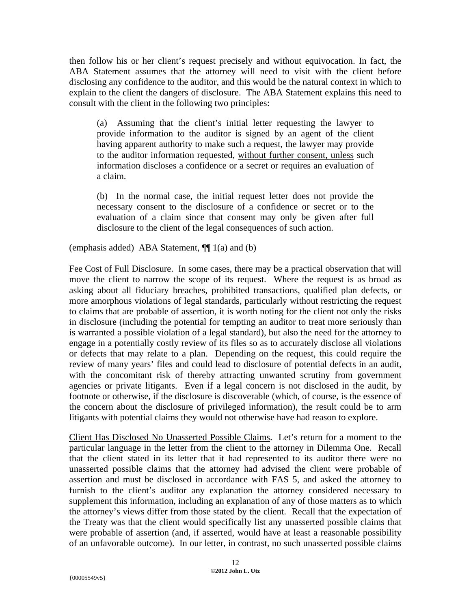then follow his or her client's request precisely and without equivocation. In fact, the ABA Statement assumes that the attorney will need to visit with the client before disclosing any confidence to the auditor, and this would be the natural context in which to explain to the client the dangers of disclosure. The ABA Statement explains this need to consult with the client in the following two principles:

(a) Assuming that the client's initial letter requesting the lawyer to provide information to the auditor is signed by an agent of the client having apparent authority to make such a request, the lawyer may provide to the auditor information requested, without further consent, unless such information discloses a confidence or a secret or requires an evaluation of a claim.

(b) In the normal case, the initial request letter does not provide the necessary consent to the disclosure of a confidence or secret or to the evaluation of a claim since that consent may only be given after full disclosure to the client of the legal consequences of such action.

(emphasis added) ABA Statement,  $\P$ [1(a) and (b)

Fee Cost of Full Disclosure. In some cases, there may be a practical observation that will move the client to narrow the scope of its request. Where the request is as broad as asking about all fiduciary breaches, prohibited transactions, qualified plan defects, or more amorphous violations of legal standards, particularly without restricting the request to claims that are probable of assertion, it is worth noting for the client not only the risks in disclosure (including the potential for tempting an auditor to treat more seriously than is warranted a possible violation of a legal standard), but also the need for the attorney to engage in a potentially costly review of its files so as to accurately disclose all violations or defects that may relate to a plan. Depending on the request, this could require the review of many years' files and could lead to disclosure of potential defects in an audit, with the concomitant risk of thereby attracting unwanted scrutiny from government agencies or private litigants. Even if a legal concern is not disclosed in the audit, by footnote or otherwise, if the disclosure is discoverable (which, of course, is the essence of the concern about the disclosure of privileged information), the result could be to arm litigants with potential claims they would not otherwise have had reason to explore.

Client Has Disclosed No Unasserted Possible Claims. Let's return for a moment to the particular language in the letter from the client to the attorney in Dilemma One. Recall that the client stated in its letter that it had represented to its auditor there were no unasserted possible claims that the attorney had advised the client were probable of assertion and must be disclosed in accordance with FAS 5, and asked the attorney to furnish to the client's auditor any explanation the attorney considered necessary to supplement this information, including an explanation of any of those matters as to which the attorney's views differ from those stated by the client. Recall that the expectation of the Treaty was that the client would specifically list any unasserted possible claims that were probable of assertion (and, if asserted, would have at least a reasonable possibility of an unfavorable outcome). In our letter, in contrast, no such unasserted possible claims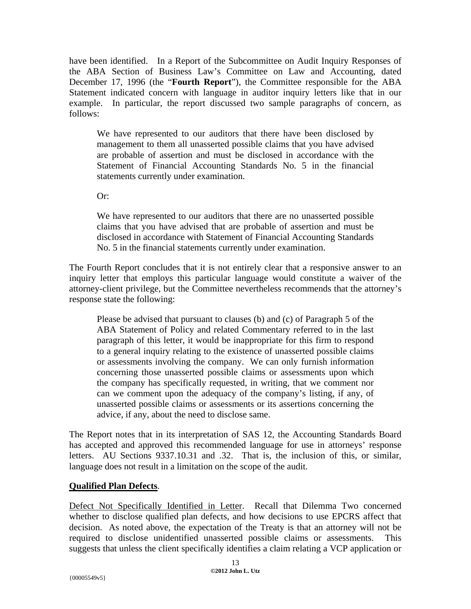have been identified. In a Report of the Subcommittee on Audit Inquiry Responses of the ABA Section of Business Law's Committee on Law and Accounting, dated December 17, 1996 (the "**Fourth Report**"), the Committee responsible for the ABA Statement indicated concern with language in auditor inquiry letters like that in our example. In particular, the report discussed two sample paragraphs of concern, as follows:

We have represented to our auditors that there have been disclosed by management to them all unasserted possible claims that you have advised are probable of assertion and must be disclosed in accordance with the Statement of Financial Accounting Standards No. 5 in the financial statements currently under examination.

Or:

We have represented to our auditors that there are no unasserted possible claims that you have advised that are probable of assertion and must be disclosed in accordance with Statement of Financial Accounting Standards No. 5 in the financial statements currently under examination.

The Fourth Report concludes that it is not entirely clear that a responsive answer to an inquiry letter that employs this particular language would constitute a waiver of the attorney-client privilege, but the Committee nevertheless recommends that the attorney's response state the following:

Please be advised that pursuant to clauses (b) and (c) of Paragraph 5 of the ABA Statement of Policy and related Commentary referred to in the last paragraph of this letter, it would be inappropriate for this firm to respond to a general inquiry relating to the existence of unasserted possible claims or assessments involving the company. We can only furnish information concerning those unasserted possible claims or assessments upon which the company has specifically requested, in writing, that we comment nor can we comment upon the adequacy of the company's listing, if any, of unasserted possible claims or assessments or its assertions concerning the advice, if any, about the need to disclose same.

The Report notes that in its interpretation of SAS 12, the Accounting Standards Board has accepted and approved this recommended language for use in attorneys' response letters. AU Sections 9337.10.31 and .32. That is, the inclusion of this, or similar, language does not result in a limitation on the scope of the audit.

# **Qualified Plan Defects**.

Defect Not Specifically Identified in Letter. Recall that Dilemma Two concerned whether to disclose qualified plan defects, and how decisions to use EPCRS affect that decision. As noted above, the expectation of the Treaty is that an attorney will not be required to disclose unidentified unasserted possible claims or assessments. This suggests that unless the client specifically identifies a claim relating a VCP application or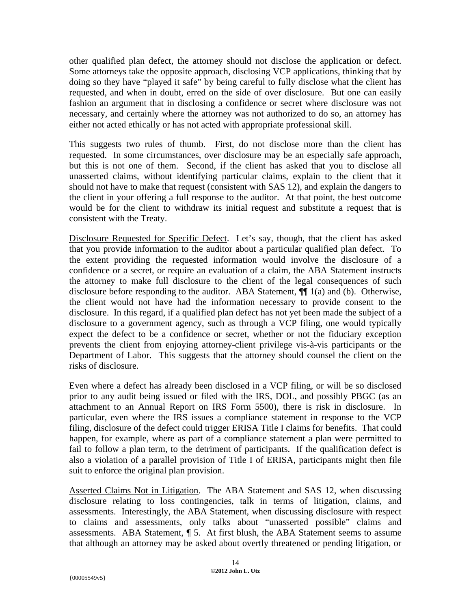other qualified plan defect, the attorney should not disclose the application or defect. Some attorneys take the opposite approach, disclosing VCP applications, thinking that by doing so they have "played it safe" by being careful to fully disclose what the client has requested, and when in doubt, erred on the side of over disclosure. But one can easily fashion an argument that in disclosing a confidence or secret where disclosure was not necessary, and certainly where the attorney was not authorized to do so, an attorney has either not acted ethically or has not acted with appropriate professional skill.

This suggests two rules of thumb. First, do not disclose more than the client has requested. In some circumstances, over disclosure may be an especially safe approach, but this is not one of them. Second, if the client has asked that you to disclose all unasserted claims, without identifying particular claims, explain to the client that it should not have to make that request (consistent with SAS 12), and explain the dangers to the client in your offering a full response to the auditor. At that point, the best outcome would be for the client to withdraw its initial request and substitute a request that is consistent with the Treaty.

Disclosure Requested for Specific Defect. Let's say, though, that the client has asked that you provide information to the auditor about a particular qualified plan defect. To the extent providing the requested information would involve the disclosure of a confidence or a secret, or require an evaluation of a claim, the ABA Statement instructs the attorney to make full disclosure to the client of the legal consequences of such disclosure before responding to the auditor. ABA Statement, ¶¶ 1(a) and (b). Otherwise, the client would not have had the information necessary to provide consent to the disclosure. In this regard, if a qualified plan defect has not yet been made the subject of a disclosure to a government agency, such as through a VCP filing, one would typically expect the defect to be a confidence or secret, whether or not the fiduciary exception prevents the client from enjoying attorney-client privilege vis-à-vis participants or the Department of Labor. This suggests that the attorney should counsel the client on the risks of disclosure.

Even where a defect has already been disclosed in a VCP filing, or will be so disclosed prior to any audit being issued or filed with the IRS, DOL, and possibly PBGC (as an attachment to an Annual Report on IRS Form 5500), there is risk in disclosure. In particular, even where the IRS issues a compliance statement in response to the VCP filing, disclosure of the defect could trigger ERISA Title I claims for benefits. That could happen, for example, where as part of a compliance statement a plan were permitted to fail to follow a plan term, to the detriment of participants. If the qualification defect is also a violation of a parallel provision of Title I of ERISA, participants might then file suit to enforce the original plan provision.

Asserted Claims Not in Litigation. The ABA Statement and SAS 12, when discussing disclosure relating to loss contingencies, talk in terms of litigation, claims, and assessments. Interestingly, the ABA Statement, when discussing disclosure with respect to claims and assessments, only talks about "unasserted possible" claims and assessments. ABA Statement, ¶ 5. At first blush, the ABA Statement seems to assume that although an attorney may be asked about overtly threatened or pending litigation, or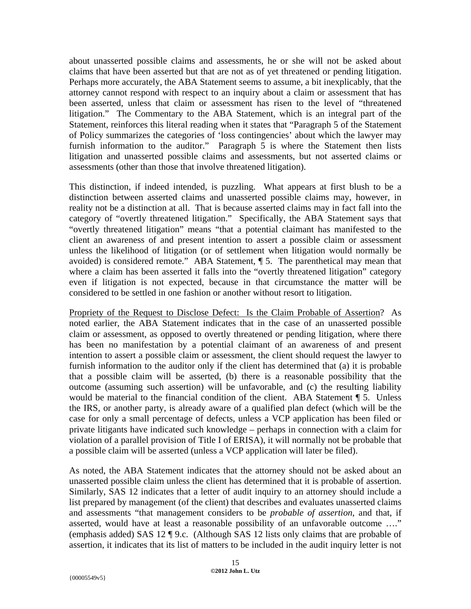about unasserted possible claims and assessments, he or she will not be asked about claims that have been asserted but that are not as of yet threatened or pending litigation. Perhaps more accurately, the ABA Statement seems to assume, a bit inexplicably, that the attorney cannot respond with respect to an inquiry about a claim or assessment that has been asserted, unless that claim or assessment has risen to the level of "threatened litigation." The Commentary to the ABA Statement, which is an integral part of the Statement, reinforces this literal reading when it states that "Paragraph 5 of the Statement of Policy summarizes the categories of 'loss contingencies' about which the lawyer may furnish information to the auditor." Paragraph 5 is where the Statement then lists litigation and unasserted possible claims and assessments, but not asserted claims or assessments (other than those that involve threatened litigation).

This distinction, if indeed intended, is puzzling. What appears at first blush to be a distinction between asserted claims and unasserted possible claims may, however, in reality not be a distinction at all. That is because asserted claims may in fact fall into the category of "overtly threatened litigation." Specifically, the ABA Statement says that "overtly threatened litigation" means "that a potential claimant has manifested to the client an awareness of and present intention to assert a possible claim or assessment unless the likelihood of litigation (or of settlement when litigation would normally be avoided) is considered remote." ABA Statement, ¶ 5. The parenthetical may mean that where a claim has been asserted it falls into the "overtly threatened litigation" category even if litigation is not expected, because in that circumstance the matter will be considered to be settled in one fashion or another without resort to litigation.

Propriety of the Request to Disclose Defect: Is the Claim Probable of Assertion? As noted earlier, the ABA Statement indicates that in the case of an unasserted possible claim or assessment, as opposed to overtly threatened or pending litigation, where there has been no manifestation by a potential claimant of an awareness of and present intention to assert a possible claim or assessment, the client should request the lawyer to furnish information to the auditor only if the client has determined that (a) it is probable that a possible claim will be asserted, (b) there is a reasonable possibility that the outcome (assuming such assertion) will be unfavorable, and (c) the resulting liability would be material to the financial condition of the client. ABA Statement ¶ 5. Unless the IRS, or another party, is already aware of a qualified plan defect (which will be the case for only a small percentage of defects, unless a VCP application has been filed or private litigants have indicated such knowledge – perhaps in connection with a claim for violation of a parallel provision of Title I of ERISA), it will normally not be probable that a possible claim will be asserted (unless a VCP application will later be filed).

As noted, the ABA Statement indicates that the attorney should not be asked about an unasserted possible claim unless the client has determined that it is probable of assertion. Similarly, SAS 12 indicates that a letter of audit inquiry to an attorney should include a list prepared by management (of the client) that describes and evaluates unasserted claims and assessments "that management considers to be *probable of assertion*, and that, if asserted, would have at least a reasonable possibility of an unfavorable outcome …." (emphasis added) SAS 12 ¶ 9.c. (Although SAS 12 lists only claims that are probable of assertion, it indicates that its list of matters to be included in the audit inquiry letter is not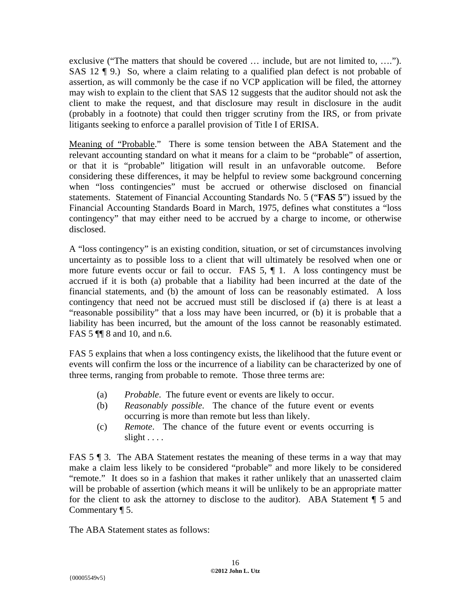exclusive ("The matters that should be covered … include, but are not limited to, …."). SAS 12  $\P$  9.) So, where a claim relating to a qualified plan defect is not probable of assertion, as will commonly be the case if no VCP application will be filed, the attorney may wish to explain to the client that SAS 12 suggests that the auditor should not ask the client to make the request, and that disclosure may result in disclosure in the audit (probably in a footnote) that could then trigger scrutiny from the IRS, or from private litigants seeking to enforce a parallel provision of Title I of ERISA.

Meaning of "Probable." There is some tension between the ABA Statement and the relevant accounting standard on what it means for a claim to be "probable" of assertion, or that it is "probable" litigation will result in an unfavorable outcome. Before considering these differences, it may be helpful to review some background concerning when "loss contingencies" must be accrued or otherwise disclosed on financial statements. Statement of Financial Accounting Standards No. 5 ("**FAS 5**") issued by the Financial Accounting Standards Board in March, 1975, defines what constitutes a "loss contingency" that may either need to be accrued by a charge to income, or otherwise disclosed.

A "loss contingency" is an existing condition, situation, or set of circumstances involving uncertainty as to possible loss to a client that will ultimately be resolved when one or more future events occur or fail to occur. FAS 5, ¶ 1. A loss contingency must be accrued if it is both (a) probable that a liability had been incurred at the date of the financial statements, and (b) the amount of loss can be reasonably estimated. A loss contingency that need not be accrued must still be disclosed if (a) there is at least a "reasonable possibility" that a loss may have been incurred, or (b) it is probable that a liability has been incurred, but the amount of the loss cannot be reasonably estimated. FAS 5 ¶¶ 8 and 10, and n.6.

FAS 5 explains that when a loss contingency exists, the likelihood that the future event or events will confirm the loss or the incurrence of a liability can be characterized by one of three terms, ranging from probable to remote. Those three terms are:

- (a) *Probable*. The future event or events are likely to occur.
- (b) *Reasonably possible*. The chance of the future event or events occurring is more than remote but less than likely.
- (c) *Remote*. The chance of the future event or events occurring is slight  $\ldots$ .

FAS  $5 \nI$  3. The ABA Statement restates the meaning of these terms in a way that may make a claim less likely to be considered "probable" and more likely to be considered "remote." It does so in a fashion that makes it rather unlikely that an unasserted claim will be probable of assertion (which means it will be unlikely to be an appropriate matter for the client to ask the attorney to disclose to the auditor). ABA Statement ¶ 5 and Commentary ¶ 5.

The ABA Statement states as follows: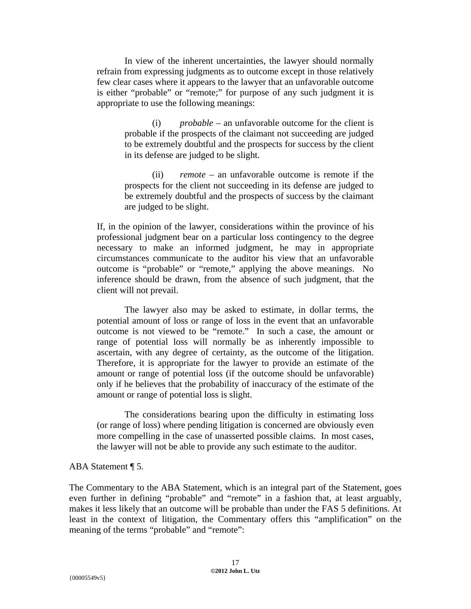In view of the inherent uncertainties, the lawyer should normally refrain from expressing judgments as to outcome except in those relatively few clear cases where it appears to the lawyer that an unfavorable outcome is either "probable" or "remote;" for purpose of any such judgment it is appropriate to use the following meanings:

(i) *probable* – an unfavorable outcome for the client is probable if the prospects of the claimant not succeeding are judged to be extremely doubtful and the prospects for success by the client in its defense are judged to be slight.

(ii) *remote* – an unfavorable outcome is remote if the prospects for the client not succeeding in its defense are judged to be extremely doubtful and the prospects of success by the claimant are judged to be slight.

If, in the opinion of the lawyer, considerations within the province of his professional judgment bear on a particular loss contingency to the degree necessary to make an informed judgment, he may in appropriate circumstances communicate to the auditor his view that an unfavorable outcome is "probable" or "remote," applying the above meanings. No inference should be drawn, from the absence of such judgment, that the client will not prevail.

The lawyer also may be asked to estimate, in dollar terms, the potential amount of loss or range of loss in the event that an unfavorable outcome is not viewed to be "remote." In such a case, the amount or range of potential loss will normally be as inherently impossible to ascertain, with any degree of certainty, as the outcome of the litigation. Therefore, it is appropriate for the lawyer to provide an estimate of the amount or range of potential loss (if the outcome should be unfavorable) only if he believes that the probability of inaccuracy of the estimate of the amount or range of potential loss is slight.

The considerations bearing upon the difficulty in estimating loss (or range of loss) where pending litigation is concerned are obviously even more compelling in the case of unasserted possible claims. In most cases, the lawyer will not be able to provide any such estimate to the auditor.

#### ABA Statement ¶ 5.

The Commentary to the ABA Statement, which is an integral part of the Statement, goes even further in defining "probable" and "remote" in a fashion that, at least arguably, makes it less likely that an outcome will be probable than under the FAS 5 definitions. At least in the context of litigation, the Commentary offers this "amplification" on the meaning of the terms "probable" and "remote":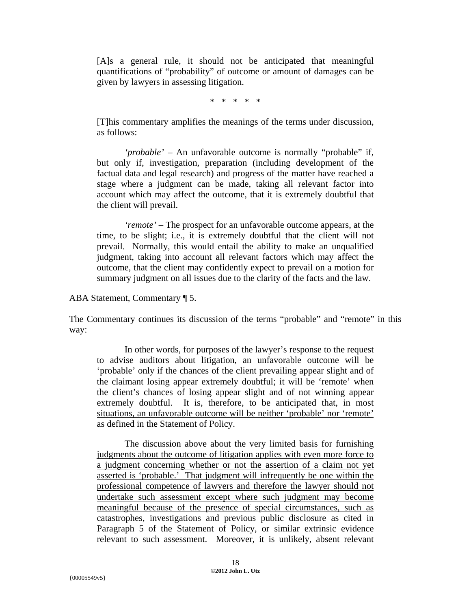[A]s a general rule, it should not be anticipated that meaningful quantifications of "probability" of outcome or amount of damages can be given by lawyers in assessing litigation.

\* \* \* \* \*

[T]his commentary amplifies the meanings of the terms under discussion, as follows:

*'probable'* – An unfavorable outcome is normally "probable" if, but only if, investigation, preparation (including development of the factual data and legal research) and progress of the matter have reached a stage where a judgment can be made, taking all relevant factor into account which may affect the outcome, that it is extremely doubtful that the client will prevail.

*'remote'* – The prospect for an unfavorable outcome appears, at the time, to be slight; i.e., it is extremely doubtful that the client will not prevail. Normally, this would entail the ability to make an unqualified judgment, taking into account all relevant factors which may affect the outcome, that the client may confidently expect to prevail on a motion for summary judgment on all issues due to the clarity of the facts and the law.

ABA Statement, Commentary ¶ 5.

The Commentary continues its discussion of the terms "probable" and "remote" in this way:

In other words, for purposes of the lawyer's response to the request to advise auditors about litigation, an unfavorable outcome will be 'probable' only if the chances of the client prevailing appear slight and of the claimant losing appear extremely doubtful; it will be 'remote' when the client's chances of losing appear slight and of not winning appear extremely doubtful. It is, therefore, to be anticipated that, in most situations, an unfavorable outcome will be neither 'probable' nor 'remote' as defined in the Statement of Policy.

The discussion above about the very limited basis for furnishing judgments about the outcome of litigation applies with even more force to a judgment concerning whether or not the assertion of a claim not yet asserted is 'probable.' That judgment will infrequently be one within the professional competence of lawyers and therefore the lawyer should not undertake such assessment except where such judgment may become meaningful because of the presence of special circumstances, such as catastrophes, investigations and previous public disclosure as cited in Paragraph 5 of the Statement of Policy, or similar extrinsic evidence relevant to such assessment. Moreover, it is unlikely, absent relevant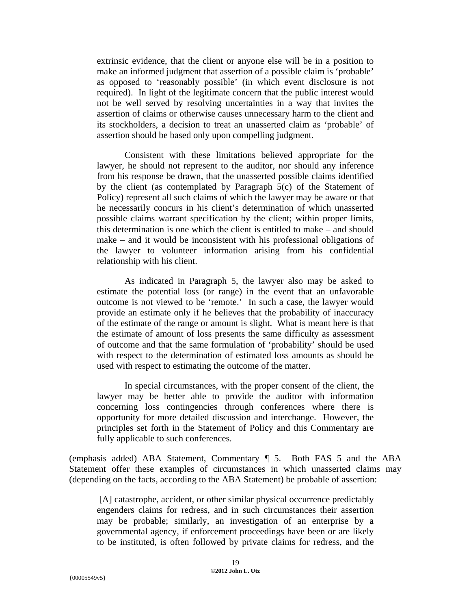extrinsic evidence, that the client or anyone else will be in a position to make an informed judgment that assertion of a possible claim is 'probable' as opposed to 'reasonably possible' (in which event disclosure is not required). In light of the legitimate concern that the public interest would not be well served by resolving uncertainties in a way that invites the assertion of claims or otherwise causes unnecessary harm to the client and its stockholders, a decision to treat an unasserted claim as 'probable' of assertion should be based only upon compelling judgment.

Consistent with these limitations believed appropriate for the lawyer, he should not represent to the auditor, nor should any inference from his response be drawn, that the unasserted possible claims identified by the client (as contemplated by Paragraph 5(c) of the Statement of Policy) represent all such claims of which the lawyer may be aware or that he necessarily concurs in his client's determination of which unasserted possible claims warrant specification by the client; within proper limits, this determination is one which the client is entitled to make – and should make – and it would be inconsistent with his professional obligations of the lawyer to volunteer information arising from his confidential relationship with his client.

As indicated in Paragraph 5, the lawyer also may be asked to estimate the potential loss (or range) in the event that an unfavorable outcome is not viewed to be 'remote.' In such a case, the lawyer would provide an estimate only if he believes that the probability of inaccuracy of the estimate of the range or amount is slight. What is meant here is that the estimate of amount of loss presents the same difficulty as assessment of outcome and that the same formulation of 'probability' should be used with respect to the determination of estimated loss amounts as should be used with respect to estimating the outcome of the matter.

In special circumstances, with the proper consent of the client, the lawyer may be better able to provide the auditor with information concerning loss contingencies through conferences where there is opportunity for more detailed discussion and interchange. However, the principles set forth in the Statement of Policy and this Commentary are fully applicable to such conferences.

(emphasis added) ABA Statement, Commentary ¶ 5. Both FAS 5 and the ABA Statement offer these examples of circumstances in which unasserted claims may (depending on the facts, according to the ABA Statement) be probable of assertion:

[A] catastrophe, accident, or other similar physical occurrence predictably engenders claims for redress, and in such circumstances their assertion may be probable; similarly, an investigation of an enterprise by a governmental agency, if enforcement proceedings have been or are likely to be instituted, is often followed by private claims for redress, and the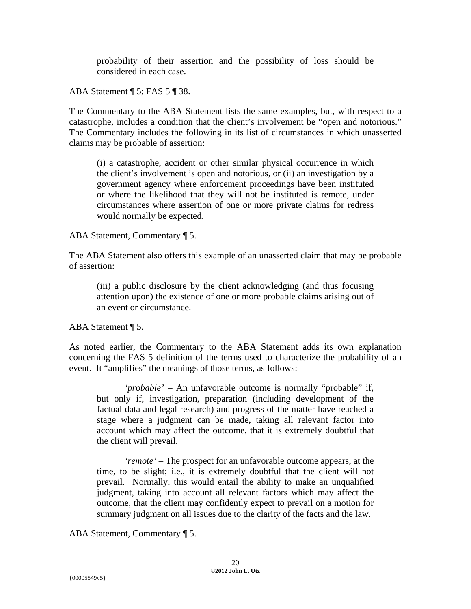probability of their assertion and the possibility of loss should be considered in each case.

ABA Statement ¶ 5; FAS 5 ¶ 38.

The Commentary to the ABA Statement lists the same examples, but, with respect to a catastrophe, includes a condition that the client's involvement be "open and notorious." The Commentary includes the following in its list of circumstances in which unasserted claims may be probable of assertion:

(i) a catastrophe, accident or other similar physical occurrence in which the client's involvement is open and notorious, or (ii) an investigation by a government agency where enforcement proceedings have been instituted or where the likelihood that they will not be instituted is remote, under circumstances where assertion of one or more private claims for redress would normally be expected.

ABA Statement, Commentary ¶ 5.

The ABA Statement also offers this example of an unasserted claim that may be probable of assertion:

(iii) a public disclosure by the client acknowledging (and thus focusing attention upon) the existence of one or more probable claims arising out of an event or circumstance.

ABA Statement ¶ 5.

As noted earlier, the Commentary to the ABA Statement adds its own explanation concerning the FAS 5 definition of the terms used to characterize the probability of an event. It "amplifies" the meanings of those terms, as follows:

*'probable'* – An unfavorable outcome is normally "probable" if, but only if, investigation, preparation (including development of the factual data and legal research) and progress of the matter have reached a stage where a judgment can be made, taking all relevant factor into account which may affect the outcome, that it is extremely doubtful that the client will prevail.

*'remote'* – The prospect for an unfavorable outcome appears, at the time, to be slight; i.e., it is extremely doubtful that the client will not prevail. Normally, this would entail the ability to make an unqualified judgment, taking into account all relevant factors which may affect the outcome, that the client may confidently expect to prevail on a motion for summary judgment on all issues due to the clarity of the facts and the law.

ABA Statement, Commentary ¶ 5.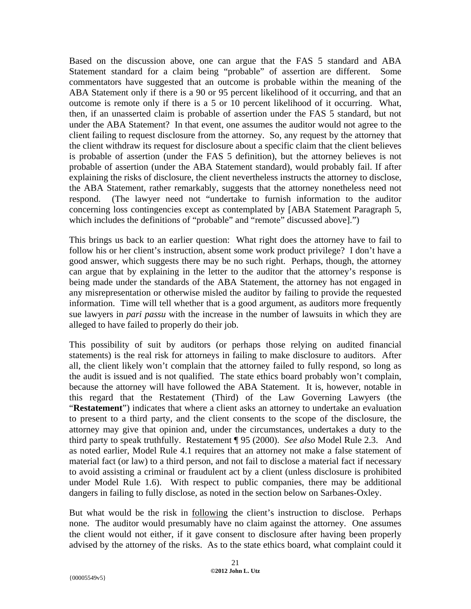Based on the discussion above, one can argue that the FAS 5 standard and ABA Statement standard for a claim being "probable" of assertion are different. Some commentators have suggested that an outcome is probable within the meaning of the ABA Statement only if there is a 90 or 95 percent likelihood of it occurring, and that an outcome is remote only if there is a 5 or 10 percent likelihood of it occurring. What, then, if an unasserted claim is probable of assertion under the FAS 5 standard, but not under the ABA Statement? In that event, one assumes the auditor would not agree to the client failing to request disclosure from the attorney. So, any request by the attorney that the client withdraw its request for disclosure about a specific claim that the client believes is probable of assertion (under the FAS 5 definition), but the attorney believes is not probable of assertion (under the ABA Statement standard), would probably fail. If after explaining the risks of disclosure, the client nevertheless instructs the attorney to disclose, the ABA Statement, rather remarkably, suggests that the attorney nonetheless need not respond. (The lawyer need not "undertake to furnish information to the auditor concerning loss contingencies except as contemplated by [ABA Statement Paragraph 5, which includes the definitions of "probable" and "remote" discussed above].")

This brings us back to an earlier question: What right does the attorney have to fail to follow his or her client's instruction, absent some work product privilege? I don't have a good answer, which suggests there may be no such right. Perhaps, though, the attorney can argue that by explaining in the letter to the auditor that the attorney's response is being made under the standards of the ABA Statement, the attorney has not engaged in any misrepresentation or otherwise misled the auditor by failing to provide the requested information. Time will tell whether that is a good argument, as auditors more frequently sue lawyers in *pari passu* with the increase in the number of lawsuits in which they are alleged to have failed to properly do their job.

This possibility of suit by auditors (or perhaps those relying on audited financial statements) is the real risk for attorneys in failing to make disclosure to auditors. After all, the client likely won't complain that the attorney failed to fully respond, so long as the audit is issued and is not qualified. The state ethics board probably won't complain, because the attorney will have followed the ABA Statement. It is, however, notable in this regard that the Restatement (Third) of the Law Governing Lawyers (the "**Restatement**") indicates that where a client asks an attorney to undertake an evaluation to present to a third party, and the client consents to the scope of the disclosure, the attorney may give that opinion and, under the circumstances, undertakes a duty to the third party to speak truthfully. Restatement ¶ 95 (2000). *See also* Model Rule 2.3. And as noted earlier, Model Rule 4.1 requires that an attorney not make a false statement of material fact (or law) to a third person, and not fail to disclose a material fact if necessary to avoid assisting a criminal or fraudulent act by a client (unless disclosure is prohibited under Model Rule 1.6). With respect to public companies, there may be additional dangers in failing to fully disclose, as noted in the section below on Sarbanes-Oxley.

But what would be the risk in following the client's instruction to disclose. Perhaps none. The auditor would presumably have no claim against the attorney. One assumes the client would not either, if it gave consent to disclosure after having been properly advised by the attorney of the risks. As to the state ethics board, what complaint could it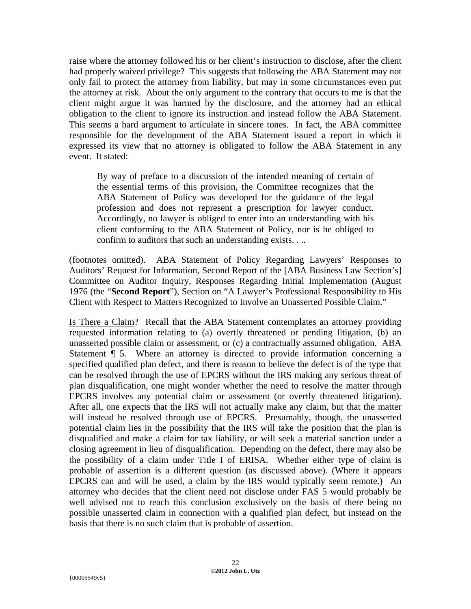raise where the attorney followed his or her client's instruction to disclose, after the client had properly waived privilege? This suggests that following the ABA Statement may not only fail to protect the attorney from liability, but may in some circumstances even put the attorney at risk. About the only argument to the contrary that occurs to me is that the client might argue it was harmed by the disclosure, and the attorney had an ethical obligation to the client to ignore its instruction and instead follow the ABA Statement. This seems a hard argument to articulate in sincere tones. In fact, the ABA committee responsible for the development of the ABA Statement issued a report in which it expressed its view that no attorney is obligated to follow the ABA Statement in any event. It stated:

By way of preface to a discussion of the intended meaning of certain of the essential terms of this provision, the Committee recognizes that the ABA Statement of Policy was developed for the guidance of the legal profession and does not represent a prescription for lawyer conduct. Accordingly, no lawyer is obliged to enter into an understanding with his client conforming to the ABA Statement of Policy, nor is he obliged to confirm to auditors that such an understanding exists. . ..

(footnotes omitted). ABA Statement of Policy Regarding Lawyers' Responses to Auditors' Request for Information, Second Report of the [ABA Business Law Section's] Committee on Auditor Inquiry, Responses Regarding Initial Implementation (August 1976 (the "**Second Report**"), Section on "A Lawyer's Professional Responsibility to His Client with Respect to Matters Recognized to Involve an Unasserted Possible Claim."

Is There a Claim? Recall that the ABA Statement contemplates an attorney providing requested information relating to (a) overtly threatened or pending litigation, (b) an unasserted possible claim or assessment, or (c) a contractually assumed obligation. ABA Statement ¶ 5. Where an attorney is directed to provide information concerning a specified qualified plan defect, and there is reason to believe the defect is of the type that can be resolved through the use of EPCRS without the IRS making any serious threat of plan disqualification, one might wonder whether the need to resolve the matter through EPCRS involves any potential claim or assessment (or overtly threatened litigation). After all, one expects that the IRS will not actually make any claim, but that the matter will instead be resolved through use of EPCRS. Presumably, though, the unasserted potential claim lies in the possibility that the IRS will take the position that the plan is disqualified and make a claim for tax liability, or will seek a material sanction under a closing agreement in lieu of disqualification. Depending on the defect, there may also be the possibility of a claim under Title I of ERISA. Whether either type of claim is probable of assertion is a different question (as discussed above). (Where it appears EPCRS can and will be used, a claim by the IRS would typically seem remote.) An attorney who decides that the client need not disclose under FAS 5 would probably be well advised not to reach this conclusion exclusively on the basis of there being no possible unasserted claim in connection with a qualified plan defect, but instead on the basis that there is no such claim that is probable of assertion.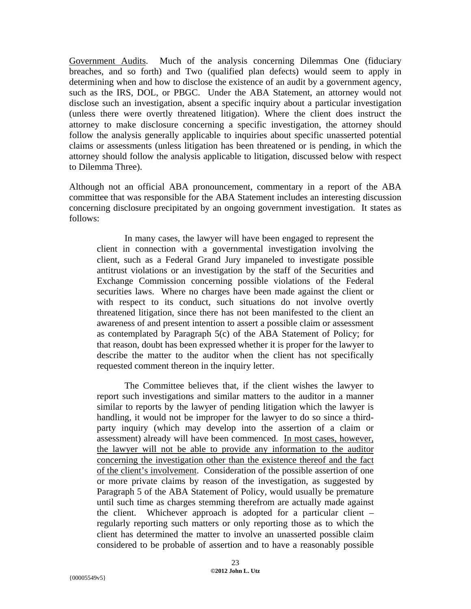Government Audits. Much of the analysis concerning Dilemmas One (fiduciary breaches, and so forth) and Two (qualified plan defects) would seem to apply in determining when and how to disclose the existence of an audit by a government agency, such as the IRS, DOL, or PBGC. Under the ABA Statement, an attorney would not disclose such an investigation, absent a specific inquiry about a particular investigation (unless there were overtly threatened litigation). Where the client does instruct the attorney to make disclosure concerning a specific investigation, the attorney should follow the analysis generally applicable to inquiries about specific unasserted potential claims or assessments (unless litigation has been threatened or is pending, in which the attorney should follow the analysis applicable to litigation, discussed below with respect to Dilemma Three).

Although not an official ABA pronouncement, commentary in a report of the ABA committee that was responsible for the ABA Statement includes an interesting discussion concerning disclosure precipitated by an ongoing government investigation. It states as follows:

In many cases, the lawyer will have been engaged to represent the client in connection with a governmental investigation involving the client, such as a Federal Grand Jury impaneled to investigate possible antitrust violations or an investigation by the staff of the Securities and Exchange Commission concerning possible violations of the Federal securities laws. Where no charges have been made against the client or with respect to its conduct, such situations do not involve overtly threatened litigation, since there has not been manifested to the client an awareness of and present intention to assert a possible claim or assessment as contemplated by Paragraph 5(c) of the ABA Statement of Policy; for that reason, doubt has been expressed whether it is proper for the lawyer to describe the matter to the auditor when the client has not specifically requested comment thereon in the inquiry letter.

The Committee believes that, if the client wishes the lawyer to report such investigations and similar matters to the auditor in a manner similar to reports by the lawyer of pending litigation which the lawyer is handling, it would not be improper for the lawyer to do so since a thirdparty inquiry (which may develop into the assertion of a claim or assessment) already will have been commenced. In most cases, however, the lawyer will not be able to provide any information to the auditor concerning the investigation other than the existence thereof and the fact of the client's involvement. Consideration of the possible assertion of one or more private claims by reason of the investigation, as suggested by Paragraph 5 of the ABA Statement of Policy, would usually be premature until such time as charges stemming therefrom are actually made against the client. Whichever approach is adopted for a particular client – regularly reporting such matters or only reporting those as to which the client has determined the matter to involve an unasserted possible claim considered to be probable of assertion and to have a reasonably possible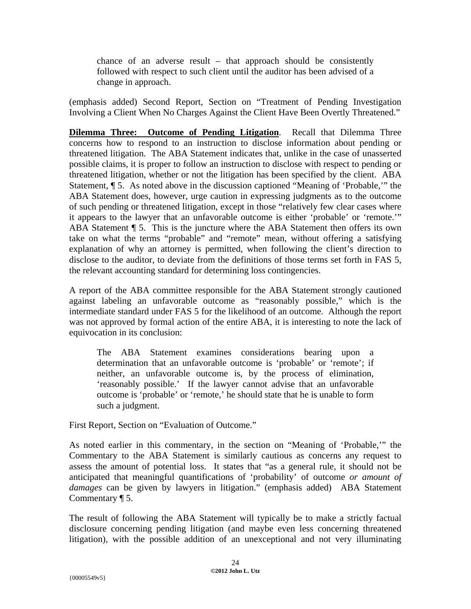chance of an adverse result – that approach should be consistently followed with respect to such client until the auditor has been advised of a change in approach.

(emphasis added) Second Report, Section on "Treatment of Pending Investigation Involving a Client When No Charges Against the Client Have Been Overtly Threatened."

**Dilemma Three: Outcome of Pending Litigation**. Recall that Dilemma Three concerns how to respond to an instruction to disclose information about pending or threatened litigation. The ABA Statement indicates that, unlike in the case of unasserted possible claims, it is proper to follow an instruction to disclose with respect to pending or threatened litigation, whether or not the litigation has been specified by the client. ABA Statement, ¶ 5. As noted above in the discussion captioned "Meaning of 'Probable,'" the ABA Statement does, however, urge caution in expressing judgments as to the outcome of such pending or threatened litigation, except in those "relatively few clear cases where it appears to the lawyer that an unfavorable outcome is either 'probable' or 'remote.'" ABA Statement ¶ 5. This is the juncture where the ABA Statement then offers its own take on what the terms "probable" and "remote" mean, without offering a satisfying explanation of why an attorney is permitted, when following the client's direction to disclose to the auditor, to deviate from the definitions of those terms set forth in FAS 5, the relevant accounting standard for determining loss contingencies.

A report of the ABA committee responsible for the ABA Statement strongly cautioned against labeling an unfavorable outcome as "reasonably possible," which is the intermediate standard under FAS 5 for the likelihood of an outcome. Although the report was not approved by formal action of the entire ABA, it is interesting to note the lack of equivocation in its conclusion:

The ABA Statement examines considerations bearing upon a determination that an unfavorable outcome is 'probable' or 'remote'; if neither, an unfavorable outcome is, by the process of elimination, 'reasonably possible.' If the lawyer cannot advise that an unfavorable outcome is 'probable' or 'remote,' he should state that he is unable to form such a judgment.

First Report, Section on "Evaluation of Outcome."

As noted earlier in this commentary, in the section on "Meaning of 'Probable,'" the Commentary to the ABA Statement is similarly cautious as concerns any request to assess the amount of potential loss. It states that "as a general rule, it should not be anticipated that meaningful quantifications of 'probability' of outcome *or amount of damages* can be given by lawyers in litigation." (emphasis added) ABA Statement Commentary ¶ 5.

The result of following the ABA Statement will typically be to make a strictly factual disclosure concerning pending litigation (and maybe even less concerning threatened litigation), with the possible addition of an unexceptional and not very illuminating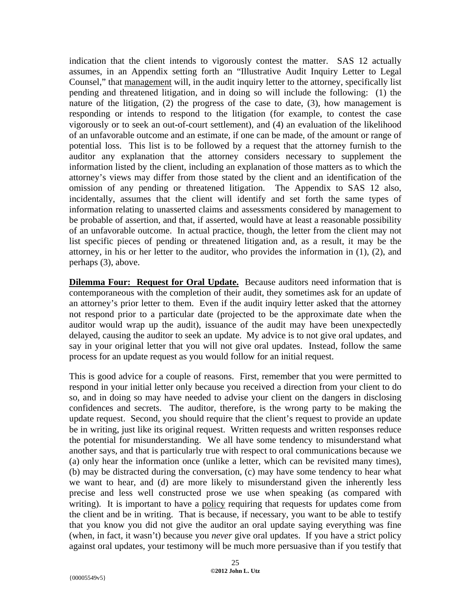indication that the client intends to vigorously contest the matter. SAS 12 actually assumes, in an Appendix setting forth an "Illustrative Audit Inquiry Letter to Legal Counsel," that management will, in the audit inquiry letter to the attorney, specifically list pending and threatened litigation, and in doing so will include the following: (1) the nature of the litigation, (2) the progress of the case to date, (3), how management is responding or intends to respond to the litigation (for example, to contest the case vigorously or to seek an out-of-court settlement), and (4) an evaluation of the likelihood of an unfavorable outcome and an estimate, if one can be made, of the amount or range of potential loss. This list is to be followed by a request that the attorney furnish to the auditor any explanation that the attorney considers necessary to supplement the information listed by the client, including an explanation of those matters as to which the attorney's views may differ from those stated by the client and an identification of the omission of any pending or threatened litigation. The Appendix to SAS 12 also, incidentally, assumes that the client will identify and set forth the same types of information relating to unasserted claims and assessments considered by management to be probable of assertion, and that, if asserted, would have at least a reasonable possibility of an unfavorable outcome. In actual practice, though, the letter from the client may not list specific pieces of pending or threatened litigation and, as a result, it may be the attorney, in his or her letter to the auditor, who provides the information in (1), (2), and perhaps (3), above.

**Dilemma Four: Request for Oral Update.** Because auditors need information that is contemporaneous with the completion of their audit, they sometimes ask for an update of an attorney's prior letter to them. Even if the audit inquiry letter asked that the attorney not respond prior to a particular date (projected to be the approximate date when the auditor would wrap up the audit), issuance of the audit may have been unexpectedly delayed, causing the auditor to seek an update. My advice is to not give oral updates, and say in your original letter that you will not give oral updates. Instead, follow the same process for an update request as you would follow for an initial request.

This is good advice for a couple of reasons. First, remember that you were permitted to respond in your initial letter only because you received a direction from your client to do so, and in doing so may have needed to advise your client on the dangers in disclosing confidences and secrets. The auditor, therefore, is the wrong party to be making the update request. Second, you should require that the client's request to provide an update be in writing, just like its original request. Written requests and written responses reduce the potential for misunderstanding. We all have some tendency to misunderstand what another says, and that is particularly true with respect to oral communications because we (a) only hear the information once (unlike a letter, which can be revisited many times), (b) may be distracted during the conversation, (c) may have some tendency to hear what we want to hear, and (d) are more likely to misunderstand given the inherently less precise and less well constructed prose we use when speaking (as compared with writing). It is important to have a policy requiring that requests for updates come from the client and be in writing. That is because, if necessary, you want to be able to testify that you know you did not give the auditor an oral update saying everything was fine (when, in fact, it wasn't) because you *never* give oral updates. If you have a strict policy against oral updates, your testimony will be much more persuasive than if you testify that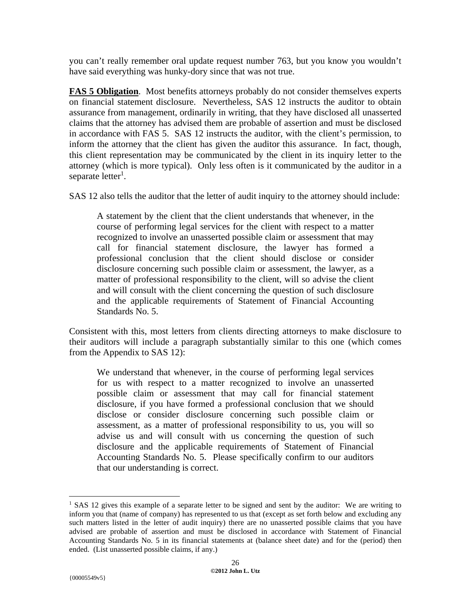you can't really remember oral update request number 763, but you know you wouldn't have said everything was hunky-dory since that was not true.

**FAS 5 Obligation**. Most benefits attorneys probably do not consider themselves experts on financial statement disclosure. Nevertheless, SAS 12 instructs the auditor to obtain assurance from management, ordinarily in writing, that they have disclosed all unasserted claims that the attorney has advised them are probable of assertion and must be disclosed in accordance with FAS 5. SAS 12 instructs the auditor, with the client's permission, to inform the attorney that the client has given the auditor this assurance. In fact, though, this client representation may be communicated by the client in its inquiry letter to the attorney (which is more typical). Only less often is it communicated by the auditor in a separate letter<sup>1</sup>.

SAS 12 also tells the auditor that the letter of audit inquiry to the attorney should include:

A statement by the client that the client understands that whenever, in the course of performing legal services for the client with respect to a matter recognized to involve an unasserted possible claim or assessment that may call for financial statement disclosure, the lawyer has formed a professional conclusion that the client should disclose or consider disclosure concerning such possible claim or assessment, the lawyer, as a matter of professional responsibility to the client, will so advise the client and will consult with the client concerning the question of such disclosure and the applicable requirements of Statement of Financial Accounting Standards No. 5.

Consistent with this, most letters from clients directing attorneys to make disclosure to their auditors will include a paragraph substantially similar to this one (which comes from the Appendix to SAS 12):

We understand that whenever, in the course of performing legal services for us with respect to a matter recognized to involve an unasserted possible claim or assessment that may call for financial statement disclosure, if you have formed a professional conclusion that we should disclose or consider disclosure concerning such possible claim or assessment, as a matter of professional responsibility to us, you will so advise us and will consult with us concerning the question of such disclosure and the applicable requirements of Statement of Financial Accounting Standards No. 5. Please specifically confirm to our auditors that our understanding is correct.

1

<sup>&</sup>lt;sup>1</sup> SAS 12 gives this example of a separate letter to be signed and sent by the auditor: We are writing to inform you that (name of company) has represented to us that (except as set forth below and excluding any such matters listed in the letter of audit inquiry) there are no unasserted possible claims that you have advised are probable of assertion and must be disclosed in accordance with Statement of Financial Accounting Standards No. 5 in its financial statements at (balance sheet date) and for the (period) then ended. (List unasserted possible claims, if any.)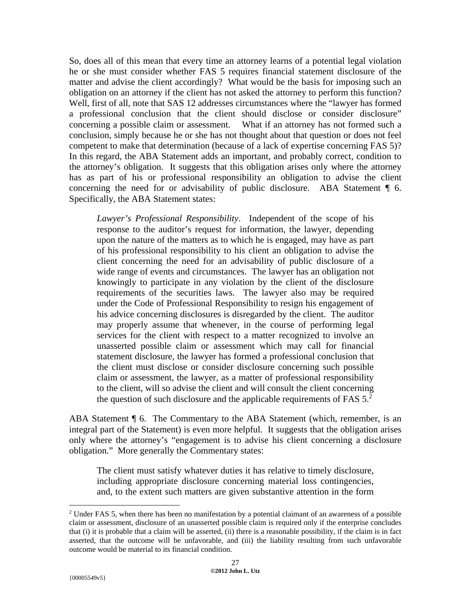So, does all of this mean that every time an attorney learns of a potential legal violation he or she must consider whether FAS 5 requires financial statement disclosure of the matter and advise the client accordingly? What would be the basis for imposing such an obligation on an attorney if the client has not asked the attorney to perform this function? Well, first of all, note that SAS 12 addresses circumstances where the "lawyer has formed a professional conclusion that the client should disclose or consider disclosure" concerning a possible claim or assessment. What if an attorney has not formed such a conclusion, simply because he or she has not thought about that question or does not feel competent to make that determination (because of a lack of expertise concerning FAS 5)? In this regard, the ABA Statement adds an important, and probably correct, condition to the attorney's obligation. It suggests that this obligation arises only where the attorney has as part of his or professional responsibility an obligation to advise the client concerning the need for or advisability of public disclosure. ABA Statement ¶ 6. Specifically, the ABA Statement states:

*Lawyer's Professional Responsibility*. Independent of the scope of his response to the auditor's request for information, the lawyer, depending upon the nature of the matters as to which he is engaged, may have as part of his professional responsibility to his client an obligation to advise the client concerning the need for an advisability of public disclosure of a wide range of events and circumstances. The lawyer has an obligation not knowingly to participate in any violation by the client of the disclosure requirements of the securities laws. The lawyer also may be required under the Code of Professional Responsibility to resign his engagement of his advice concerning disclosures is disregarded by the client. The auditor may properly assume that whenever, in the course of performing legal services for the client with respect to a matter recognized to involve an unasserted possible claim or assessment which may call for financial statement disclosure, the lawyer has formed a professional conclusion that the client must disclose or consider disclosure concerning such possible claim or assessment, the lawyer, as a matter of professional responsibility to the client, will so advise the client and will consult the client concerning the question of such disclosure and the applicable requirements of FAS  $5<sup>2</sup>$ .

ABA Statement ¶ 6. The Commentary to the ABA Statement (which, remember, is an integral part of the Statement) is even more helpful. It suggests that the obligation arises only where the attorney's "engagement is to advise his client concerning a disclosure obligation." More generally the Commentary states:

The client must satisfy whatever duties it has relative to timely disclosure, including appropriate disclosure concerning material loss contingencies, and, to the extent such matters are given substantive attention in the form

<sup>&</sup>lt;sup>2</sup> Under FAS 5, when there has been no manifestation by a potential claimant of an awareness of a possible claim or assessment, disclosure of an unasserted possible claim is required only if the enterprise concludes that (i) it is probable that a claim will be asserted, (ii) there is a reasonable possibility, if the claim is in fact asserted, that the outcome will be unfavorable, and (iii) the liability resulting from such unfavorable outcome would be material to its financial condition.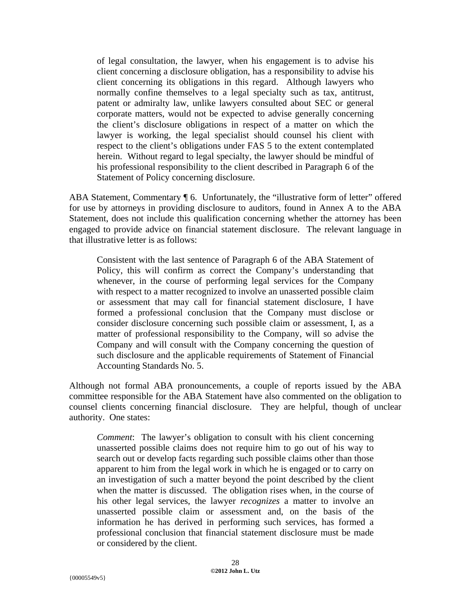of legal consultation, the lawyer, when his engagement is to advise his client concerning a disclosure obligation, has a responsibility to advise his client concerning its obligations in this regard. Although lawyers who normally confine themselves to a legal specialty such as tax, antitrust, patent or admiralty law, unlike lawyers consulted about SEC or general corporate matters, would not be expected to advise generally concerning the client's disclosure obligations in respect of a matter on which the lawyer is working, the legal specialist should counsel his client with respect to the client's obligations under FAS 5 to the extent contemplated herein. Without regard to legal specialty, the lawyer should be mindful of his professional responsibility to the client described in Paragraph 6 of the Statement of Policy concerning disclosure.

ABA Statement, Commentary ¶ 6. Unfortunately, the "illustrative form of letter" offered for use by attorneys in providing disclosure to auditors, found in Annex A to the ABA Statement, does not include this qualification concerning whether the attorney has been engaged to provide advice on financial statement disclosure. The relevant language in that illustrative letter is as follows:

Consistent with the last sentence of Paragraph 6 of the ABA Statement of Policy, this will confirm as correct the Company's understanding that whenever, in the course of performing legal services for the Company with respect to a matter recognized to involve an unasserted possible claim or assessment that may call for financial statement disclosure, I have formed a professional conclusion that the Company must disclose or consider disclosure concerning such possible claim or assessment, I, as a matter of professional responsibility to the Company, will so advise the Company and will consult with the Company concerning the question of such disclosure and the applicable requirements of Statement of Financial Accounting Standards No. 5.

Although not formal ABA pronouncements, a couple of reports issued by the ABA committee responsible for the ABA Statement have also commented on the obligation to counsel clients concerning financial disclosure. They are helpful, though of unclear authority. One states:

*Comment*: The lawyer's obligation to consult with his client concerning unasserted possible claims does not require him to go out of his way to search out or develop facts regarding such possible claims other than those apparent to him from the legal work in which he is engaged or to carry on an investigation of such a matter beyond the point described by the client when the matter is discussed. The obligation rises when, in the course of his other legal services, the lawyer *recognizes* a matter to involve an unasserted possible claim or assessment and, on the basis of the information he has derived in performing such services, has formed a professional conclusion that financial statement disclosure must be made or considered by the client.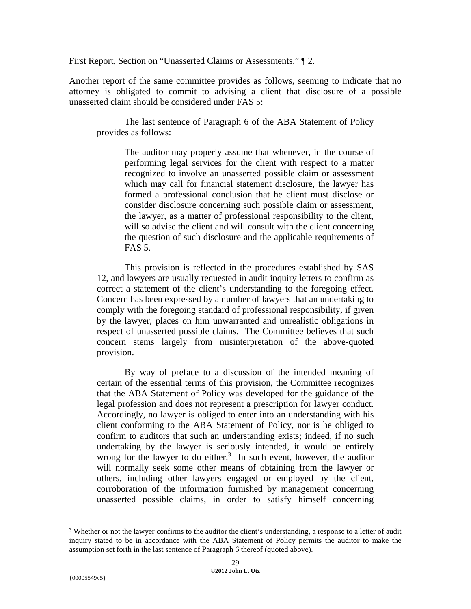First Report, Section on "Unasserted Claims or Assessments," ¶ 2.

Another report of the same committee provides as follows, seeming to indicate that no attorney is obligated to commit to advising a client that disclosure of a possible unasserted claim should be considered under FAS 5:

The last sentence of Paragraph 6 of the ABA Statement of Policy provides as follows:

> The auditor may properly assume that whenever, in the course of performing legal services for the client with respect to a matter recognized to involve an unasserted possible claim or assessment which may call for financial statement disclosure, the lawyer has formed a professional conclusion that he client must disclose or consider disclosure concerning such possible claim or assessment, the lawyer, as a matter of professional responsibility to the client, will so advise the client and will consult with the client concerning the question of such disclosure and the applicable requirements of FAS 5.

This provision is reflected in the procedures established by SAS 12, and lawyers are usually requested in audit inquiry letters to confirm as correct a statement of the client's understanding to the foregoing effect. Concern has been expressed by a number of lawyers that an undertaking to comply with the foregoing standard of professional responsibility, if given by the lawyer, places on him unwarranted and unrealistic obligations in respect of unasserted possible claims. The Committee believes that such concern stems largely from misinterpretation of the above-quoted provision.

By way of preface to a discussion of the intended meaning of certain of the essential terms of this provision, the Committee recognizes that the ABA Statement of Policy was developed for the guidance of the legal profession and does not represent a prescription for lawyer conduct. Accordingly, no lawyer is obliged to enter into an understanding with his client conforming to the ABA Statement of Policy, nor is he obliged to confirm to auditors that such an understanding exists; indeed, if no such undertaking by the lawyer is seriously intended, it would be entirely wrong for the lawyer to do either. $3$  In such event, however, the auditor will normally seek some other means of obtaining from the lawyer or others, including other lawyers engaged or employed by the client, corroboration of the information furnished by management concerning unasserted possible claims, in order to satisfy himself concerning

<sup>&</sup>lt;sup>3</sup> Whether or not the lawyer confirms to the auditor the client's understanding, a response to a letter of audit inquiry stated to be in accordance with the ABA Statement of Policy permits the auditor to make the assumption set forth in the last sentence of Paragraph 6 thereof (quoted above).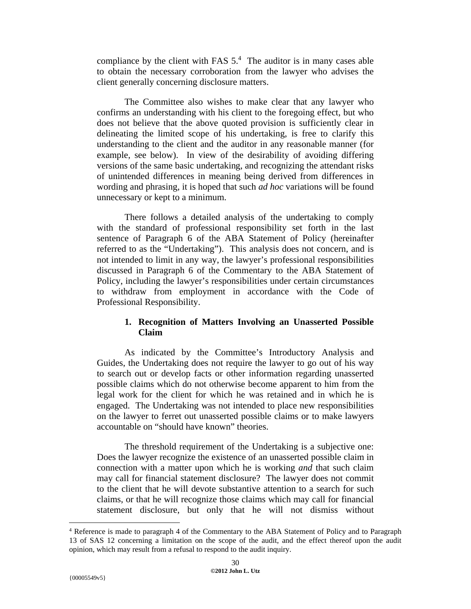compliance by the client with FAS  $5<sup>4</sup>$ . The auditor is in many cases able to obtain the necessary corroboration from the lawyer who advises the client generally concerning disclosure matters.

The Committee also wishes to make clear that any lawyer who confirms an understanding with his client to the foregoing effect, but who does not believe that the above quoted provision is sufficiently clear in delineating the limited scope of his undertaking, is free to clarify this understanding to the client and the auditor in any reasonable manner (for example, see below). In view of the desirability of avoiding differing versions of the same basic undertaking, and recognizing the attendant risks of unintended differences in meaning being derived from differences in wording and phrasing, it is hoped that such *ad hoc* variations will be found unnecessary or kept to a minimum.

There follows a detailed analysis of the undertaking to comply with the standard of professional responsibility set forth in the last sentence of Paragraph 6 of the ABA Statement of Policy (hereinafter referred to as the "Undertaking"). This analysis does not concern, and is not intended to limit in any way, the lawyer's professional responsibilities discussed in Paragraph 6 of the Commentary to the ABA Statement of Policy, including the lawyer's responsibilities under certain circumstances to withdraw from employment in accordance with the Code of Professional Responsibility.

## **1. Recognition of Matters Involving an Unasserted Possible Claim**

As indicated by the Committee's Introductory Analysis and Guides, the Undertaking does not require the lawyer to go out of his way to search out or develop facts or other information regarding unasserted possible claims which do not otherwise become apparent to him from the legal work for the client for which he was retained and in which he is engaged. The Undertaking was not intended to place new responsibilities on the lawyer to ferret out unasserted possible claims or to make lawyers accountable on "should have known" theories.

The threshold requirement of the Undertaking is a subjective one: Does the lawyer recognize the existence of an unasserted possible claim in connection with a matter upon which he is working *and* that such claim may call for financial statement disclosure? The lawyer does not commit to the client that he will devote substantive attention to a search for such claims, or that he will recognize those claims which may call for financial statement disclosure, but only that he will not dismiss without

<sup>4</sup> Reference is made to paragraph 4 of the Commentary to the ABA Statement of Policy and to Paragraph 13 of SAS 12 concerning a limitation on the scope of the audit, and the effect thereof upon the audit opinion, which may result from a refusal to respond to the audit inquiry.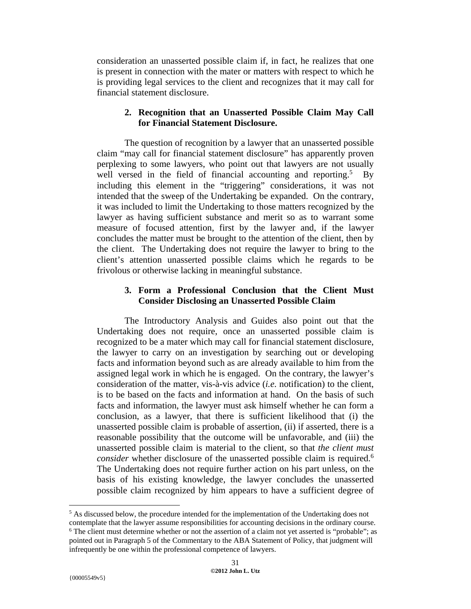consideration an unasserted possible claim if, in fact, he realizes that one is present in connection with the mater or matters with respect to which he is providing legal services to the client and recognizes that it may call for financial statement disclosure.

## **2. Recognition that an Unasserted Possible Claim May Call for Financial Statement Disclosure.**

The question of recognition by a lawyer that an unasserted possible claim "may call for financial statement disclosure" has apparently proven perplexing to some lawyers, who point out that lawyers are not usually well versed in the field of financial accounting and reporting.<sup>5</sup> By including this element in the "triggering" considerations, it was not intended that the sweep of the Undertaking be expanded. On the contrary, it was included to limit the Undertaking to those matters recognized by the lawyer as having sufficient substance and merit so as to warrant some measure of focused attention, first by the lawyer and, if the lawyer concludes the matter must be brought to the attention of the client, then by the client. The Undertaking does not require the lawyer to bring to the client's attention unasserted possible claims which he regards to be frivolous or otherwise lacking in meaningful substance.

# **3. Form a Professional Conclusion that the Client Must Consider Disclosing an Unasserted Possible Claim**

The Introductory Analysis and Guides also point out that the Undertaking does not require, once an unasserted possible claim is recognized to be a mater which may call for financial statement disclosure, the lawyer to carry on an investigation by searching out or developing facts and information beyond such as are already available to him from the assigned legal work in which he is engaged. On the contrary, the lawyer's consideration of the matter, vis-à-vis advice (*i.e.* notification) to the client, is to be based on the facts and information at hand. On the basis of such facts and information, the lawyer must ask himself whether he can form a conclusion, as a lawyer, that there is sufficient likelihood that (i) the unasserted possible claim is probable of assertion, (ii) if asserted, there is a reasonable possibility that the outcome will be unfavorable, and (iii) the unasserted possible claim is material to the client, so that *the client must consider* whether disclosure of the unasserted possible claim is required.<sup>6</sup> The Undertaking does not require further action on his part unless, on the basis of his existing knowledge, the lawyer concludes the unasserted possible claim recognized by him appears to have a sufficient degree of

<sup>&</sup>lt;sup>5</sup> As discussed below, the procedure intended for the implementation of the Undertaking does not contemplate that the lawyer assume responsibilities for accounting decisions in the ordinary course. <sup>6</sup> The client must determine whether or not the assertion of a claim not yet asserted is "probable"; as pointed out in Paragraph 5 of the Commentary to the ABA Statement of Policy, that judgment will infrequently be one within the professional competence of lawyers.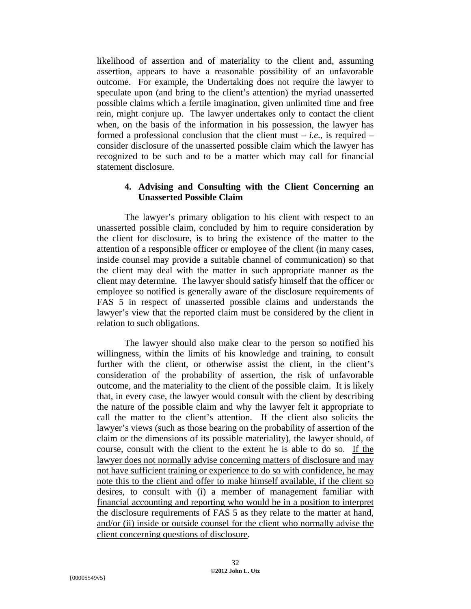likelihood of assertion and of materiality to the client and, assuming assertion, appears to have a reasonable possibility of an unfavorable outcome. For example, the Undertaking does not require the lawyer to speculate upon (and bring to the client's attention) the myriad unasserted possible claims which a fertile imagination, given unlimited time and free rein, might conjure up. The lawyer undertakes only to contact the client when, on the basis of the information in his possession, the lawyer has formed a professional conclusion that the client must – *i.e.*, is required – consider disclosure of the unasserted possible claim which the lawyer has recognized to be such and to be a matter which may call for financial statement disclosure.

# **4. Advising and Consulting with the Client Concerning an Unasserted Possible Claim**

The lawyer's primary obligation to his client with respect to an unasserted possible claim, concluded by him to require consideration by the client for disclosure, is to bring the existence of the matter to the attention of a responsible officer or employee of the client (in many cases, inside counsel may provide a suitable channel of communication) so that the client may deal with the matter in such appropriate manner as the client may determine. The lawyer should satisfy himself that the officer or employee so notified is generally aware of the disclosure requirements of FAS 5 in respect of unasserted possible claims and understands the lawyer's view that the reported claim must be considered by the client in relation to such obligations.

The lawyer should also make clear to the person so notified his willingness, within the limits of his knowledge and training, to consult further with the client, or otherwise assist the client, in the client's consideration of the probability of assertion, the risk of unfavorable outcome, and the materiality to the client of the possible claim. It is likely that, in every case, the lawyer would consult with the client by describing the nature of the possible claim and why the lawyer felt it appropriate to call the matter to the client's attention. If the client also solicits the lawyer's views (such as those bearing on the probability of assertion of the claim or the dimensions of its possible materiality), the lawyer should, of course, consult with the client to the extent he is able to do so. If the lawyer does not normally advise concerning matters of disclosure and may not have sufficient training or experience to do so with confidence, he may note this to the client and offer to make himself available, if the client so desires, to consult with (i) a member of management familiar with financial accounting and reporting who would be in a position to interpret the disclosure requirements of FAS 5 as they relate to the matter at hand, and/or (ii) inside or outside counsel for the client who normally advise the client concerning questions of disclosure.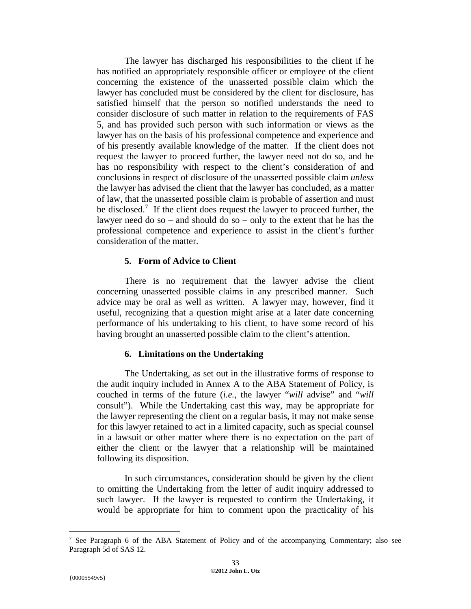The lawyer has discharged his responsibilities to the client if he has notified an appropriately responsible officer or employee of the client concerning the existence of the unasserted possible claim which the lawyer has concluded must be considered by the client for disclosure, has satisfied himself that the person so notified understands the need to consider disclosure of such matter in relation to the requirements of FAS 5, and has provided such person with such information or views as the lawyer has on the basis of his professional competence and experience and of his presently available knowledge of the matter. If the client does not request the lawyer to proceed further, the lawyer need not do so, and he has no responsibility with respect to the client's consideration of and conclusions in respect of disclosure of the unasserted possible claim *unless* the lawyer has advised the client that the lawyer has concluded, as a matter of law, that the unasserted possible claim is probable of assertion and must be disclosed.<sup>7</sup> If the client does request the lawyer to proceed further, the lawyer need do so – and should do so – only to the extent that he has the professional competence and experience to assist in the client's further consideration of the matter.

#### **5. Form of Advice to Client**

There is no requirement that the lawyer advise the client concerning unasserted possible claims in any prescribed manner. Such advice may be oral as well as written. A lawyer may, however, find it useful, recognizing that a question might arise at a later date concerning performance of his undertaking to his client, to have some record of his having brought an unasserted possible claim to the client's attention.

#### **6. Limitations on the Undertaking**

The Undertaking, as set out in the illustrative forms of response to the audit inquiry included in Annex A to the ABA Statement of Policy, is couched in terms of the future (*i.e.*, the lawyer "*will* advise" and "*will* consult"). While the Undertaking cast this way, may be appropriate for the lawyer representing the client on a regular basis, it may not make sense for this lawyer retained to act in a limited capacity, such as special counsel in a lawsuit or other matter where there is no expectation on the part of either the client or the lawyer that a relationship will be maintained following its disposition.

In such circumstances, consideration should be given by the client to omitting the Undertaking from the letter of audit inquiry addressed to such lawyer. If the lawyer is requested to confirm the Undertaking, it would be appropriate for him to comment upon the practicality of his

<sup>&</sup>lt;sup>7</sup> See Paragraph 6 of the ABA Statement of Policy and of the accompanying Commentary; also see Paragraph 5d of SAS 12.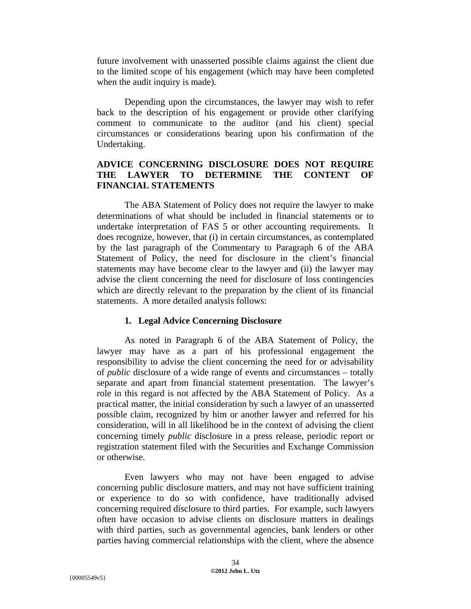future involvement with unasserted possible claims against the client due to the limited scope of his engagement (which may have been completed when the audit inquiry is made).

Depending upon the circumstances, the lawyer may wish to refer back to the description of his engagement or provide other clarifying comment to communicate to the auditor (and his client) special circumstances or considerations bearing upon his confirmation of the Undertaking.

# **ADVICE CONCERNING DISCLOSURE DOES NOT REQUIRE THE LAWYER TO DETERMINE THE CONTENT OF FINANCIAL STATEMENTS**

The ABA Statement of Policy does not require the lawyer to make determinations of what should be included in financial statements or to undertake interpretation of FAS 5 or other accounting requirements. It does recognize, however, that (i) in certain circumstances, as contemplated by the last paragraph of the Commentary to Paragraph 6 of the ABA Statement of Policy, the need for disclosure in the client's financial statements may have become clear to the lawyer and (ii) the lawyer may advise the client concerning the need for disclosure of loss contingencies which are directly relevant to the preparation by the client of its financial statements. A more detailed analysis follows:

## **1. Legal Advice Concerning Disclosure**

As noted in Paragraph 6 of the ABA Statement of Policy, the lawyer may have as a part of his professional engagement the responsibility to advise the client concerning the need for or advisability of *public* disclosure of a wide range of events and circumstances – totally separate and apart from financial statement presentation. The lawyer's role in this regard is not affected by the ABA Statement of Policy. As a practical matter, the initial consideration by such a lawyer of an unasserted possible claim, recognized by him or another lawyer and referred for his consideration, will in all likelihood be in the context of advising the client concerning timely *public* disclosure in a press release, periodic report or registration statement filed with the Securities and Exchange Commission or otherwise.

Even lawyers who may not have been engaged to advise concerning public disclosure matters, and may not have sufficient training or experience to do so with confidence, have traditionally advised concerning required disclosure to third parties. For example, such lawyers often have occasion to advise clients on disclosure matters in dealings with third parties, such as governmental agencies, bank lenders or other parties having commercial relationships with the client, where the absence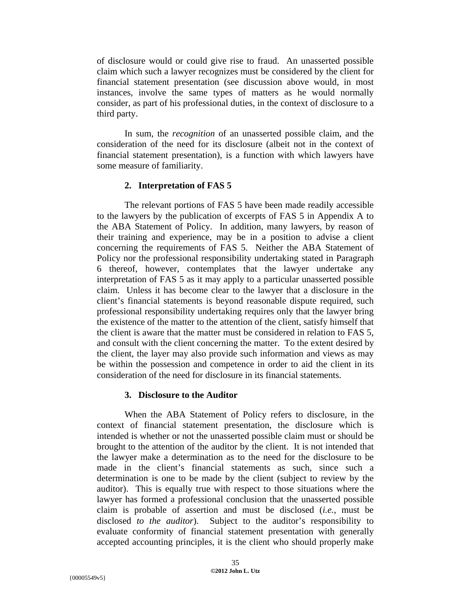of disclosure would or could give rise to fraud. An unasserted possible claim which such a lawyer recognizes must be considered by the client for financial statement presentation (see discussion above would, in most instances, involve the same types of matters as he would normally consider, as part of his professional duties, in the context of disclosure to a third party.

In sum, the *recognition* of an unasserted possible claim, and the consideration of the need for its disclosure (albeit not in the context of financial statement presentation), is a function with which lawyers have some measure of familiarity.

#### **2. Interpretation of FAS 5**

The relevant portions of FAS 5 have been made readily accessible to the lawyers by the publication of excerpts of FAS 5 in Appendix A to the ABA Statement of Policy. In addition, many lawyers, by reason of their training and experience, may be in a position to advise a client concerning the requirements of FAS 5. Neither the ABA Statement of Policy nor the professional responsibility undertaking stated in Paragraph 6 thereof, however, contemplates that the lawyer undertake any interpretation of FAS 5 as it may apply to a particular unasserted possible claim. Unless it has become clear to the lawyer that a disclosure in the client's financial statements is beyond reasonable dispute required, such professional responsibility undertaking requires only that the lawyer bring the existence of the matter to the attention of the client, satisfy himself that the client is aware that the matter must be considered in relation to FAS 5, and consult with the client concerning the matter. To the extent desired by the client, the layer may also provide such information and views as may be within the possession and competence in order to aid the client in its consideration of the need for disclosure in its financial statements.

#### **3. Disclosure to the Auditor**

When the ABA Statement of Policy refers to disclosure, in the context of financial statement presentation, the disclosure which is intended is whether or not the unasserted possible claim must or should be brought to the attention of the auditor by the client. It is not intended that the lawyer make a determination as to the need for the disclosure to be made in the client's financial statements as such, since such a determination is one to be made by the client (subject to review by the auditor). This is equally true with respect to those situations where the lawyer has formed a professional conclusion that the unasserted possible claim is probable of assertion and must be disclosed (*i.e.*, must be disclosed *to the auditor*). Subject to the auditor's responsibility to evaluate conformity of financial statement presentation with generally accepted accounting principles, it is the client who should properly make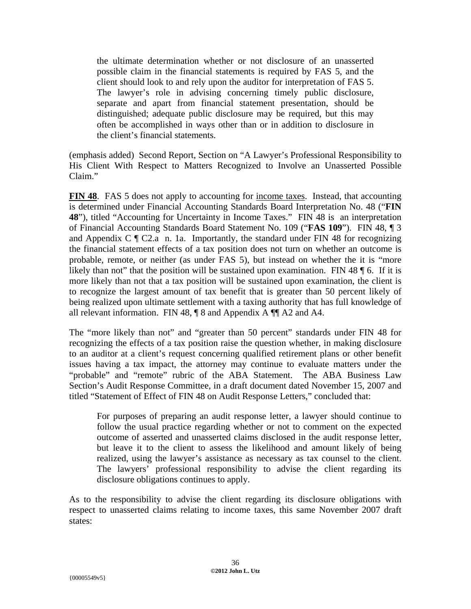the ultimate determination whether or not disclosure of an unasserted possible claim in the financial statements is required by FAS 5, and the client should look to and rely upon the auditor for interpretation of FAS 5. The lawyer's role in advising concerning timely public disclosure, separate and apart from financial statement presentation, should be distinguished; adequate public disclosure may be required, but this may often be accomplished in ways other than or in addition to disclosure in the client's financial statements.

(emphasis added) Second Report, Section on "A Lawyer's Professional Responsibility to His Client With Respect to Matters Recognized to Involve an Unasserted Possible Claim."

**FIN 48**. FAS 5 does not apply to accounting for income taxes. Instead, that accounting is determined under Financial Accounting Standards Board Interpretation No. 48 ("**FIN 48**"), titled "Accounting for Uncertainty in Income Taxes." FIN 48 is an interpretation of Financial Accounting Standards Board Statement No. 109 ("**FAS 109**"). FIN 48, ¶ 3 and Appendix C  $\mathcal{F}$  C2.a n. 1a. Importantly, the standard under FIN 48 for recognizing the financial statement effects of a tax position does not turn on whether an outcome is probable, remote, or neither (as under FAS 5), but instead on whether the it is "more likely than not" that the position will be sustained upon examination. FIN 48 \, 6. If it is more likely than not that a tax position will be sustained upon examination, the client is to recognize the largest amount of tax benefit that is greater than 50 percent likely of being realized upon ultimate settlement with a taxing authority that has full knowledge of all relevant information. FIN 48, ¶ 8 and Appendix A ¶¶ A2 and A4.

The "more likely than not" and "greater than 50 percent" standards under FIN 48 for recognizing the effects of a tax position raise the question whether, in making disclosure to an auditor at a client's request concerning qualified retirement plans or other benefit issues having a tax impact, the attorney may continue to evaluate matters under the "probable" and "remote" rubric of the ABA Statement. The ABA Business Law Section's Audit Response Committee, in a draft document dated November 15, 2007 and titled "Statement of Effect of FIN 48 on Audit Response Letters," concluded that:

For purposes of preparing an audit response letter, a lawyer should continue to follow the usual practice regarding whether or not to comment on the expected outcome of asserted and unasserted claims disclosed in the audit response letter, but leave it to the client to assess the likelihood and amount likely of being realized, using the lawyer's assistance as necessary as tax counsel to the client. The lawyers' professional responsibility to advise the client regarding its disclosure obligations continues to apply.

As to the responsibility to advise the client regarding its disclosure obligations with respect to unasserted claims relating to income taxes, this same November 2007 draft states: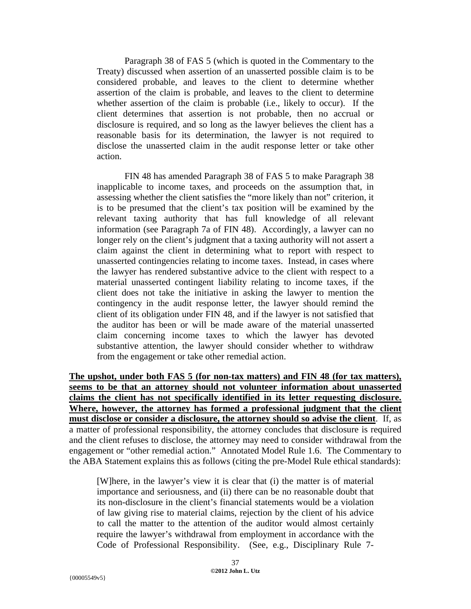Paragraph 38 of FAS 5 (which is quoted in the Commentary to the Treaty) discussed when assertion of an unasserted possible claim is to be considered probable, and leaves to the client to determine whether assertion of the claim is probable, and leaves to the client to determine whether assertion of the claim is probable (i.e., likely to occur). If the client determines that assertion is not probable, then no accrual or disclosure is required, and so long as the lawyer believes the client has a reasonable basis for its determination, the lawyer is not required to disclose the unasserted claim in the audit response letter or take other action.

FIN 48 has amended Paragraph 38 of FAS 5 to make Paragraph 38 inapplicable to income taxes, and proceeds on the assumption that, in assessing whether the client satisfies the "more likely than not" criterion, it is to be presumed that the client's tax position will be examined by the relevant taxing authority that has full knowledge of all relevant information (see Paragraph 7a of FIN 48). Accordingly, a lawyer can no longer rely on the client's judgment that a taxing authority will not assert a claim against the client in determining what to report with respect to unasserted contingencies relating to income taxes. Instead, in cases where the lawyer has rendered substantive advice to the client with respect to a material unasserted contingent liability relating to income taxes, if the client does not take the initiative in asking the lawyer to mention the contingency in the audit response letter, the lawyer should remind the client of its obligation under FIN 48, and if the lawyer is not satisfied that the auditor has been or will be made aware of the material unasserted claim concerning income taxes to which the lawyer has devoted substantive attention, the lawyer should consider whether to withdraw from the engagement or take other remedial action.

**The upshot, under both FAS 5 (for non-tax matters) and FIN 48 (for tax matters), seems to be that an attorney should not volunteer information about unasserted claims the client has not specifically identified in its letter requesting disclosure. Where, however, the attorney has formed a professional judgment that the client must disclose or consider a disclosure, the attorney should so advise the client**. If, as a matter of professional responsibility, the attorney concludes that disclosure is required and the client refuses to disclose, the attorney may need to consider withdrawal from the engagement or "other remedial action." Annotated Model Rule 1.6. The Commentary to the ABA Statement explains this as follows (citing the pre-Model Rule ethical standards):

[W]here, in the lawyer's view it is clear that (i) the matter is of material importance and seriousness, and (ii) there can be no reasonable doubt that its non-disclosure in the client's financial statements would be a violation of law giving rise to material claims, rejection by the client of his advice to call the matter to the attention of the auditor would almost certainly require the lawyer's withdrawal from employment in accordance with the Code of Professional Responsibility. (See, e.g., Disciplinary Rule 7-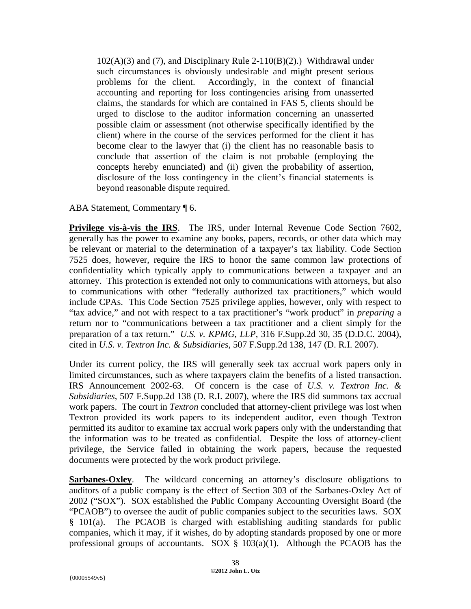$102(A)(3)$  and (7), and Disciplinary Rule 2-110(B)(2).) Withdrawal under such circumstances is obviously undesirable and might present serious problems for the client. Accordingly, in the context of financial accounting and reporting for loss contingencies arising from unasserted claims, the standards for which are contained in FAS 5, clients should be urged to disclose to the auditor information concerning an unasserted possible claim or assessment (not otherwise specifically identified by the client) where in the course of the services performed for the client it has become clear to the lawyer that (i) the client has no reasonable basis to conclude that assertion of the claim is not probable (employing the concepts hereby enunciated) and (ii) given the probability of assertion, disclosure of the loss contingency in the client's financial statements is beyond reasonable dispute required.

ABA Statement, Commentary ¶ 6.

**Privilege vis-à-vis the IRS**. The IRS, under Internal Revenue Code Section 7602, generally has the power to examine any books, papers, records, or other data which may be relevant or material to the determination of a taxpayer's tax liability. Code Section 7525 does, however, require the IRS to honor the same common law protections of confidentiality which typically apply to communications between a taxpayer and an attorney. This protection is extended not only to communications with attorneys, but also to communications with other "federally authorized tax practitioners," which would include CPAs. This Code Section 7525 privilege applies, however, only with respect to "tax advice," and not with respect to a tax practitioner's "work product" in *preparing* a return nor to "communications between a tax practitioner and a client simply for the preparation of a tax return." *U.S. v. KPMG, LLP*, 316 F.Supp.2d 30, 35 (D.D.C. 2004), cited in *U.S. v. Textron Inc. & Subsidiaries*, 507 F.Supp.2d 138, 147 (D. R.I. 2007).

Under its current policy, the IRS will generally seek tax accrual work papers only in limited circumstances, such as where taxpayers claim the benefits of a listed transaction. IRS Announcement 2002-63. Of concern is the case of *U.S. v. Textron Inc. & Subsidiaries*, 507 F.Supp.2d 138 (D. R.I. 2007), where the IRS did summons tax accrual work papers. The court in *Textron* concluded that attorney-client privilege was lost when Textron provided its work papers to its independent auditor, even though Textron permitted its auditor to examine tax accrual work papers only with the understanding that the information was to be treated as confidential. Despite the loss of attorney-client privilege, the Service failed in obtaining the work papers, because the requested documents were protected by the work product privilege.

**Sarbanes-Oxley**. The wildcard concerning an attorney's disclosure obligations to auditors of a public company is the effect of Section 303 of the Sarbanes-Oxley Act of 2002 ("SOX"). SOX established the Public Company Accounting Oversight Board (the "PCAOB") to oversee the audit of public companies subject to the securities laws. SOX § 101(a). The PCAOB is charged with establishing auditing standards for public companies, which it may, if it wishes, do by adopting standards proposed by one or more professional groups of accountants. SOX  $\S$  103(a)(1). Although the PCAOB has the